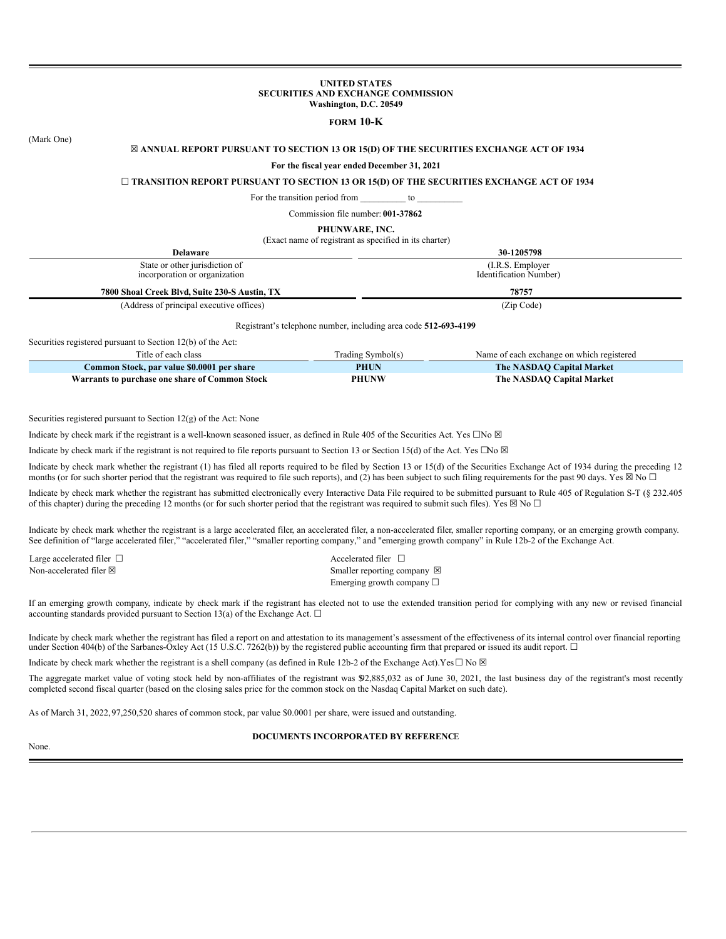### **UNITED STATES SECURITIES AND EXCHANGE COMMISSION Washington, D.C. 20549**

### **FORM 10-K**

(Mark One)

#### ☒ **ANNUAL REPORT PURSUANT TO SECTION 13 OR 15(D) OF THE SECURITIES EXCHANGE ACT OF 1934**

#### **For the fiscal year ended December 31, 2021**

## ☐ **TRANSITION REPORT PURSUANT TO SECTION 13 OR 15(D) OF THE SECURITIES EXCHANGE ACT OF 1934**

For the transition period from to

Commission file number: **001-37862**

#### **PHUNWARE, INC.**

(Exact name of registrant as specified in its charter)

| <b>Delaware</b>                                                 | 30-1205798                                  |
|-----------------------------------------------------------------|---------------------------------------------|
| State or other jurisdiction of<br>incorporation or organization | (I.R.S. Employer)<br>Identification Number) |
| 7800 Shoal Creek Blvd, Suite 230-S Austin, TX                   | 78757                                       |
| (Address of principal executive offices)                        | (Zip Code)                                  |

Registrant's telephone number, including area code **512-693-4199**

Securities registered pursuant to Section 12(b) of the Act:

| Title of each class                            | Trading Symbol(s) | Name of each exchange on which registered |
|------------------------------------------------|-------------------|-------------------------------------------|
| Common Stock, par value \$0.0001 per share     | PHUN              | The NASDAO Capital Market                 |
| Warrants to purchase one share of Common Stock | PHUNW             | The NASDAQ Capital Market                 |

Securities registered pursuant to Section 12(g) of the Act: None

Indicate by check mark if the registrant is a well-known seasoned issuer, as defined in Rule 405 of the Securities Act. Yes  $\Box$ No  $\boxtimes$ 

Indicate by check mark if the registrant is not required to file reports pursuant to Section 13 or Section 15(d) of the Act. Yes □No ⊠

Indicate by check mark whether the registrant (1) has filed all reports required to be filed by Section 13 or 15(d) of the Securities Exchange Act of 1934 during the preceding 12 months (or for such shorter period that the registrant was required to file such reports), and (2) has been subject to such filing requirements for the past 90 days. Yes  $\boxtimes$  No  $\Box$ 

Indicate by check mark whether the registrant has submitted electronically every Interactive Data File required to be submitted pursuant to Rule 405 of Regulation S-T (§ 232.405 of this chapter) during the preceding 12 months (or for such shorter period that the registrant was required to submit such files). Yes  $\boxtimes$  No  $\Box$ 

Indicate by check mark whether the registrant is a large accelerated filer, an accelerated filer, a non-accelerated filer, smaller reporting company, or an emerging growth company. See definition of "large accelerated filer," "accelerated filer," "smaller reporting company," and "emerging growth company" in Rule 12b-2 of the Exchange Act.

Large accelerated filer □ and a set of the set of the set of the Accelerated filer □

Non-accelerated filer ⊠ Smaller reporting company ⊠ Emerging growth company  $\Box$ 

If an emerging growth company, indicate by check mark if the registrant has elected not to use the extended transition period for complying with any new or revised financial accounting standards provided pursuant to Section 13(a) of the Exchange Act.  $\Box$ 

Indicate by check mark whether the registrant has filed a report on and attestation to its management's assessment of the effectiveness of its internal control over financial reporting under Section 404(b) of the Sarbanes-Oxley Act (15 U.S.C. 7262(b)) by the registered public accounting firm that prepared or issued its audit report.  $\Box$ 

Indicate by check mark whether the registrant is a shell company (as defined in Rule 12b-2 of the Exchange Act).Yes $\Box$  No  $\boxtimes$ 

The aggregate market value of voting stock held by non-affiliates of the registrant was \$92,885,032 as of June 30, 2021, the last business day of the registrant's most recently completed second fiscal quarter (based on the closing sales price for the common stock on the Nasdaq Capital Market on such date).

As of March 31, 2022,97,250,520 shares of common stock, par value \$0.0001 per share, were issued and outstanding.

# **DOCUMENTS INCORPORATED BY REFERENC**E

<span id="page-0-0"></span>None.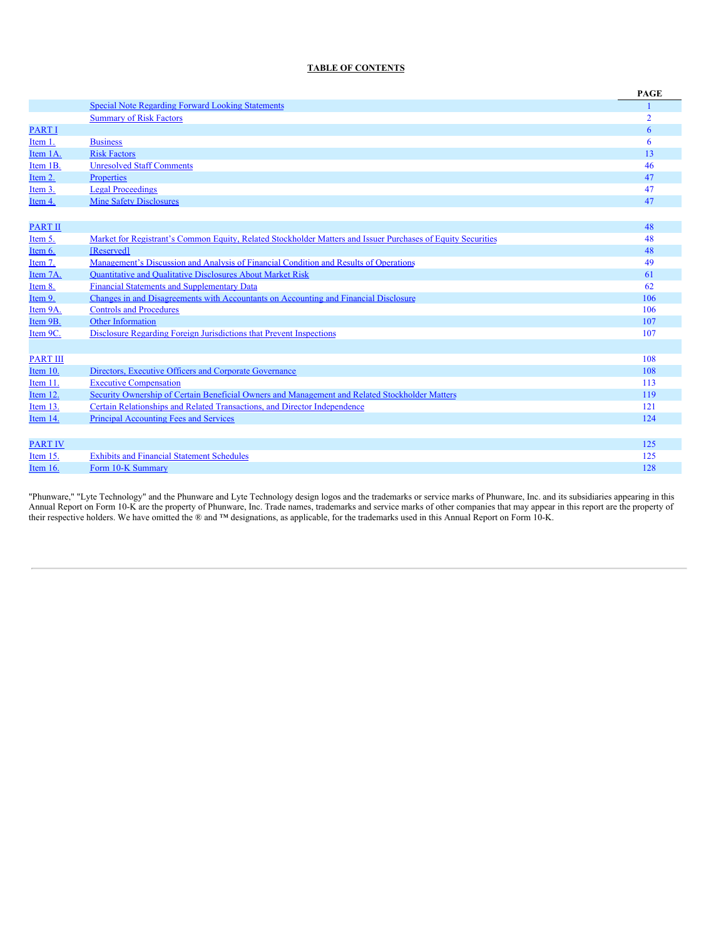# **TABLE OF CONTENTS**

|                 |                                                                                                              | <b>PAGE</b>    |
|-----------------|--------------------------------------------------------------------------------------------------------------|----------------|
|                 | <b>Special Note Regarding Forward Looking Statements</b>                                                     |                |
|                 | <b>Summary of Risk Factors</b>                                                                               | $\overline{2}$ |
| <b>PARTI</b>    |                                                                                                              | 6              |
| Item 1.         | <b>Business</b>                                                                                              | 6              |
| Item 1A.        | <b>Risk Factors</b>                                                                                          | 13             |
| Item 1B.        | <b>Unresolved Staff Comments</b>                                                                             | 46             |
| Item 2.         | Properties                                                                                                   | 47             |
| Item 3.         | <b>Legal Proceedings</b>                                                                                     | 47             |
| Item 4.         | <b>Mine Safety Disclosures</b>                                                                               | 47             |
|                 |                                                                                                              |                |
| <b>PART II</b>  |                                                                                                              | 48             |
| Item 5.         | Market for Registrant's Common Equity, Related Stockholder Matters and Issuer Purchases of Equity Securities | 48             |
| Item 6.         | [Reserved]                                                                                                   | 48             |
| Item 7.         | Management's Discussion and Analysis of Financial Condition and Results of Operations                        | 49             |
| Item 7A.        | <b>Ouantitative and Qualitative Disclosures About Market Risk</b>                                            | 61             |
| Item 8.         | <b>Financial Statements and Supplementary Data</b>                                                           | 62             |
| Item 9.         | Changes in and Disagreements with Accountants on Accounting and Financial Disclosure                         | 106            |
| Item 9A.        | <b>Controls and Procedures</b>                                                                               | 106            |
| Item 9B.        | <b>Other Information</b>                                                                                     | 107            |
| Item 9C.        | Disclosure Regarding Foreign Jurisdictions that Prevent Inspections                                          | 107            |
|                 |                                                                                                              |                |
| <b>PART III</b> |                                                                                                              | 108            |
| Item 10.        | Directors, Executive Officers and Corporate Governance                                                       | 108            |
| Item 11.        | <b>Executive Compensation</b>                                                                                | 113            |
| Item 12.        | Security Ownership of Certain Beneficial Owners and Management and Related Stockholder Matters               | 119            |
| Item $13$ .     | Certain Relationships and Related Transactions, and Director Independence                                    | 121            |
| Item 14.        | <b>Principal Accounting Fees and Services</b>                                                                | 124            |
|                 |                                                                                                              |                |
| <b>PART IV</b>  |                                                                                                              | 125            |
| Item 15.        | <b>Exhibits and Financial Statement Schedules</b>                                                            | 125            |
| Item $16$ .     | Form 10-K Summary                                                                                            | 128            |

<span id="page-1-0"></span>"Phunware," "Lyte Technology" and the Phunware and Lyte Technology design logos and the trademarks or service marks of Phunware, Inc. and its subsidiaries appearing in this Annual Report on Form 10-K are the property of Phunware, Inc. Trade names, trademarks and service marks of other companies that may appear in this report are the property of their respective holders. We have omitted the ® and ™ designations, as applicable, for the trademarks used in this Annual Report on Form 10-K.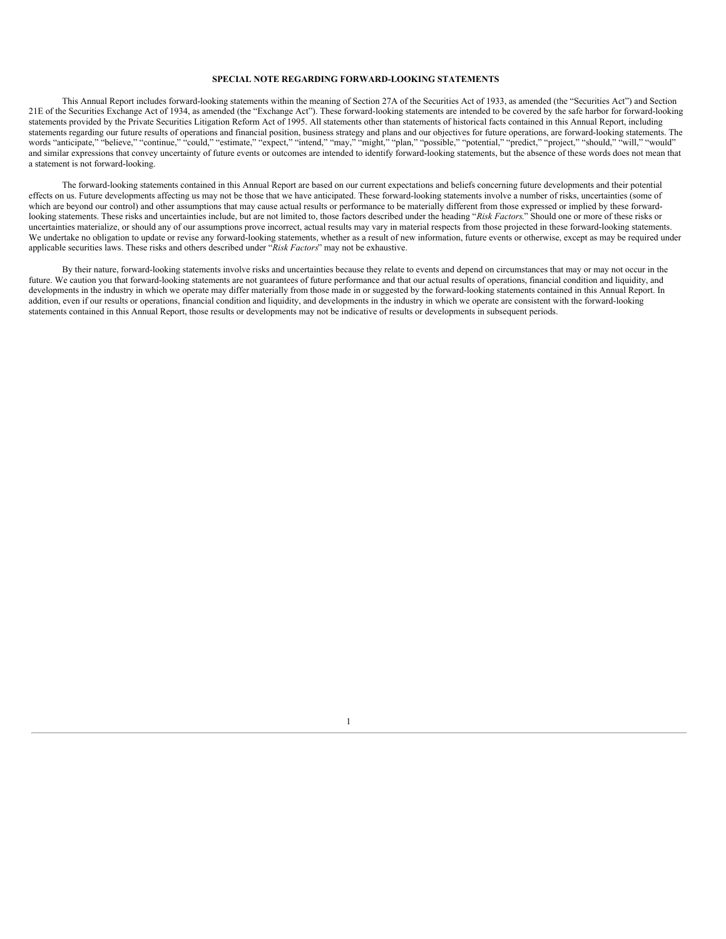# **SPECIAL NOTE REGARDING FORWARD-LOOKING STATEMENTS**

This Annual Report includes forward-looking statements within the meaning of Section 27A of the Securities Act of 1933, as amended (the "Securities Act") and Section 21E of the Securities Exchange Act of 1934, as amended (the "Exchange Act"). These forward-looking statements are intended to be covered by the safe harbor for forward-looking statements provided by the Private Securities Litigation Reform Act of 1995. All statements other than statements of historical facts contained in this Annual Report, including statements regarding our future results of operations and financial position, business strategy and plans and our objectives for future operations, are forward-looking statements. The words "anticipate," "believe," "continue," "could," "estimate," "expect," "intend," "may," "might," "plan," "possible," "potential," "predict," "project," "should," "will," "would" and similar expressions that convey uncertainty of future events or outcomes are intended to identify forward-looking statements, but the absence of these words does not mean that a statement is not forward-looking.

The forward-looking statements contained in this Annual Report are based on our current expectations and beliefs concerning future developments and their potential effects on us. Future developments affecting us may not be those that we have anticipated. These forward-looking statements involve a number of risks, uncertainties (some of which are beyond our control) and other assumptions that may cause actual results or performance to be materially different from those expressed or implied by these forwardlooking statements. These risks and uncertainties include, but are not limited to, those factors described under the heading "*Risk Factors*." Should one or more of these risks or uncertainties materialize, or should any of our assumptions prove incorrect, actual results may vary in material respects from those projected in these forward-looking statements. We undertake no obligation to update or revise any forward-looking statements, whether as a result of new information, future events or otherwise, except as may be required under applicable securities laws. These risks and others described under "*Risk Factors*" may not be exhaustive.

<span id="page-2-0"></span>By their nature, forward-looking statements involve risks and uncertainties because they relate to events and depend on circumstances that may or may not occur in the future. We caution you that forward-looking statements are not guarantees of future performance and that our actual results of operations, financial condition and liquidity, and developments in the industry in which we operate may differ materially from those made in or suggested by the forward-looking statements contained in this Annual Report. In addition, even if our results or operations, financial condition and liquidity, and developments in the industry in which we operate are consistent with the forward-looking statements contained in this Annual Report, those results or developments may not be indicative of results or developments in subsequent periods.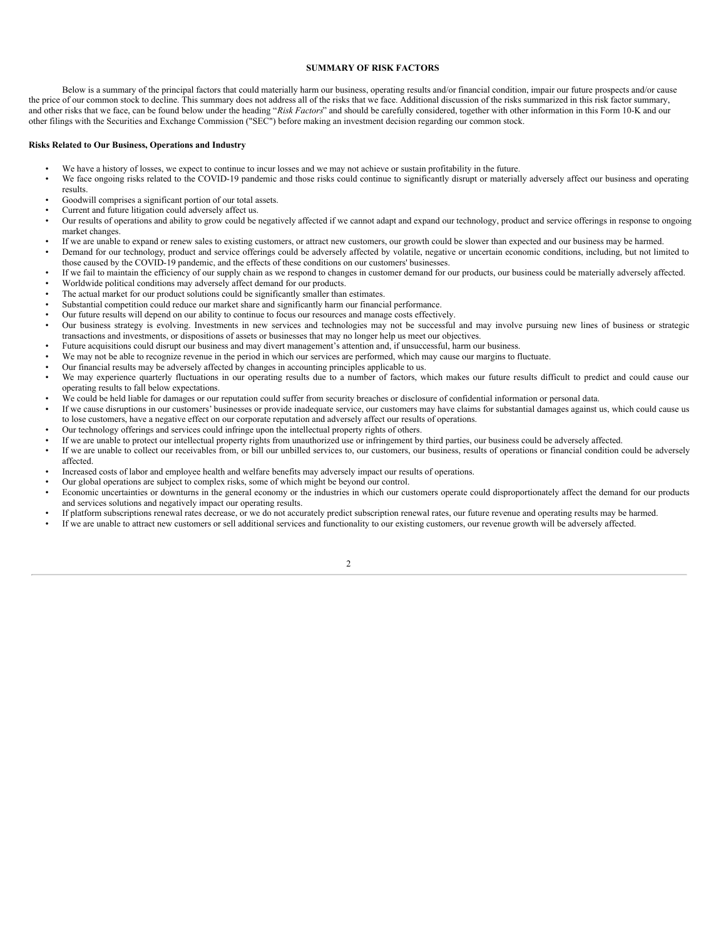### **SUMMARY OF RISK FACTORS**

Below is a summary of the principal factors that could materially harm our business, operating results and/or financial condition, impair our future prospects and/or cause the price of our common stock to decline. This summary does not address all of the risks that we face. Additional discussion of the risks summarized in this risk factor summary, and other risks that we face, can be found below under the heading "*Risk Factors*" and should be carefully considered, together with other information in this Form 10-K and our other filings with the Securities and Exchange Commission ("SEC") before making an investment decision regarding our common stock.

## **Risks Related to Our Business, Operations and Industry**

- We have a history of losses, we expect to continue to incur losses and we may not achieve or sustain profitability in the future.
- We face ongoing risks related to the COVID-19 pandemic and those risks could continue to significantly disrupt or materially adversely affect our business and operating results.
- Goodwill comprises a significant portion of our total assets.
- Current and future litigation could adversely affect us.
- Our results of operations and ability to grow could be negatively affected if we cannot adapt and expand our technology, product and service offerings in response to ongoing market changes.
- If we are unable to expand or renew sales to existing customers, or attract new customers, our growth could be slower than expected and our business may be harmed.
- Demand for our technology, product and service offerings could be adversely affected by volatile, negative or uncertain economic conditions, including, but not limited to those caused by the COVID-19 pandemic, and the effects of these conditions on our customers' businesses.
- If we fail to maintain the efficiency of our supply chain as we respond to changes in customer demand for our products, our business could be materially adversely affected.
- Worldwide political conditions may adversely affect demand for our products.
- The actual market for our product solutions could be significantly smaller than estimates.
- Substantial competition could reduce our market share and significantly harm our financial performance.
- Our future results will depend on our ability to continue to focus our resources and manage costs effectively.
- Our business strategy is evolving. Investments in new services and technologies may not be successful and may involve pursuing new lines of business or strategic transactions and investments, or dispositions of assets or businesses that may no longer help us meet our objectives.
- Future acquisitions could disrupt our business and may divert management's attention and, if unsuccessful, harm our business.
- We may not be able to recognize revenue in the period in which our services are performed, which may cause our margins to fluctuate.
- Our financial results may be adversely affected by changes in accounting principles applicable to us.
- We may experience quarterly fluctuations in our operating results due to a number of factors, which makes our future results difficult to predict and could cause our operating results to fall below expectations.
- We could be held liable for damages or our reputation could suffer from security breaches or disclosure of confidential information or personal data.
- If we cause disruptions in our customers' businesses or provide inadequate service, our customers may have claims for substantial damages against us, which could cause us to lose customers, have a negative effect on our corporate reputation and adversely affect our results of operations.
- Our technology offerings and services could infringe upon the intellectual property rights of others.
- If we are unable to protect our intellectual property rights from unauthorized use or infringement by third parties, our business could be adversely affected.
- If we are unable to collect our receivables from, or bill our unbilled services to, our customers, our business, results of operations or financial condition could be adversely affected.
- Increased costs of labor and employee health and welfare benefits may adversely impact our results of operations.
- Our global operations are subject to complex risks, some of which might be beyond our control.
- Economic uncertainties or downturns in the general economy or the industries in which our customers operate could disproportionately affect the demand for our products and services solutions and negatively impact our operating results.
- If platform subscriptions renewal rates decrease, or we do not accurately predict subscription renewal rates, our future revenue and operating results may be harmed.
- If we are unable to attract new customers or sell additional services and functionality to our existing customers, our revenue growth will be adversely affected.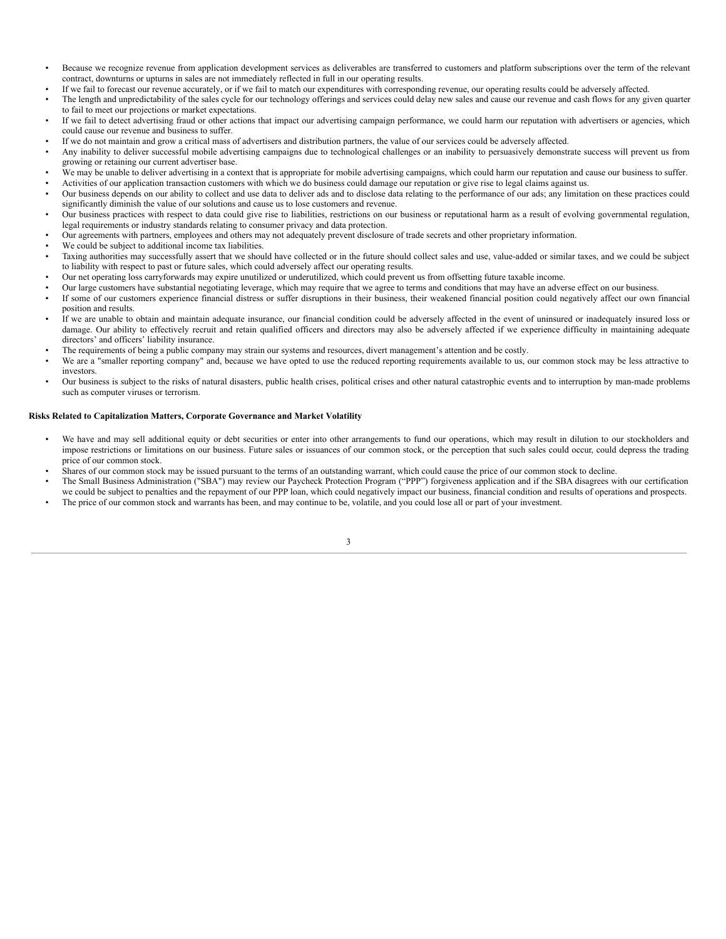- Because we recognize revenue from application development services as deliverables are transferred to customers and platform subscriptions over the term of the relevant contract, downturns or upturns in sales are not immediately reflected in full in our operating results.
- If we fail to forecast our revenue accurately, or if we fail to match our expenditures with corresponding revenue, our operating results could be adversely affected.
- The length and unpredictability of the sales cycle for our technology offerings and services could delay new sales and cause our revenue and cash flows for any given quarter to fail to meet our projections or market expectations.
- If we fail to detect advertising fraud or other actions that impact our advertising campaign performance, we could harm our reputation with advertisers or agencies, which could cause our revenue and business to suffer.
- If we do not maintain and grow a critical mass of advertisers and distribution partners, the value of our services could be adversely affected.
- Any inability to deliver successful mobile advertising campaigns due to technological challenges or an inability to persuasively demonstrate success will prevent us from growing or retaining our current advertiser base.
- We may be unable to deliver advertising in a context that is appropriate for mobile advertising campaigns, which could harm our reputation and cause our business to suffer.
- Activities of our application transaction customers with which we do business could damage our reputation or give rise to legal claims against us.
- Our business depends on our ability to collect and use data to deliver ads and to disclose data relating to the performance of our ads; any limitation on these practices could significantly diminish the value of our solutions and cause us to lose customers and revenue.
- Our business practices with respect to data could give rise to liabilities, restrictions on our business or reputational harm as a result of evolving governmental regulation, legal requirements or industry standards relating to consumer privacy and data protection.
- Our agreements with partners, employees and others may not adequately prevent disclosure of trade secrets and other proprietary information.
- We could be subject to additional income tax liabilities.
- Taxing authorities may successfully assert that we should have collected or in the future should collect sales and use, value-added or similar taxes, and we could be subject to liability with respect to past or future sales, which could adversely affect our operating results.
- Our net operating loss carryforwards may expire unutilized or underutilized, which could prevent us from offsetting future taxable income.
- Our large customers have substantial negotiating leverage, which may require that we agree to terms and conditions that may have an adverse effect on our business.
- If some of our customers experience financial distress or suffer disruptions in their business, their weakened financial position could negatively affect our own financial position and results.
- If we are unable to obtain and maintain adequate insurance, our financial condition could be adversely affected in the event of uninsured or inadequately insured loss or damage. Our ability to effectively recruit and retain qualified officers and directors may also be adversely affected if we experience difficulty in maintaining adequate directors' and officers' liability insurance.
- The requirements of being a public company may strain our systems and resources, divert management's attention and be costly.
- We are a "smaller reporting company" and, because we have opted to use the reduced reporting requirements available to us, our common stock may be less attractive to investors.
- Our business is subject to the risks of natural disasters, public health crises, political crises and other natural catastrophic events and to interruption by man-made problems such as computer viruses or terrorism.

## **Risks Related to Capitalization Matters, Corporate Governance and Market Volatility**

- We have and may sell additional equity or debt securities or enter into other arrangements to fund our operations, which may result in dilution to our stockholders and impose restrictions or limitations on our business. Future sales or issuances of our common stock, or the perception that such sales could occur, could depress the trading price of our common stock.
- Shares of our common stock may be issued pursuant to the terms of an outstanding warrant, which could cause the price of our common stock to decline.
- The Small Business Administration ("SBA") may review our Paycheck Protection Program ("PPP") forgiveness application and if the SBA disagrees with our certification we could be subject to penalties and the repayment of our PPP loan, which could negatively impact our business, financial condition and results of operations and prospects.
- The price of our common stock and warrants has been, and may continue to be, volatile, and you could lose all or part of your investment.

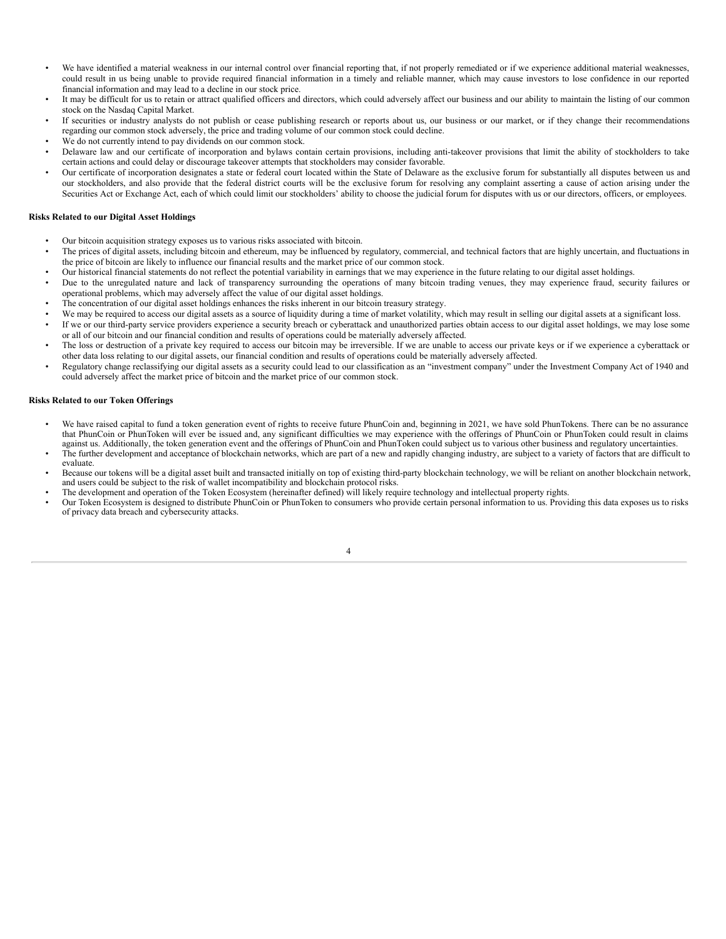- We have identified a material weakness in our internal control over financial reporting that, if not properly remediated or if we experience additional material weaknesses, could result in us being unable to provide required financial information in a timely and reliable manner, which may cause investors to lose confidence in our reported financial information and may lead to a decline in our stock price.
- It may be difficult for us to retain or attract qualified officers and directors, which could adversely affect our business and our ability to maintain the listing of our common stock on the Nasdaq Capital Market.
- If securities or industry analysts do not publish or cease publishing research or reports about us, our business or our market, or if they change their recommendations regarding our common stock adversely, the price and trading volume of our common stock could decline.
- We do not currently intend to pay dividends on our common stock.
- Delaware law and our certificate of incorporation and bylaws contain certain provisions, including anti-takeover provisions that limit the ability of stockholders to take certain actions and could delay or discourage takeover attempts that stockholders may consider favorable.
- Our certificate of incorporation designates a state or federal court located within the State of Delaware as the exclusive forum for substantially all disputes between us and our stockholders, and also provide that the federal district courts will be the exclusive forum for resolving any complaint asserting a cause of action arising under the Securities Act or Exchange Act, each of which could limit our stockholders' ability to choose the judicial forum for disputes with us or our directors, officers, or employees.

## **Risks Related to our Digital Asset Holdings**

- Our bitcoin acquisition strategy exposes us to various risks associated with bitcoin.
- The prices of digital assets, including bitcoin and ethereum, may be influenced by regulatory, commercial, and technical factors that are highly uncertain, and fluctuations in the price of bitcoin are likely to influence our financial results and the market price of our common stock.
- Our historical financial statements do not reflect the potential variability in earnings that we may experience in the future relating to our digital asset holdings.
- Due to the unregulated nature and lack of transparency surrounding the operations of many bitcoin trading venues, they may experience fraud, security failures or operational problems, which may adversely affect the value of our digital asset holdings.
- The concentration of our digital asset holdings enhances the risks inherent in our bitcoin treasury strategy.
- We may be required to access our digital assets as a source of liquidity during a time of market volatility, which may result in selling our digital assets at a significant loss.
- If we or our third-party service providers experience a security breach or cyberattack and unauthorized parties obtain access to our digital asset holdings, we may lose some or all of our bitcoin and our financial condition and results of operations could be materially adversely affected.
- The loss or destruction of a private key required to access our bitcoin may be irreversible. If we are unable to access our private keys or if we experience a cyberattack or other data loss relating to our digital assets, our financial condition and results of operations could be materially adversely affected.
- Regulatory change reclassifying our digital assets as a security could lead to our classification as an "investment company" under the Investment Company Act of 1940 and could adversely affect the market price of bitcoin and the market price of our common stock.

### **Risks Related to our Token Offerings**

- We have raised capital to fund a token generation event of rights to receive future PhunCoin and, beginning in 2021, we have sold PhunTokens. There can be no assurance that PhunCoin or PhunToken will ever be issued and, any significant difficulties we may experience with the offerings of PhunCoin or PhunToken could result in claims against us. Additionally, the token generation event and the offerings of PhunCoin and PhunToken could subject us to various other business and regulatory uncertainties.
- The further development and acceptance of blockchain networks, which are part of a new and rapidly changing industry, are subject to a variety of factors that are difficult to evaluate.
- Because our tokens will be a digital asset built and transacted initially on top of existing third-party blockchain technology, we will be reliant on another blockchain network, and users could be subject to the risk of wallet incompatibility and blockchain protocol risks.
- The development and operation of the Token Ecosystem (hereinafter defined) will likely require technology and intellectual property rights.
- Our Token Ecosystem is designed to distribute PhunCoin or PhunToken to consumers who provide certain personal information to us. Providing this data exposes us to risks of privacy data breach and cybersecurity attacks.

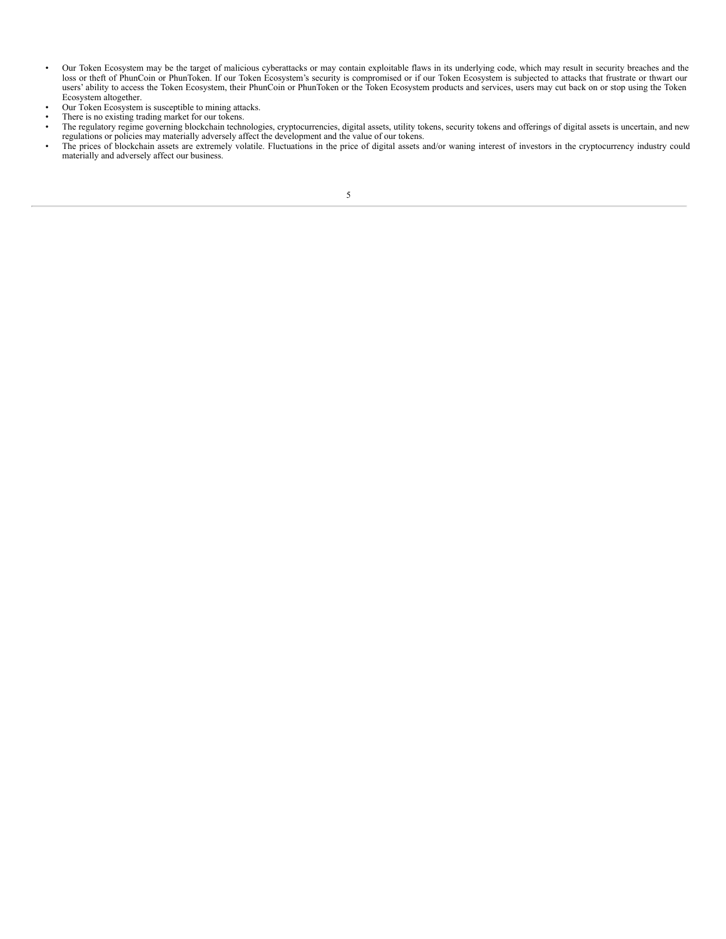- Our Token Ecosystem may be the target of malicious cyberattacks or may contain exploitable flaws in its underlying code, which may result in security breaches and the loss or theft of PhunCoin or PhunToken. If our Token Ecosystem's security is compromised or if our Token Ecosystem is subjected to attacks that frustrate or thwart our users' ability to access the Token Ecosystem, their PhunCoin or PhunToken or the Token Ecosystem products and services, users may cut back on or stop using the Token Ecosystem altogether.
- Our Token Ecosystem is susceptible to mining attacks.
- There is no existing trading market for our tokens.
- The regulatory regime governing blockchain technologies, cryptocurrencies, digital assets, utility tokens, security tokens and offerings of digital assets is uncertain, and new regulations or policies may materially adversely affect the development and the value of our tokens.
- <span id="page-6-0"></span>• The prices of blockchain assets are extremely volatile. Fluctuations in the price of digital assets and/or waning interest of investors in the cryptocurrency industry could materially and adversely affect our business.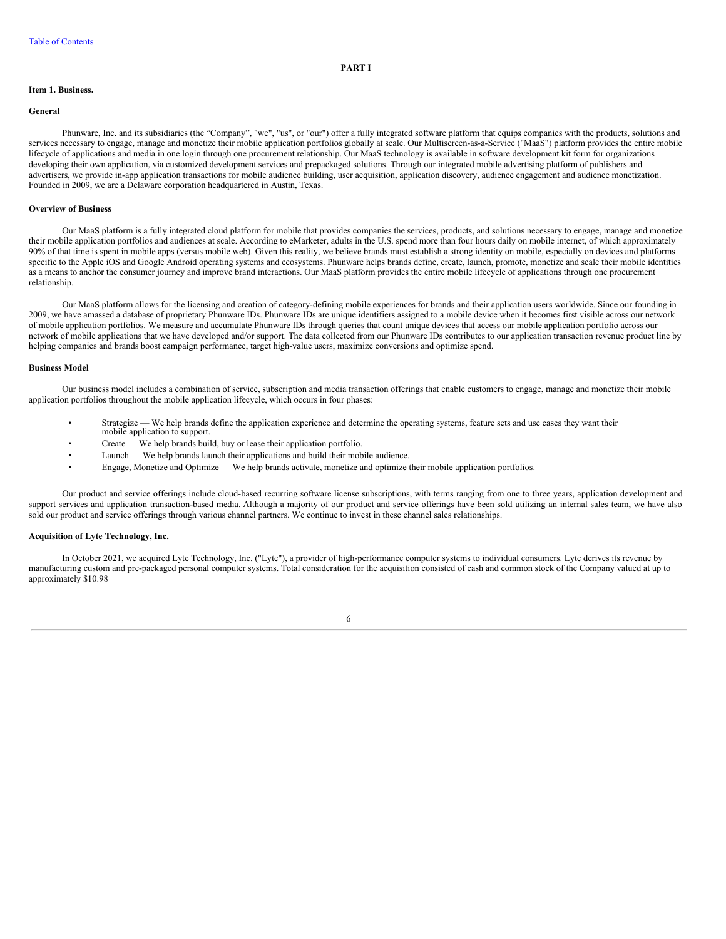#### **PART I**

# <span id="page-7-0"></span>**Item 1. Business.**

### **General**

Phunware, Inc. and its subsidiaries (the "Company", "we", "us", or "our") offer a fully integrated software platform that equips companies with the products, solutions and services necessary to engage, manage and monetize their mobile application portfolios globally at scale. Our Multiscreen-as-a-Service ("MaaS") platform provides the entire mobile lifecycle of applications and media in one login through one procurement relationship. Our MaaS technology is available in software development kit form for organizations developing their own application, via customized development services and prepackaged solutions. Through our integrated mobile advertising platform of publishers and advertisers, we provide in-app application transactions for mobile audience building, user acquisition, application discovery, audience engagement and audience monetization. Founded in 2009, we are a Delaware corporation headquartered in Austin, Texas.

## **Overview of Business**

Our MaaS platform is a fully integrated cloud platform for mobile that provides companies the services, products, and solutions necessary to engage, manage and monetize their mobile application portfolios and audiences at scale. According to eMarketer, adults in the U.S. spend more than four hours daily on mobile internet, of which approximately 90% of that time is spent in mobile apps (versus mobile web). Given this reality, we believe brands must establish a strong identity on mobile, especially on devices and platforms specific to the Apple iOS and Google Android operating systems and ecosystems. Phunware helps brands define, create, launch, promote, monetize and scale their mobile identities as a means to anchor the consumer journey and improve brand interactions. Our MaaS platform provides the entire mobile lifecycle of applications through one procurement relationship.

Our MaaS platform allows for the licensing and creation of category-defining mobile experiences for brands and their application users worldwide. Since our founding in 2009, we have amassed a database of proprietary Phunware IDs. Phunware IDs are unique identifiers assigned to a mobile device when it becomes first visible across our network of mobile application portfolios. We measure and accumulate Phunware IDs through queries that count unique devices that access our mobile application portfolio across our network of mobile applications that we have developed and/or support. The data collected from our Phunware IDs contributes to our application transaction revenue product line by helping companies and brands boost campaign performance, target high-value users, maximize conversions and optimize spend.

#### **Business Model**

Our business model includes a combination of service, subscription and media transaction offerings that enable customers to engage, manage and monetize their mobile application portfolios throughout the mobile application lifecycle, which occurs in four phases:

- Strategize We help brands define the application experience and determine the operating systems, feature sets and use cases they want their mobile application to support.
- Create We help brands build, buy or lease their application portfolio.
- Launch We help brands launch their applications and build their mobile audience.
- Engage, Monetize and Optimize We help brands activate, monetize and optimize their mobile application portfolios.

Our product and service offerings include cloud-based recurring software license subscriptions, with terms ranging from one to three years, application development and support services and application transaction-based media. Although a majority of our product and service offerings have been sold utilizing an internal sales team, we have also sold our product and service offerings through various channel partners. We continue to invest in these channel sales relationships.

## **Acquisition of Lyte Technology, Inc.**

In October 2021, we acquired Lyte Technology, Inc. ("Lyte"), a provider of high-performance computer systems to individual consumers. Lyte derives its revenue by manufacturing custom and pre-packaged personal computer systems. Total consideration for the acquisition consisted of cash and common stock of the Company valued at up to approximately \$10.98

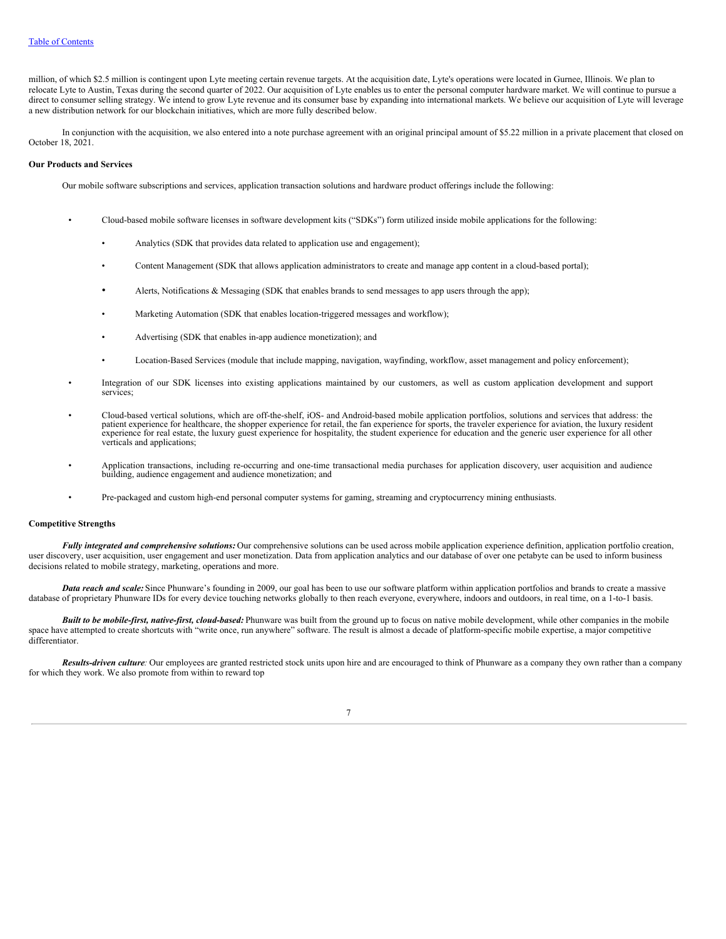million, of which \$2.5 million is contingent upon Lyte meeting certain revenue targets. At the acquisition date, Lyte's operations were located in Gurnee, Illinois. We plan to relocate Lyte to Austin, Texas during the second quarter of 2022. Our acquisition of Lyte enables us to enter the personal computer hardware market. We will continue to pursue a direct to consumer selling strategy. We intend to grow Lyte revenue and its consumer base by expanding into international markets. We believe our acquisition of Lyte will leverage a new distribution network for our blockchain initiatives, which are more fully described below.

In conjunction with the acquisition, we also entered into a note purchase agreement with an original principal amount of \$5.22 million in a private placement that closed on October 18, 2021.

## **Our Products and Services**

Our mobile software subscriptions and services, application transaction solutions and hardware product offerings include the following:

- Cloud-based mobile software licenses in software development kits ("SDKs") form utilized inside mobile applications for the following:
	- Analytics (SDK that provides data related to application use and engagement);
	- Content Management (SDK that allows application administrators to create and manage app content in a cloud-based portal);
	- Alerts, Notifications & Messaging (SDK that enables brands to send messages to app users through the app);
	- Marketing Automation (SDK that enables location-triggered messages and workflow);
	- Advertising (SDK that enables in-app audience monetization); and
	- Location-Based Services (module that include mapping, navigation, wayfinding, workflow, asset management and policy enforcement);
- Integration of our SDK licenses into existing applications maintained by our customers, as well as custom application development and support services;
- Cloud-based vertical solutions, which are off-the-shelf, iOS- and Android-based mobile application portfolios, solutions and services that address: the patient experience for healthcare, the shopper experience for retail, the fan experience for sports, the traveler experience for aviation, the luxury resident experience for real estate, the luxury guest experience for hospitality, the student experience for education and the generic user experience for all other verticals and applications;
- Application transactions, including re-occurring and one-time transactional media purchases for application discovery, user acquisition and audience building, audience engagement and audience monetization; and
- Pre-packaged and custom high-end personal computer systems for gaming, streaming and cryptocurrency mining enthusiasts.

#### **Competitive Strengths**

*Fully integrated and comprehensive solutions:* Our comprehensive solutions can be used across mobile application experience definition, application portfolio creation, user discovery, user acquisition, user engagement and user monetization. Data from application analytics and our database of over one petabyte can be used to inform business decisions related to mobile strategy, marketing, operations and more.

*Data reach and scale:* Since Phunware's founding in 2009, our goal has been to use our software platform within application portfolios and brands to create a massive database of proprietary Phunware IDs for every device touching networks globally to then reach everyone, everywhere, indoors and outdoors, in real time, on a 1-to-1 basis.

*Built to be mobile-first, native-first, cloud-based:* Phunware was built from the ground up to focus on native mobile development, while other companies in the mobile space have attempted to create shortcuts with "write once, run anywhere" software. The result is almost a decade of platform-specific mobile expertise, a major competitive differentiator.

*Results-driven culture:* Our employees are granted restricted stock units upon hire and are encouraged to think of Phunware as a company they own rather than a company for which they work. We also promote from within to reward top

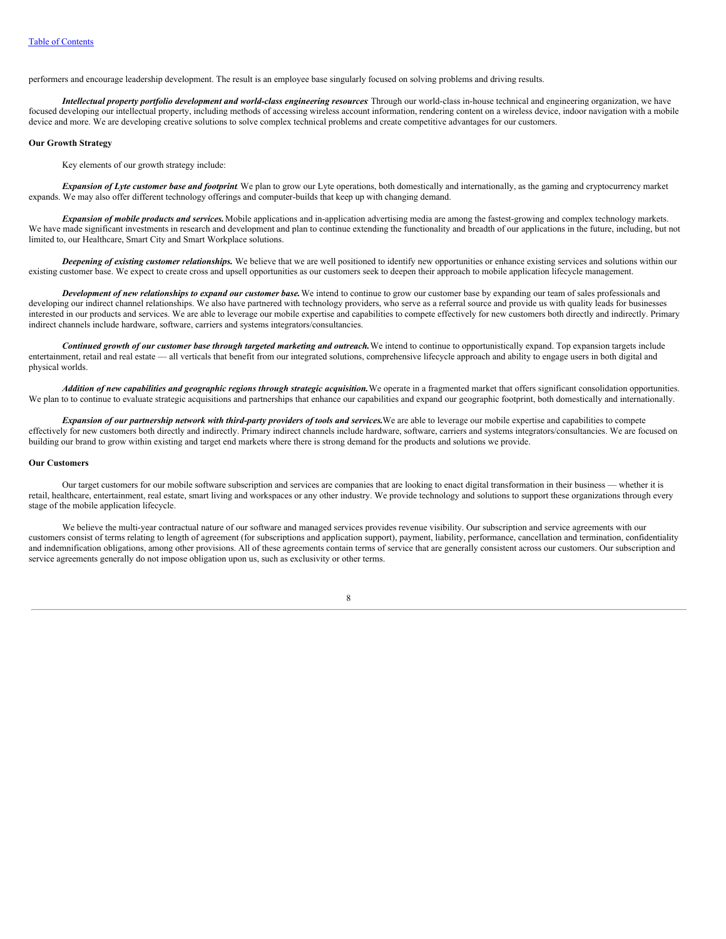performers and encourage leadership development. The result is an employee base singularly focused on solving problems and driving results.

Intellectual property portfolio development and world-class engineering resources Through our world-class in-house technical and engineering organization, we have focused developing our intellectual property, including methods of accessing wireless account information, rendering content on a wireless device, indoor navigation with a mobile device and more. We are developing creative solutions to solve complex technical problems and create competitive advantages for our customers.

## **Our Growth Strategy**

Key elements of our growth strategy include:

*Expansion of Lyte customer base and footprint.* We plan to grow our Lyte operations, both domestically and internationally, as the gaming and cryptocurrency market expands. We may also offer different technology offerings and computer-builds that keep up with changing demand.

*Expansion of mobile products and services.*Mobile applications and in-application advertising media are among the fastest-growing and complex technology markets. We have made significant investments in research and development and plan to continue extending the functionality and breadth of our applications in the future, including, but not limited to, our Healthcare, Smart City and Smart Workplace solutions.

*Deepening of existing customer relationships.* We believe that we are well positioned to identify new opportunities or enhance existing services and solutions within our existing customer base. We expect to create cross and upsell opportunities as our customers seek to deepen their approach to mobile application lifecycle management.

*Development of new relationships to expand our customer base.*We intend to continue to grow our customer base by expanding our team of sales professionals and developing our indirect channel relationships. We also have partnered with technology providers, who serve as a referral source and provide us with quality leads for businesses interested in our products and services. We are able to leverage our mobile expertise and capabilities to compete effectively for new customers both directly and indirectly. Primary indirect channels include hardware, software, carriers and systems integrators/consultancies.

Continued growth of our customer base through targeted marketing and outreach. We intend to continue to opportunistically expand. Top expansion targets include entertainment, retail and real estate — all verticals that benefit from our integrated solutions, comprehensive lifecycle approach and ability to engage users in both digital and physical worlds.

Addition of new capabilities and geographic regions through strategic acquisition. We operate in a fragmented market that offers significant consolidation opportunities. We plan to to continue to evaluate strategic acquisitions and partnerships that enhance our capabilities and expand our geographic footprint, both domestically and internationally.

Expansion of our partnership network with third-party providers of tools and services. We are able to leverage our mobile expertise and capabilities to compete effectively for new customers both directly and indirectly. Primary indirect channels include hardware, software, carriers and systems integrators/consultancies. We are focused on building our brand to grow within existing and target end markets where there is strong demand for the products and solutions we provide.

## **Our Customers**

Our target customers for our mobile software subscription and services are companies that are looking to enact digital transformation in their business — whether it is retail, healthcare, entertainment, real estate, smart living and workspaces or any other industry. We provide technology and solutions to support these organizations through every stage of the mobile application lifecycle.

We believe the multi-year contractual nature of our software and managed services provides revenue visibility. Our subscription and service agreements with our customers consist of terms relating to length of agreement (for subscriptions and application support), payment, liability, performance, cancellation and termination, confidentiality and indemnification obligations, among other provisions. All of these agreements contain terms of service that are generally consistent across our customers. Our subscription and service agreements generally do not impose obligation upon us, such as exclusivity or other terms.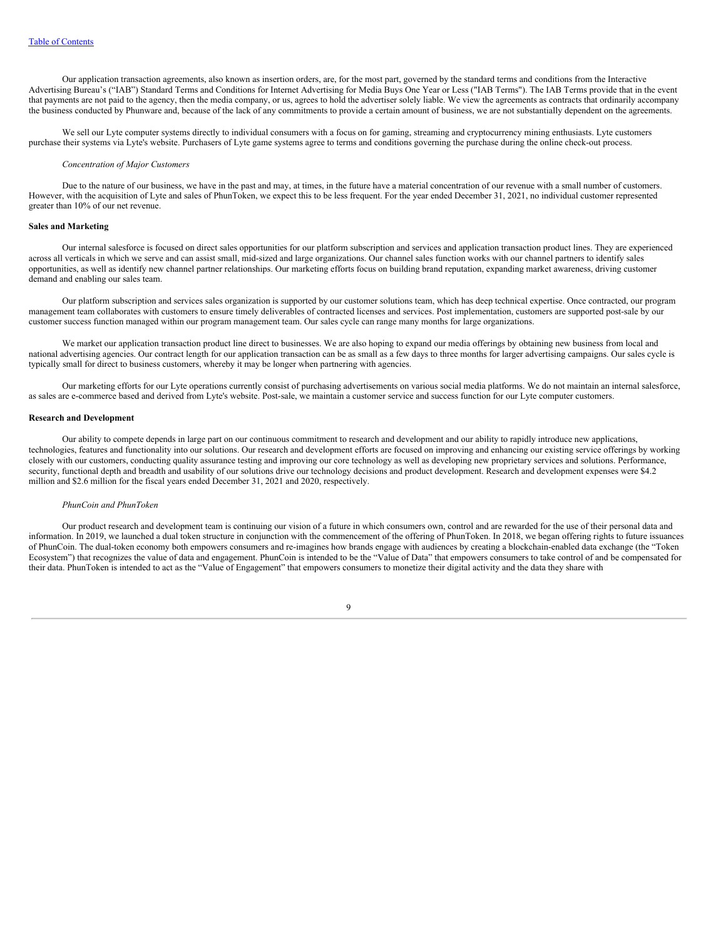Our application transaction agreements, also known as insertion orders, are, for the most part, governed by the standard terms and conditions from the Interactive Advertising Bureau's ("IAB") Standard Terms and Conditions for Internet Advertising for Media Buys One Year or Less ("IAB Terms"). The IAB Terms provide that in the event that payments are not paid to the agency, then the media company, or us, agrees to hold the advertiser solely liable. We view the agreements as contracts that ordinarily accompany the business conducted by Phunware and, because of the lack of any commitments to provide a certain amount of business, we are not substantially dependent on the agreements.

We sell our Lyte computer systems directly to individual consumers with a focus on for gaming, streaming and cryptocurrency mining enthusiasts. Lyte customers purchase their systems via Lyte's website. Purchasers of Lyte game systems agree to terms and conditions governing the purchase during the online check-out process.

#### *Concentration of Major Customers*

Due to the nature of our business, we have in the past and may, at times, in the future have a material concentration of our revenue with a small number of customers. However, with the acquisition of Lyte and sales of PhunToken, we expect this to be less frequent. For the year ended December 31, 2021, no individual customer represented greater than 10% of our net revenue.

## **Sales and Marketing**

Our internal salesforce is focused on direct sales opportunities for our platform subscription and services and application transaction product lines. They are experienced across all verticals in which we serve and can assist small, mid-sized and large organizations. Our channel sales function works with our channel partners to identify sales opportunities, as well as identify new channel partner relationships. Our marketing efforts focus on building brand reputation, expanding market awareness, driving customer demand and enabling our sales team.

Our platform subscription and services sales organization is supported by our customer solutions team, which has deep technical expertise. Once contracted, our program management team collaborates with customers to ensure timely deliverables of contracted licenses and services. Post implementation, customers are supported post-sale by our customer success function managed within our program management team. Our sales cycle can range many months for large organizations.

We market our application transaction product line direct to businesses. We are also hoping to expand our media offerings by obtaining new business from local and national advertising agencies. Our contract length for our application transaction can be as small as a few days to three months for larger advertising campaigns. Our sales cycle is typically small for direct to business customers, whereby it may be longer when partnering with agencies.

Our marketing efforts for our Lyte operations currently consist of purchasing advertisements on various social media platforms. We do not maintain an internal salesforce, as sales are e-commerce based and derived from Lyte's website. Post-sale, we maintain a customer service and success function for our Lyte computer customers.

## **Research and Development**

Our ability to compete depends in large part on our continuous commitment to research and development and our ability to rapidly introduce new applications, technologies, features and functionality into our solutions. Our research and development efforts are focused on improving and enhancing our existing service offerings by working closely with our customers, conducting quality assurance testing and improving our core technology as well as developing new proprietary services and solutions. Performance, security, functional depth and breadth and usability of our solutions drive our technology decisions and product development. Research and development expenses were \$4.2 million and \$2.6 million for the fiscal years ended December 31, 2021 and 2020, respectively.

# *PhunCoin and PhunToken*

Our product research and development team is continuing our vision of a future in which consumers own, control and are rewarded for the use of their personal data and information. In 2019, we launched a dual token structure in conjunction with the commencement of the offering of PhunToken. In 2018, we began offering rights to future issuances of PhunCoin. The dual-token economy both empowers consumers and re-imagines how brands engage with audiences by creating a blockchain-enabled data exchange (the "Token Ecosystem") that recognizes the value of data and engagement. PhunCoin is intended to be the "Value of Data" that empowers consumers to take control of and be compensated for their data. PhunToken is intended to act as the "Value of Engagement" that empowers consumers to monetize their digital activity and the data they share with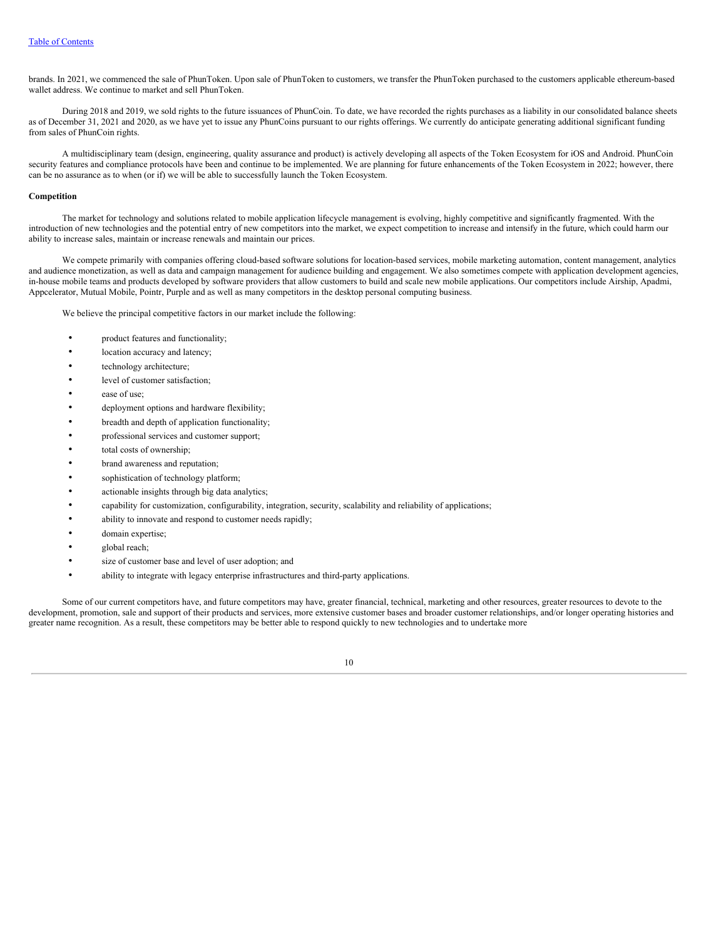brands. In 2021, we commenced the sale of PhunToken. Upon sale of PhunToken to customers, we transfer the PhunToken purchased to the customers applicable ethereum-based wallet address. We continue to market and sell PhunToken.

During 2018 and 2019, we sold rights to the future issuances of PhunCoin. To date, we have recorded the rights purchases as a liability in our consolidated balance sheets as of December 31, 2021 and 2020, as we have yet to issue any PhunCoins pursuant to our rights offerings. We currently do anticipate generating additional significant funding from sales of PhunCoin rights.

A multidisciplinary team (design, engineering, quality assurance and product) is actively developing all aspects of the Token Ecosystem for iOS and Android. PhunCoin security features and compliance protocols have been and continue to be implemented. We are planning for future enhancements of the Token Ecosystem in 2022; however, there can be no assurance as to when (or if) we will be able to successfully launch the Token Ecosystem.

#### **Competition**

The market for technology and solutions related to mobile application lifecycle management is evolving, highly competitive and significantly fragmented. With the introduction of new technologies and the potential entry of new competitors into the market, we expect competition to increase and intensify in the future, which could harm our ability to increase sales, maintain or increase renewals and maintain our prices.

We compete primarily with companies offering cloud-based software solutions for location-based services, mobile marketing automation, content management, analytics and audience monetization, as well as data and campaign management for audience building and engagement. We also sometimes compete with application development agencies, in-house mobile teams and products developed by software providers that allow customers to build and scale new mobile applications. Our competitors include Airship, Apadmi, Appcelerator, Mutual Mobile, Pointr, Purple and as well as many competitors in the desktop personal computing business.

We believe the principal competitive factors in our market include the following:

- product features and functionality;
- location accuracy and latency;
- technology architecture;
- level of customer satisfaction;
- ease of use:
- deployment options and hardware flexibility;
- breadth and depth of application functionality;
- professional services and customer support;
- total costs of ownership;
- brand awareness and reputation;
- sophistication of technology platform;
- actionable insights through big data analytics;
- capability for customization, configurability, integration, security, scalability and reliability of applications;
- ability to innovate and respond to customer needs rapidly;
- domain expertise;
- global reach;
- size of customer base and level of user adoption; and
- ability to integrate with legacy enterprise infrastructures and third-party applications.

Some of our current competitors have, and future competitors may have, greater financial, technical, marketing and other resources, greater resources to devote to the development, promotion, sale and support of their products and services, more extensive customer bases and broader customer relationships, and/or longer operating histories and greater name recognition. As a result, these competitors may be better able to respond quickly to new technologies and to undertake more

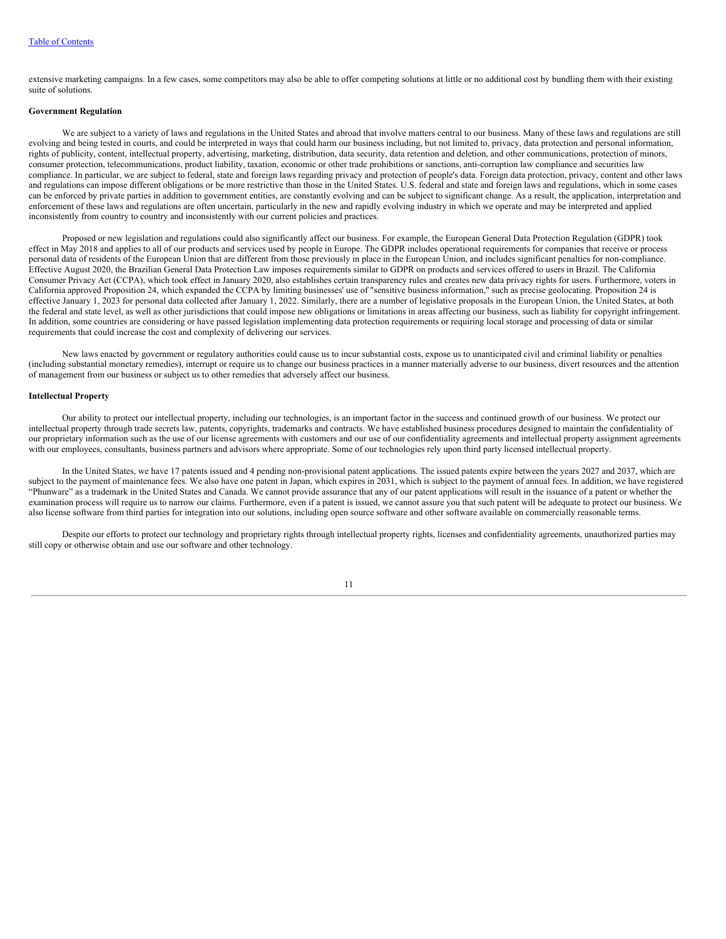extensive marketing campaigns. In a few cases, some competitors may also be able to offer competing solutions at little or no additional cost by bundling them with their existing suite of solutions.

#### **Government Regulation**

We are subject to a variety of laws and regulations in the United States and abroad that involve matters central to our business. Many of these laws and regulations are still evolving and being tested in courts, and could be interpreted in ways that could harm our business including, but not limited to, privacy, data protection and personal information, rights of publicity, content, intellectual property, advertising, marketing, distribution, data security, data retention and deletion, and other communications, protection of minors, consumer protection, telecommunications, product liability, taxation, economic or other trade prohibitions or sanctions, anti-corruption law compliance and securities law compliance. In particular, we are subject to federal, state and foreign laws regarding privacy and protection of people's data. Foreign data protection, privacy, content and other laws and regulations can impose different obligations or be more restrictive than those in the United States. U.S. federal and state and foreign laws and regulations, which in some cases can be enforced by private parties in addition to government entities, are constantly evolving and can be subject to significant change. As a result, the application, interpretation and enforcement of these laws and regulations are often uncertain, particularly in the new and rapidly evolving industry in which we operate and may be interpreted and applied inconsistently from country to country and inconsistently with our current policies and practices.

Proposed or new legislation and regulations could also significantly affect our business. For example, the European General Data Protection Regulation (GDPR) took effect in May 2018 and applies to all of our products and services used by people in Europe. The GDPR includes operational requirements for companies that receive or process personal data of residents of the European Union that are different from those previously in place in the European Union, and includes significant penalties for non-compliance. Effective August 2020, the Brazilian General Data Protection Law imposes requirements similar to GDPR on products and services offered to users in Brazil. The California Consumer Privacy Act (CCPA), which took effect in January 2020, also establishes certain transparency rules and creates new data privacy rights for users. Furthermore, voters in California approved Proposition 24, which expanded the CCPA by limiting businesses' use of "sensitive business information," such as precise geolocating. Proposition 24 is effective January 1, 2023 for personal data collected after January 1, 2022. Similarly, there are a number of legislative proposals in the European Union, the United States, at both the federal and state level, as well as other jurisdictions that could impose new obligations or limitations in areas affecting our business, such as liability for copyright infringement. In addition, some countries are considering or have passed legislation implementing data protection requirements or requiring local storage and processing of data or similar requirements that could increase the cost and complexity of delivering our services.

New laws enacted by government or regulatory authorities could cause us to incur substantial costs, expose us to unanticipated civil and criminal liability or penalties (including substantial monetary remedies), interrupt or require us to change our business practices in a manner materially adverse to our business, divert resources and the attention of management from our business or subject us to other remedies that adversely affect our business.

## **Intellectual Property**

Our ability to protect our intellectual property, including our technologies, is an important factor in the success and continued growth of our business. We protect our intellectual property through trade secrets law, patents, copyrights, trademarks and contracts. We have established business procedures designed to maintain the confidentiality of our proprietary information such as the use of our license agreements with customers and our use of our confidentiality agreements and intellectual property assignment agreements with our employees, consultants, business partners and advisors where appropriate. Some of our technologies rely upon third party licensed intellectual property.

In the United States, we have 17 patents issued and 4 pending non-provisional patent applications. The issued patents expire between the years 2027 and 2037, which are subject to the payment of maintenance fees. We also have one patent in Japan, which expires in 2031, which is subject to the payment of annual fees. In addition, we have registered "Phunware" as a trademark in the United States and Canada. We cannot provide assurance that any of our patent applications will result in the issuance of a patent or whether the examination process will require us to narrow our claims. Furthermore, even if a patent is issued, we cannot assure you that such patent will be adequate to protect our business. We also license software from third parties for integration into our solutions, including open source software and other software available on commercially reasonable terms.

Despite our efforts to protect our technology and proprietary rights through intellectual property rights, licenses and confidentiality agreements, unauthorized parties may still copy or otherwise obtain and use our software and other technology.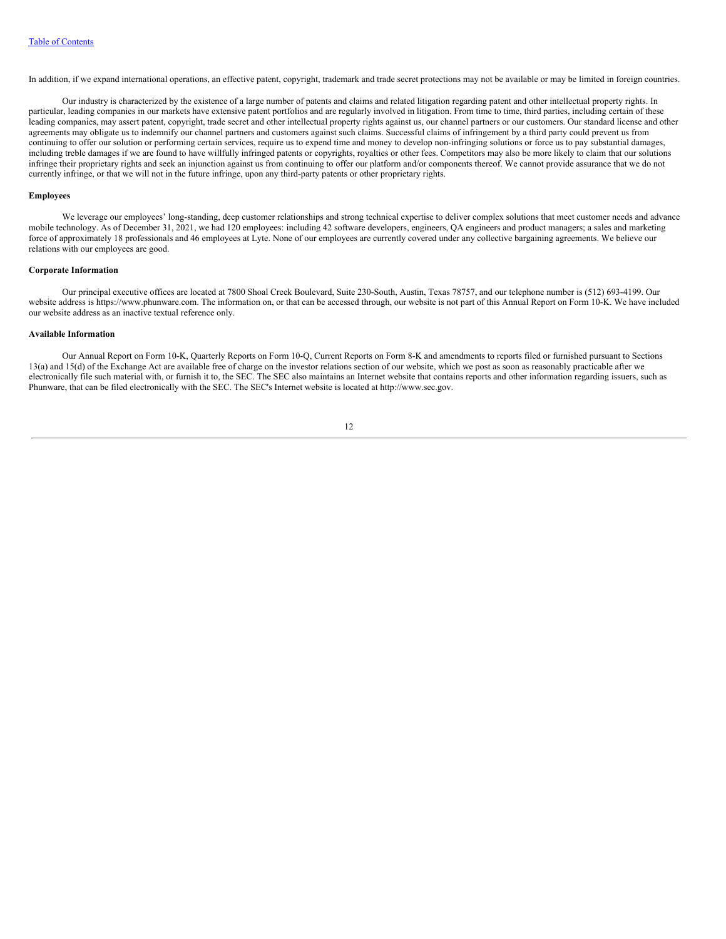In addition, if we expand international operations, an effective patent, copyright, trademark and trade secret protections may not be available or may be limited in foreign countries.

Our industry is characterized by the existence of a large number of patents and claims and related litigation regarding patent and other intellectual property rights. In particular, leading companies in our markets have extensive patent portfolios and are regularly involved in litigation. From time to time, third parties, including certain of these leading companies, may assert patent, copyright, trade secret and other intellectual property rights against us, our channel partners or our customers. Our standard license and other agreements may obligate us to indemnify our channel partners and customers against such claims. Successful claims of infringement by a third party could prevent us from continuing to offer our solution or performing certain services, require us to expend time and money to develop non-infringing solutions or force us to pay substantial damages, including treble damages if we are found to have willfully infringed patents or copyrights, royalties or other fees. Competitors may also be more likely to claim that our solutions infringe their proprietary rights and seek an injunction against us from continuing to offer our platform and/or components thereof. We cannot provide assurance that we do not currently infringe, or that we will not in the future infringe, upon any third-party patents or other proprietary rights.

## **Employees**

We leverage our employees' long-standing, deep customer relationships and strong technical expertise to deliver complex solutions that meet customer needs and advance mobile technology. As of December 31, 2021, we had 120 employees: including 42 software developers, engineers, QA engineers and product managers; a sales and marketing force of approximately 18 professionals and 46 employees at Lyte. None of our employees are currently covered under any collective bargaining agreements. We believe our relations with our employees are good.

### **Corporate Information**

Our principal executive offices are located at 7800 Shoal Creek Boulevard, Suite 230-South, Austin, Texas 78757, and our telephone number is (512) 693-4199. Our website address is https://www.phunware.com. The information on, or that can be accessed through, our website is not part of this Annual Report on Form 10-K. We have included our website address as an inactive textual reference only.

### **Available Information**

<span id="page-13-0"></span>Our Annual Report on Form 10-K, Quarterly Reports on Form 10-Q, Current Reports on Form 8-K and amendments to reports filed or furnished pursuant to Sections 13(a) and 15(d) of the Exchange Act are available free of charge on the investor relations section of our website, which we post as soon as reasonably practicable after we electronically file such material with, or furnish it to, the SEC. The SEC also maintains an Internet website that contains reports and other information regarding issuers, such as Phunware, that can be filed electronically with the SEC. The SEC's Internet website is located at http://www.sec.gov.

12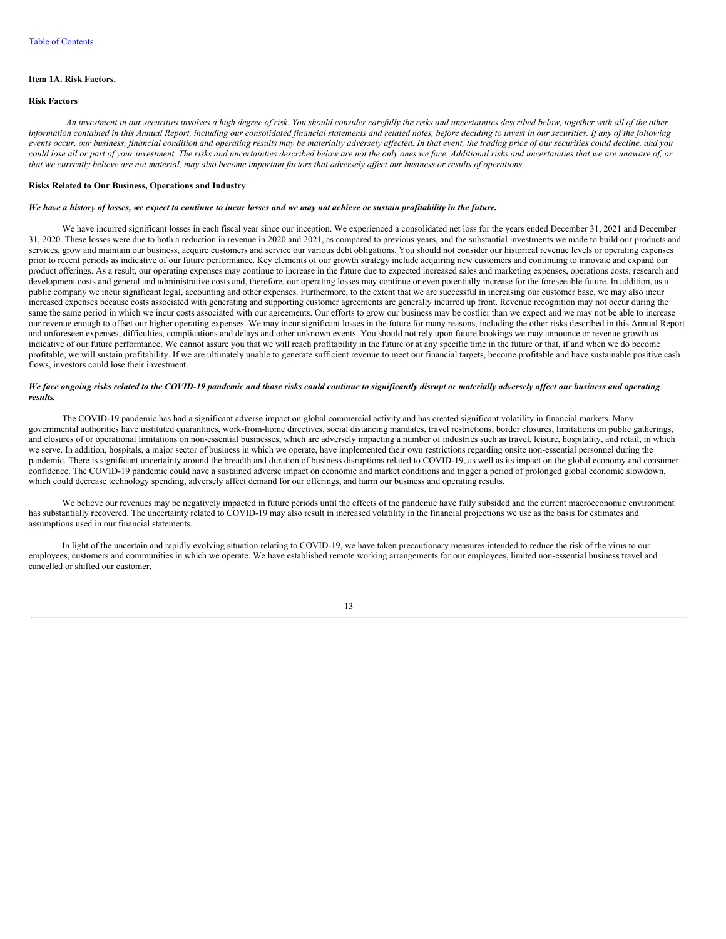### **Item 1A. Risk Factors.**

#### **Risk Factors**

An investment in our securities involves a high degree of risk. You should consider carefully the risks and uncertainties described below, together with all of the other information contained in this Annual Report, including our consolidated financial statements and related notes, before deciding to invest in our securities. If any of the following events occur, our business, financial condition and operating results may be materially adversely affected. In that event, the trading price of our securities could decline, and you could lose all or part of your investment. The risks and uncertainties described below are not the only ones we face. Additional risks and uncertainties that we are unaware of, or that we currently believe are not material, may also become important factors that adversely affect our business or results of operations.

## **Risks Related to Our Business, Operations and Industry**

## We have a history of losses, we expect to continue to incur losses and we may not achieve or sustain profitability in the future.

We have incurred significant losses in each fiscal year since our inception. We experienced a consolidated net loss for the years ended December 31, 2021 and December 31, 2020. These losses were due to both a reduction in revenue in 2020 and 2021, as compared to previous years, and the substantial investments we made to build our products and services, grow and maintain our business, acquire customers and service our various debt obligations. You should not consider our historical revenue levels or operating expenses prior to recent periods as indicative of our future performance. Key elements of our growth strategy include acquiring new customers and continuing to innovate and expand our product offerings. As a result, our operating expenses may continue to increase in the future due to expected increased sales and marketing expenses, operations costs, research and development costs and general and administrative costs and, therefore, our operating losses may continue or even potentially increase for the foreseeable future. In addition, as a public company we incur significant legal, accounting and other expenses. Furthermore, to the extent that we are successful in increasing our customer base, we may also incur increased expenses because costs associated with generating and supporting customer agreements are generally incurred up front. Revenue recognition may not occur during the same the same period in which we incur costs associated with our agreements. Our efforts to grow our business may be costlier than we expect and we may not be able to increase our revenue enough to offset our higher operating expenses. We may incur significant losses in the future for many reasons, including the other risks described in this Annual Report and unforeseen expenses, difficulties, complications and delays and other unknown events. You should not rely upon future bookings we may announce or revenue growth as indicative of our future performance. We cannot assure you that we will reach profitability in the future or at any specific time in the future or that, if and when we do become profitable, we will sustain profitability. If we are ultimately unable to generate sufficient revenue to meet our financial targets, become profitable and have sustainable positive cash flows, investors could lose their investment.

## We face ongoing risks related to the COVID-19 pandemic and those risks could continue to significantly disrupt or materially adversely affect our business and operating *results.*

The COVID-19 pandemic has had a significant adverse impact on global commercial activity and has created significant volatility in financial markets. Many governmental authorities have instituted quarantines, work-from-home directives, social distancing mandates, travel restrictions, border closures, limitations on public gatherings, and closures of or operational limitations on non-essential businesses, which are adversely impacting a number of industries such as travel, leisure, hospitality, and retail, in which we serve. In addition, hospitals, a major sector of business in which we operate, have implemented their own restrictions regarding onsite non-essential personnel during the pandemic. There is significant uncertainty around the breadth and duration of business disruptions related to COVID-19, as well as its impact on the global economy and consumer confidence. The COVID-19 pandemic could have a sustained adverse impact on economic and market conditions and trigger a period of prolonged global economic slowdown, which could decrease technology spending, adversely affect demand for our offerings, and harm our business and operating results.

We believe our revenues may be negatively impacted in future periods until the effects of the pandemic have fully subsided and the current macroeconomic environment has substantially recovered. The uncertainty related to COVID-19 may also result in increased volatility in the financial projections we use as the basis for estimates and assumptions used in our financial statements.

In light of the uncertain and rapidly evolving situation relating to COVID-19, we have taken precautionary measures intended to reduce the risk of the virus to our employees, customers and communities in which we operate. We have established remote working arrangements for our employees, limited non-essential business travel and cancelled or shifted our customer,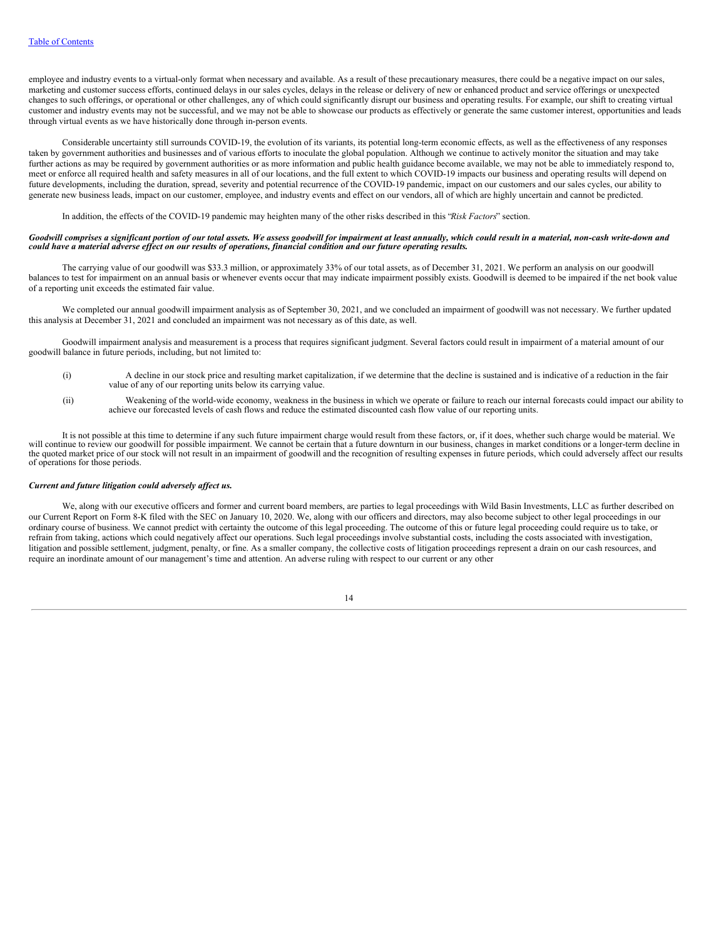employee and industry events to a virtual-only format when necessary and available. As a result of these precautionary measures, there could be a negative impact on our sales, marketing and customer success efforts, continued delays in our sales cycles, delays in the release or delivery of new or enhanced product and service offerings or unexpected changes to such offerings, or operational or other challenges, any of which could significantly disrupt our business and operating results. For example, our shift to creating virtual customer and industry events may not be successful, and we may not be able to showcase our products as effectively or generate the same customer interest, opportunities and leads through virtual events as we have historically done through in-person events.

Considerable uncertainty still surrounds COVID-19, the evolution of its variants, its potential long-term economic effects, as well as the effectiveness of any responses taken by government authorities and businesses and of various efforts to inoculate the global population. Although we continue to actively monitor the situation and may take further actions as may be required by government authorities or as more information and public health guidance become available, we may not be able to immediately respond to, meet or enforce all required health and safety measures in all of our locations, and the full extent to which COVID-19 impacts our business and operating results will depend on future developments, including the duration, spread, severity and potential recurrence of the COVID-19 pandemic, impact on our customers and our sales cycles, our ability to generate new business leads, impact on our customer, employee, and industry events and effect on our vendors, all of which are highly uncertain and cannot be predicted.

In addition, the effects of the COVID-19 pandemic may heighten many of the other risks described in this "*Risk Factors*" section.

#### Goodwill comprises a significant portion of our total assets. We assess goodwill for impairment at least annually, which could result in a material, non-cash write-down and could have a material adverse effect on our results of operations, financial condition and our future operating results.

The carrying value of our goodwill was \$33.3 million, or approximately 33% of our total assets, as of December 31, 2021. We perform an analysis on our goodwill balances to test for impairment on an annual basis or whenever events occur that may indicate impairment possibly exists. Goodwill is deemed to be impaired if the net book value of a reporting unit exceeds the estimated fair value.

We completed our annual goodwill impairment analysis as of September 30, 2021, and we concluded an impairment of goodwill was not necessary. We further updated this analysis at December 31, 2021 and concluded an impairment was not necessary as of this date, as well.

Goodwill impairment analysis and measurement is a process that requires significant judgment. Several factors could result in impairment of a material amount of our goodwill balance in future periods, including, but not limited to:

- (i) A decline in our stock price and resulting market capitalization, if we determine that the decline is sustained and is indicative of a reduction in the fair value of any of our reporting units below its carrying value.
- (ii) Weakening of the world-wide economy, weakness in the business in which we operate or failure to reach our internal forecasts could impact our ability to achieve our forecasted levels of cash flows and reduce the estimated discounted cash flow value of our reporting units.

It is not possible at this time to determine if any such future impairment charge would result from these factors, or, if it does, whether such charge would be material. We will continue to review our goodwill for possible impairment. We cannot be certain that a future downturn in our business, changes in market conditions or a longer-term decline in the quoted market price of our stock will not result in an impairment of goodwill and the recognition of resulting expenses in future periods, which could adversely affect our results of operations for those periods.

## *Current and future litigation could adversely af ect us.*

We, along with our executive officers and former and current board members, are parties to legal proceedings with Wild Basin Investments, LLC as further described on our Current Report on Form 8-K filed with the SEC on January 10, 2020. We, along with our officers and directors, may also become subject to other legal proceedings in our ordinary course of business. We cannot predict with certainty the outcome of this legal proceeding. The outcome of this or future legal proceeding could require us to take, or refrain from taking, actions which could negatively affect our operations. Such legal proceedings involve substantial costs, including the costs associated with investigation, litigation and possible settlement, judgment, penalty, or fine. As a smaller company, the collective costs of litigation proceedings represent a drain on our cash resources, and require an inordinate amount of our management's time and attention. An adverse ruling with respect to our current or any other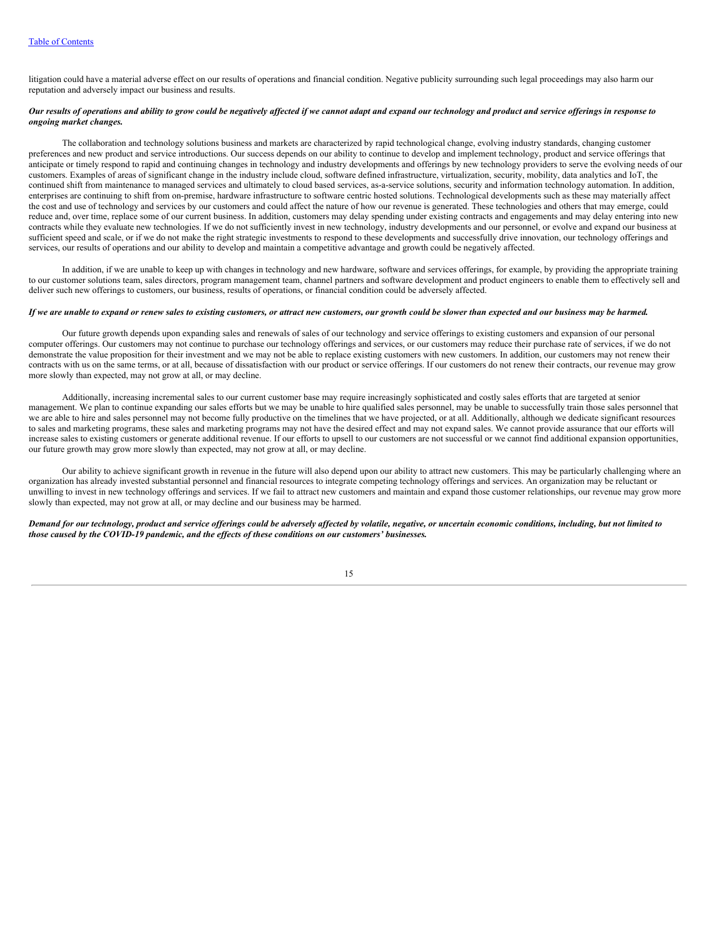litigation could have a material adverse effect on our results of operations and financial condition. Negative publicity surrounding such legal proceedings may also harm our reputation and adversely impact our business and results.

## Our results of operations and ability to grow could be negatively affected if we cannot adapt and expand our technology and product and service offerings in response to *ongoing market changes.*

The collaboration and technology solutions business and markets are characterized by rapid technological change, evolving industry standards, changing customer preferences and new product and service introductions. Our success depends on our ability to continue to develop and implement technology, product and service offerings that anticipate or timely respond to rapid and continuing changes in technology and industry developments and offerings by new technology providers to serve the evolving needs of our customers. Examples of areas of significant change in the industry include cloud, software defined infrastructure, virtualization, security, mobility, data analytics and IoT, the continued shift from maintenance to managed services and ultimately to cloud based services, as-a-service solutions, security and information technology automation. In addition, enterprises are continuing to shift from on-premise, hardware infrastructure to software centric hosted solutions. Technological developments such as these may materially affect the cost and use of technology and services by our customers and could affect the nature of how our revenue is generated. These technologies and others that may emerge, could reduce and, over time, replace some of our current business. In addition, customers may delay spending under existing contracts and engagements and may delay entering into new contracts while they evaluate new technologies. If we do not sufficiently invest in new technology, industry developments and our personnel, or evolve and expand our business at sufficient speed and scale, or if we do not make the right strategic investments to respond to these developments and successfully drive innovation, our technology offerings and services, our results of operations and our ability to develop and maintain a competitive advantage and growth could be negatively affected.

In addition, if we are unable to keep up with changes in technology and new hardware, software and services offerings, for example, by providing the appropriate training to our customer solutions team, sales directors, program management team, channel partners and software development and product engineers to enable them to effectively sell and deliver such new offerings to customers, our business, results of operations, or financial condition could be adversely affected.

#### If we are unable to expand or renew sales to existing customers, or attract new customers, our growth could be slower than expected and our business may be harmed.

Our future growth depends upon expanding sales and renewals of sales of our technology and service offerings to existing customers and expansion of our personal computer offerings. Our customers may not continue to purchase our technology offerings and services, or our customers may reduce their purchase rate of services, if we do not demonstrate the value proposition for their investment and we may not be able to replace existing customers with new customers. In addition, our customers may not renew their contracts with us on the same terms, or at all, because of dissatisfaction with our product or service offerings. If our customers do not renew their contracts, our revenue may grow more slowly than expected, may not grow at all, or may decline.

Additionally, increasing incremental sales to our current customer base may require increasingly sophisticated and costly sales efforts that are targeted at senior management. We plan to continue expanding our sales efforts but we may be unable to hire qualified sales personnel, may be unable to successfully train those sales personnel that we are able to hire and sales personnel may not become fully productive on the timelines that we have projected, or at all. Additionally, although we dedicate significant resources to sales and marketing programs, these sales and marketing programs may not have the desired effect and may not expand sales. We cannot provide assurance that our efforts will increase sales to existing customers or generate additional revenue. If our efforts to upsell to our customers are not successful or we cannot find additional expansion opportunities, our future growth may grow more slowly than expected, may not grow at all, or may decline.

Our ability to achieve significant growth in revenue in the future will also depend upon our ability to attract new customers. This may be particularly challenging where an organization has already invested substantial personnel and financial resources to integrate competing technology offerings and services. An organization may be reluctant or unwilling to invest in new technology offerings and services. If we fail to attract new customers and maintain and expand those customer relationships, our revenue may grow more slowly than expected, may not grow at all, or may decline and our business may be harmed.

Demand for our technology, product and service offerings could be adversely affected by volatile, negative, or uncertain economic conditions, including, but not limited to *those caused by the COVID-19 pandemic, and the ef ects of these conditions on our customers' businesses.*

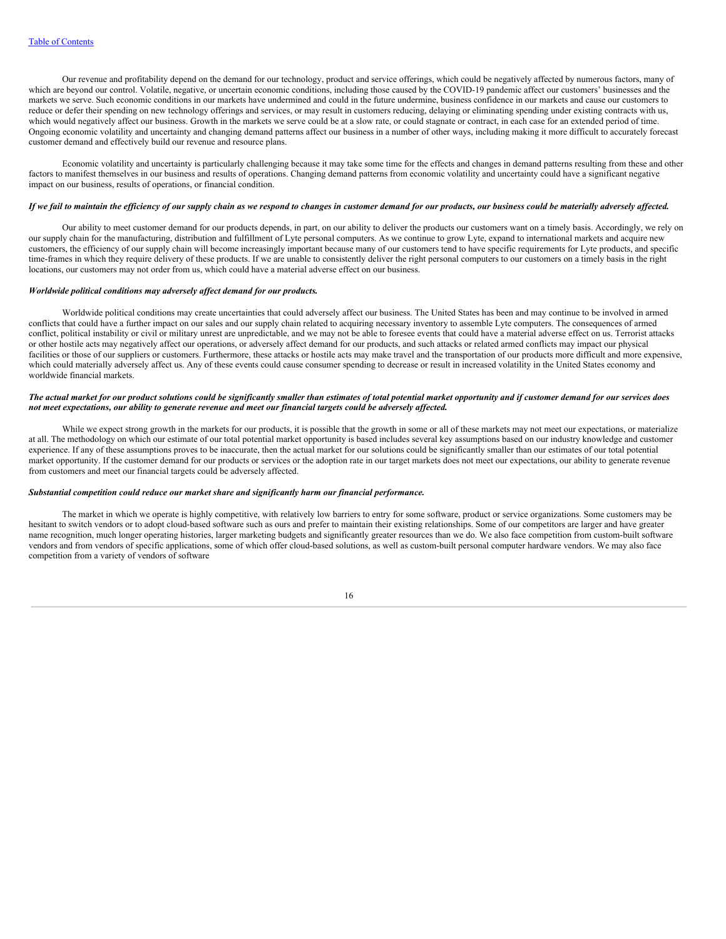Our revenue and profitability depend on the demand for our technology, product and service offerings, which could be negatively affected by numerous factors, many of which are beyond our control. Volatile, negative, or uncertain economic conditions, including those caused by the COVID-19 pandemic affect our customers' businesses and the markets we serve. Such economic conditions in our markets have undermined and could in the future undermine, business confidence in our markets and cause our customers to reduce or defer their spending on new technology offerings and services, or may result in customers reducing, delaying or eliminating spending under existing contracts with us, which would negatively affect our business. Growth in the markets we serve could be at a slow rate, or could stagnate or contract, in each case for an extended period of time. Ongoing economic volatility and uncertainty and changing demand patterns affect our business in a number of other ways, including making it more difficult to accurately forecast customer demand and effectively build our revenue and resource plans.

Economic volatility and uncertainty is particularly challenging because it may take some time for the effects and changes in demand patterns resulting from these and other factors to manifest themselves in our business and results of operations. Changing demand patterns from economic volatility and uncertainty could have a significant negative impact on our business, results of operations, or financial condition.

### If we fail to maintain the efficiency of our supply chain as we respond to changes in customer demand for our products, our business could be materially adversely affected.

Our ability to meet customer demand for our products depends, in part, on our ability to deliver the products our customers want on a timely basis. Accordingly, we rely on our supply chain for the manufacturing, distribution and fulfillment of Lyte personal computers. As we continue to grow Lyte, expand to international markets and acquire new customers, the efficiency of our supply chain will become increasingly important because many of our customers tend to have specific requirements for Lyte products, and specific time-frames in which they require delivery of these products. If we are unable to consistently deliver the right personal computers to our customers on a timely basis in the right locations, our customers may not order from us, which could have a material adverse effect on our business.

## *Worldwide political conditions may adversely af ect demand for our products.*

Worldwide political conditions may create uncertainties that could adversely affect our business. The United States has been and may continue to be involved in armed conflicts that could have a further impact on our sales and our supply chain related to acquiring necessary inventory to assemble Lyte computers. The consequences of armed conflict, political instability or civil or military unrest are unpredictable, and we may not be able to foresee events that could have a material adverse effect on us. Terrorist attacks or other hostile acts may negatively affect our operations, or adversely affect demand for our products, and such attacks or related armed conflicts may impact our physical facilities or those of our suppliers or customers. Furthermore, these attacks or hostile acts may make travel and the transportation of our products more difficult and more expensive, which could materially adversely affect us. Any of these events could cause consumer spending to decrease or result in increased volatility in the United States economy and worldwide financial markets.

## The actual market for our product solutions could be significantly smaller than estimates of total potential market opportunity and if customer demand for our services does not meet expectations, our ability to generate revenue and meet our financial targets could be adversely affected.

While we expect strong growth in the markets for our products, it is possible that the growth in some or all of these markets may not meet our expectations, or materialize at all. The methodology on which our estimate of our total potential market opportunity is based includes several key assumptions based on our industry knowledge and customer experience. If any of these assumptions proves to be inaccurate, then the actual market for our solutions could be significantly smaller than our estimates of our total potential market opportunity. If the customer demand for our products or services or the adoption rate in our target markets does not meet our expectations, our ability to generate revenue from customers and meet our financial targets could be adversely affected.

## *Substantial competition could reduce our market share and significantly harm our financial performance.*

The market in which we operate is highly competitive, with relatively low barriers to entry for some software, product or service organizations. Some customers may be hesitant to switch vendors or to adopt cloud-based software such as ours and prefer to maintain their existing relationships. Some of our competitors are larger and have greater name recognition, much longer operating histories, larger marketing budgets and significantly greater resources than we do. We also face competition from custom-built software vendors and from vendors of specific applications, some of which offer cloud-based solutions, as well as custom-built personal computer hardware vendors. We may also face competition from a variety of vendors of software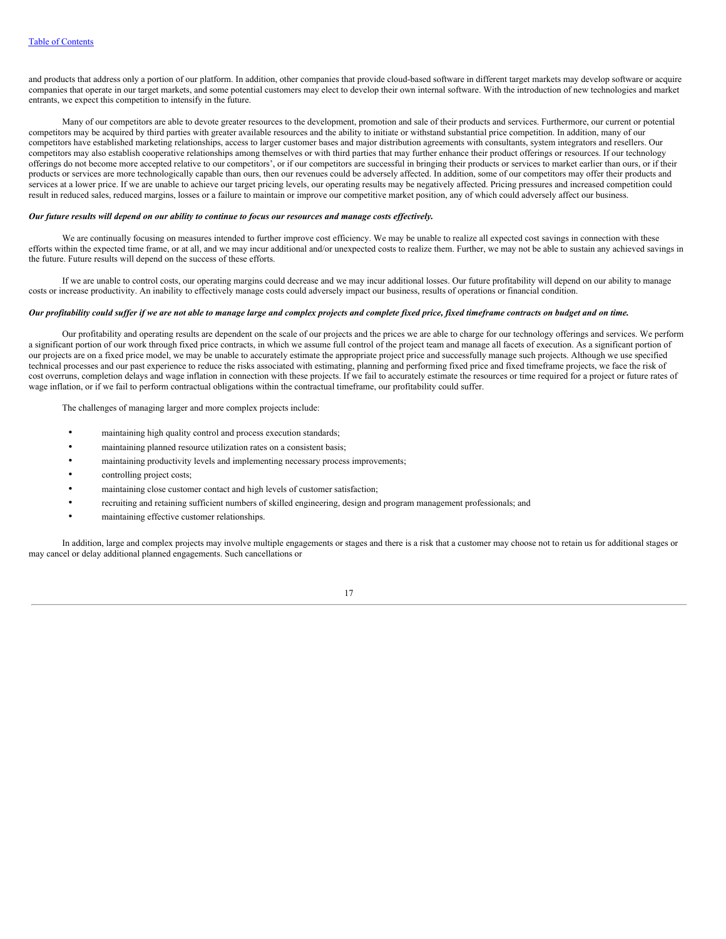and products that address only a portion of our platform. In addition, other companies that provide cloud-based software in different target markets may develop software or acquire companies that operate in our target markets, and some potential customers may elect to develop their own internal software. With the introduction of new technologies and market entrants, we expect this competition to intensify in the future.

Many of our competitors are able to devote greater resources to the development, promotion and sale of their products and services. Furthermore, our current or potential competitors may be acquired by third parties with greater available resources and the ability to initiate or withstand substantial price competition. In addition, many of our competitors have established marketing relationships, access to larger customer bases and major distribution agreements with consultants, system integrators and resellers. Our competitors may also establish cooperative relationships among themselves or with third parties that may further enhance their product offerings or resources. If our technology offerings do not become more accepted relative to our competitors', or if our competitors are successful in bringing their products or services to market earlier than ours, or if their products or services are more technologically capable than ours, then our revenues could be adversely affected. In addition, some of our competitors may offer their products and services at a lower price. If we are unable to achieve our target pricing levels, our operating results may be negatively affected. Pricing pressures and increased competition could result in reduced sales, reduced margins, losses or a failure to maintain or improve our competitive market position, any of which could adversely affect our business.

## Our future results will depend on our ability to continue to focus our resources and manage costs effectively.

We are continually focusing on measures intended to further improve cost efficiency. We may be unable to realize all expected cost savings in connection with these efforts within the expected time frame, or at all, and we may incur additional and/or unexpected costs to realize them. Further, we may not be able to sustain any achieved savings in the future. Future results will depend on the success of these efforts.

If we are unable to control costs, our operating margins could decrease and we may incur additional losses. Our future profitability will depend on our ability to manage costs or increase productivity. An inability to effectively manage costs could adversely impact our business, results of operations or financial condition.

## Our profitability could suffer if we are not able to manage large and complex projects and complete fixed price, fixed timeframe contracts on budget and on time.

Our profitability and operating results are dependent on the scale of our projects and the prices we are able to charge for our technology offerings and services. We perform a significant portion of our work through fixed price contracts, in which we assume full control of the project team and manage all facets of execution. As a significant portion of our projects are on a fixed price model, we may be unable to accurately estimate the appropriate project price and successfully manage such projects. Although we use specified technical processes and our past experience to reduce the risks associated with estimating, planning and performing fixed price and fixed timeframe projects, we face the risk of cost overruns, completion delays and wage inflation in connection with these projects. If we fail to accurately estimate the resources or time required for a project or future rates of wage inflation, or if we fail to perform contractual obligations within the contractual timeframe, our profitability could suffer.

The challenges of managing larger and more complex projects include:

- maintaining high quality control and process execution standards;
- maintaining planned resource utilization rates on a consistent basis;
- maintaining productivity levels and implementing necessary process improvements;
- controlling project costs;
- maintaining close customer contact and high levels of customer satisfaction;
- recruiting and retaining sufficient numbers of skilled engineering, design and program management professionals; and
- maintaining effective customer relationships.

In addition, large and complex projects may involve multiple engagements or stages and there is a risk that a customer may choose not to retain us for additional stages or may cancel or delay additional planned engagements. Such cancellations or

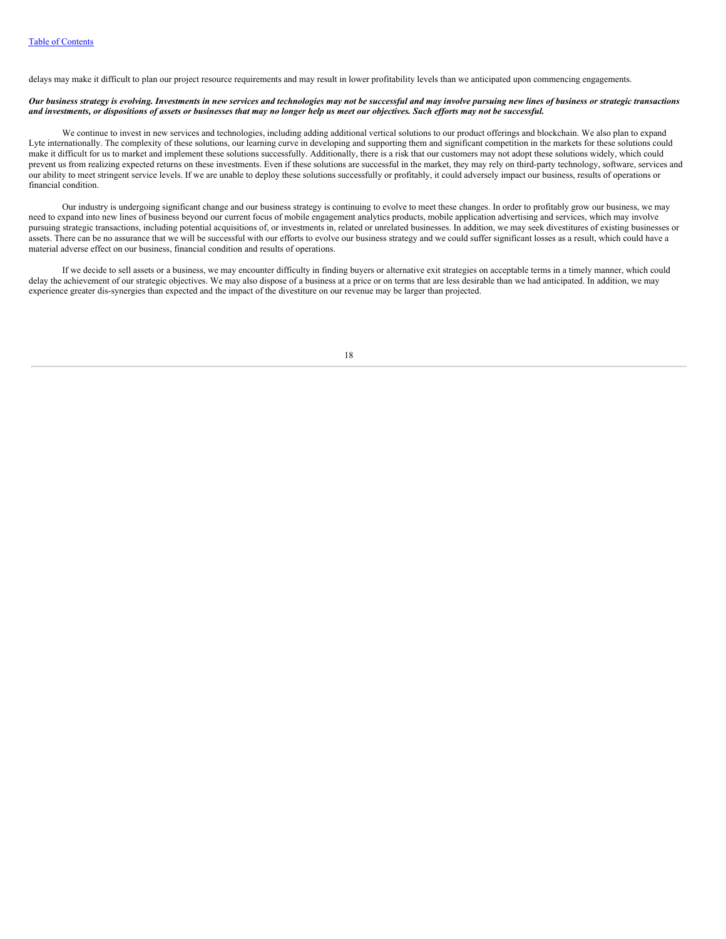delays may make it difficult to plan our project resource requirements and may result in lower profitability levels than we anticipated upon commencing engagements.

### Our business strategy is evolving. Investments in new services and technologies may not be successful and may involve pursuing new lines of business or strategic transactions and investments, or dispositions of assets or businesses that may no longer help us meet our objectives. Such efforts may not be successful.

We continue to invest in new services and technologies, including adding additional vertical solutions to our product offerings and blockchain. We also plan to expand Lyte internationally. The complexity of these solutions, our learning curve in developing and supporting them and significant competition in the markets for these solutions could make it difficult for us to market and implement these solutions successfully. Additionally, there is a risk that our customers may not adopt these solutions widely, which could prevent us from realizing expected returns on these investments. Even if these solutions are successful in the market, they may rely on third-party technology, software, services and our ability to meet stringent service levels. If we are unable to deploy these solutions successfully or profitably, it could adversely impact our business, results of operations or financial condition.

Our industry is undergoing significant change and our business strategy is continuing to evolve to meet these changes. In order to profitably grow our business, we may need to expand into new lines of business beyond our current focus of mobile engagement analytics products, mobile application advertising and services, which may involve pursuing strategic transactions, including potential acquisitions of, or investments in, related or unrelated businesses. In addition, we may seek divestitures of existing businesses or assets. There can be no assurance that we will be successful with our efforts to evolve our business strategy and we could suffer significant losses as a result, which could have a material adverse effect on our business, financial condition and results of operations.

If we decide to sell assets or a business, we may encounter difficulty in finding buyers or alternative exit strategies on acceptable terms in a timely manner, which could delay the achievement of our strategic objectives. We may also dispose of a business at a price or on terms that are less desirable than we had anticipated. In addition, we may experience greater dis-synergies than expected and the impact of the divestiture on our revenue may be larger than projected.

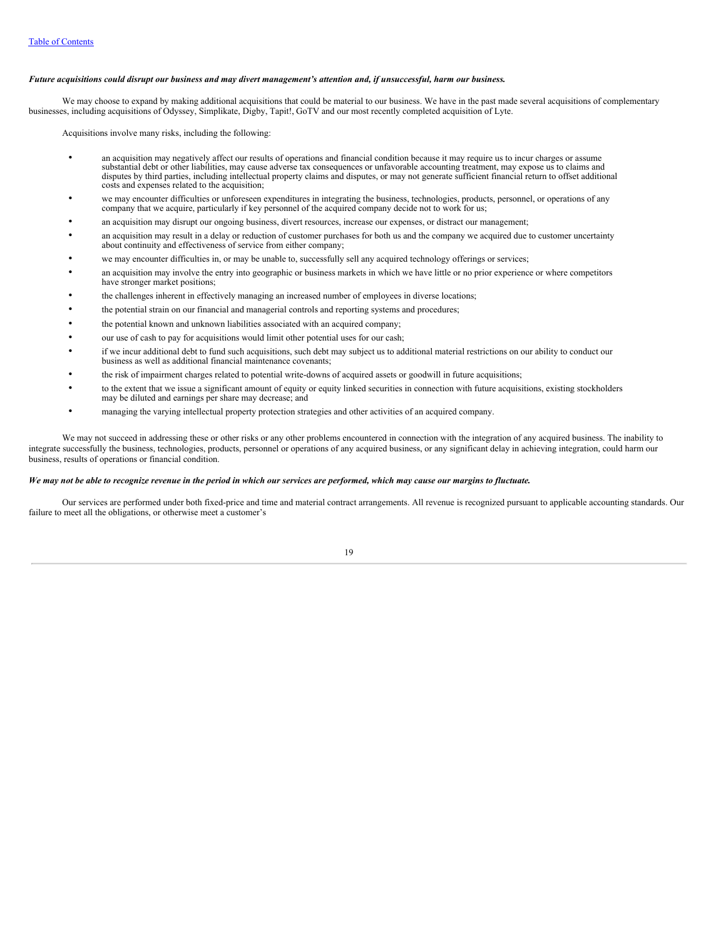## Future acquisitions could disrupt our business and may divert management's attention and, if unsuccessful, harm our business.

We may choose to expand by making additional acquisitions that could be material to our business. We have in the past made several acquisitions of complementary businesses, including acquisitions of Odyssey, Simplikate, Digby, Tapit!, GoTV and our most recently completed acquisition of Lyte.

Acquisitions involve many risks, including the following:

- an acquisition may negatively affect our results of operations and financial condition because it may require us to incur charges or assume substantial debt or other liabilities, may cause adverse tax consequences or unf disputes by third parties, including intellectual property claims and disputes, or may not generate sufficient financial return to offset additional costs and expenses related to the acquisition;
- we may encounter difficulties or unforeseen expenditures in integrating the business, technologies, products, personnel, or operations of any company that we acquire, particularly if key personnel of the acquired company decide not to work for us;
- an acquisition may disrupt our ongoing business, divert resources, increase our expenses, or distract our management;
- an acquisition may result in a delay or reduction of customer purchases for both us and the company we acquired due to customer uncertainty about continuity and effectiveness of service from either company;
- we may encounter difficulties in, or may be unable to, successfully sell any acquired technology offerings or services;
- an acquisition may involve the entry into geographic or business markets in which we have little or no prior experience or where competitors have stronger market positions;
- the challenges inherent in effectively managing an increased number of employees in diverse locations;
- the potential strain on our financial and managerial controls and reporting systems and procedures;
- the potential known and unknown liabilities associated with an acquired company;
- our use of cash to pay for acquisitions would limit other potential uses for our cash;
- if we incur additional debt to fund such acquisitions, such debt may subject us to additional material restrictions on our ability to conduct our business as well as additional financial maintenance covenants;
- the risk of impairment charges related to potential write-downs of acquired assets or goodwill in future acquisitions;
- to the extent that we issue a significant amount of equity or equity linked securities in connection with future acquisitions, existing stockholders may be diluted and earnings per share may decrease; and
- managing the varying intellectual property protection strategies and other activities of an acquired company.

We may not succeed in addressing these or other risks or any other problems encountered in connection with the integration of any acquired business. The inability to integrate successfully the business, technologies, products, personnel or operations of any acquired business, or any significant delay in achieving integration, could harm our business, results of operations or financial condition.

## We may not be able to recognize revenue in the period in which our services are performed, which may cause our margins to fluctuate.

Our services are performed under both fixed-price and time and material contract arrangements. All revenue is recognized pursuant to applicable accounting standards. Our failure to meet all the obligations, or otherwise meet a customer's

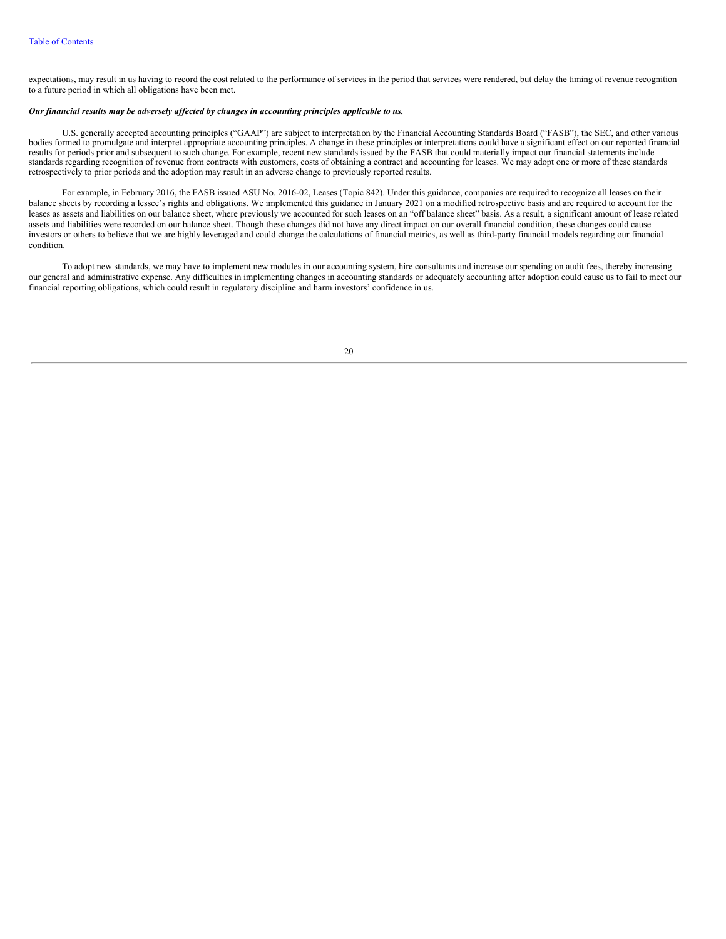expectations, may result in us having to record the cost related to the performance of services in the period that services were rendered, but delay the timing of revenue recognition to a future period in which all obligations have been met.

## *Our financial results may be adversely af ected by changes in accounting principles applicable to us.*

U.S. generally accepted accounting principles ("GAAP") are subject to interpretation by the Financial Accounting Standards Board ("FASB"), the SEC, and other various bodies formed to promulgate and interpret appropriate accounting principles. A change in these principles or interpretations could have a significant effect on our reported financial results for periods prior and subsequent to such change. For example, recent new standards issued by the FASB that could materially impact our financial statements include standards regarding recognition of revenue from contracts with customers, costs of obtaining a contract and accounting for leases. We may adopt one or more of these standards retrospectively to prior periods and the adoption may result in an adverse change to previously reported results.

For example, in February 2016, the FASB issued ASU No. 2016-02, Leases (Topic 842). Under this guidance, companies are required to recognize all leases on their balance sheets by recording a lessee's rights and obligations. We implemented this guidance in January 2021 on a modified retrospective basis and are required to account for the leases as assets and liabilities on our balance sheet, where previously we accounted for such leases on an "off balance sheet" basis. As a result, a significant amount of lease related assets and liabilities were recorded on our balance sheet. Though these changes did not have any direct impact on our overall financial condition, these changes could cause investors or others to believe that we are highly leveraged and could change the calculations of financial metrics, as well as third-party financial models regarding our financial condition.

To adopt new standards, we may have to implement new modules in our accounting system, hire consultants and increase our spending on audit fees, thereby increasing our general and administrative expense. Any difficulties in implementing changes in accounting standards or adequately accounting after adoption could cause us to fail to meet our financial reporting obligations, which could result in regulatory discipline and harm investors' confidence in us.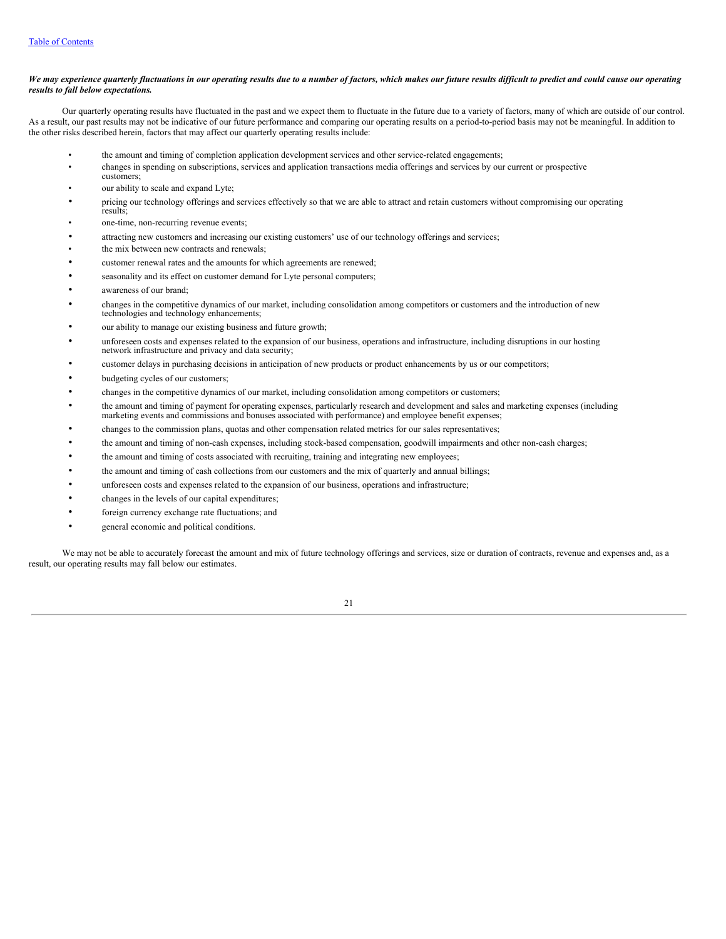## We may experience quarterly fluctuations in our operating results due to a number of factors, which makes our future results difficult to predict and could cause our operating *results to fall below expectations.*

Our quarterly operating results have fluctuated in the past and we expect them to fluctuate in the future due to a variety of factors, many of which are outside of our control. As a result, our past results may not be indicative of our future performance and comparing our operating results on a period-to-period basis may not be meaningful. In addition to the other risks described herein, factors that may affect our quarterly operating results include:

- the amount and timing of completion application development services and other service-related engagements;
- changes in spending on subscriptions, services and application transactions media offerings and services by our current or prospective customers;
- our ability to scale and expand Lyte;
- pricing our technology offerings and services effectively so that we are able to attract and retain customers without compromising our operating results;
- one-time, non-recurring revenue events;
- attracting new customers and increasing our existing customers' use of our technology offerings and services;
- the mix between new contracts and renewals;
- customer renewal rates and the amounts for which agreements are renewed;
- seasonality and its effect on customer demand for Lyte personal computers;
- awareness of our brand;
- changes in the competitive dynamics of our market, including consolidation among competitors or customers and the introduction of new technologies and technology enhancements;
- our ability to manage our existing business and future growth;
- unforeseen costs and expenses related to the expansion of our business, operations and infrastructure, including disruptions in our hosting network infrastructure and privacy and data security;
- customer delays in purchasing decisions in anticipation of new products or product enhancements by us or our competitors;
- budgeting cycles of our customers;
- changes in the competitive dynamics of our market, including consolidation among competitors or customers;
- the amount and timing of payment for operating expenses, particularly research and development and sales and marketing expenses (including marketing events and commissions and bonuses associated with performance) and employee benefit expenses;
- changes to the commission plans, quotas and other compensation related metrics for our sales representatives;
- the amount and timing of non-cash expenses, including stock-based compensation, goodwill impairments and other non-cash charges;
- the amount and timing of costs associated with recruiting, training and integrating new employees;
- the amount and timing of cash collections from our customers and the mix of quarterly and annual billings;
- unforeseen costs and expenses related to the expansion of our business, operations and infrastructure;
- changes in the levels of our capital expenditures;
- foreign currency exchange rate fluctuations; and
- general economic and political conditions.

We may not be able to accurately forecast the amount and mix of future technology offerings and services, size or duration of contracts, revenue and expenses and, as a result, our operating results may fall below our estimates.

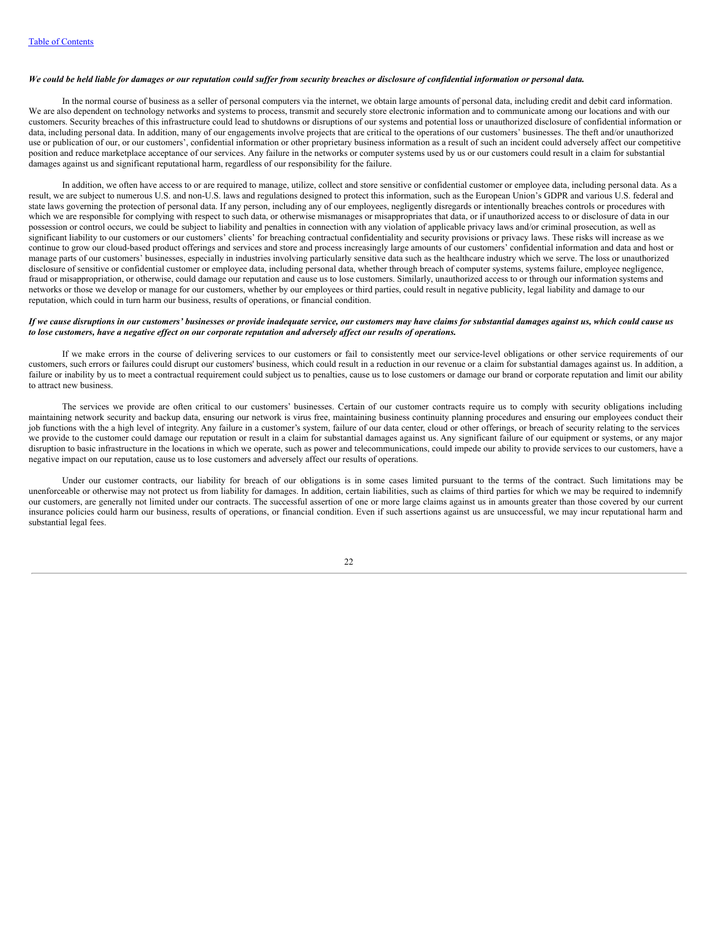#### We could be held liable for damages or our reputation could suffer from security breaches or disclosure of confidential information or personal data.

In the normal course of business as a seller of personal computers via the internet, we obtain large amounts of personal data, including credit and debit card information. We are also dependent on technology networks and systems to process, transmit and securely store electronic information and to communicate among our locations and with our customers. Security breaches of this infrastructure could lead to shutdowns or disruptions of our systems and potential loss or unauthorized disclosure of confidential information or data, including personal data. In addition, many of our engagements involve projects that are critical to the operations of our customers' businesses. The theft and/or unauthorized use or publication of our, or our customers', confidential information or other proprietary business information as a result of such an incident could adversely affect our competitive position and reduce marketplace acceptance of our services. Any failure in the networks or computer systems used by us or our customers could result in a claim for substantial damages against us and significant reputational harm, regardless of our responsibility for the failure.

In addition, we often have access to or are required to manage, utilize, collect and store sensitive or confidential customer or employee data, including personal data. As a result, we are subject to numerous U.S. and non-U.S. laws and regulations designed to protect this information, such as the European Union's GDPR and various U.S. federal and state laws governing the protection of personal data. If any person, including any of our employees, negligently disregards or intentionally breaches controls or procedures with which we are responsible for complying with respect to such data, or otherwise mismanages or misappropriates that data, or if unauthorized access to or disclosure of data in our possession or control occurs, we could be subject to liability and penalties in connection with any violation of applicable privacy laws and/or criminal prosecution, as well as significant liability to our customers or our customers' clients' for breaching contractual confidentiality and security provisions or privacy laws. These risks will increase as we continue to grow our cloud-based product offerings and services and store and process increasingly large amounts of our customers' confidential information and data and host or manage parts of our customers' businesses, especially in industries involving particularly sensitive data such as the healthcare industry which we serve. The loss or unauthorized disclosure of sensitive or confidential customer or employee data, including personal data, whether through breach of computer systems, systems failure, employee negligence, fraud or misappropriation, or otherwise, could damage our reputation and cause us to lose customers. Similarly, unauthorized access to or through our information systems and networks or those we develop or manage for our customers, whether by our employees or third parties, could result in negative publicity, legal liability and damage to our reputation, which could in turn harm our business, results of operations, or financial condition.

#### If we cause disruptions in our customers' businesses or provide inadequate service, our customers may have claims for substantial damages against us, which could cause us to lose customers, have a negative effect on our corporate reputation and adversely affect our results of operations.

If we make errors in the course of delivering services to our customers or fail to consistently meet our service-level obligations or other service requirements of our customers, such errors or failures could disrupt our customers' business, which could result in a reduction in our revenue or a claim for substantial damages against us. In addition, a failure or inability by us to meet a contractual requirement could subject us to penalties, cause us to lose customers or damage our brand or corporate reputation and limit our ability to attract new business.

The services we provide are often critical to our customers' businesses. Certain of our customer contracts require us to comply with security obligations including maintaining network security and backup data, ensuring our network is virus free, maintaining business continuity planning procedures and ensuring our employees conduct their job functions with the a high level of integrity. Any failure in a customer's system, failure of our data center, cloud or other offerings, or breach of security relating to the services we provide to the customer could damage our reputation or result in a claim for substantial damages against us. Any significant failure of our equipment or systems, or any major disruption to basic infrastructure in the locations in which we operate, such as power and telecommunications, could impede our ability to provide services to our customers, have a negative impact on our reputation, cause us to lose customers and adversely affect our results of operations.

Under our customer contracts, our liability for breach of our obligations is in some cases limited pursuant to the terms of the contract. Such limitations may be unenforceable or otherwise may not protect us from liability for damages. In addition, certain liabilities, such as claims of third parties for which we may be required to indemnify our customers, are generally not limited under our contracts. The successful assertion of one or more large claims against us in amounts greater than those covered by our current insurance policies could harm our business, results of operations, or financial condition. Even if such assertions against us are unsuccessful, we may incur reputational harm and substantial legal fees.

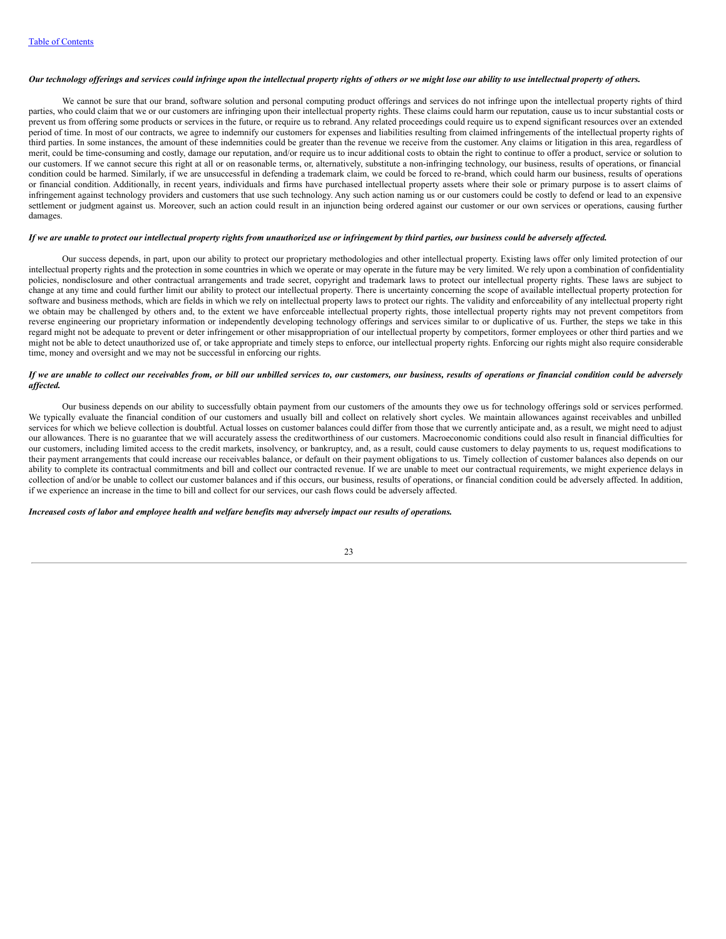#### Our technology offerings and services could infringe upon the intellectual property rights of others or we might lose our ability to use intellectual property of others.

We cannot be sure that our brand, software solution and personal computing product offerings and services do not infringe upon the intellectual property rights of third parties, who could claim that we or our customers are infringing upon their intellectual property rights. These claims could harm our reputation, cause us to incur substantial costs or prevent us from offering some products or services in the future, or require us to rebrand. Any related proceedings could require us to expend significant resources over an extended period of time. In most of our contracts, we agree to indemnify our customers for expenses and liabilities resulting from claimed infringements of the intellectual property rights of third parties. In some instances, the amount of these indemnities could be greater than the revenue we receive from the customer. Any claims or litigation in this area, regardless of merit, could be time-consuming and costly, damage our reputation, and/or require us to incur additional costs to obtain the right to continue to offer a product, service or solution to our customers. If we cannot secure this right at all or on reasonable terms, or, alternatively, substitute a non-infringing technology, our business, results of operations, or financial condition could be harmed. Similarly, if we are unsuccessful in defending a trademark claim, we could be forced to re-brand, which could harm our business, results of operations or financial condition. Additionally, in recent years, individuals and firms have purchased intellectual property assets where their sole or primary purpose is to assert claims of infringement against technology providers and customers that use such technology. Any such action naming us or our customers could be costly to defend or lead to an expensive settlement or judgment against us. Moreover, such an action could result in an injunction being ordered against our customer or our own services or operations, causing further damages.

#### If we are unable to protect our intellectual property rights from unauthorized use or infringement by third parties, our business could be adversely affected.

Our success depends, in part, upon our ability to protect our proprietary methodologies and other intellectual property. Existing laws offer only limited protection of our intellectual property rights and the protection in some countries in which we operate or may operate in the future may be very limited. We rely upon a combination of confidentiality policies, nondisclosure and other contractual arrangements and trade secret, copyright and trademark laws to protect our intellectual property rights. These laws are subject to change at any time and could further limit our ability to protect our intellectual property. There is uncertainty concerning the scope of available intellectual property protection for software and business methods, which are fields in which we rely on intellectual property laws to protect our rights. The validity and enforceability of any intellectual property right we obtain may be challenged by others and, to the extent we have enforceable intellectual property rights, those intellectual property rights may not prevent competitors from reverse engineering our proprietary information or independently developing technology offerings and services similar to or duplicative of us. Further, the steps we take in this regard might not be adequate to prevent or deter infringement or other misappropriation of our intellectual property by competitors, former employees or other third parties and we might not be able to detect unauthorized use of, or take appropriate and timely steps to enforce, our intellectual property rights. Enforcing our rights might also require considerable time, money and oversight and we may not be successful in enforcing our rights.

### If we are unable to collect our receivables from, or bill our unbilled services to, our customers, our business, results of operations or financial condition could be adversely *af ected.*

Our business depends on our ability to successfully obtain payment from our customers of the amounts they owe us for technology offerings sold or services performed. We typically evaluate the financial condition of our customers and usually bill and collect on relatively short cycles. We maintain allowances against receivables and unbilled services for which we believe collection is doubtful. Actual losses on customer balances could differ from those that we currently anticipate and, as a result, we might need to adjust our allowances. There is no guarantee that we will accurately assess the creditworthiness of our customers. Macroeconomic conditions could also result in financial difficulties for our customers, including limited access to the credit markets, insolvency, or bankruptcy, and, as a result, could cause customers to delay payments to us, request modifications to their payment arrangements that could increase our receivables balance, or default on their payment obligations to us. Timely collection of customer balances also depends on our ability to complete its contractual commitments and bill and collect our contracted revenue. If we are unable to meet our contractual requirements, we might experience delays in collection of and/or be unable to collect our customer balances and if this occurs, our business, results of operations, or financial condition could be adversely affected. In addition, if we experience an increase in the time to bill and collect for our services, our cash flows could be adversely affected.

### Increased costs of labor and employee health and welfare benefits may adversely impact our results of operations.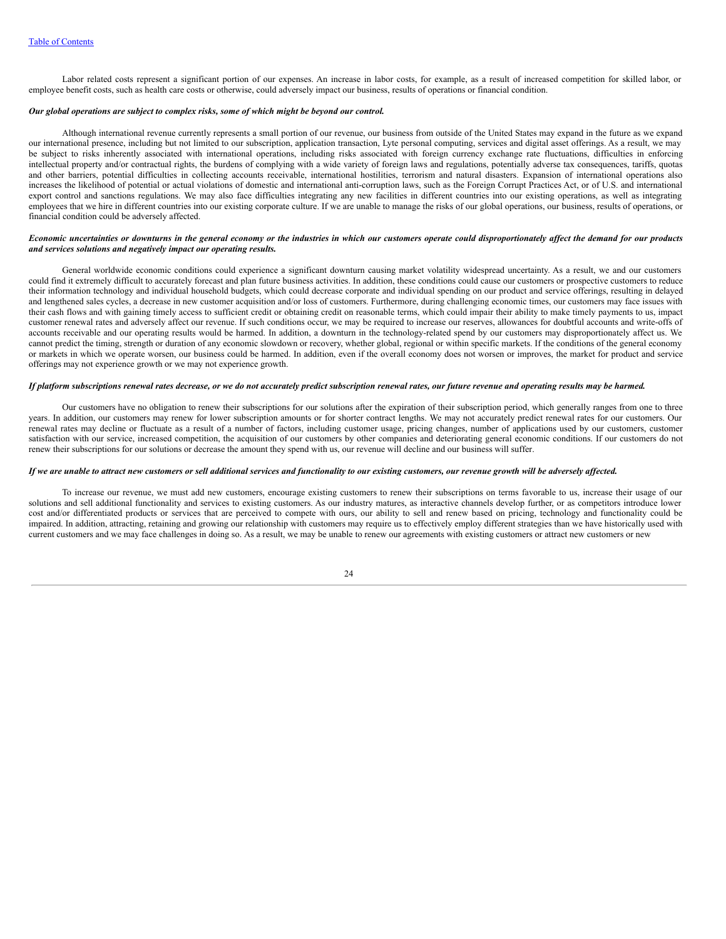Labor related costs represent a significant portion of our expenses. An increase in labor costs, for example, as a result of increased competition for skilled labor, or employee benefit costs, such as health care costs or otherwise, could adversely impact our business, results of operations or financial condition.

#### *Our global operations are subject to complex risks, some of which might be beyond our control.*

Although international revenue currently represents a small portion of our revenue, our business from outside of the United States may expand in the future as we expand our international presence, including but not limited to our subscription, application transaction, Lyte personal computing, services and digital asset offerings. As a result, we may be subject to risks inherently associated with international operations, including risks associated with foreign currency exchange rate fluctuations, difficulties in enforcing intellectual property and/or contractual rights, the burdens of complying with a wide variety of foreign laws and regulations, potentially adverse tax consequences, tariffs, quotas and other barriers, potential difficulties in collecting accounts receivable, international hostilities, terrorism and natural disasters. Expansion of international operations also increases the likelihood of potential or actual violations of domestic and international anti-corruption laws, such as the Foreign Corrupt Practices Act, or of U.S. and international export control and sanctions regulations. We may also face difficulties integrating any new facilities in different countries into our existing operations, as well as integrating employees that we hire in different countries into our existing corporate culture. If we are unable to manage the risks of our global operations, our business, results of operations, or financial condition could be adversely affected.

### Economic uncertainties or downturns in the general economy or the industries in which our customers operate could disproportionately affect the demand for our products *and services solutions and negatively impact our operating results.*

General worldwide economic conditions could experience a significant downturn causing market volatility widespread uncertainty. As a result, we and our customers could find it extremely difficult to accurately forecast and plan future business activities. In addition, these conditions could cause our customers or prospective customers to reduce their information technology and individual household budgets, which could decrease corporate and individual spending on our product and service offerings, resulting in delayed and lengthened sales cycles, a decrease in new customer acquisition and/or loss of customers. Furthermore, during challenging economic times, our customers may face issues with their cash flows and with gaining timely access to sufficient credit or obtaining credit on reasonable terms, which could impair their ability to make timely payments to us, impact customer renewal rates and adversely affect our revenue. If such conditions occur, we may be required to increase our reserves, allowances for doubtful accounts and write-offs of accounts receivable and our operating results would be harmed. In addition, a downturn in the technology-related spend by our customers may disproportionately affect us. We cannot predict the timing, strength or duration of any economic slowdown or recovery, whether global, regional or within specific markets. If the conditions of the general economy or markets in which we operate worsen, our business could be harmed. In addition, even if the overall economy does not worsen or improves, the market for product and service offerings may not experience growth or we may not experience growth.

### If platform subscriptions renewal rates decrease, or we do not accurately predict subscription renewal rates, our future revenue and operating results may be harmed.

Our customers have no obligation to renew their subscriptions for our solutions after the expiration of their subscription period, which generally ranges from one to three years. In addition, our customers may renew for lower subscription amounts or for shorter contract lengths. We may not accurately predict renewal rates for our customers. Our renewal rates may decline or fluctuate as a result of a number of factors, including customer usage, pricing changes, number of applications used by our customers, customer satisfaction with our service, increased competition, the acquisition of our customers by other companies and deteriorating general economic conditions. If our customers do not renew their subscriptions for our solutions or decrease the amount they spend with us, our revenue will decline and our business will suffer.

## If we are unable to attract new customers or sell additional services and functionality to our existing customers, our revenue growth will be adversely affected.

To increase our revenue, we must add new customers, encourage existing customers to renew their subscriptions on terms favorable to us, increase their usage of our solutions and sell additional functionality and services to existing customers. As our industry matures, as interactive channels develop further, or as competitors introduce lower cost and/or differentiated products or services that are perceived to compete with ours, our ability to sell and renew based on pricing, technology and functionality could be impaired. In addition, attracting, retaining and growing our relationship with customers may require us to effectively employ different strategies than we have historically used with current customers and we may face challenges in doing so. As a result, we may be unable to renew our agreements with existing customers or attract new customers or new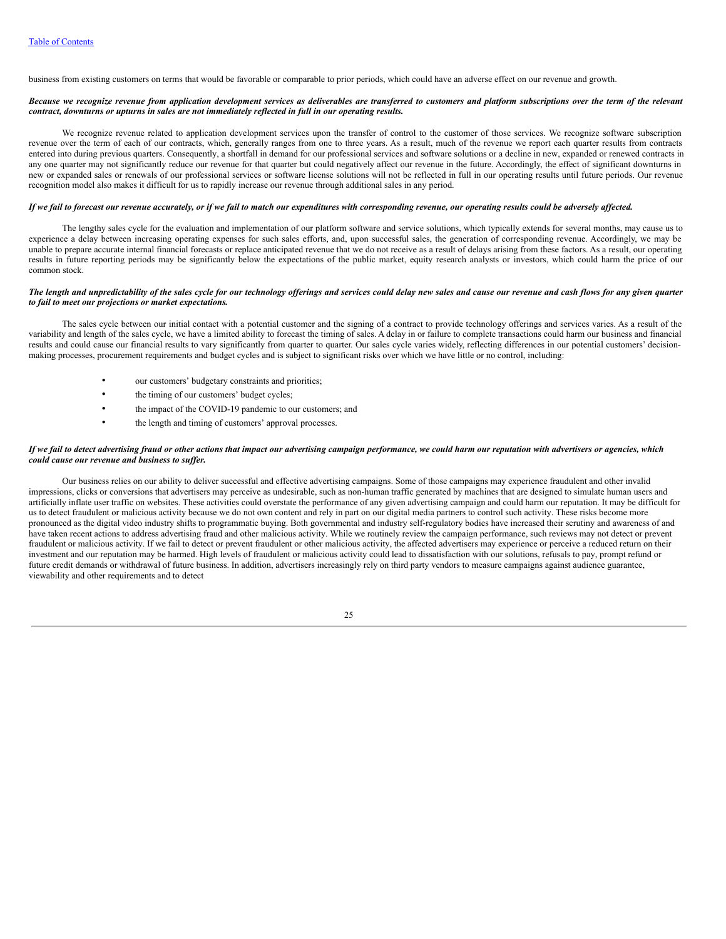business from existing customers on terms that would be favorable or comparable to prior periods, which could have an adverse effect on our revenue and growth.

### Because we recognize revenue from application development services as deliverables are transferred to customers and platform subscriptions over the term of the relevant *contract, downturns or upturns in sales are not immediately reflected in full in our operating results.*

We recognize revenue related to application development services upon the transfer of control to the customer of those services. We recognize software subscription revenue over the term of each of our contracts, which, generally ranges from one to three years. As a result, much of the revenue we report each quarter results from contracts entered into during previous quarters. Consequently, a shortfall in demand for our professional services and software solutions or a decline in new, expanded or renewed contracts in any one quarter may not significantly reduce our revenue for that quarter but could negatively affect our revenue in the future. Accordingly, the effect of significant downturns in new or expanded sales or renewals of our professional services or software license solutions will not be reflected in full in our operating results until future periods. Our revenue recognition model also makes it difficult for us to rapidly increase our revenue through additional sales in any period.

## If we fail to forecast our revenue accurately, or if we fail to match our expenditures with corresponding revenue, our operating results could be adversely affected.

The lengthy sales cycle for the evaluation and implementation of our platform software and service solutions, which typically extends for several months, may cause us to experience a delay between increasing operating expenses for such sales efforts, and, upon successful sales, the generation of corresponding revenue. Accordingly, we may be unable to prepare accurate internal financial forecasts or replace anticipated revenue that we do not receive as a result of delays arising from these factors. As a result, our operating results in future reporting periods may be significantly below the expectations of the public market, equity research analysts or investors, which could harm the price of our common stock.

### The length and unpredictability of the sales cycle for our technology offerings and services could delay new sales and cause our revenue and cash flows for any given quarter *to fail to meet our projections or market expectations.*

The sales cycle between our initial contact with a potential customer and the signing of a contract to provide technology offerings and services varies. As a result of the variability and length of the sales cycle, we have a limited ability to forecast the timing of sales. A delay in or failure to complete transactions could harm our business and financial results and could cause our financial results to vary significantly from quarter to quarter. Our sales cycle varies widely, reflecting differences in our potential customers' decisionmaking processes, procurement requirements and budget cycles and is subject to significant risks over which we have little or no control, including:

- our customers' budgetary constraints and priorities;
- the timing of our customers' budget cycles;
- the impact of the COVID-19 pandemic to our customers; and
- the length and timing of customers' approval processes.

#### If we fail to detect advertising fraud or other actions that impact our advertising campaign performance, we could harm our reputation with advertisers or agencies, which *could cause our revenue and business to suf er.*

Our business relies on our ability to deliver successful and effective advertising campaigns. Some of those campaigns may experience fraudulent and other invalid impressions, clicks or conversions that advertisers may perceive as undesirable, such as non-human traffic generated by machines that are designed to simulate human users and artificially inflate user traffic on websites. These activities could overstate the performance of any given advertising campaign and could harm our reputation. It may be difficult for us to detect fraudulent or malicious activity because we do not own content and rely in part on our digital media partners to control such activity. These risks become more pronounced as the digital video industry shifts to programmatic buying. Both governmental and industry self-regulatory bodies have increased their scrutiny and awareness of and have taken recent actions to address advertising fraud and other malicious activity. While we routinely review the campaign performance, such reviews may not detect or prevent fraudulent or malicious activity. If we fail to detect or prevent fraudulent or other malicious activity, the affected advertisers may experience or perceive a reduced return on their investment and our reputation may be harmed. High levels of fraudulent or malicious activity could lead to dissatisfaction with our solutions, refusals to pay, prompt refund or future credit demands or withdrawal of future business. In addition, advertisers increasingly rely on third party vendors to measure campaigns against audience guarantee, viewability and other requirements and to detect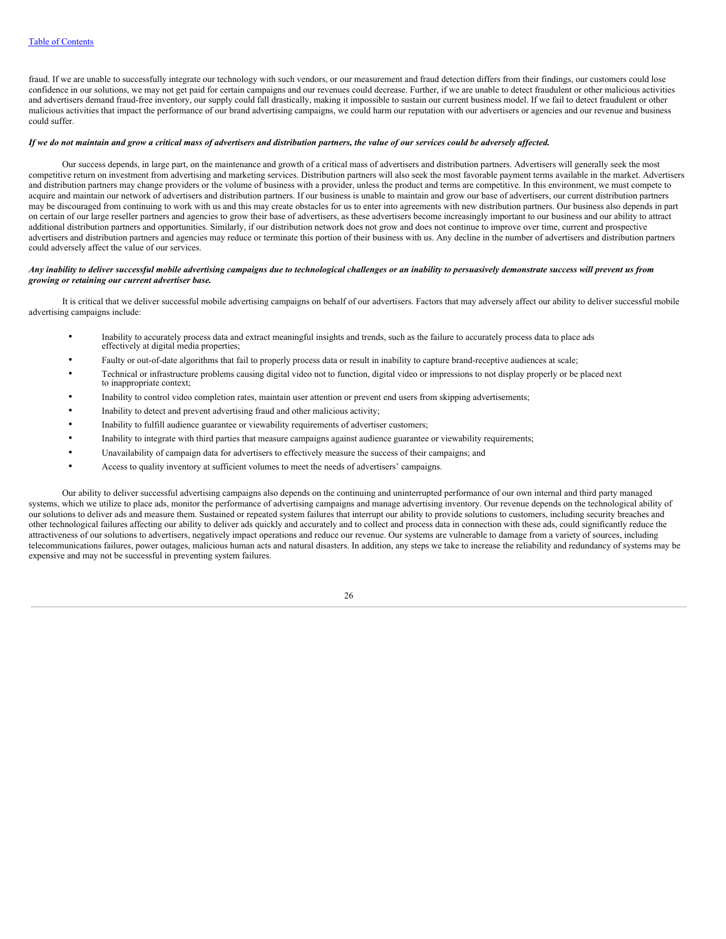fraud. If we are unable to successfully integrate our technology with such vendors, or our measurement and fraud detection differs from their findings, our customers could lose confidence in our solutions, we may not get paid for certain campaigns and our revenues could decrease. Further, if we are unable to detect fraudulent or other malicious activities and advertisers demand fraud-free inventory, our supply could fall drastically, making it impossible to sustain our current business model. If we fail to detect fraudulent or other malicious activities that impact the performance of our brand advertising campaigns, we could harm our reputation with our advertisers or agencies and our revenue and business could suffer.

## If we do not maintain and grow a critical mass of advertisers and distribution partners, the value of our services could be adversely affected.

Our success depends, in large part, on the maintenance and growth of a critical mass of advertisers and distribution partners. Advertisers will generally seek the most competitive return on investment from advertising and marketing services. Distribution partners will also seek the most favorable payment terms available in the market. Advertisers and distribution partners may change providers or the volume of business with a provider, unless the product and terms are competitive. In this environment, we must compete to acquire and maintain our network of advertisers and distribution partners. If our business is unable to maintain and grow our base of advertisers, our current distribution partners may be discouraged from continuing to work with us and this may create obstacles for us to enter into agreements with new distribution partners. Our business also depends in part on certain of our large reseller partners and agencies to grow their base of advertisers, as these advertisers become increasingly important to our business and our ability to attract additional distribution partners and opportunities. Similarly, if our distribution network does not grow and does not continue to improve over time, current and prospective advertisers and distribution partners and agencies may reduce or terminate this portion of their business with us. Any decline in the number of advertisers and distribution partners could adversely affect the value of our services.

## Any inability to deliver successful mobile advertising campaigns due to technological challenges or an inability to persuasively demonstrate success will prevent us from *growing or retaining our current advertiser base.*

It is critical that we deliver successful mobile advertising campaigns on behalf of our advertisers. Factors that may adversely affect our ability to deliver successful mobile advertising campaigns include:

- Inability to accurately process data and extract meaningful insights and trends, such as the failure to accurately process data to place ads effectively at digital media properties;
- Faulty or out-of-date algorithms that fail to properly process data or result in inability to capture brand-receptive audiences at scale;
- Technical or infrastructure problems causing digital video not to function, digital video or impressions to not display properly or be placed next to inappropriate context;
- Inability to control video completion rates, maintain user attention or prevent end users from skipping advertisements;
- Inability to detect and prevent advertising fraud and other malicious activity;
- Inability to fulfill audience guarantee or viewability requirements of advertiser customers;
- Inability to integrate with third parties that measure campaigns against audience guarantee or viewability requirements;
- Unavailability of campaign data for advertisers to effectively measure the success of their campaigns; and
- Access to quality inventory at sufficient volumes to meet the needs of advertisers' campaigns.

Our ability to deliver successful advertising campaigns also depends on the continuing and uninterrupted performance of our own internal and third party managed systems, which we utilize to place ads, monitor the performance of advertising campaigns and manage advertising inventory. Our revenue depends on the technological ability of our solutions to deliver ads and measure them. Sustained or repeated system failures that interrupt our ability to provide solutions to customers, including security breaches and other technological failures affecting our ability to deliver ads quickly and accurately and to collect and process data in connection with these ads, could significantly reduce the attractiveness of our solutions to advertisers, negatively impact operations and reduce our revenue. Our systems are vulnerable to damage from a variety of sources, including telecommunications failures, power outages, malicious human acts and natural disasters. In addition, any steps we take to increase the reliability and redundancy of systems may be expensive and may not be successful in preventing system failures.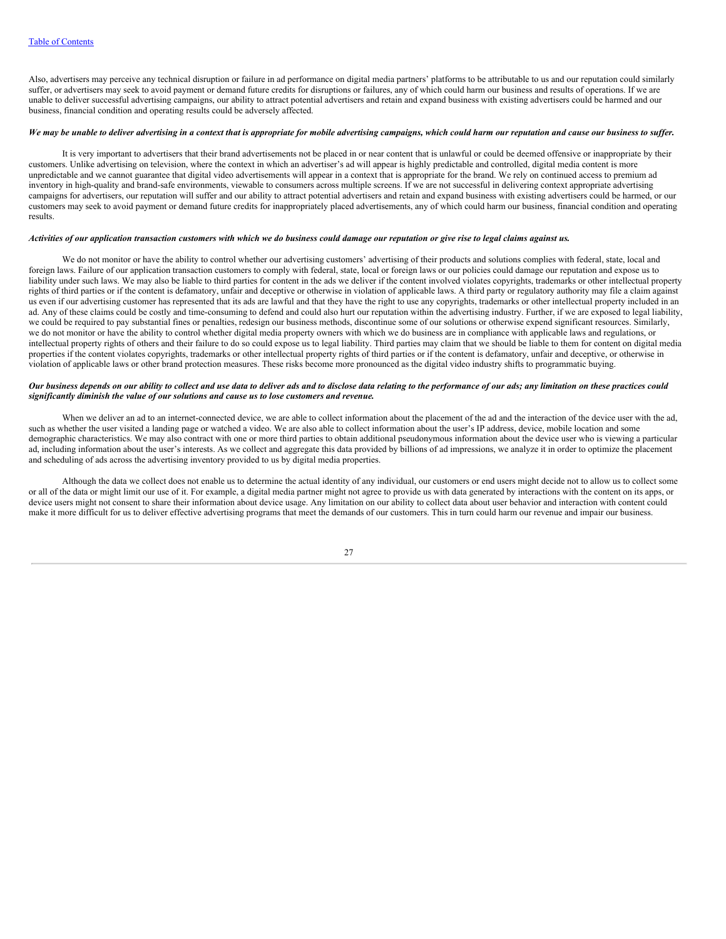Also, advertisers may perceive any technical disruption or failure in ad performance on digital media partners' platforms to be attributable to us and our reputation could similarly suffer, or advertisers may seek to avoid payment or demand future credits for disruptions or failures, any of which could harm our business and results of operations. If we are unable to deliver successful advertising campaigns, our ability to attract potential advertisers and retain and expand business with existing advertisers could be harmed and our business, financial condition and operating results could be adversely affected.

## We may be unable to deliver advertising in a context that is appropriate for mobile advertising campaigns, which could harm our reputation and cause our business to suffer.

It is very important to advertisers that their brand advertisements not be placed in or near content that is unlawful or could be deemed offensive or inappropriate by their customers. Unlike advertising on television, where the context in which an advertiser's ad will appear is highly predictable and controlled, digital media content is more unpredictable and we cannot guarantee that digital video advertisements will appear in a context that is appropriate for the brand. We rely on continued access to premium ad inventory in high-quality and brand-safe environments, viewable to consumers across multiple screens. If we are not successful in delivering context appropriate advertising campaigns for advertisers, our reputation will suffer and our ability to attract potential advertisers and retain and expand business with existing advertisers could be harmed, or our customers may seek to avoid payment or demand future credits for inappropriately placed advertisements, any of which could harm our business, financial condition and operating results.

### Activities of our application transaction customers with which we do business could damage our reputation or give rise to legal claims against us.

We do not monitor or have the ability to control whether our advertising customers' advertising of their products and solutions complies with federal, state, local and foreign laws. Failure of our application transaction customers to comply with federal, state, local or foreign laws or our policies could damage our reputation and expose us to liability under such laws. We may also be liable to third parties for content in the ads we deliver if the content involved violates copyrights, trademarks or other intellectual property rights of third parties or if the content is defamatory, unfair and deceptive or otherwise in violation of applicable laws. A third party or regulatory authority may file a claim against us even if our advertising customer has represented that its ads are lawful and that they have the right to use any copyrights, trademarks or other intellectual property included in an ad. Any of these claims could be costly and time-consuming to defend and could also hurt our reputation within the advertising industry. Further, if we are exposed to legal liability, we could be required to pay substantial fines or penalties, redesign our business methods, discontinue some of our solutions or otherwise expend significant resources. Similarly, we do not monitor or have the ability to control whether digital media property owners with which we do business are in compliance with applicable laws and regulations, or intellectual property rights of others and their failure to do so could expose us to legal liability. Third parties may claim that we should be liable to them for content on digital media properties if the content violates copyrights, trademarks or other intellectual property rights of third parties or if the content is defamatory, unfair and deceptive, or otherwise in violation of applicable laws or other brand protection measures. These risks become more pronounced as the digital video industry shifts to programmatic buying.

## Our business depends on our ability to collect and use data to deliver ads and to disclose data relating to the performance of our ads; any limitation on these practices could *significantly diminish the value of our solutions and cause us to lose customers and revenue.*

When we deliver an ad to an internet-connected device, we are able to collect information about the placement of the ad and the interaction of the device user with the ad, such as whether the user visited a landing page or watched a video. We are also able to collect information about the user's IP address, device, mobile location and some demographic characteristics. We may also contract with one or more third parties to obtain additional pseudonymous information about the device user who is viewing a particular ad, including information about the user's interests. As we collect and aggregate this data provided by billions of ad impressions, we analyze it in order to optimize the placement and scheduling of ads across the advertising inventory provided to us by digital media properties.

Although the data we collect does not enable us to determine the actual identity of any individual, our customers or end users might decide not to allow us to collect some or all of the data or might limit our use of it. For example, a digital media partner might not agree to provide us with data generated by interactions with the content on its apps, or device users might not consent to share their information about device usage. Any limitation on our ability to collect data about user behavior and interaction with content could make it more difficult for us to deliver effective advertising programs that meet the demands of our customers. This in turn could harm our revenue and impair our business.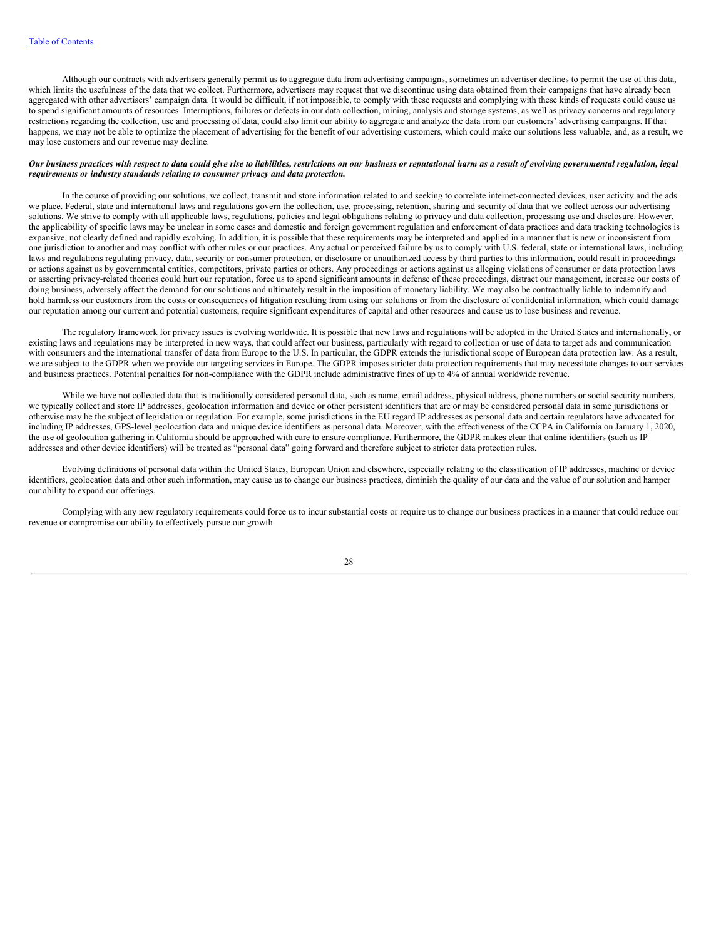Although our contracts with advertisers generally permit us to aggregate data from advertising campaigns, sometimes an advertiser declines to permit the use of this data, which limits the usefulness of the data that we collect. Furthermore, advertisers may request that we discontinue using data obtained from their campaigns that have already been aggregated with other advertisers' campaign data. It would be difficult, if not impossible, to comply with these requests and complying with these kinds of requests could cause us to spend significant amounts of resources. Interruptions, failures or defects in our data collection, mining, analysis and storage systems, as well as privacy concerns and regulatory restrictions regarding the collection, use and processing of data, could also limit our ability to aggregate and analyze the data from our customers' advertising campaigns. If that happens, we may not be able to optimize the placement of advertising for the benefit of our advertising customers, which could make our solutions less valuable, and, as a result, we may lose customers and our revenue may decline.

## Our business practices with respect to data could give rise to liabilities, restrictions on our business or reputational harm as a result of evolving governmental regulation, legal *requirements or industry standards relating to consumer privacy and data protection.*

In the course of providing our solutions, we collect, transmit and store information related to and seeking to correlate internet-connected devices, user activity and the ads we place. Federal, state and international laws and regulations govern the collection, use, processing, retention, sharing and security of data that we collect across our advertising solutions. We strive to comply with all applicable laws, regulations, policies and legal obligations relating to privacy and data collection, processing use and disclosure. However, the applicability of specific laws may be unclear in some cases and domestic and foreign government regulation and enforcement of data practices and data tracking technologies is expansive, not clearly defined and rapidly evolving. In addition, it is possible that these requirements may be interpreted and applied in a manner that is new or inconsistent from one jurisdiction to another and may conflict with other rules or our practices. Any actual or perceived failure by us to comply with U.S. federal, state or international laws, including laws and regulations regulating privacy, data, security or consumer protection, or disclosure or unauthorized access by third parties to this information, could result in proceedings or actions against us by governmental entities, competitors, private parties or others. Any proceedings or actions against us alleging violations of consumer or data protection laws or asserting privacy-related theories could hurt our reputation, force us to spend significant amounts in defense of these proceedings, distract our management, increase our costs of doing business, adversely affect the demand for our solutions and ultimately result in the imposition of monetary liability. We may also be contractually liable to indemnify and hold harmless our customers from the costs or consequences of litigation resulting from using our solutions or from the disclosure of confidential information, which could damage our reputation among our current and potential customers, require significant expenditures of capital and other resources and cause us to lose business and revenue.

The regulatory framework for privacy issues is evolving worldwide. It is possible that new laws and regulations will be adopted in the United States and internationally, or existing laws and regulations may be interpreted in new ways, that could affect our business, particularly with regard to collection or use of data to target ads and communication with consumers and the international transfer of data from Europe to the U.S. In particular, the GDPR extends the jurisdictional scope of European data protection law. As a result, we are subject to the GDPR when we provide our targeting services in Europe. The GDPR imposes stricter data protection requirements that may necessitate changes to our services and business practices. Potential penalties for non-compliance with the GDPR include administrative fines of up to 4% of annual worldwide revenue.

While we have not collected data that is traditionally considered personal data, such as name, email address, physical address, phone numbers or social security numbers, we typically collect and store IP addresses, geolocation information and device or other persistent identifiers that are or may be considered personal data in some jurisdictions or otherwise may be the subject of legislation or regulation. For example, some jurisdictions in the EU regard IP addresses as personal data and certain regulators have advocated for including IP addresses, GPS-level geolocation data and unique device identifiers as personal data. Moreover, with the effectiveness of the CCPA in California on January 1, 2020, the use of geolocation gathering in California should be approached with care to ensure compliance. Furthermore, the GDPR makes clear that online identifiers (such as IP addresses and other device identifiers) will be treated as "personal data" going forward and therefore subject to stricter data protection rules.

Evolving definitions of personal data within the United States, European Union and elsewhere, especially relating to the classification of IP addresses, machine or device identifiers, geolocation data and other such information, may cause us to change our business practices, diminish the quality of our data and the value of our solution and hamper our ability to expand our offerings.

Complying with any new regulatory requirements could force us to incur substantial costs or require us to change our business practices in a manner that could reduce our revenue or compromise our ability to effectively pursue our growth

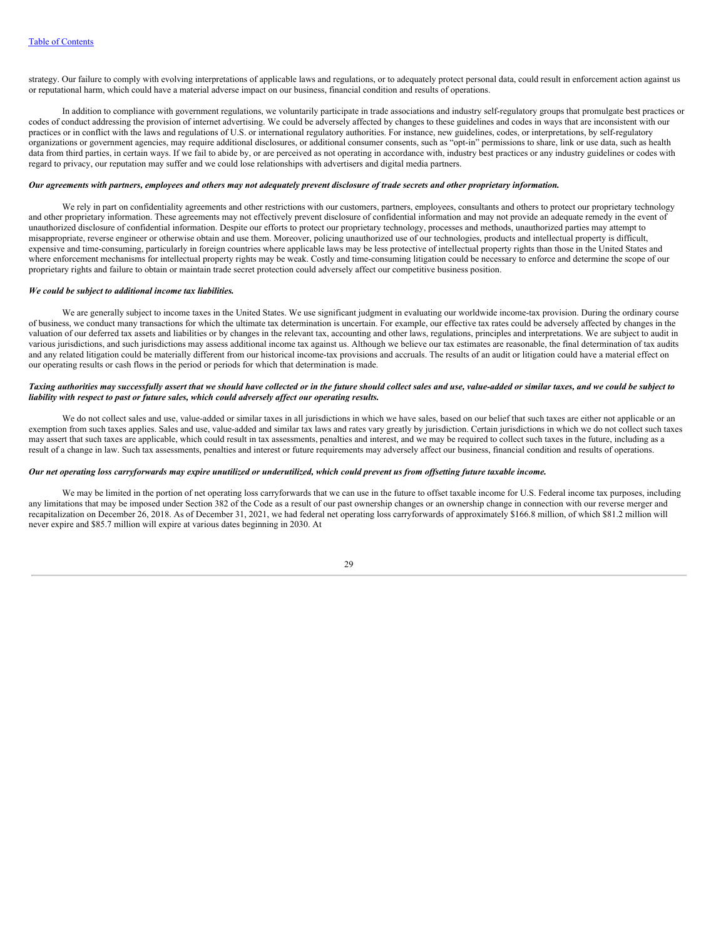strategy. Our failure to comply with evolving interpretations of applicable laws and regulations, or to adequately protect personal data, could result in enforcement action against us or reputational harm, which could have a material adverse impact on our business, financial condition and results of operations.

In addition to compliance with government regulations, we voluntarily participate in trade associations and industry self-regulatory groups that promulgate best practices or codes of conduct addressing the provision of internet advertising. We could be adversely affected by changes to these guidelines and codes in ways that are inconsistent with our practices or in conflict with the laws and regulations of U.S. or international regulatory authorities. For instance, new guidelines, codes, or interpretations, by self-regulatory organizations or government agencies, may require additional disclosures, or additional consumer consents, such as "opt-in" permissions to share, link or use data, such as health data from third parties, in certain ways. If we fail to abide by, or are perceived as not operating in accordance with, industry best practices or any industry guidelines or codes with regard to privacy, our reputation may suffer and we could lose relationships with advertisers and digital media partners.

# Our agreements with partners, employees and others may not adequately prevent disclosure of trade secrets and other proprietary information.

We rely in part on confidentiality agreements and other restrictions with our customers, partners, employees, consultants and others to protect our proprietary technology and other proprietary information. These agreements may not effectively prevent disclosure of confidential information and may not provide an adequate remedy in the event of unauthorized disclosure of confidential information. Despite our efforts to protect our proprietary technology, processes and methods, unauthorized parties may attempt to misappropriate, reverse engineer or otherwise obtain and use them. Moreover, policing unauthorized use of our technologies, products and intellectual property is difficult, expensive and time-consuming, particularly in foreign countries where applicable laws may be less protective of intellectual property rights than those in the United States and where enforcement mechanisms for intellectual property rights may be weak. Costly and time-consuming litigation could be necessary to enforce and determine the scope of our proprietary rights and failure to obtain or maintain trade secret protection could adversely affect our competitive business position.

## *We could be subject to additional income tax liabilities.*

We are generally subject to income taxes in the United States. We use significant judgment in evaluating our worldwide income-tax provision. During the ordinary course of business, we conduct many transactions for which the ultimate tax determination is uncertain. For example, our effective tax rates could be adversely affected by changes in the valuation of our deferred tax assets and liabilities or by changes in the relevant tax, accounting and other laws, regulations, principles and interpretations. We are subject to audit in various jurisdictions, and such jurisdictions may assess additional income tax against us. Although we believe our tax estimates are reasonable, the final determination of tax audits and any related litigation could be materially different from our historical income-tax provisions and accruals. The results of an audit or litigation could have a material effect on our operating results or cash flows in the period or periods for which that determination is made.

## Taxing authorities may successfully assert that we should have collected or in the future should collect sales and use, value-added or similar taxes, and we could be subject to *liability with respect to past or future sales, which could adversely af ect our operating results.*

We do not collect sales and use, value-added or similar taxes in all jurisdictions in which we have sales, based on our belief that such taxes are either not applicable or an exemption from such taxes applies. Sales and use, value-added and similar tax laws and rates vary greatly by jurisdiction. Certain jurisdictions in which we do not collect such taxes may assert that such taxes are applicable, which could result in tax assessments, penalties and interest, and we may be required to collect such taxes in the future, including as a result of a change in law. Such tax assessments, penalties and interest or future requirements may adversely affect our business, financial condition and results of operations.

## Our net operating loss carryforwards may expire unutilized or underutilized, which could prevent us from offsetting future taxable income.

We may be limited in the portion of net operating loss carryforwards that we can use in the future to offset taxable income for U.S. Federal income tax purposes, including any limitations that may be imposed under Section 382 of the Code as a result of our past ownership changes or an ownership change in connection with our reverse merger and recapitalization on December 26, 2018. As of December 31, 2021, we had federal net operating loss carryforwards of approximately \$166.8 million, of which \$81.2 million will never expire and \$85.7 million will expire at various dates beginning in 2030. At

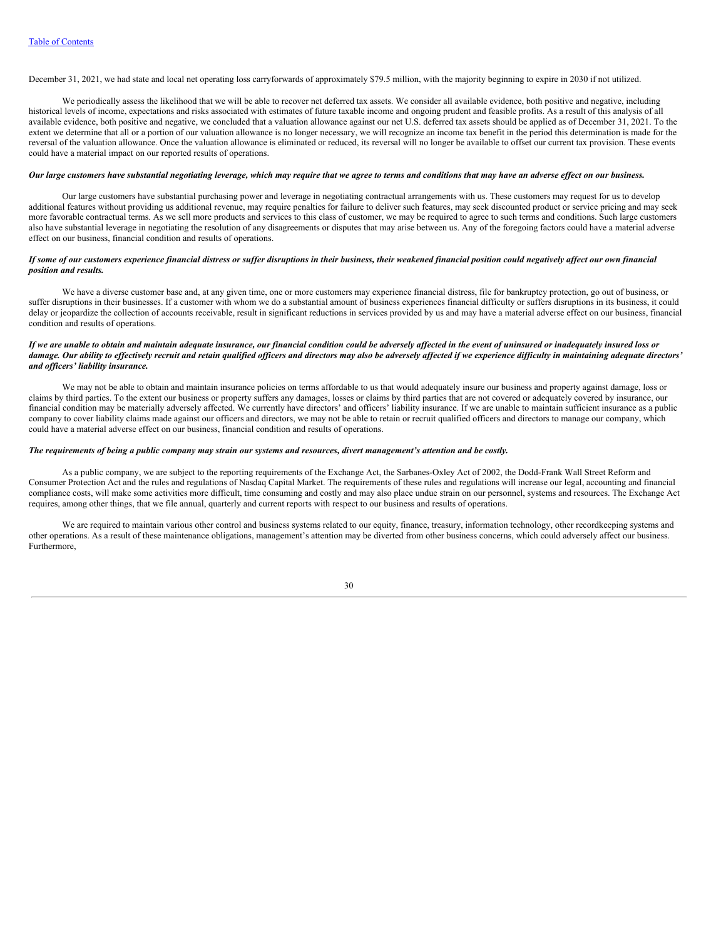December 31, 2021, we had state and local net operating loss carryforwards of approximately \$79.5 million, with the majority beginning to expire in 2030 if not utilized.

We periodically assess the likelihood that we will be able to recover net deferred tax assets. We consider all available evidence, both positive and negative, including historical levels of income, expectations and risks associated with estimates of future taxable income and ongoing prudent and feasible profits. As a result of this analysis of all available evidence, both positive and negative, we concluded that a valuation allowance against our net U.S. deferred tax assets should be applied as of December 31, 2021. To the extent we determine that all or a portion of our valuation allowance is no longer necessary, we will recognize an income tax benefit in the period this determination is made for the reversal of the valuation allowance. Once the valuation allowance is eliminated or reduced, its reversal will no longer be available to offset our current tax provision. These events could have a material impact on our reported results of operations.

## Our large customers have substantial negotiating leverage, which may require that we agree to terms and conditions that may have an adverse effect on our business.

Our large customers have substantial purchasing power and leverage in negotiating contractual arrangements with us. These customers may request for us to develop additional features without providing us additional revenue, may require penalties for failure to deliver such features, may seek discounted product or service pricing and may seek more favorable contractual terms. As we sell more products and services to this class of customer, we may be required to agree to such terms and conditions. Such large customers also have substantial leverage in negotiating the resolution of any disagreements or disputes that may arise between us. Any of the foregoing factors could have a material adverse effect on our business, financial condition and results of operations.

## If some of our customers experience financial distress or suffer disruptions in their business, their weakened financial position could negatively affect our own financial *position and results.*

We have a diverse customer base and, at any given time, one or more customers may experience financial distress, file for bankruptcy protection, go out of business, or suffer disruptions in their businesses. If a customer with whom we do a substantial amount of business experiences financial difficulty or suffers disruptions in its business, it could delay or jeopardize the collection of accounts receivable, result in significant reductions in services provided by us and may have a material adverse effect on our business, financial condition and results of operations.

## If we are unable to obtain and maintain adequate insurance, our financial condition could be adversely affected in the event of uninsured or inadequately insured loss or damage. Our ability to effectively recruit and retain qualified officers and directors may also be adversely affected if we experience difficulty in maintaining adequate directors' *and of icers' liability insurance.*

We may not be able to obtain and maintain insurance policies on terms affordable to us that would adequately insure our business and property against damage, loss or claims by third parties. To the extent our business or property suffers any damages, losses or claims by third parties that are not covered or adequately covered by insurance, our financial condition may be materially adversely affected. We currently have directors' and officers' liability insurance. If we are unable to maintain sufficient insurance as a public company to cover liability claims made against our officers and directors, we may not be able to retain or recruit qualified officers and directors to manage our company, which could have a material adverse effect on our business, financial condition and results of operations.

#### The requirements of being a public company may strain our systems and resources, divert management's attention and be costly.

As a public company, we are subject to the reporting requirements of the Exchange Act, the Sarbanes-Oxley Act of 2002, the Dodd-Frank Wall Street Reform and Consumer Protection Act and the rules and regulations of Nasdaq Capital Market. The requirements of these rules and regulations will increase our legal, accounting and financial compliance costs, will make some activities more difficult, time consuming and costly and may also place undue strain on our personnel, systems and resources. The Exchange Act requires, among other things, that we file annual, quarterly and current reports with respect to our business and results of operations.

We are required to maintain various other control and business systems related to our equity, finance, treasury, information technology, other recordkeeping systems and other operations. As a result of these maintenance obligations, management's attention may be diverted from other business concerns, which could adversely affect our business. Furthermore,

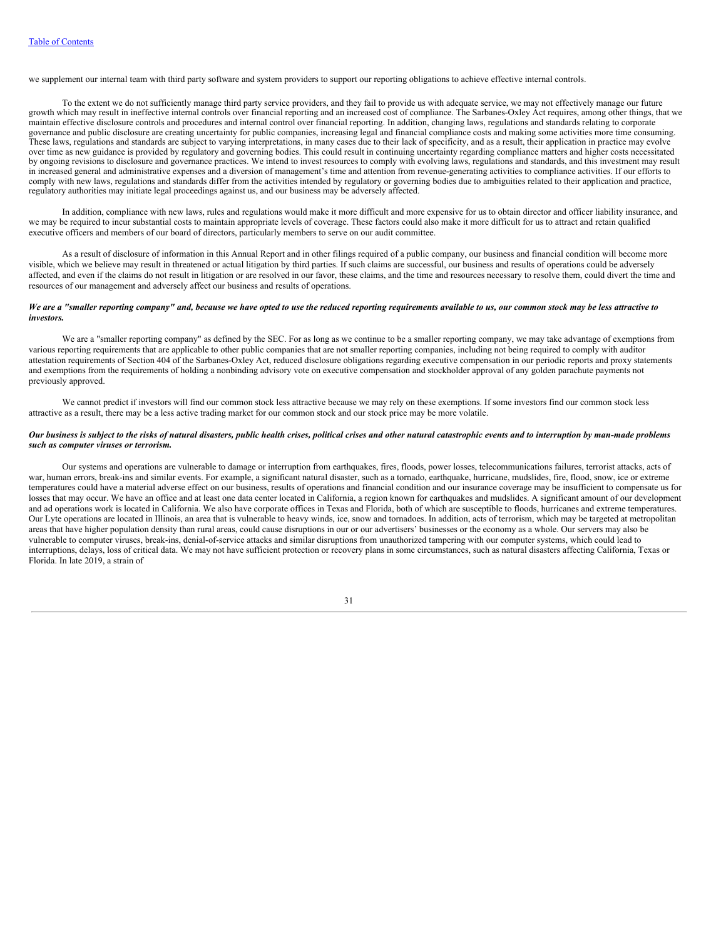we supplement our internal team with third party software and system providers to support our reporting obligations to achieve effective internal controls.

To the extent we do not sufficiently manage third party service providers, and they fail to provide us with adequate service, we may not effectively manage our future growth which may result in ineffective internal controls over financial reporting and an increased cost of compliance. The Sarbanes-Oxley Act requires, among other things, that we maintain effective disclosure controls and procedures and internal control over financial reporting. In addition, changing laws, regulations and standards relating to corporate governance and public disclosure are creating uncertainty for public companies, increasing legal and financial compliance costs and making some activities more time consuming. These laws, regulations and standards are subject to varying interpretations, in many cases due to their lack of specificity, and as a result, their application in practice may evolve over time as new guidance is provided by regulatory and governing bodies. This could result in continuing uncertainty regarding compliance matters and higher costs necessitated by ongoing revisions to disclosure and governance practices. We intend to invest resources to comply with evolving laws, regulations and standards, and this investment may result in increased general and administrative expenses and a diversion of management's time and attention from revenue-generating activities to compliance activities. If our efforts to comply with new laws, regulations and standards differ from the activities intended by regulatory or governing bodies due to ambiguities related to their application and practice, regulatory authorities may initiate legal proceedings against us, and our business may be adversely affected.

In addition, compliance with new laws, rules and regulations would make it more difficult and more expensive for us to obtain director and officer liability insurance, and we may be required to incur substantial costs to maintain appropriate levels of coverage. These factors could also make it more difficult for us to attract and retain qualified executive officers and members of our board of directors, particularly members to serve on our audit committee.

As a result of disclosure of information in this Annual Report and in other filings required of a public company, our business and financial condition will become more visible, which we believe may result in threatened or actual litigation by third parties. If such claims are successful, our business and results of operations could be adversely affected, and even if the claims do not result in litigation or are resolved in our favor, these claims, and the time and resources necessary to resolve them, could divert the time and resources of our management and adversely affect our business and results of operations.

## We are a "smaller reporting company" and, because we have opted to use the reduced reporting requirements available to us, our common stock may be less attractive to *investors.*

We are a "smaller reporting company" as defined by the SEC. For as long as we continue to be a smaller reporting company, we may take advantage of exemptions from various reporting requirements that are applicable to other public companies that are not smaller reporting companies, including not being required to comply with auditor attestation requirements of Section 404 of the Sarbanes-Oxley Act, reduced disclosure obligations regarding executive compensation in our periodic reports and proxy statements and exemptions from the requirements of holding a nonbinding advisory vote on executive compensation and stockholder approval of any golden parachute payments not previously approved.

We cannot predict if investors will find our common stock less attractive because we may rely on these exemptions. If some investors find our common stock less attractive as a result, there may be a less active trading market for our common stock and our stock price may be more volatile.

## Our business is subject to the risks of natural disasters, public health crises, political crises and other natural catastrophic events and to interruption by man-made problems *such as computer viruses or terrorism.*

Our systems and operations are vulnerable to damage or interruption from earthquakes, fires, floods, power losses, telecommunications failures, terrorist attacks, acts of war, human errors, break-ins and similar events. For example, a significant natural disaster, such as a tornado, earthquake, hurricane, mudslides, fire, flood, snow, ice or extreme temperatures could have a material adverse effect on our business, results of operations and financial condition and our insurance coverage may be insufficient to compensate us for losses that may occur. We have an office and at least one data center located in California, a region known for earthquakes and mudslides. A significant amount of our development and ad operations work is located in California. We also have corporate offices in Texas and Florida, both of which are susceptible to floods, hurricanes and extreme temperatures. Our Lyte operations are located in Illinois, an area that is vulnerable to heavy winds, ice, snow and tornadoes. In addition, acts of terrorism, which may be targeted at metropolitan areas that have higher population density than rural areas, could cause disruptions in our or our advertisers' businesses or the economy as a whole. Our servers may also be vulnerable to computer viruses, break-ins, denial-of-service attacks and similar disruptions from unauthorized tampering with our computer systems, which could lead to interruptions, delays, loss of critical data. We may not have sufficient protection or recovery plans in some circumstances, such as natural disasters affecting California, Texas or Florida. In late 2019, a strain of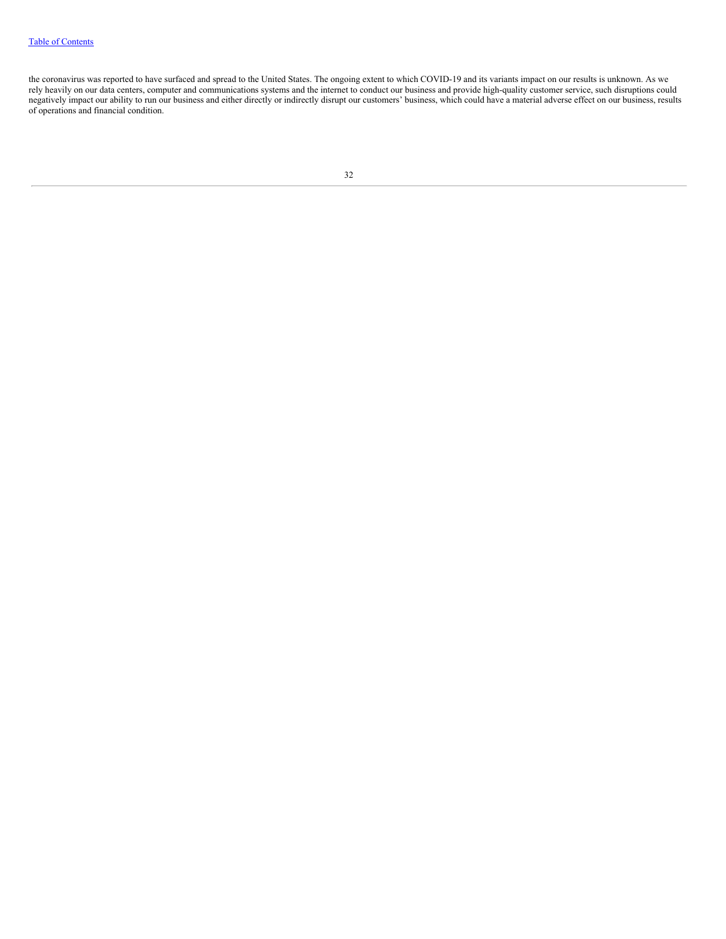the coronavirus was reported to have surfaced and spread to the United States. The ongoing extent to which COVID-19 and its variants impact on our results is unknown. As we rely heavily on our data centers, computer and communications systems and the internet to conduct our business and provide high-quality customer service, such disruptions could negatively impact our ability to run our business and either directly or indirectly disrupt our customers' business, which could have a material adverse effect on our business, results of operations and financial condition.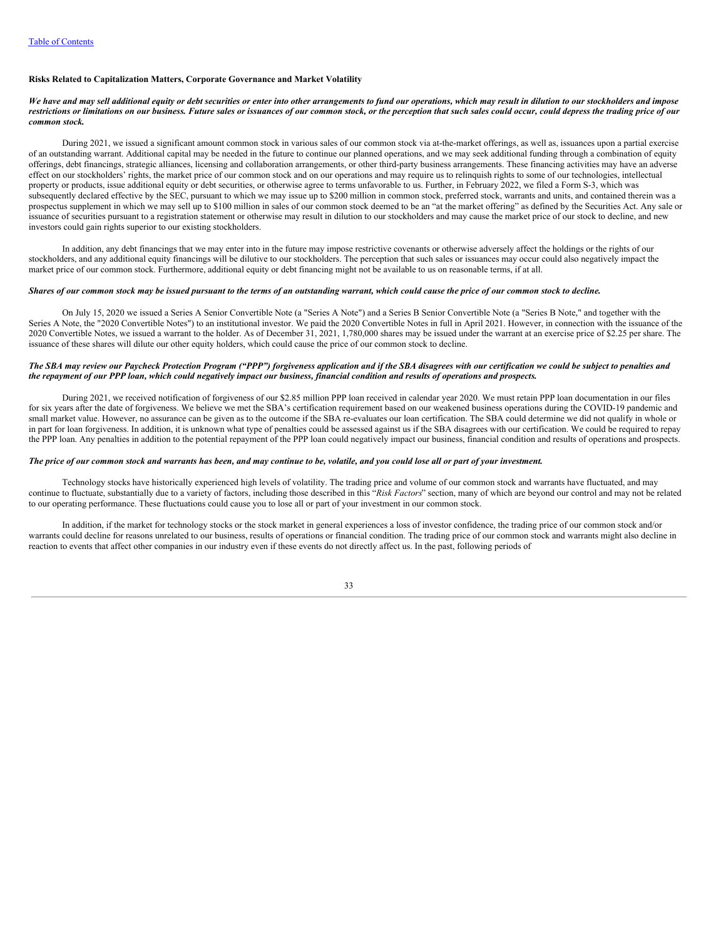#### **Risks Related to Capitalization Matters, Corporate Governance and Market Volatility**

### We have and may sell additional equity or debt securities or enter into other arrangements to fund our operations, which may result in dilution to our stockholders and impose restrictions or limitations on our business. Future sales or issuances of our common stock, or the perception that such sales could occur, could depress the trading price of our *common stock.*

During 2021, we issued a significant amount common stock in various sales of our common stock via at-the-market offerings, as well as, issuances upon a partial exercise of an outstanding warrant. Additional capital may be needed in the future to continue our planned operations, and we may seek additional funding through a combination of equity offerings, debt financings, strategic alliances, licensing and collaboration arrangements, or other third-party business arrangements. These financing activities may have an adverse effect on our stockholders' rights, the market price of our common stock and on our operations and may require us to relinquish rights to some of our technologies, intellectual property or products, issue additional equity or debt securities, or otherwise agree to terms unfavorable to us. Further, in February 2022, we filed a Form S-3, which was subsequently declared effective by the SEC, pursuant to which we may issue up to \$200 million in common stock, preferred stock, warrants and units, and contained therein was a prospectus supplement in which we may sell up to \$100 million in sales of our common stock deemed to be an "at the market offering" as defined by the Securities Act. Any sale or issuance of securities pursuant to a registration statement or otherwise may result in dilution to our stockholders and may cause the market price of our stock to decline, and new investors could gain rights superior to our existing stockholders.

In addition, any debt financings that we may enter into in the future may impose restrictive covenants or otherwise adversely affect the holdings or the rights of our stockholders, and any additional equity financings will be dilutive to our stockholders. The perception that such sales or issuances may occur could also negatively impact the market price of our common stock. Furthermore, additional equity or debt financing might not be available to us on reasonable terms, if at all.

## Shares of our common stock may be issued pursuant to the terms of an outstanding warrant, which could cause the price of our common stock to decline.

On July 15, 2020 we issued a Series A Senior Convertible Note (a "Series A Note") and a Series B Senior Convertible Note (a "Series B Note," and together with the Series A Note, the "2020 Convertible Notes") to an institutional investor. We paid the 2020 Convertible Notes in full in April 2021. However, in connection with the issuance of the 2020 Convertible Notes, we issued a warrant to the holder. As of December 31, 2021, 1,780,000 shares may be issued under the warrant at an exercise price of \$2.25 per share. The issuance of these shares will dilute our other equity holders, which could cause the price of our common stock to decline.

## The SBA may review our Paycheck Protection Program ("PPP") forgiveness application and if the SBA disagrees with our certification we could be subject to penalties and the repayment of our PPP loan, which could negatively impact our business, financial condition and results of operations and prospects.

During 2021, we received notification of forgiveness of our \$2.85 million PPP loan received in calendar year 2020. We must retain PPP loan documentation in our files for six years after the date of forgiveness. We believe we met the SBA's certification requirement based on our weakened business operations during the COVID-19 pandemic and small market value. However, no assurance can be given as to the outcome if the SBA re-evaluates our loan certification. The SBA could determine we did not qualify in whole or in part for loan forgiveness. In addition, it is unknown what type of penalties could be assessed against us if the SBA disagrees with our certification. We could be required to repay the PPP loan. Any penalties in addition to the potential repayment of the PPP loan could negatively impact our business, financial condition and results of operations and prospects.

## The price of our common stock and warrants has been, and may continue to be, volatile, and you could lose all or part of your investment.

Technology stocks have historically experienced high levels of volatility. The trading price and volume of our common stock and warrants have fluctuated, and may continue to fluctuate, substantially due to a variety of factors, including those described in this "*Risk Factors*" section, many of which are beyond our control and may not be related to our operating performance. These fluctuations could cause you to lose all or part of your investment in our common stock.

In addition, if the market for technology stocks or the stock market in general experiences a loss of investor confidence, the trading price of our common stock and/or warrants could decline for reasons unrelated to our business, results of operations or financial condition. The trading price of our common stock and warrants might also decline in reaction to events that affect other companies in our industry even if these events do not directly affect us. In the past, following periods of

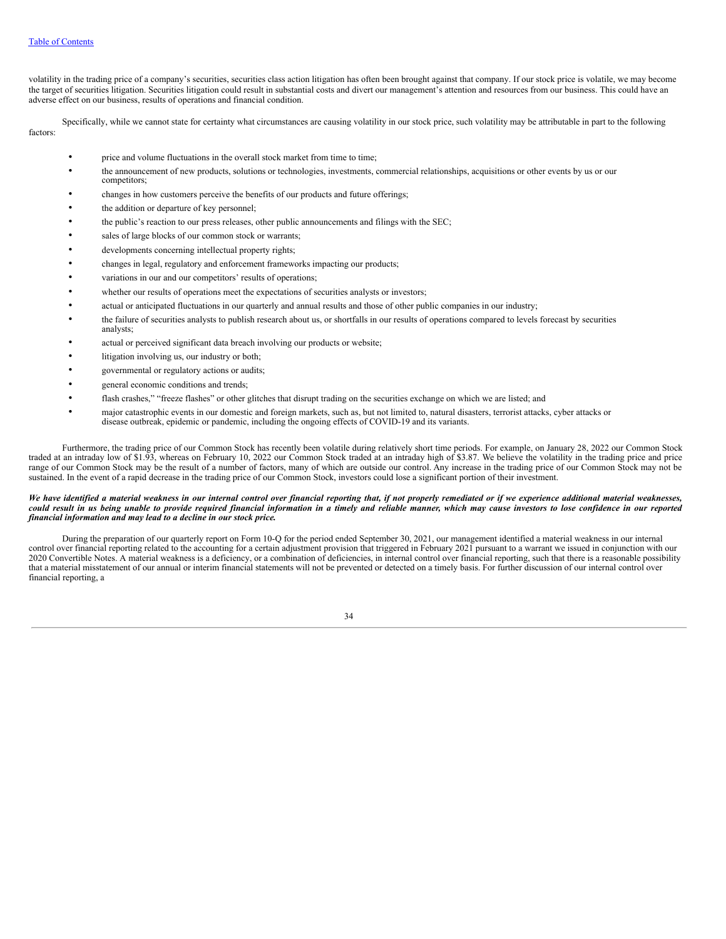volatility in the trading price of a company's securities, securities class action litigation has often been brought against that company. If our stock price is volatile, we may become the target of securities litigation. Securities litigation could result in substantial costs and divert our management's attention and resources from our business. This could have an adverse effect on our business, results of operations and financial condition.

Specifically, while we cannot state for certainty what circumstances are causing volatility in our stock price, such volatility may be attributable in part to the following factors:

- price and volume fluctuations in the overall stock market from time to time;
- the announcement of new products, solutions or technologies, investments, commercial relationships, acquisitions or other events by us or our competitors;
- changes in how customers perceive the benefits of our products and future offerings;
- the addition or departure of key personnel;
- the public's reaction to our press releases, other public announcements and filings with the SEC;
- sales of large blocks of our common stock or warrants;
- developments concerning intellectual property rights;
- changes in legal, regulatory and enforcement frameworks impacting our products;
- variations in our and our competitors' results of operations;
- whether our results of operations meet the expectations of securities analysts or investors;
- actual or anticipated fluctuations in our quarterly and annual results and those of other public companies in our industry;
- the failure of securities analysts to publish research about us, or shortfalls in our results of operations compared to levels forecast by securities analysts;
- actual or perceived significant data breach involving our products or website;
- litigation involving us, our industry or both;
- governmental or regulatory actions or audits;
- general economic conditions and trends;
- flash crashes," "freeze flashes" or other glitches that disrupt trading on the securities exchange on which we are listed; and
- major catastrophic events in our domestic and foreign markets, such as, but not limited to, natural disasters, terrorist attacks, cyber attacks or disease outbreak, epidemic or pandemic, including the ongoing effects of COVID-19 and its variants.

Furthermore, the trading price of our Common Stock has recently been volatile during relatively short time periods. For example, on January 28, 2022 our Common Stock traded at an intraday low of \$1.93, whereas on February 10, 2022 our Common Stock traded at an intraday high of \$3.87. We believe the volatility in the trading price and price range of our Common Stock may be the result of a number of factors, many of which are outside our control. Any increase in the trading price of our Common Stock may not be sustained. In the event of a rapid decrease in the trading price of our Common Stock, investors could lose a significant portion of their investment.

#### We have identified a material weakness in our internal control over financial reporting that, if not properly remediated or if we experience additional material weaknesses, could result in us being unable to provide required financial information in a timely and reliable manner, which may cause investors to lose confidence in our reported *financial information and may lead to a decline in our stock price.*

During the preparation of our quarterly report on Form 10-Q for the period ended September 30, 2021, our management identified a material weakness in our internal control over financial reporting related to the accounting for a certain adjustment provision that triggered in February 2021 pursuant to a warrant we issued in conjunction with our 2020 Convertible Notes. A material weakness is a deficiency, or a combination of deficiencies, in internal control over financial reporting, such that there is a reasonable possibility that a material misstatement of our annual or interim financial statements will not be prevented or detected on a timely basis. For further discussion of our internal control over financial reporting, a

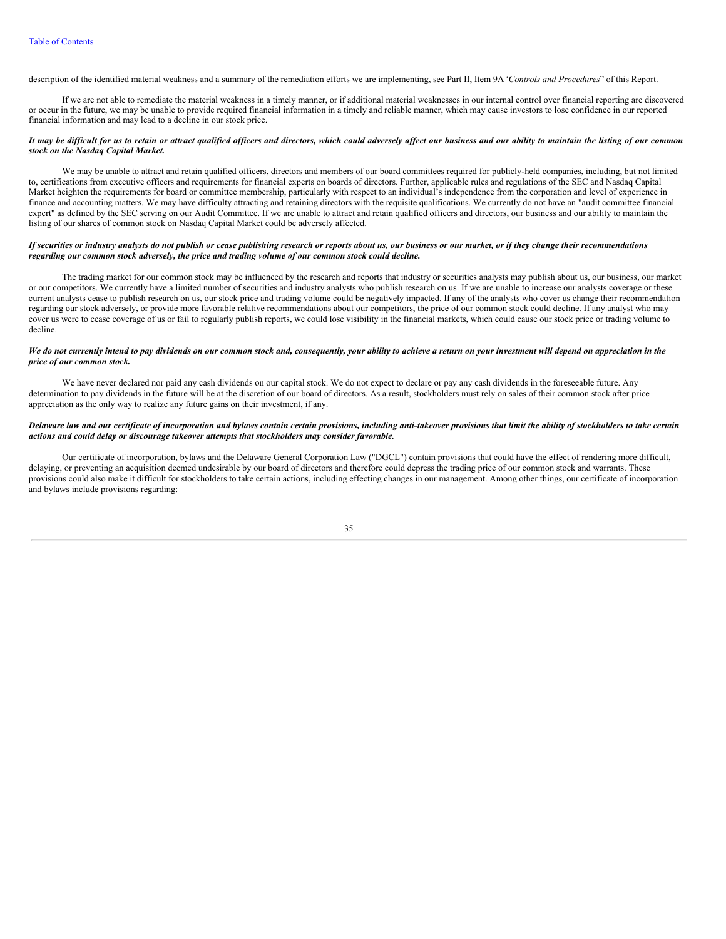description of the identified material weakness and a summary of the remediation efforts we are implementing, see Part II, Item 9A "*Controls and Procedures*" of this Report.

If we are not able to remediate the material weakness in a timely manner, or if additional material weaknesses in our internal control over financial reporting are discovered or occur in the future, we may be unable to provide required financial information in a timely and reliable manner, which may cause investors to lose confidence in our reported financial information and may lead to a decline in our stock price.

### It may be difficult for us to retain or attract qualified officers and directors, which could adversely affect our business and our ability to maintain the listing of our common *stock on the Nasdaq Capital Market.*

We may be unable to attract and retain qualified officers, directors and members of our board committees required for publicly-held companies, including, but not limited to, certifications from executive officers and requirements for financial experts on boards of directors. Further, applicable rules and regulations of the SEC and Nasdaq Capital Market heighten the requirements for board or committee membership, particularly with respect to an individual's independence from the corporation and level of experience in finance and accounting matters. We may have difficulty attracting and retaining directors with the requisite qualifications. We currently do not have an "audit committee financial expert" as defined by the SEC serving on our Audit Committee. If we are unable to attract and retain qualified officers and directors, our business and our ability to maintain the listing of our shares of common stock on Nasdaq Capital Market could be adversely affected.

#### If securities or industry analysts do not publish or cease publishing research or reports about us, our business or our market, or if they change their recommendations *regarding our common stock adversely, the price and trading volume of our common stock could decline.*

The trading market for our common stock may be influenced by the research and reports that industry or securities analysts may publish about us, our business, our market or our competitors. We currently have a limited number of securities and industry analysts who publish research on us. If we are unable to increase our analysts coverage or these current analysts cease to publish research on us, our stock price and trading volume could be negatively impacted. If any of the analysts who cover us change their recommendation regarding our stock adversely, or provide more favorable relative recommendations about our competitors, the price of our common stock could decline. If any analyst who may cover us were to cease coverage of us or fail to regularly publish reports, we could lose visibility in the financial markets, which could cause our stock price or trading volume to decline.

# We do not currently intend to pay dividends on our common stock and, consequently, your ability to achieve a return on your investment will depend on appreciation in the *price of our common stock.*

We have never declared nor paid any cash dividends on our capital stock. We do not expect to declare or pay any cash dividends in the foreseeable future. Any determination to pay dividends in the future will be at the discretion of our board of directors. As a result, stockholders must rely on sales of their common stock after price appreciation as the only way to realize any future gains on their investment, if any.

# Delaware law and our certificate of incorporation and bylaws contain certain provisions, including anti-takeover provisions that limit the ability of stockholders to take certain *actions and could delay or discourage takeover attempts that stockholders may consider favorable.*

Our certificate of incorporation, bylaws and the Delaware General Corporation Law ("DGCL") contain provisions that could have the effect of rendering more difficult, delaying, or preventing an acquisition deemed undesirable by our board of directors and therefore could depress the trading price of our common stock and warrants. These provisions could also make it difficult for stockholders to take certain actions, including effecting changes in our management. Among other things, our certificate of incorporation and bylaws include provisions regarding:

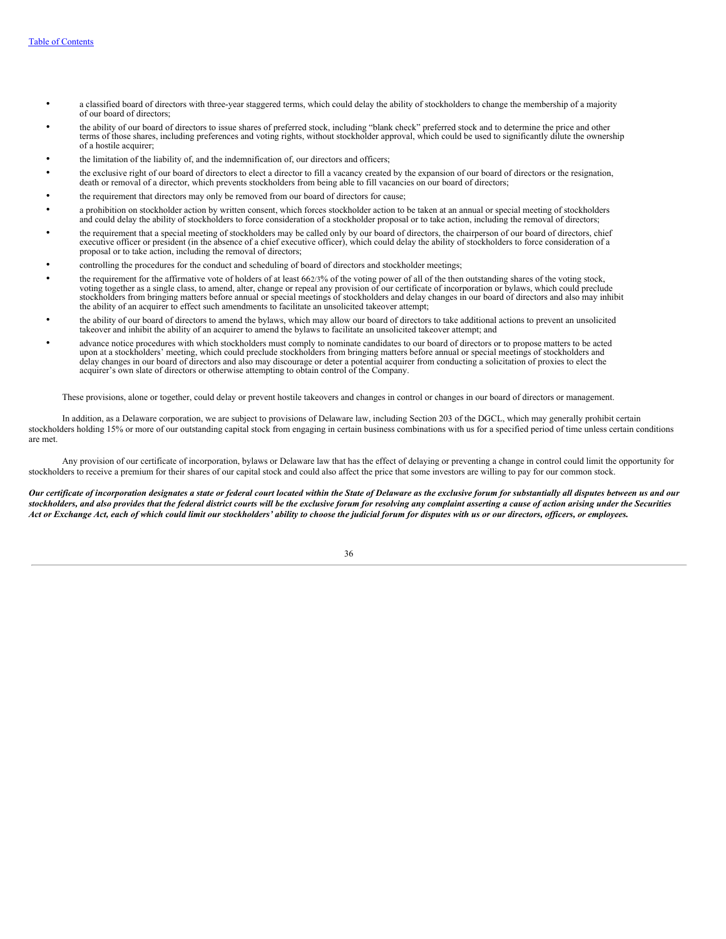- a classified board of directors with three-year staggered terms, which could delay the ability of stockholders to change the membership of a majority of our board of directors;
- the ability of our board of directors to issue shares of preferred stock, including "blank check" preferred stock and to determine the price and other terms of those shares, including preferences and voting rights, without stockholder approval, which could be used to significantly dilute the ownership of a hostile acquirer;
- the limitation of the liability of, and the indemnification of, our directors and officers;
- the exclusive right of our board of directors to elect a director to fill a vacancy created by the expansion of our board of directors or the resignation, death or removal of a director, which prevents stockholders from being able to fill vacancies on our board of directors;
- the requirement that directors may only be removed from our board of directors for cause;
- a prohibition on stockholder action by written consent, which forces stockholder action to be taken at an annual or special meeting of stockholders and could delay the ability of stockholders to force consideration of a stockholder proposal or to take action, including the removal of directors;
- the requirement that a special meeting of stockholders may be called only by our board of directors, the chairperson of our board of directors, chief executive officer or president (in the absence of a chief executive officer), which could delay the ability of stockholders to force consideration of a proposal or to take action, including the removal of directors;
- controlling the procedures for the conduct and scheduling of board of directors and stockholder meetings;
- the requirement for the affirmative vote of holders of at least 662/3% of the voting power of all of the then outstanding shares of the voting stock, voting together as a single class, to amend, alter, change or repeal any provision of our certificate of incorporation or bylaws, which could preclude stockholders from bringing matters before annual or special meetings of stockholders and delay changes in our board of directors and also may inhibit the ability of an acquirer to effect such amendments to facilitate an unsolicited takeover attempt;
- the ability of our board of directors to amend the bylaws, which may allow our board of directors to take additional actions to prevent an unsolicited takeover and inhibit the ability of an acquirer to amend the bylaws t
- advance notice procedures with which stockholders must comply to nominate candidates to our board of directors or to propose matters to be acted upon at a stockholders' meeting, which could preclude stockholders from bringing matters before annual or special meetings of stockholders and delay changes in our board of directors and also may discourage or deter a potential acquirer from conducting a solicitation of proxies to elect the<br>acquirer's own slate of directors or otherwise attempting to obtain contr

These provisions, alone or together, could delay or prevent hostile takeovers and changes in control or changes in our board of directors or management.

In addition, as a Delaware corporation, we are subject to provisions of Delaware law, including Section 203 of the DGCL, which may generally prohibit certain stockholders holding 15% or more of our outstanding capital stock from engaging in certain business combinations with us for a specified period of time unless certain conditions are met.

Any provision of our certificate of incorporation, bylaws or Delaware law that has the effect of delaying or preventing a change in control could limit the opportunity for stockholders to receive a premium for their shares of our capital stock and could also affect the price that some investors are willing to pay for our common stock.

Our certificate of incorporation designates a state or federal court located within the State of Delaware as the exclusive forum for substantially all disputes between us and our stockholders, and also provides that the federal district courts will be the exclusive forum for resolving any complaint asserting a cause of action arising under the Securities Act or Exchange Act, each of which could limit our stockholders' ability to choose the judicial forum for disputes with us or our directors, officers, or employees.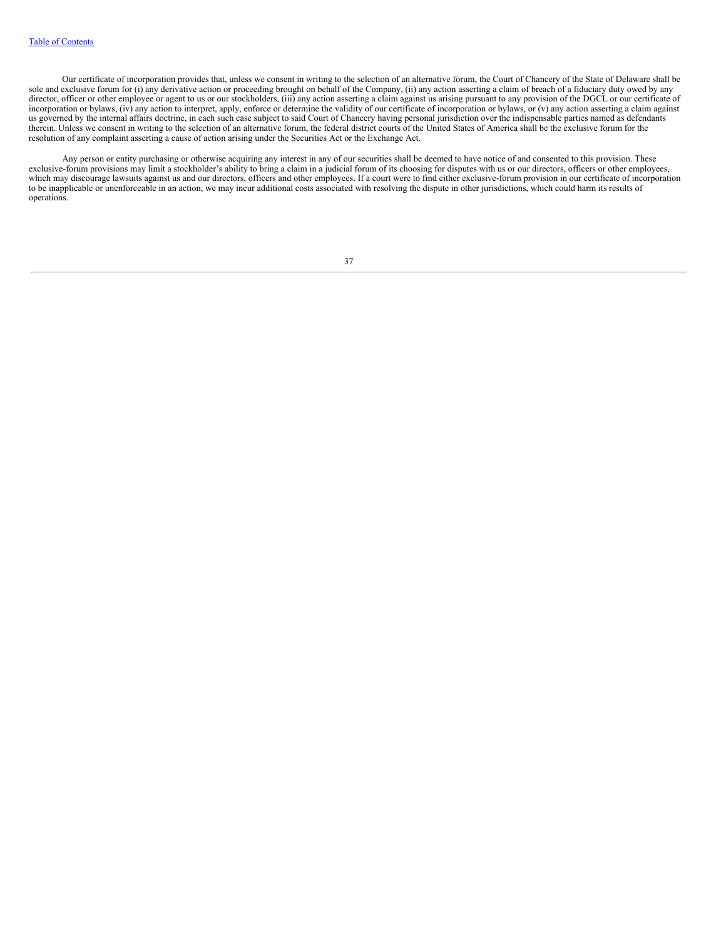Our certificate of incorporation provides that, unless we consent in writing to the selection of an alternative forum, the Court of Chancery of the State of Delaware shall be sole and exclusive forum for (i) any derivative action or proceeding brought on behalf of the Company, (ii) any action asserting a claim of breach of a fiduciary duty owed by any director, officer or other employee or agent to us or our stockholders, (iii) any action asserting a claim against us arising pursuant to any provision of the DGCL or our certificate of incorporation or bylaws, (iv) any action to interpret, apply, enforce or determine the validity of our certificate of incorporation or bylaws, or (v) any action asserting a claim against us governed by the internal affairs doctrine, in each such case subject to said Court of Chancery having personal jurisdiction over the indispensable parties named as defendants therein. Unless we consent in writing to the selection of an alternative forum, the federal district courts of the United States of America shall be the exclusive forum for the resolution of any complaint asserting a cause of action arising under the Securities Act or the Exchange Act.

Any person or entity purchasing or otherwise acquiring any interest in any of our securities shall be deemed to have notice of and consented to this provision. These exclusive-forum provisions may limit a stockholder's ability to bring a claim in a judicial forum of its choosing for disputes with us or our directors, officers or other employees, which may discourage lawsuits against us and our directors, officers and other employees. If a court were to find either exclusive-forum provision in our certificate of incorporation to be inapplicable or unenforceable in an action, we may incur additional costs associated with resolving the dispute in other jurisdictions, which could harm its results of operations.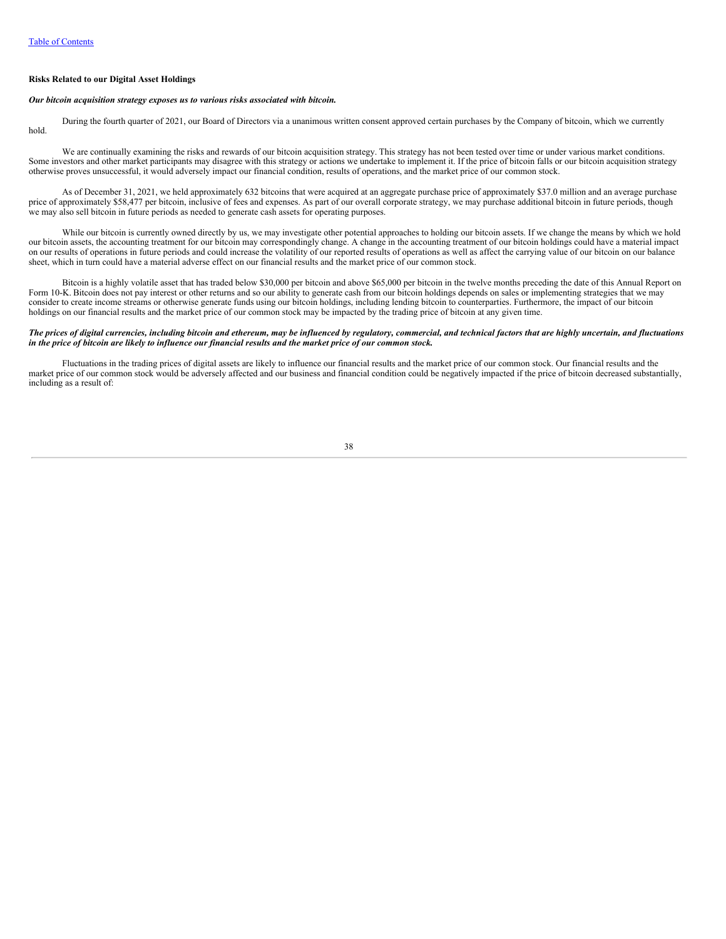### **Risks Related to our Digital Asset Holdings**

#### *Our bitcoin acquisition strategy exposes us to various risks associated with bitcoin.*

During the fourth quarter of 2021, our Board of Directors via a unanimous written consent approved certain purchases by the Company of bitcoin, which we currently hold.

We are continually examining the risks and rewards of our bitcoin acquisition strategy. This strategy has not been tested over time or under various market conditions. Some investors and other market participants may disagree with this strategy or actions we undertake to implement it. If the price of bitcoin falls or our bitcoin acquisition strategy otherwise proves unsuccessful, it would adversely impact our financial condition, results of operations, and the market price of our common stock.

As of December 31, 2021, we held approximately 632 bitcoins that were acquired at an aggregate purchase price of approximately \$37.0 million and an average purchase price of approximately \$58,477 per bitcoin, inclusive of fees and expenses. As part of our overall corporate strategy, we may purchase additional bitcoin in future periods, though we may also sell bitcoin in future periods as needed to generate cash assets for operating purposes.

While our bitcoin is currently owned directly by us, we may investigate other potential approaches to holding our bitcoin assets. If we change the means by which we hold our bitcoin assets, the accounting treatment for our bitcoin may correspondingly change. A change in the accounting treatment of our bitcoin holdings could have a material impact on our results of operations in future periods and could increase the volatility of our reported results of operations as well as affect the carrying value of our bitcoin on our balance sheet, which in turn could have a material adverse effect on our financial results and the market price of our common stock.

Bitcoin is a highly volatile asset that has traded below \$30,000 per bitcoin and above \$65,000 per bitcoin in the twelve months preceding the date of this Annual Report on Form 10-K. Bitcoin does not pay interest or other returns and so our ability to generate cash from our bitcoin holdings depends on sales or implementing strategies that we may consider to create income streams or otherwise generate funds using our bitcoin holdings, including lending bitcoin to counterparties. Furthermore, the impact of our bitcoin holdings on our financial results and the market price of our common stock may be impacted by the trading price of bitcoin at any given time.

# The prices of digital currencies, including bitcoin and ethereum, may be influenced by regulatory, commercial, and technical factors that are highly uncertain, and fluctuations in the price of bitcoin are likely to influence our financial results and the market price of our common stock.

Fluctuations in the trading prices of digital assets are likely to influence our financial results and the market price of our common stock. Our financial results and the market price of our common stock would be adversely affected and our business and financial condition could be negatively impacted if the price of bitcoin decreased substantially, including as a result of: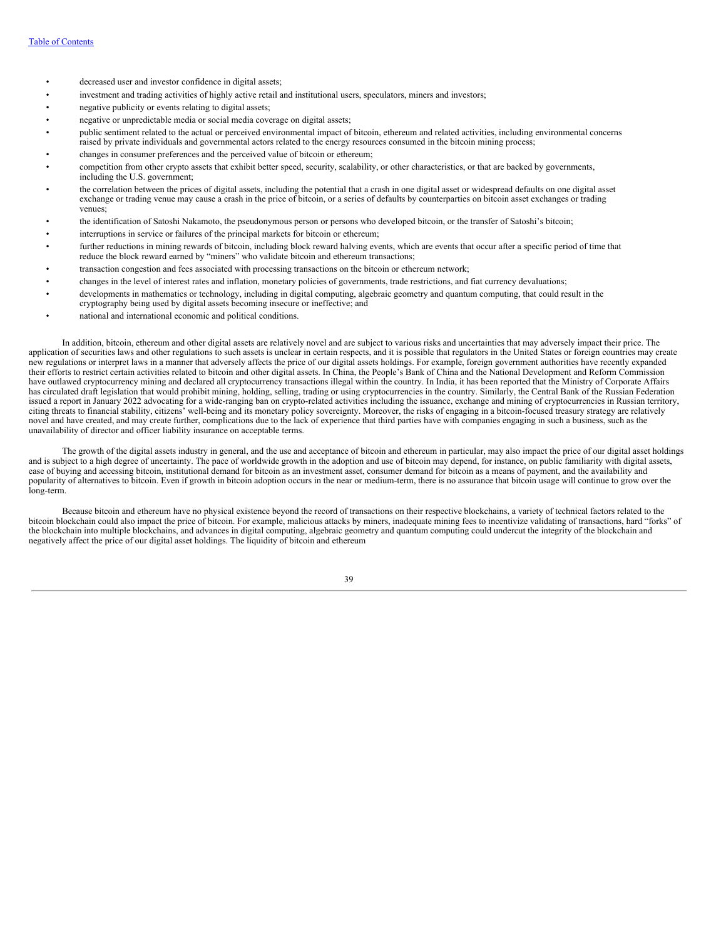- decreased user and investor confidence in digital assets;
- investment and trading activities of highly active retail and institutional users, speculators, miners and investors;
- negative publicity or events relating to digital assets:
- negative or unpredictable media or social media coverage on digital assets;
- public sentiment related to the actual or perceived environmental impact of bitcoin, ethereum and related activities, including environmental concerns raised by private individuals and governmental actors related to the energy resources consumed in the bitcoin mining process;
- changes in consumer preferences and the perceived value of bitcoin or ethereum;
- competition from other crypto assets that exhibit better speed, security, scalability, or other characteristics, or that are backed by governments, including the U.S. government;
- the correlation between the prices of digital assets, including the potential that a crash in one digital asset or widespread defaults on one digital asset exchange or trading venue may cause a crash in the price of bitcoin, or a series of defaults by counterparties on bitcoin asset exchanges or trading venues;
- the identification of Satoshi Nakamoto, the pseudonymous person or persons who developed bitcoin, or the transfer of Satoshi's bitcoin;
- interruptions in service or failures of the principal markets for bitcoin or ethereum;
- further reductions in mining rewards of bitcoin, including block reward halving events, which are events that occur after a specific period of time that reduce the block reward earned by "miners" who validate bitcoin and ethereum transactions;
- transaction congestion and fees associated with processing transactions on the bitcoin or ethereum network;
- changes in the level of interest rates and inflation, monetary policies of governments, trade restrictions, and fiat currency devaluations;
- developments in mathematics or technology, including in digital computing, algebraic geometry and quantum computing, that could result in the cryptography being used by digital assets becoming insecure or ineffective; and
- national and international economic and political conditions.

In addition, bitcoin, ethereum and other digital assets are relatively novel and are subject to various risks and uncertainties that may adversely impact their price. The application of securities laws and other regulations to such assets is unclear in certain respects, and it is possible that regulators in the United States or foreign countries may create new regulations or interpret laws in a manner that adversely affects the price of our digital assets holdings. For example, foreign government authorities have recently expanded their efforts to restrict certain activities related to bitcoin and other digital assets. In China, the People's Bank of China and the National Development and Reform Commission have outlawed cryptocurrency mining and declared all cryptocurrency transactions illegal within the country. In India, it has been reported that the Ministry of Corporate Affairs has circulated draft legislation that would prohibit mining, holding, selling, trading or using cryptocurrencies in the country. Similarly, the Central Bank of the Russian Federation issued a report in January 2022 advocating for a wide-ranging ban on crypto-related activities including the issuance, exchange and mining of cryptocurrencies in Russian territory, citing threats to financial stability, citizens' well-being and its monetary policy sovereignty. Moreover, the risks of engaging in a bitcoin-focused treasury strategy are relatively novel and have created, and may create further, complications due to the lack of experience that third parties have with companies engaging in such a business, such as the unavailability of director and officer liability insurance on acceptable terms.

The growth of the digital assets industry in general, and the use and acceptance of bitcoin and ethereum in particular, may also impact the price of our digital asset holdings and is subject to a high degree of uncertainty. The pace of worldwide growth in the adoption and use of bitcoin may depend, for instance, on public familiarity with digital assets, ease of buying and accessing bitcoin, institutional demand for bitcoin as an investment asset, consumer demand for bitcoin as a means of payment, and the availability and popularity of alternatives to bitcoin. Even if growth in bitcoin adoption occurs in the near or medium-term, there is no assurance that bitcoin usage will continue to grow over the long-term.

Because bitcoin and ethereum have no physical existence beyond the record of transactions on their respective blockchains, a variety of technical factors related to the bitcoin blockchain could also impact the price of bitcoin. For example, malicious attacks by miners, inadequate mining fees to incentivize validating of transactions, hard "forks" of the blockchain into multiple blockchains, and advances in digital computing, algebraic geometry and quantum computing could undercut the integrity of the blockchain and negatively affect the price of our digital asset holdings. The liquidity of bitcoin and ethereum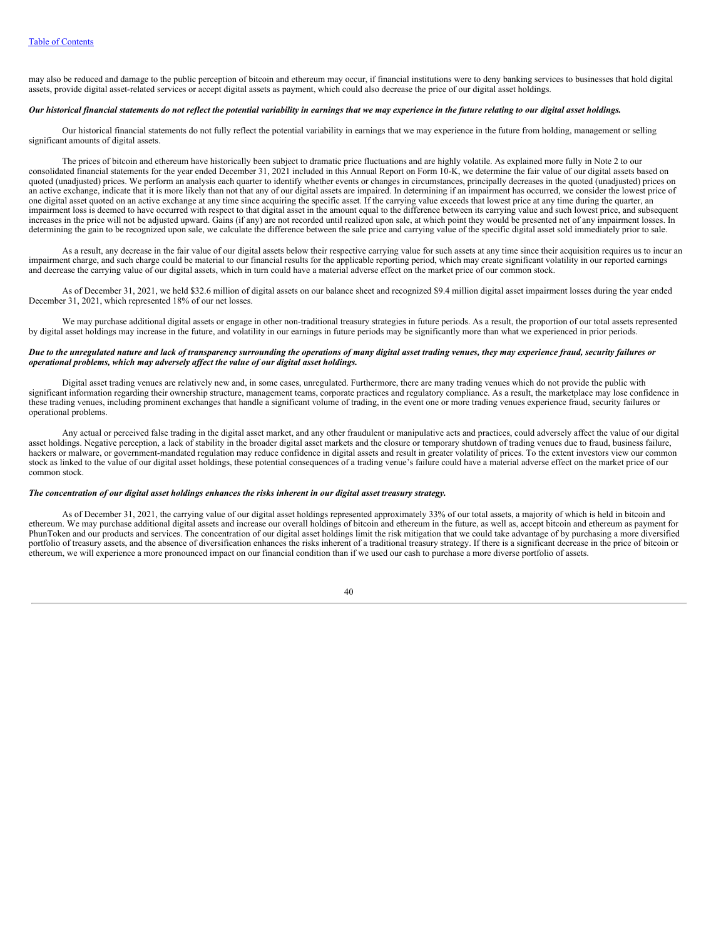may also be reduced and damage to the public perception of bitcoin and ethereum may occur, if financial institutions were to deny banking services to businesses that hold digital assets, provide digital asset-related services or accept digital assets as payment, which could also decrease the price of our digital asset holdings.

# Our historical financial statements do not reflect the potential variability in earnings that we may experience in the future relating to our digital asset holdings.

Our historical financial statements do not fully reflect the potential variability in earnings that we may experience in the future from holding, management or selling significant amounts of digital assets.

The prices of bitcoin and ethereum have historically been subject to dramatic price fluctuations and are highly volatile. As explained more fully in Note 2 to our consolidated financial statements for the year ended December 31, 2021 included in this Annual Report on Form 10-K, we determine the fair value of our digital assets based on quoted (unadjusted) prices. We perform an analysis each quarter to identify whether events or changes in circumstances, principally decreases in the quoted (unadjusted) prices on an active exchange, indicate that it is more likely than not that any of our digital assets are impaired. In determining if an impairment has occurred, we consider the lowest price of one digital asset quoted on an active exchange at any time since acquiring the specific asset. If the carrying value exceeds that lowest price at any time during the quarter, an impairment loss is deemed to have occurred with respect to that digital asset in the amount equal to the difference between its carrying value and such lowest price, and subsequent increases in the price will not be adjusted upward. Gains (if any) are not recorded until realized upon sale, at which point they would be presented net of any impairment losses. In determining the gain to be recognized upon sale, we calculate the difference between the sale price and carrying value of the specific digital asset sold immediately prior to sale.

As a result, any decrease in the fair value of our digital assets below their respective carrying value for such assets at any time since their acquisition requires us to incur an impairment charge, and such charge could be material to our financial results for the applicable reporting period, which may create significant volatility in our reported earnings and decrease the carrying value of our digital assets, which in turn could have a material adverse effect on the market price of our common stock.

As of December 31, 2021, we held \$32.6 million of digital assets on our balance sheet and recognized \$9.4 million digital asset impairment losses during the year ended December 31, 2021, which represented 18% of our net losses.

We may purchase additional digital assets or engage in other non-traditional treasury strategies in future periods. As a result, the proportion of our total assets represented by digital asset holdings may increase in the future, and volatility in our earnings in future periods may be significantly more than what we experienced in prior periods.

#### Due to the unregulated nature and lack of transparency surrounding the operations of many digital asset trading venues, they may experience fraud, security failures or *operational problems, which may adversely af ect the value of our digital asset holdings.*

Digital asset trading venues are relatively new and, in some cases, unregulated. Furthermore, there are many trading venues which do not provide the public with significant information regarding their ownership structure, management teams, corporate practices and regulatory compliance. As a result, the marketplace may lose confidence in these trading venues, including prominent exchanges that handle a significant volume of trading, in the event one or more trading venues experience fraud, security failures or operational problems.

Any actual or perceived false trading in the digital asset market, and any other fraudulent or manipulative acts and practices, could adversely affect the value of our digital asset holdings. Negative perception, a lack of stability in the broader digital asset markets and the closure or temporary shutdown of trading venues due to fraud, business failure, hackers or malware, or government-mandated regulation may reduce confidence in digital assets and result in greater volatility of prices. To the extent investors view our common stock as linked to the value of our digital asset holdings, these potential consequences of a trading venue's failure could have a material adverse effect on the market price of our common stock.

#### The concentration of our digital asset holdings enhances the risks inherent in our digital asset treasury strategy.

As of December 31, 2021, the carrying value of our digital asset holdings represented approximately 33% of our total assets, a majority of which is held in bitcoin and ethereum. We may purchase additional digital assets and increase our overall holdings of bitcoin and ethereum in the future, as well as, accept bitcoin and ethereum as payment for PhunToken and our products and services. The concentration of our digital asset holdings limit the risk mitigation that we could take advantage of by purchasing a more diversified portfolio of treasury assets, and the absence of diversification enhances the risks inherent of a traditional treasury strategy. If there is a significant decrease in the price of bitcoin or ethereum, we will experience a more pronounced impact on our financial condition than if we used our cash to purchase a more diverse portfolio of assets.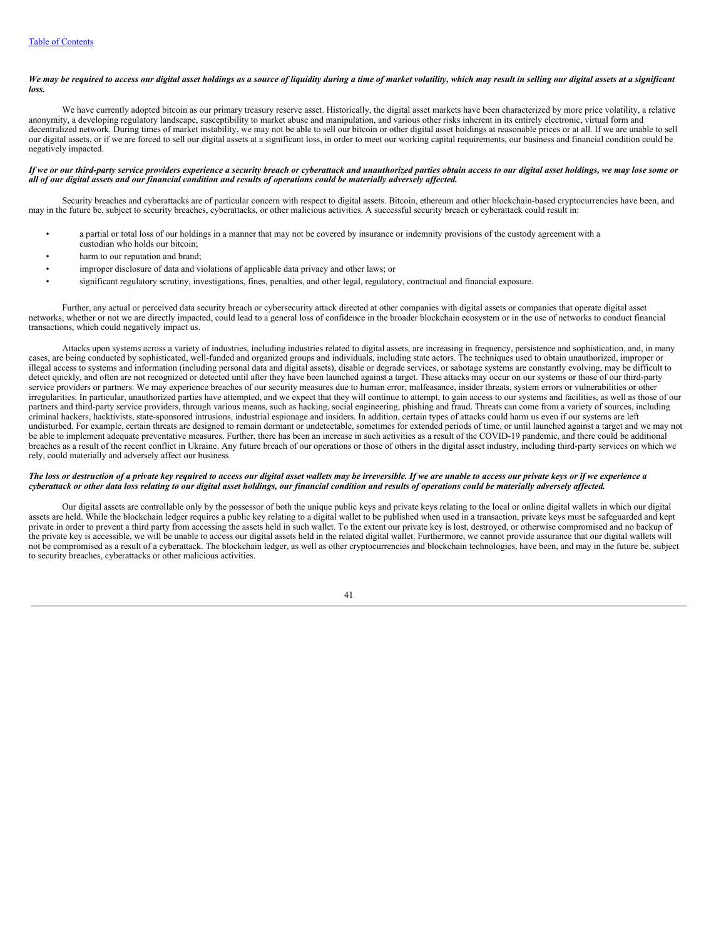#### We may be required to access our digital asset holdings as a source of liquidity during a time of market volatility, which may result in selling our digital assets at a significant *loss.*

We have currently adopted bitcoin as our primary treasury reserve asset. Historically, the digital asset markets have been characterized by more price volatility, a relative anonymity, a developing regulatory landscape, susceptibility to market abuse and manipulation, and various other risks inherent in its entirely electronic, virtual form and decentralized network. During times of market instability, we may not be able to sell our bitcoin or other digital asset holdings at reasonable prices or at all. If we are unable to sell our digital assets, or if we are forced to sell our digital assets at a significant loss, in order to meet our working capital requirements, our business and financial condition could be negatively impacted.

### If we or our third-party service providers experience a security breach or cyberattack and unauthorized parties obtain access to our digital asset holdings, we may lose some or all of our divital assets and our financial condition and results of operations could be materially adversely affected.

Security breaches and cyberattacks are of particular concern with respect to digital assets. Bitcoin, ethereum and other blockchain-based cryptocurrencies have been, and may in the future be, subject to security breaches, cyberattacks, or other malicious activities. A successful security breach or cyberattack could result in:

- a partial or total loss of our holdings in a manner that may not be covered by insurance or indemnity provisions of the custody agreement with a custodian who holds our bitcoin;
- harm to our reputation and brand;
- improper disclosure of data and violations of applicable data privacy and other laws; or
- significant regulatory scrutiny, investigations, fines, penalties, and other legal, regulatory, contractual and financial exposure.

Further, any actual or perceived data security breach or cybersecurity attack directed at other companies with digital assets or companies that operate digital asset networks, whether or not we are directly impacted, could lead to a general loss of confidence in the broader blockchain ecosystem or in the use of networks to conduct financial transactions, which could negatively impact us.

Attacks upon systems across a variety of industries, including industries related to digital assets, are increasing in frequency, persistence and sophistication, and, in many cases, are being conducted by sophisticated, well-funded and organized groups and individuals, including state actors. The techniques used to obtain unauthorized, improper or illegal access to systems and information (including personal data and digital assets), disable or degrade services, or sabotage systems are constantly evolving, may be difficult to detect quickly, and often are not recognized or detected until after they have been launched against a target. These attacks may occur on our systems or those of our third-party service providers or partners. We may experience breaches of our security measures due to human error, malfeasance, insider threats, system errors or vulnerabilities or other irregularities. In particular, unauthorized parties have attempted, and we expect that they will continue to attempt, to gain access to our systems and facilities, as well as those of our partners and third-party service providers, through various means, such as hacking, social engineering, phishing and fraud. Threats can come from a variety of sources, including criminal hackers, hacktivists, state-sponsored intrusions, industrial espionage and insiders. In addition, certain types of attacks could harm us even if our systems are left undisturbed. For example, certain threats are designed to remain dormant or undetectable, sometimes for extended periods of time, or until launched against a target and we may not be able to implement adequate preventative measures. Further, there has been an increase in such activities as a result of the COVID-19 pandemic, and there could be additional breaches as a result of the recent conflict in Ukraine. Any future breach of our operations or those of others in the digital asset industry, including third-party services on which we rely, could materially and adversely affect our business.

### The loss or destruction of a private key required to access our digital asset wallets may be irreversible. If we are unable to access our private keys or if we experience a cyberattack or other data loss relating to our digital asset holdings, our financial condition and results of operations could be materially adversely affected.

Our digital assets are controllable only by the possessor of both the unique public keys and private keys relating to the local or online digital wallets in which our digital assets are held. While the blockchain ledger requires a public key relating to a digital wallet to be published when used in a transaction, private keys must be safeguarded and kept private in order to prevent a third party from accessing the assets held in such wallet. To the extent our private key is lost, destroyed, or otherwise compromised and no backup of the private key is accessible, we will be unable to access our digital assets held in the related digital wallet. Furthermore, we cannot provide assurance that our digital wallets will not be compromised as a result of a cyberattack. The blockchain ledger, as well as other cryptocurrencies and blockchain technologies, have been, and may in the future be, subject to security breaches, cyberattacks or other malicious activities.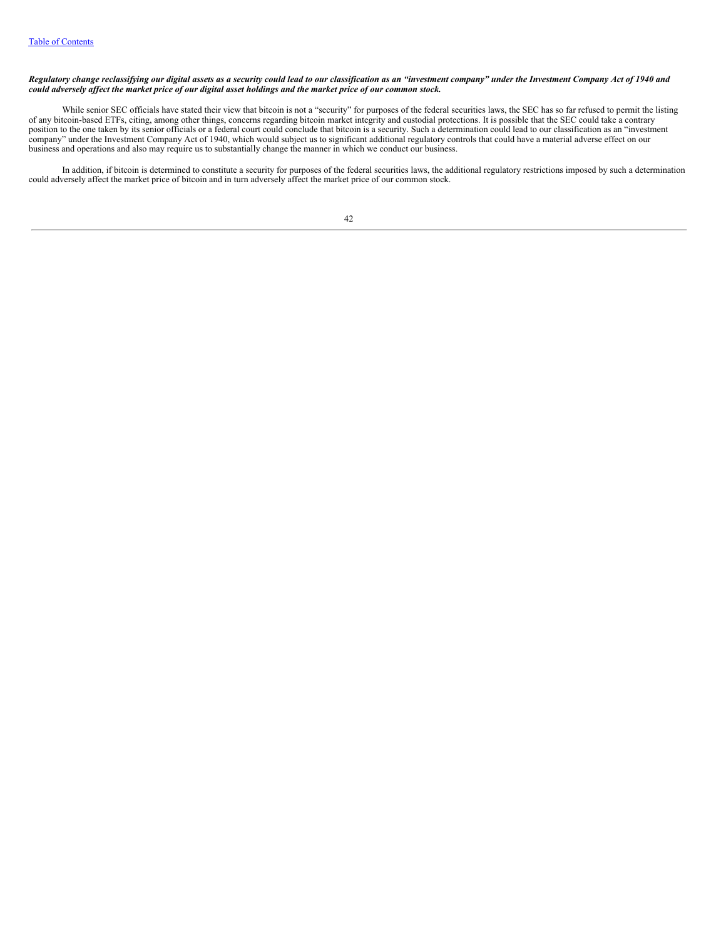#### Regulatory change reclassifying our digital assets as a security could lead to our classification as an "investment company" under the Investment Company Act of 1940 and could adversely affect the market price of our digital asset holdings and the market price of our common stock.

While senior SEC officials have stated their view that bitcoin is not a "security" for purposes of the federal securities laws, the SEC has so far refused to permit the listing of any bitcoin-based ETFs, citing, among other things, concerns regarding bitcoin market integrity and custodial protections. It is possible that the SEC could take a contrary position to the one taken by its senior officials or a federal court could conclude that bitcoin is a security. Such a determination could lead to our classification as an "investment company" under the Investment Company Act of 1940, which would subject us to significant additional regulatory controls that could have a material adverse effect on our business and operations and also may require us to substantially change the manner in which we conduct our business.

In addition, if bitcoin is determined to constitute a security for purposes of the federal securities laws, the additional regulatory restrictions imposed by such a determination could adversely affect the market price of bitcoin and in turn adversely affect the market price of our common stock.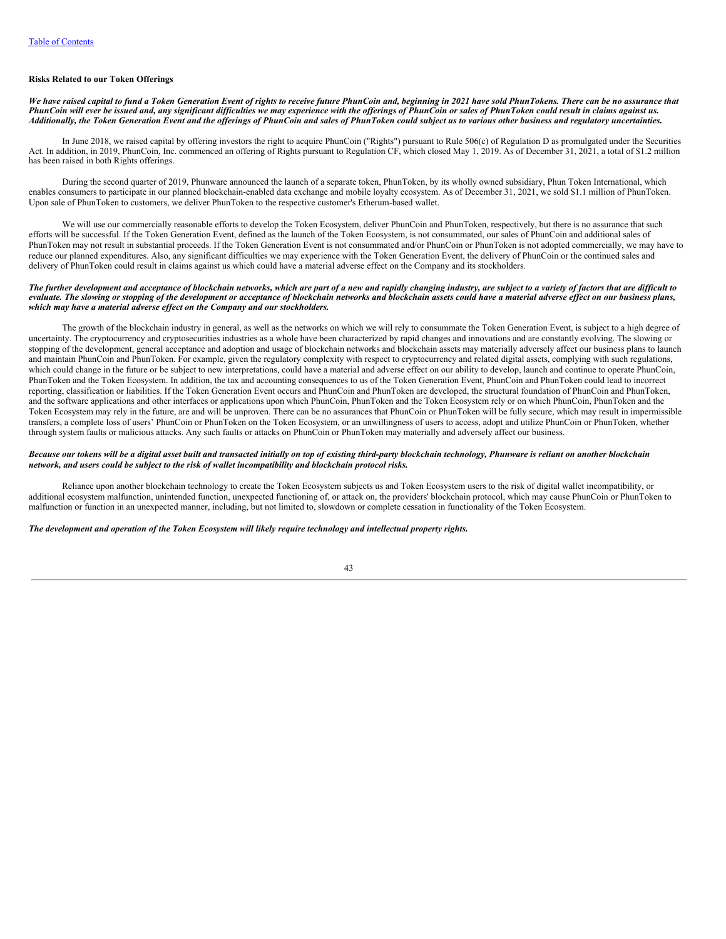# **Risks Related to our Token Offerings**

We have raised capital to fund a Token Generation Event of rights to receive future PhunCoin and, beginning in 2021 have sold PhunTokens. There can be no assurance that PhunCoin will ever be issued and, any significant difficulties we may experience with the offerings of PhunCoin or sales of PhunToken could result in claims against us. Additionally, the Token Generation Event and the offerings of PhunCoin and sales of PhunToken could subject us to various other business and regulatory uncertainties.

In June 2018, we raised capital by offering investors the right to acquire PhunCoin ("Rights") pursuant to Rule 506(c) of Regulation D as promulgated under the Securities Act. In addition, in 2019, PhunCoin, Inc. commenced an offering of Rights pursuant to Regulation CF, which closed May 1, 2019. As of December 31, 2021, a total of \$1.2 million has been raised in both Rights offerings.

During the second quarter of 2019, Phunware announced the launch of a separate token, PhunToken, by its wholly owned subsidiary, Phun Token International, which enables consumers to participate in our planned blockchain-enabled data exchange and mobile loyalty ecosystem. As of December 31, 2021, we sold \$1.1 million of PhunToken. Upon sale of PhunToken to customers, we deliver PhunToken to the respective customer's Etherum-based wallet.

We will use our commercially reasonable efforts to develop the Token Ecosystem, deliver PhunCoin and PhunToken, respectively, but there is no assurance that such efforts will be successful. If the Token Generation Event, defined as the launch of the Token Ecosystem, is not consummated, our sales of PhunCoin and additional sales of PhunToken may not result in substantial proceeds. If the Token Generation Event is not consummated and/or PhunCoin or PhunToken is not adopted commercially, we may have to reduce our planned expenditures. Also, any significant difficulties we may experience with the Token Generation Event, the delivery of PhunCoin or the continued sales and delivery of PhunToken could result in claims against us which could have a material adverse effect on the Company and its stockholders.

#### The further development and acceptance of blockchain networks, which are part of a new and rapidly changing industry, are subject to a variety of factors that are difficult to evaluate. The slowing or stopping of the development or acceptance of blockchain networks and blockchain assets could have a material adverse effect on our business plans, *which may have a material adverse ef ect on the Company and our stockholders.*

The growth of the blockchain industry in general, as well as the networks on which we will rely to consummate the Token Generation Event, is subject to a high degree of uncertainty. The cryptocurrency and cryptosecurities industries as a whole have been characterized by rapid changes and innovations and are constantly evolving. The slowing or stopping of the development, general acceptance and adoption and usage of blockchain networks and blockchain assets may materially adversely affect our business plans to launch and maintain PhunCoin and PhunToken. For example, given the regulatory complexity with respect to cryptocurrency and related digital assets, complying with such regulations, which could change in the future or be subject to new interpretations, could have a material and adverse effect on our ability to develop, launch and continue to operate PhunCoin, PhunToken and the Token Ecosystem. In addition, the tax and accounting consequences to us of the Token Generation Event, PhunCoin and PhunToken could lead to incorrect reporting, classification or liabilities. If the Token Generation Event occurs and PhunCoin and PhunToken are developed, the structural foundation of PhunCoin and PhunToken, and the software applications and other interfaces or applications upon which PhunCoin, PhunToken and the Token Ecosystem rely or on which PhunCoin, PhunToken and the Token Ecosystem may rely in the future, are and will be unproven. There can be no assurances that PhunCoin or PhunToken will be fully secure, which may result in impermissible transfers, a complete loss of users' PhunCoin or PhunToken on the Token Ecosystem, or an unwillingness of users to access, adopt and utilize PhunCoin or PhunToken, whether through system faults or malicious attacks. Any such faults or attacks on PhunCoin or PhunToken may materially and adversely affect our business.

# Because our tokens will be a digital asset built and transacted initially on top of existing third-party blockchain technology, Phunware is reliant on another blockchain *network, and users could be subject to the risk of wallet incompatibility and blockchain protocol risks.*

Reliance upon another blockchain technology to create the Token Ecosystem subjects us and Token Ecosystem users to the risk of digital wallet incompatibility, or additional ecosystem malfunction, unintended function, unexpected functioning of, or attack on, the providers' blockchain protocol, which may cause PhunCoin or PhunToken to malfunction or function in an unexpected manner, including, but not limited to, slowdown or complete cessation in functionality of the Token Ecosystem.

The development and operation of the Token Ecosystem will likely require technology and intellectual property rights.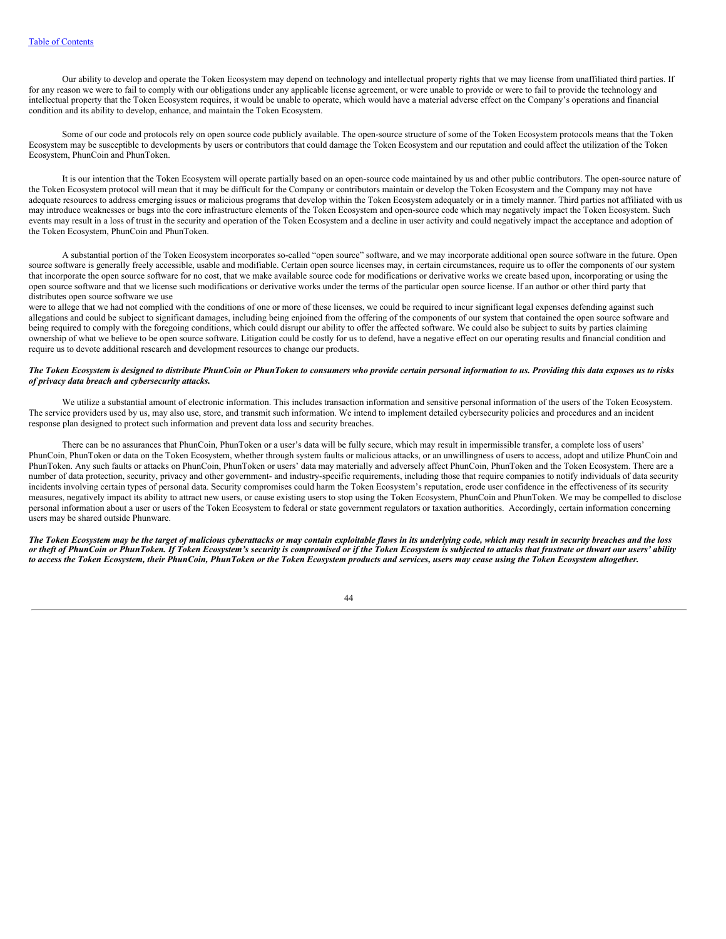Our ability to develop and operate the Token Ecosystem may depend on technology and intellectual property rights that we may license from unaffiliated third parties. If for any reason we were to fail to comply with our obligations under any applicable license agreement, or were unable to provide or were to fail to provide the technology and intellectual property that the Token Ecosystem requires, it would be unable to operate, which would have a material adverse effect on the Company's operations and financial condition and its ability to develop, enhance, and maintain the Token Ecosystem.

Some of our code and protocols rely on open source code publicly available. The open-source structure of some of the Token Ecosystem protocols means that the Token Ecosystem may be susceptible to developments by users or contributors that could damage the Token Ecosystem and our reputation and could affect the utilization of the Token Ecosystem, PhunCoin and PhunToken.

It is our intention that the Token Ecosystem will operate partially based on an open-source code maintained by us and other public contributors. The open-source nature of the Token Ecosystem protocol will mean that it may be difficult for the Company or contributors maintain or develop the Token Ecosystem and the Company may not have adequate resources to address emerging issues or malicious programs that develop within the Token Ecosystem adequately or in a timely manner. Third parties not affiliated with us may introduce weaknesses or bugs into the core infrastructure elements of the Token Ecosystem and open-source code which may negatively impact the Token Ecosystem. Such events may result in a loss of trust in the security and operation of the Token Ecosystem and a decline in user activity and could negatively impact the acceptance and adoption of the Token Ecosystem, PhunCoin and PhunToken.

A substantial portion of the Token Ecosystem incorporates so-called "open source" software, and we may incorporate additional open source software in the future. Open source software is generally freely accessible, usable and modifiable. Certain open source licenses may, in certain circumstances, require us to offer the components of our system that incorporate the open source software for no cost, that we make available source code for modifications or derivative works we create based upon, incorporating or using the open source software and that we license such modifications or derivative works under the terms of the particular open source license. If an author or other third party that distributes open source software we use

were to allege that we had not complied with the conditions of one or more of these licenses, we could be required to incur significant legal expenses defending against such allegations and could be subject to significant damages, including being enjoined from the offering of the components of our system that contained the open source software and being required to comply with the foregoing conditions, which could disrupt our ability to offer the affected software. We could also be subject to suits by parties claiming ownership of what we believe to be open source software. Litigation could be costly for us to defend, have a negative effect on our operating results and financial condition and require us to devote additional research and development resources to change our products.

## The Token Ecosystem is designed to distribute PhunCoin or PhunToken to consumers who provide certain personal information to us. Providing this data exposes us to risks *of privacy data breach and cybersecurity attacks.*

We utilize a substantial amount of electronic information. This includes transaction information and sensitive personal information of the users of the Token Ecosystem. The service providers used by us, may also use, store, and transmit such information. We intend to implement detailed cybersecurity policies and procedures and an incident response plan designed to protect such information and prevent data loss and security breaches.

There can be no assurances that PhunCoin, PhunToken or a user's data will be fully secure, which may result in impermissible transfer, a complete loss of users' PhunCoin, PhunToken or data on the Token Ecosystem, whether through system faults or malicious attacks, or an unwillingness of users to access, adopt and utilize PhunCoin and PhunToken. Any such faults or attacks on PhunCoin, PhunToken or users' data may materially and adversely affect PhunCoin, PhunToken and the Token Ecosystem. There are a number of data protection, security, privacy and other government- and industry-specific requirements, including those that require companies to notify individuals of data security incidents involving certain types of personal data. Security compromises could harm the Token Ecosystem's reputation, erode user confidence in the effectiveness of its security measures, negatively impact its ability to attract new users, or cause existing users to stop using the Token Ecosystem, PhunCoin and PhunToken. We may be compelled to disclose personal information about a user or users of the Token Ecosystem to federal or state government regulators or taxation authorities. Accordingly, certain information concerning users may be shared outside Phunware.

The Token Ecosystem may be the target of malicious cyberattacks or may contain exploitable flaws in its underlying code, which may result in security breaches and the loss or theft of PhunCoin or PhunToken. If Token Ecosystem's security is compromised or if the Token Ecosystem is subjected to attacks that frustrate or thwart our users' ability to access the Token Ecosystem, their PhunCoin, PhunToken or the Token Ecosystem products and services, users may cease using the Token Ecosystem altogether.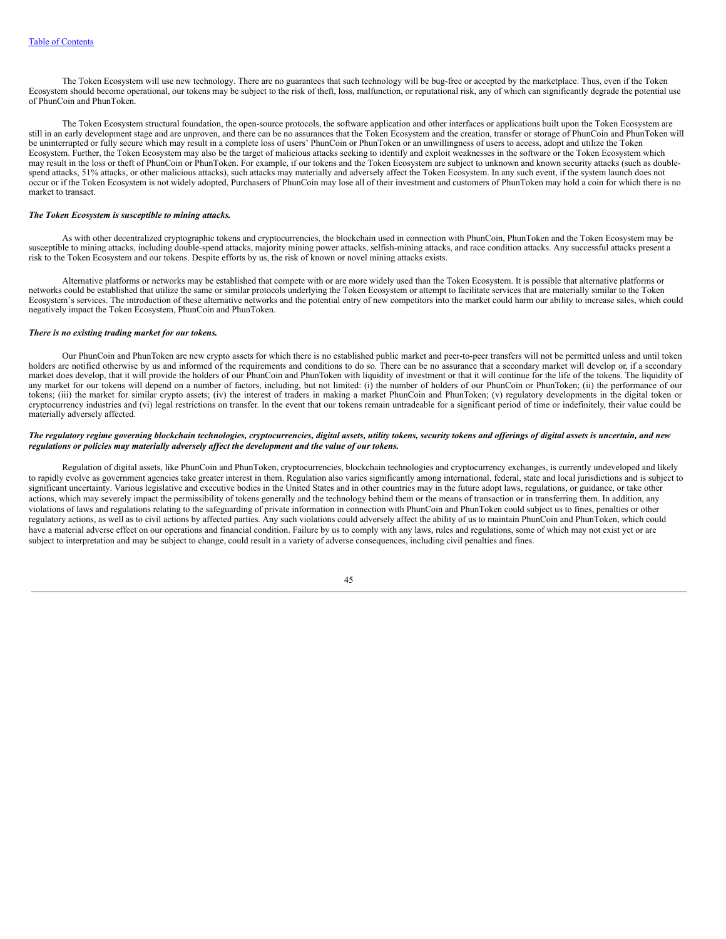The Token Ecosystem will use new technology. There are no guarantees that such technology will be bug-free or accepted by the marketplace. Thus, even if the Token Ecosystem should become operational, our tokens may be subject to the risk of theft, loss, malfunction, or reputational risk, any of which can significantly degrade the potential use of PhunCoin and PhunToken.

The Token Ecosystem structural foundation, the open-source protocols, the software application and other interfaces or applications built upon the Token Ecosystem are still in an early development stage and are unproven, and there can be no assurances that the Token Ecosystem and the creation, transfer or storage of PhunCoin and PhunToken will be uninterrupted or fully secure which may result in a complete loss of users' PhunCoin or PhunToken or an unwillingness of users to access, adopt and utilize the Token Ecosystem. Further, the Token Ecosystem may also be the target of malicious attacks seeking to identify and exploit weaknesses in the software or the Token Ecosystem which may result in the loss or theft of PhunCoin or PhunToken. For example, if our tokens and the Token Ecosystem are subject to unknown and known security attacks (such as doublespend attacks, 51% attacks, or other malicious attacks), such attacks may materially and adversely affect the Token Ecosystem. In any such event, if the system launch does not occur or if the Token Ecosystem is not widely adopted, Purchasers of PhunCoin may lose all of their investment and customers of PhunToken may hold a coin for which there is no market to transact.

#### *The Token Ecosystem is susceptible to mining attacks.*

As with other decentralized cryptographic tokens and cryptocurrencies, the blockchain used in connection with PhunCoin, PhunToken and the Token Ecosystem may be susceptible to mining attacks, including double-spend attacks, majority mining power attacks, selfish-mining attacks, and race condition attacks. Any successful attacks present a risk to the Token Ecosystem and our tokens. Despite efforts by us, the risk of known or novel mining attacks exists.

Alternative platforms or networks may be established that compete with or are more widely used than the Token Ecosystem. It is possible that alternative platforms or networks could be established that utilize the same or similar protocols underlying the Token Ecosystem or attempt to facilitate services that are materially similar to the Token Ecosystem's services. The introduction of these alternative networks and the potential entry of new competitors into the market could harm our ability to increase sales, which could negatively impact the Token Ecosystem, PhunCoin and PhunToken.

# *There is no existing trading market for our tokens.*

Our PhunCoin and PhunToken are new crypto assets for which there is no established public market and peer-to-peer transfers will not be permitted unless and until token holders are notified otherwise by us and informed of the requirements and conditions to do so. There can be no assurance that a secondary market will develop or, if a secondary market does develop, that it will provide the holders of our PhunCoin and PhunToken with liquidity of investment or that it will continue for the life of the tokens. The liquidity of any market for our tokens will depend on a number of factors, including, but not limited: (i) the number of holders of our PhunCoin or PhunToken; (ii) the performance of our tokens; (iii) the market for similar crypto assets; (iv) the interest of traders in making a market PhunCoin and PhunToken; (v) regulatory developments in the digital token or cryptocurrency industries and (vi) legal restrictions on transfer. In the event that our tokens remain untradeable for a significant period of time or indefinitely, their value could be materially adversely affected.

# The regulatory regime governing blockchain technologies, cryptocurrencies, digital assets, utility tokens, security tokens and offerings of digital assets is uncertain, and new *regulations or policies may materially adversely af ect the development and the value of our tokens.*

Regulation of digital assets, like PhunCoin and PhunToken, cryptocurrencies, blockchain technologies and cryptocurrency exchanges, is currently undeveloped and likely to rapidly evolve as government agencies take greater interest in them. Regulation also varies significantly among international, federal, state and local jurisdictions and is subject to significant uncertainty. Various legislative and executive bodies in the United States and in other countries may in the future adopt laws, regulations, or guidance, or take other actions, which may severely impact the permissibility of tokens generally and the technology behind them or the means of transaction or in transferring them. In addition, any violations of laws and regulations relating to the safeguarding of private information in connection with PhunCoin and PhunToken could subject us to fines, penalties or other regulatory actions, as well as to civil actions by affected parties. Any such violations could adversely affect the ability of us to maintain PhunCoin and PhunToken, which could have a material adverse effect on our operations and financial condition. Failure by us to comply with any laws, rules and regulations, some of which may not exist yet or are subject to interpretation and may be subject to change, could result in a variety of adverse consequences, including civil penalties and fines.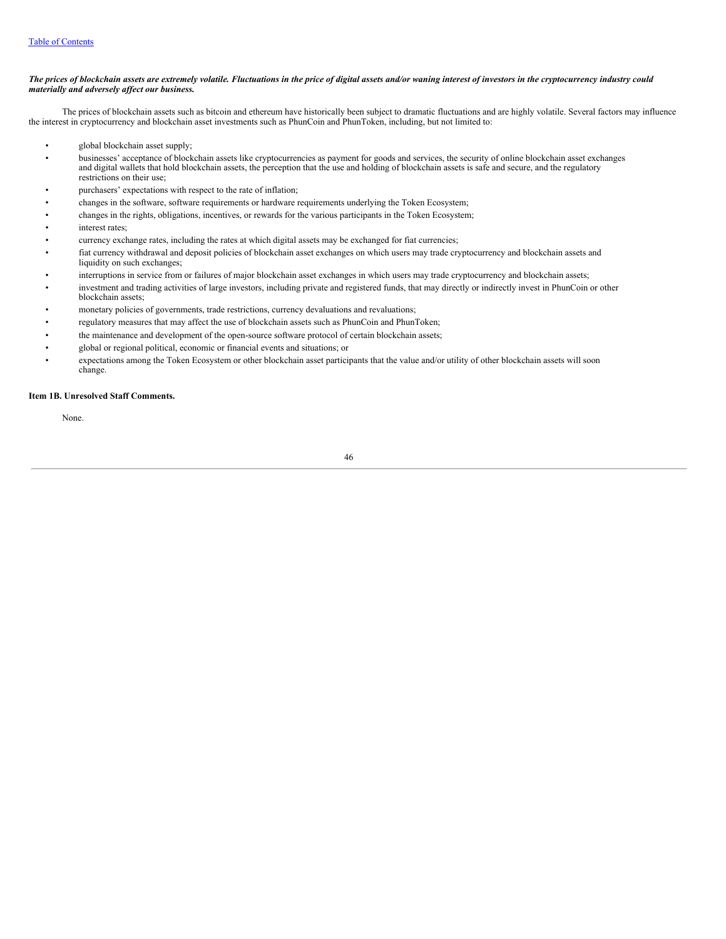# The prices of blockchain assets are extremely volatile. Fluctuations in the price of digital assets and/or waning interest of investors in the cryptocurrency industry could *materially and adversely af ect our business.*

The prices of blockchain assets such as bitcoin and ethereum have historically been subject to dramatic fluctuations and are highly volatile. Several factors may influence the interest in cryptocurrency and blockchain asset investments such as PhunCoin and PhunToken, including, but not limited to:

- global blockchain asset supply;
- businesses' acceptance of blockchain assets like cryptocurrencies as payment for goods and services, the security of online blockchain asset exchanges and digital wallets that hold blockchain assets, the perception that the use and holding of blockchain assets is safe and secure, and the regulatory restrictions on their use;
- purchasers' expectations with respect to the rate of inflation;
- changes in the software, software requirements or hardware requirements underlying the Token Ecosystem;
- changes in the rights, obligations, incentives, or rewards for the various participants in the Token Ecosystem;
- interest rates;
- currency exchange rates, including the rates at which digital assets may be exchanged for fiat currencies;
- fiat currency withdrawal and deposit policies of blockchain asset exchanges on which users may trade cryptocurrency and blockchain assets and liquidity on such exchanges;
- interruptions in service from or failures of major blockchain asset exchanges in which users may trade cryptocurrency and blockchain assets;
- investment and trading activities of large investors, including private and registered funds, that may directly or indirectly invest in PhunCoin or other blockchain assets;
- monetary policies of governments, trade restrictions, currency devaluations and revaluations;
- regulatory measures that may affect the use of blockchain assets such as PhunCoin and PhunToken;
- the maintenance and development of the open-source software protocol of certain blockchain assets;
- global or regional political, economic or financial events and situations; or
- expectations among the Token Ecosystem or other blockchain asset participants that the value and/or utility of other blockchain assets will soon change.

# **Item 1B. Unresolved Staff Comments.**

None.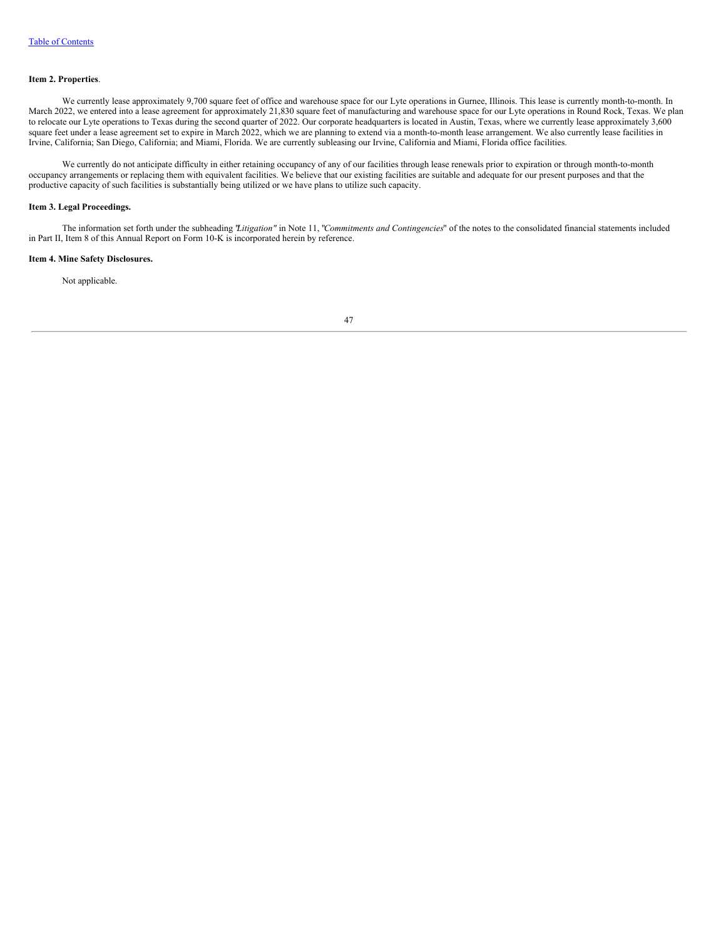# **Item 2. Properties**.

We currently lease approximately 9,700 square feet of office and warehouse space for our Lyte operations in Gurnee, Illinois. This lease is currently month-to-month. In March 2022, we entered into a lease agreement for approximately 21,830 square feet of manufacturing and warehouse space for our Lyte operations in Round Rock, Texas. We plan to relocate our Lyte operations to Texas during the second quarter of 2022. Our corporate headquarters is located in Austin, Texas, where we currently lease approximately 3,600 square feet under a lease agreement set to expire in March 2022, which we are planning to extend via a month-to-month lease arrangement. We also currently lease facilities in Irvine, California; San Diego, California; and Miami, Florida. We are currently subleasing our Irvine, California and Miami, Florida office facilities.

We currently do not anticipate difficulty in either retaining occupancy of any of our facilities through lease renewals prior to expiration or through month-to-month occupancy arrangements or replacing them with equivalent facilities. We believe that our existing facilities are suitable and adequate for our present purposes and that the productive capacity of such facilities is substantially being utilized or we have plans to utilize such capacity.

# **Item 3. Legal Proceedings.**

The information set forth under the subheading "*Litigation"* in Note 11, "*Commitments and Contingencies*" of the notes to the consolidated financial statements included in Part II, Item 8 of this Annual Report on Form 10-K is incorporated herein by reference.

# **Item 4. Mine Safety Disclosures.**

Not applicable.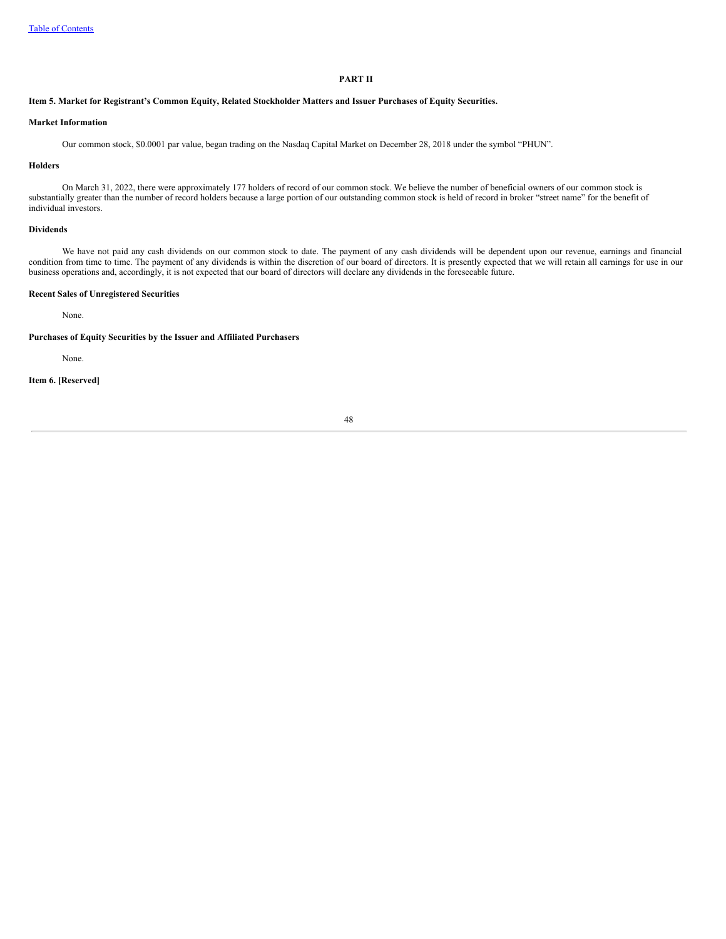# **PART II**

### Item 5. Market for Registrant's Common Equity, Related Stockholder Matters and Issuer Purchases of Equity Securities.

### **Market Information**

Our common stock, \$0.0001 par value, began trading on the Nasdaq Capital Market on December 28, 2018 under the symbol "PHUN".

### **Holders**

On March 31, 2022, there were approximately 177 holders of record of our common stock. We believe the number of beneficial owners of our common stock is substantially greater than the number of record holders because a large portion of our outstanding common stock is held of record in broker "street name" for the benefit of individual investors.

# **Dividends**

We have not paid any cash dividends on our common stock to date. The payment of any cash dividends will be dependent upon our revenue, earnings and financial condition from time to time. The payment of any dividends is within the discretion of our board of directors. It is presently expected that we will retain all earnings for use in our business operations and, accordingly, it is not expected that our board of directors will declare any dividends in the foreseeable future.

# **Recent Sales of Unregistered Securities**

None.

### **Purchases of Equity Securities by the Issuer and Affiliated Purchasers**

None.

**Item 6. [Reserved]**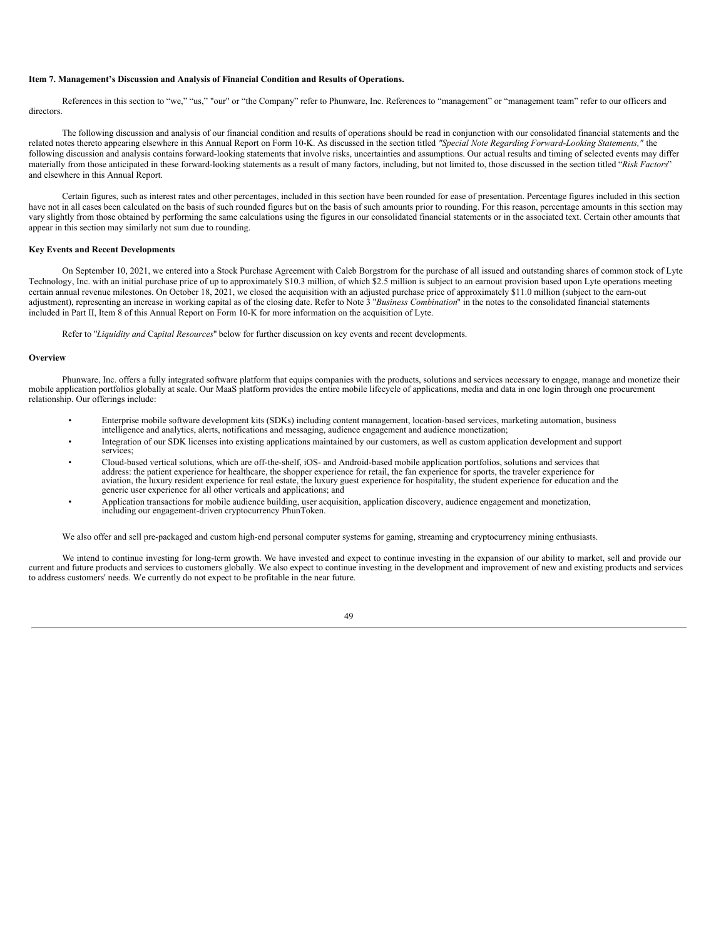# **Item 7. Management's Discussion and Analysis of Financial Condition and Results of Operations.**

References in this section to "we," "us," "our" or "the Company" refer to Phunware, Inc. References to "management" or "management team" refer to our officers and directors.

The following discussion and analysis of our financial condition and results of operations should be read in conjunction with our consolidated financial statements and the related notes thereto appearing elsewhere in this Annual Report on Form 10-K. As discussed in the section titled *"Special Note Regarding Forward-Looking Statements,"* the following discussion and analysis contains forward-looking statements that involve risks, uncertainties and assumptions. Our actual results and timing of selected events may differ materially from those anticipated in these forward-looking statements as a result of many factors, including, but not limited to, those discussed in the section titled "*Risk Factors*" and elsewhere in this Annual Report.

Certain figures, such as interest rates and other percentages, included in this section have been rounded for ease of presentation. Percentage figures included in this section have not in all cases been calculated on the basis of such rounded figures but on the basis of such amounts prior to rounding. For this reason, percentage amounts in this section may vary slightly from those obtained by performing the same calculations using the figures in our consolidated financial statements or in the associated text. Certain other amounts that appear in this section may similarly not sum due to rounding.

#### **Key Events and Recent Developments**

On September 10, 2021, we entered into a Stock Purchase Agreement with Caleb Borgstrom for the purchase of all issued and outstanding shares of common stock of Lyte Technology, Inc. with an initial purchase price of up to approximately \$10.3 million, of which \$2.5 million is subject to an earnout provision based upon Lyte operations meeting certain annual revenue milestones. On October 18, 2021, we closed the acquisition with an adjusted purchase price of approximately \$11.0 million (subject to the earn-out adjustment), representing an increase in working capital as of the closing date. Refer to Note 3 "*Business Combination*" in the notes to the consolidated financial statements included in Part II, Item 8 of this Annual Report on Form 10-K for more information on the acquisition of Lyte.

Refer to "*Liquidity and* Ca*pital Resources*" below for further discussion on key events and recent developments.

# **Overview**

Phunware, Inc. offers a fully integrated software platform that equips companies with the products, solutions and services necessary to engage, manage and monetize their mobile application portfolios globally at scale. Our MaaS platform provides the entire mobile lifecycle of applications, media and data in one login through one procurement relationship. Our offerings include:

- Enterprise mobile software development kits (SDKs) including content management, location-based services, marketing automation, business intelligence and analytics, alerts, notifications and messaging, audience engagement and audience monetization;
- Integration of our SDK licenses into existing applications maintained by our customers, as well as custom application development and support services;
- Cloud-based vertical solutions, which are off-the-shelf, iOS- and Android-based mobile application portfolios, solutions and services that address: the patient experience for healthcare, the shopper experience for retail, the fan experience for sports, the traveler experience for and the aviation, the luxury resident experience for real estate, the luxury gue generic user experience for all other verticals and applications; and
- Application transactions for mobile audience building, user acquisition, application discovery, audience engagement and monetization, including our engagement-driven cryptocurrency PhunToken.

We also offer and sell pre-packaged and custom high-end personal computer systems for gaming, streaming and cryptocurrency mining enthusiasts.

We intend to continue investing for long-term growth. We have invested and expect to continue investing in the expansion of our ability to market, sell and provide our current and future products and services to customers globally. We also expect to continue investing in the development and improvement of new and existing products and services to address customers' needs. We currently do not expect to be profitable in the near future.

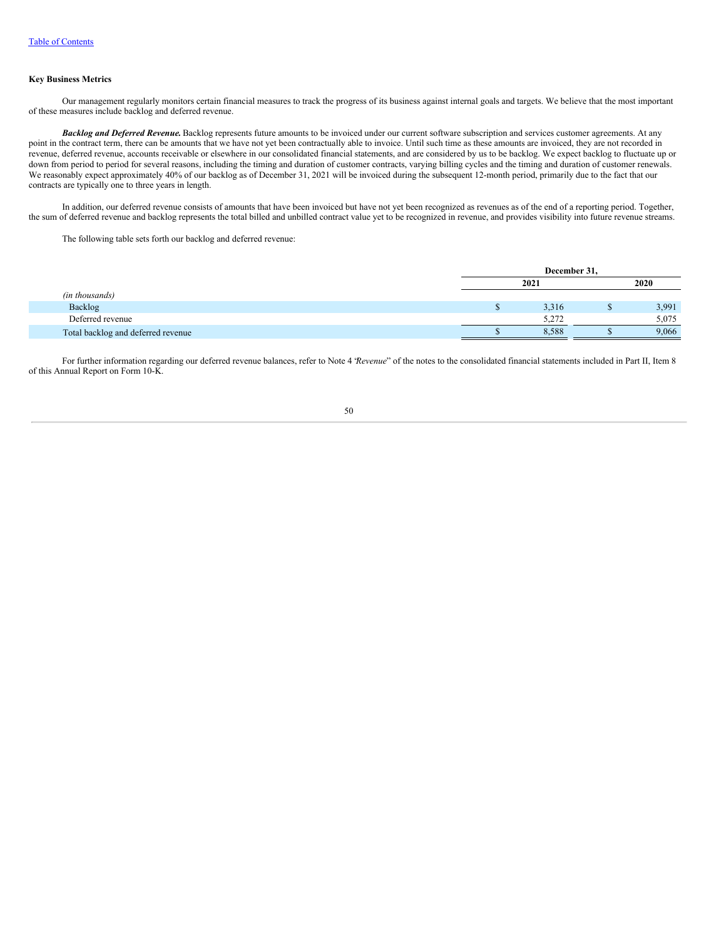# **Key Business Metrics**

Our management regularly monitors certain financial measures to track the progress of its business against internal goals and targets. We believe that the most important of these measures include backlog and deferred revenue.

*Backlog and Deferred Revenue.* Backlog represents future amounts to be invoiced under our current software subscription and services customer agreements. At any point in the contract term, there can be amounts that we have not yet been contractually able to invoice. Until such time as these amounts are invoiced, they are not recorded in revenue, deferred revenue, accounts receivable or elsewhere in our consolidated financial statements, and are considered by us to be backlog. We expect backlog to fluctuate up or down from period to period for several reasons, including the timing and duration of customer contracts, varying billing cycles and the timing and duration of customer renewals. We reasonably expect approximately 40% of our backlog as of December 31, 2021 will be invoiced during the subsequent 12-month period, primarily due to the fact that our contracts are typically one to three years in length.

In addition, our deferred revenue consists of amounts that have been invoiced but have not yet been recognized as revenues as of the end of a reporting period. Together, the sum of deferred revenue and backlog represents the total billed and unbilled contract value yet to be recognized in revenue, and provides visibility into future revenue streams.

The following table sets forth our backlog and deferred revenue:

|                                    |     | December 31, |  |       |  |  |
|------------------------------------|-----|--------------|--|-------|--|--|
|                                    |     | 2021         |  | 2020  |  |  |
| (in thousands)                     |     |              |  |       |  |  |
| Backlog                            | - D | 3,316        |  | 3,991 |  |  |
| Deferred revenue                   |     | 5,272        |  | 5,075 |  |  |
| Total backlog and deferred revenue |     | 8,588        |  | 9,066 |  |  |

For further information regarding our deferred revenue balances, refer to Note 4 '*Revenue*" of the notes to the consolidated financial statements included in Part II, Item 8 of this Annual Report on Form 10-K.

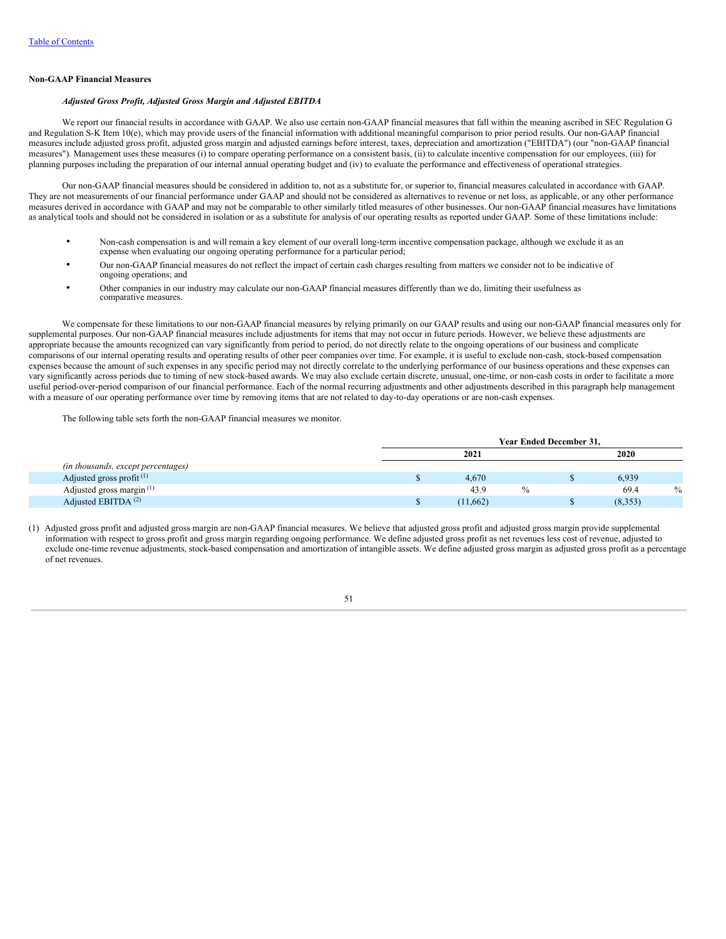# **Non-GAAP Financial Measures**

### *Adjusted Gross Profit, Adjusted Gross Margin and Adjusted EBITDA*

We report our financial results in accordance with GAAP. We also use certain non-GAAP financial measures that fall within the meaning ascribed in SEC Regulation G and Regulation S-K Item 10(e), which may provide users of the financial information with additional meaningful comparison to prior period results. Our non-GAAP financial measures include adjusted gross profit, adjusted gross margin and adjusted earnings before interest, taxes, depreciation and amortization ("EBITDA") (our "non-GAAP financial measures"). Management uses these measures (i) to compare operating performance on a consistent basis, (ii) to calculate incentive compensation for our employees, (iii) for planning purposes including the preparation of our internal annual operating budget and (iv) to evaluate the performance and effectiveness of operational strategies.

Our non-GAAP financial measures should be considered in addition to, not as a substitute for, or superior to, financial measures calculated in accordance with GAAP. They are not measurements of our financial performance under GAAP and should not be considered as alternatives to revenue or net loss, as applicable, or any other performance measures derived in accordance with GAAP and may not be comparable to other similarly titled measures of other businesses. Our non-GAAP financial measures have limitations as analytical tools and should not be considered in isolation or as a substitute for analysis of our operating results as reported under GAAP. Some of these limitations include:

- Non-cash compensation is and will remain a key element of our overall long-term incentive compensation package, although we exclude it as an expense when evaluating our ongoing operating performance for a particular period;
- Our non-GAAP financial measures do not reflect the impact of certain cash charges resulting from matters we consider not to be indicative of ongoing operations; and
- Other companies in our industry may calculate our non-GAAP financial measures differently than we do, limiting their usefulness as comparative measures.

We compensate for these limitations to our non-GAAP financial measures by relying primarily on our GAAP results and using our non-GAAP financial measures only for supplemental purposes. Our non-GAAP financial measures include adjustments for items that may not occur in future periods. However, we believe these adjustments are appropriate because the amounts recognized can vary significantly from period to period, do not directly relate to the ongoing operations of our business and complicate comparisons of our internal operating results and operating results of other peer companies over time. For example, it is useful to exclude non-cash, stock-based compensation expenses because the amount of such expenses in any specific period may not directly correlate to the underlying performance of our business operations and these expenses can vary significantly across periods due to timing of new stock-based awards. We may also exclude certain discrete, unusual, one-time, or non-cash costs in order to facilitate a more useful period-over-period comparison of our financial performance. Each of the normal recurring adjustments and other adjustments described in this paragraph help management with a measure of our operating performance over time by removing items that are not related to day-to-day operations or are non-cash expenses.

The following table sets forth the non-GAAP financial measures we monitor.

|                                    | <b>Year Ended December 31.</b> |               |  |         |               |  |  |  |  |  |
|------------------------------------|--------------------------------|---------------|--|---------|---------------|--|--|--|--|--|
|                                    | 2021                           |               |  | 2020    |               |  |  |  |  |  |
| (in thousands, except percentages) |                                |               |  |         |               |  |  |  |  |  |
| Adjusted gross profit $(1)$        | 4,670                          |               |  | 6,939   |               |  |  |  |  |  |
| Adjusted gross margin $(1)$        | 43.9                           | $\frac{0}{0}$ |  | 69.4    | $\frac{0}{0}$ |  |  |  |  |  |
| Adjusted EBITDA <sup>(2)</sup>     | (11,662)                       |               |  | (8,353) |               |  |  |  |  |  |

(1) Adjusted gross profit and adjusted gross margin are non-GAAP financial measures. We believe that adjusted gross profit and adjusted gross margin provide supplemental information with respect to gross profit and gross margin regarding ongoing performance. We define adjusted gross profit as net revenues less cost of revenue, adjusted to exclude one-time revenue adjustments, stock-based compensation and amortization of intangible assets. We define adjusted gross margin as adjusted gross profit as a percentage of net revenues.

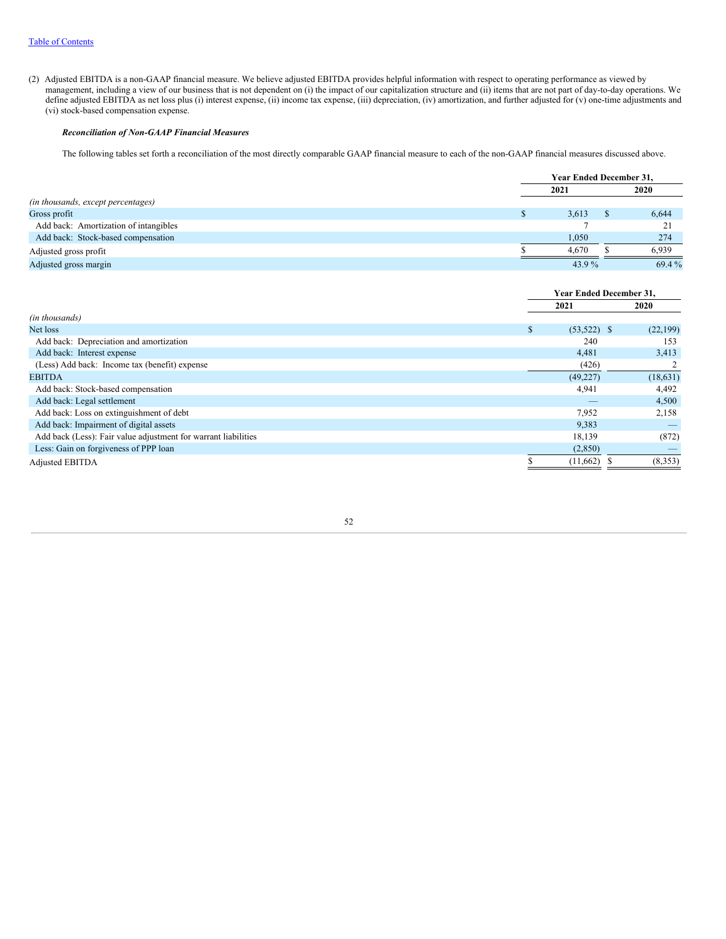(2) Adjusted EBITDA is a non-GAAP financial measure. We believe adjusted EBITDA provides helpful information with respect to operating performance as viewed by management, including a view of our business that is not dependent on (i) the impact of our capitalization structure and (ii) items that are not part of day-to-day operations. We define adjusted EBITDA as net loss plus (i) interest expense, (ii) income tax expense, (iii) depreciation, (iv) amortization, and further adjusted for (v) one-time adjustments and (vi) stock-based compensation expense.

# *Reconciliation of Non-GAAP Financial Measures*

The following tables set forth a reconciliation of the most directly comparable GAAP financial measure to each of the non-GAAP financial measures discussed above.

|                                       |   | <b>Year Ended December 31.</b> |  |        |
|---------------------------------------|---|--------------------------------|--|--------|
|                                       |   | 2021                           |  | 2020   |
| (in thousands, except percentages)    |   |                                |  |        |
| Gross profit                          | ъ | 3,613                          |  | 6,644  |
| Add back: Amortization of intangibles |   |                                |  | 21     |
| Add back: Stock-based compensation    |   | 1.050                          |  | 274    |
| Adjusted gross profit                 |   | 4.670                          |  | 6,939  |
| Adjusted gross margin                 |   | 43.9%                          |  | 69.4 % |

|                                                                | <b>Year Ended December 31.</b> |                          |  |           |
|----------------------------------------------------------------|--------------------------------|--------------------------|--|-----------|
|                                                                |                                | 2021                     |  | 2020      |
| (in thousands)                                                 |                                |                          |  |           |
| Net loss                                                       | S                              | $(53,522)$ \$            |  | (22, 199) |
| Add back: Depreciation and amortization                        |                                | 240                      |  | 153       |
| Add back: Interest expense                                     |                                | 4,481                    |  | 3,413     |
| (Less) Add back: Income tax (benefit) expense                  |                                | (426)                    |  |           |
| <b>EBITDA</b>                                                  |                                | (49, 227)                |  | (18, 631) |
| Add back: Stock-based compensation                             |                                | 4,941                    |  | 4,492     |
| Add back: Legal settlement                                     |                                | $\qquad \qquad - \qquad$ |  | 4,500     |
| Add back: Loss on extinguishment of debt                       |                                | 7,952                    |  | 2,158     |
| Add back: Impairment of digital assets                         |                                | 9,383                    |  |           |
| Add back (Less): Fair value adjustment for warrant liabilities |                                | 18,139                   |  | (872)     |
| Less: Gain on forgiveness of PPP loan                          |                                | (2,850)                  |  |           |
| <b>Adjusted EBITDA</b>                                         |                                | (11,662)                 |  | (8,353)   |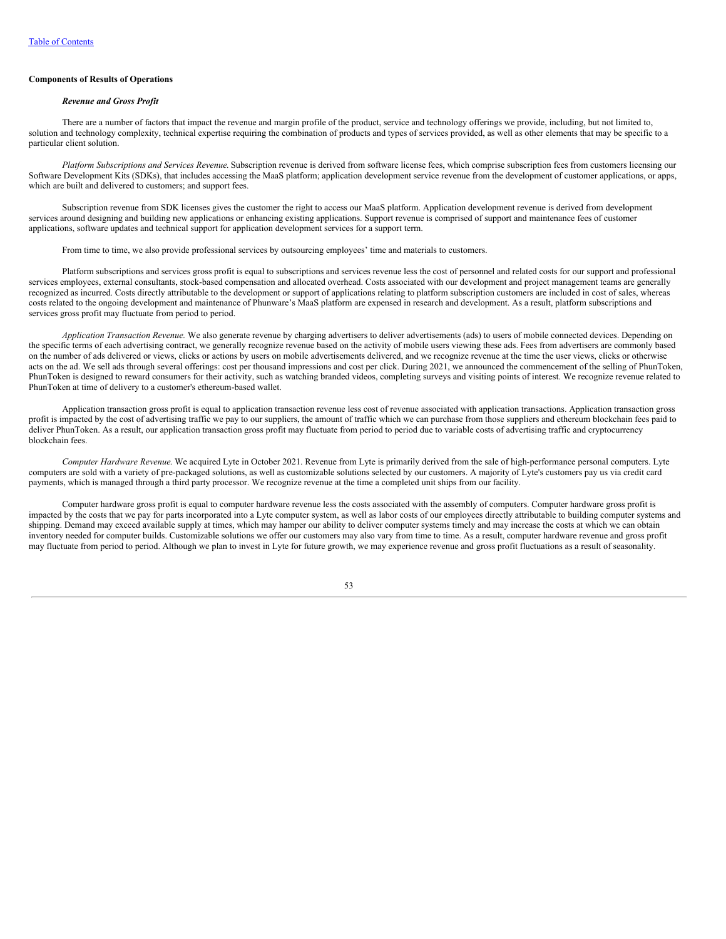# **Components of Results of Operations**

# *Revenue and Gross Profit*

There are a number of factors that impact the revenue and margin profile of the product, service and technology offerings we provide, including, but not limited to, solution and technology complexity, technical expertise requiring the combination of products and types of services provided, as well as other elements that may be specific to a particular client solution.

*Platform Subscriptions and Services Revenue.* Subscription revenue is derived from software license fees, which comprise subscription fees from customers licensing our Software Development Kits (SDKs), that includes accessing the MaaS platform; application development service revenue from the development of customer applications, or apps, which are built and delivered to customers; and support fees.

Subscription revenue from SDK licenses gives the customer the right to access our MaaS platform. Application development revenue is derived from development services around designing and building new applications or enhancing existing applications. Support revenue is comprised of support and maintenance fees of customer applications, software updates and technical support for application development services for a support term.

From time to time, we also provide professional services by outsourcing employees' time and materials to customers.

Platform subscriptions and services gross profit is equal to subscriptions and services revenue less the cost of personnel and related costs for our support and professional services employees, external consultants, stock-based compensation and allocated overhead. Costs associated with our development and project management teams are generally recognized as incurred. Costs directly attributable to the development or support of applications relating to platform subscription customers are included in cost of sales, whereas costs related to the ongoing development and maintenance of Phunware's MaaS platform are expensed in research and development. As a result, platform subscriptions and services gross profit may fluctuate from period to period.

*Application Transaction Revenue.* We also generate revenue by charging advertisers to deliver advertisements (ads) to users of mobile connected devices. Depending on the specific terms of each advertising contract, we generally recognize revenue based on the activity of mobile users viewing these ads. Fees from advertisers are commonly based on the number of ads delivered or views, clicks or actions by users on mobile advertisements delivered, and we recognize revenue at the time the user views, clicks or otherwise acts on the ad. We sell ads through several offerings: cost per thousand impressions and cost per click. During 2021, we announced the commencement of the selling of PhunToken, PhunToken is designed to reward consumers for their activity, such as watching branded videos, completing surveys and visiting points of interest. We recognize revenue related to PhunToken at time of delivery to a customer's ethereum-based wallet.

Application transaction gross profit is equal to application transaction revenue less cost of revenue associated with application transactions. Application transaction gross profit is impacted by the cost of advertising traffic we pay to our suppliers, the amount of traffic which we can purchase from those suppliers and ethereum blockchain fees paid to deliver PhunToken. As a result, our application transaction gross profit may fluctuate from period to period due to variable costs of advertising traffic and cryptocurrency blockchain fees.

*Computer Hardware Revenue*. We acquired Lyte in October 2021. Revenue from Lyte is primarily derived from the sale of high-performance personal computers. Lyte computers are sold with a variety of pre-packaged solutions, as well as customizable solutions selected by our customers. A majority of Lyte's customers pay us via credit card payments, which is managed through a third party processor. We recognize revenue at the time a completed unit ships from our facility.

Computer hardware gross profit is equal to computer hardware revenue less the costs associated with the assembly of computers. Computer hardware gross profit is impacted by the costs that we pay for parts incorporated into a Lyte computer system, as well as labor costs of our employees directly attributable to building computer systems and shipping. Demand may exceed available supply at times, which may hamper our ability to deliver computer systems timely and may increase the costs at which we can obtain inventory needed for computer builds. Customizable solutions we offer our customers may also vary from time to time. As a result, computer hardware revenue and gross profit may fluctuate from period to period. Although we plan to invest in Lyte for future growth, we may experience revenue and gross profit fluctuations as a result of seasonality.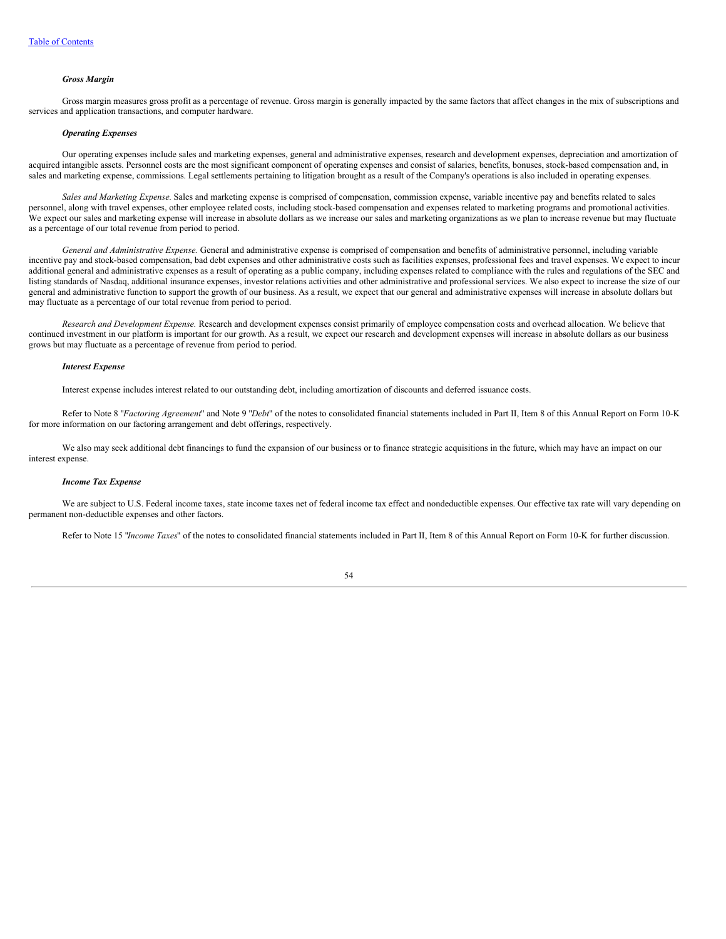#### *Gross Margin*

Gross margin measures gross profit as a percentage of revenue. Gross margin is generally impacted by the same factors that affect changes in the mix of subscriptions and services and application transactions, and computer hardware.

#### *Operating Expenses*

Our operating expenses include sales and marketing expenses, general and administrative expenses, research and development expenses, depreciation and amortization of acquired intangible assets. Personnel costs are the most significant component of operating expenses and consist of salaries, benefits, bonuses, stock-based compensation and, in sales and marketing expense, commissions. Legal settlements pertaining to litigation brought as a result of the Company's operations is also included in operating expenses.

*Sales and Marketing Expense.* Sales and marketing expense is comprised of compensation, commission expense, variable incentive pay and benefits related to sales personnel, along with travel expenses, other employee related costs, including stock-based compensation and expenses related to marketing programs and promotional activities. We expect our sales and marketing expense will increase in absolute dollars as we increase our sales and marketing organizations as we plan to increase revenue but may fluctuate as a percentage of our total revenue from period to period.

*General and Administrative Expense.* General and administrative expense is comprised of compensation and benefits of administrative personnel, including variable incentive pay and stock-based compensation, bad debt expenses and other administrative costs such as facilities expenses, professional fees and travel expenses. We expect to incur additional general and administrative expenses as a result of operating as a public company, including expenses related to compliance with the rules and regulations of the SEC and listing standards of Nasdaq, additional insurance expenses, investor relations activities and other administrative and professional services. We also expect to increase the size of our general and administrative function to support the growth of our business. As a result, we expect that our general and administrative expenses will increase in absolute dollars but may fluctuate as a percentage of our total revenue from period to period.

*Research and Development Expense.* Research and development expenses consist primarily of employee compensation costs and overhead allocation. We believe that continued investment in our platform is important for our growth. As a result, we expect our research and development expenses will increase in absolute dollars as our business grows but may fluctuate as a percentage of revenue from period to period.

#### *Interest Expense*

Interest expense includes interest related to our outstanding debt, including amortization of discounts and deferred issuance costs.

Refer to Note 8 "*Factoring Agreement*" and Note 9 "*Debt*" of the notes to consolidated financial statements included in Part II, Item 8 of this Annual Report on Form 10-K for more information on our factoring arrangement and debt offerings, respectively.

We also may seek additional debt financings to fund the expansion of our business or to finance strategic acquisitions in the future, which may have an impact on our interest expense.

## *Income Tax Expense*

We are subject to U.S. Federal income taxes, state income taxes net of federal income tax effect and nondeductible expenses. Our effective tax rate will vary depending on permanent non-deductible expenses and other factors.

Refer to Note 15 "*Income Taxes*" of the notes to consolidated financial statements included in Part II, Item 8 of this Annual Report on Form 10-K for further discussion.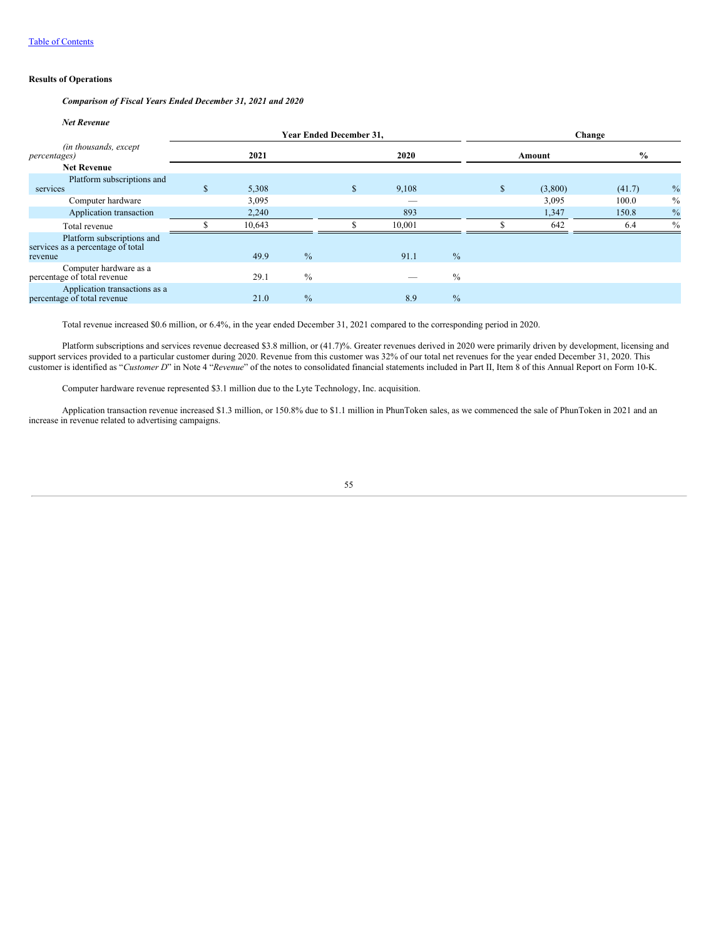# **Results of Operations**

# *Comparison of Fiscal Years Ended December 31, 2021 and 2020*

## *Net Revenue*

|                                                                            |    | <b>Year Ended December 31,</b> |               |    |        |               |               | Change        |               |
|----------------------------------------------------------------------------|----|--------------------------------|---------------|----|--------|---------------|---------------|---------------|---------------|
| (in thousands, except)<br><i>percentages</i> )                             |    | 2021                           |               |    | 2020   |               | Amount        | $\frac{0}{0}$ |               |
| <b>Net Revenue</b>                                                         |    |                                |               |    |        |               |               |               |               |
| Platform subscriptions and<br>services                                     | D. | 5,308                          |               | \$ | 9,108  |               | \$<br>(3,800) | (41.7)        | $\frac{0}{0}$ |
| Computer hardware                                                          |    | 3,095                          |               |    |        |               | 3,095         | 100.0         | $\%$          |
| Application transaction                                                    |    | 2,240                          |               |    | 893    |               | 1,347         | 150.8         | $\%$          |
| Total revenue                                                              |    | 10,643                         |               |    | 10,001 |               | 642           | 6.4           | $\frac{0}{0}$ |
| Platform subscriptions and<br>services as a percentage of total<br>revenue |    | 49.9                           | $\frac{0}{0}$ |    | 91.1   | $\frac{0}{0}$ |               |               |               |
| Computer hardware as a<br>percentage of total revenue                      |    | 29.1                           | $\frac{0}{0}$ |    |        | $\%$          |               |               |               |
| Application transactions as a<br>percentage of total revenue               |    | 21.0                           | $\frac{0}{0}$ |    | 8.9    | $\%$          |               |               |               |

Total revenue increased \$0.6 million, or 6.4%, in the year ended December 31, 2021 compared to the corresponding period in 2020.

Platform subscriptions and services revenue decreased \$3.8 million, or (41.7)%. Greater revenues derived in 2020 were primarily driven by development, licensing and support services provided to a particular customer during 2020. Revenue from this customer was 32% of our total net revenues for the year ended December 31, 2020. This customer is identified as "*Customer D*" in Note 4 "*Revenue*" of the notes to consolidated financial statements included in Part II, Item 8 of this Annual Report on Form 10-K.

Computer hardware revenue represented \$3.1 million due to the Lyte Technology, Inc. acquisition.

Application transaction revenue increased \$1.3 million, or 150.8% due to \$1.1 million in PhunToken sales, as we commenced the sale of PhunToken in 2021 and an increase in revenue related to advertising campaigns.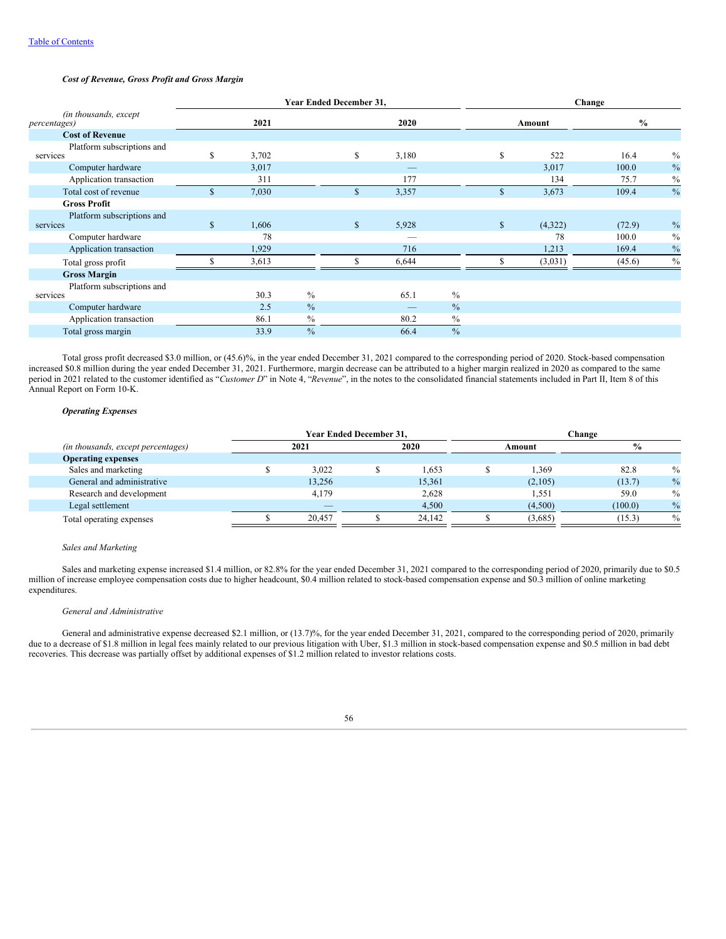# *Cost of Revenue, Gross Profit and Gross Margin*

|                                                | <b>Year Ended December 31,</b> |       |               |              |       |               |              |         | Change        |               |
|------------------------------------------------|--------------------------------|-------|---------------|--------------|-------|---------------|--------------|---------|---------------|---------------|
| (in thousands, except)<br><i>percentages</i> ) |                                | 2021  |               |              | 2020  |               |              | Amount  | $\frac{0}{0}$ |               |
| <b>Cost of Revenue</b>                         |                                |       |               |              |       |               |              |         |               |               |
| Platform subscriptions and                     |                                |       |               |              |       |               |              |         |               |               |
| services                                       | S                              | 3,702 |               | \$           | 3,180 |               | \$           | 522     | 16.4          | $\frac{0}{0}$ |
| Computer hardware                              |                                | 3,017 |               |              |       |               |              | 3,017   | 100.0         | $\%$          |
| Application transaction                        |                                | 311   |               |              | 177   |               |              | 134     | 75.7          | $\frac{0}{0}$ |
| Total cost of revenue                          | $\mathbf{s}$                   | 7,030 |               | $\mathbb{S}$ | 3,357 |               | $\mathbb{S}$ | 3,673   | 109.4         | $\frac{0}{0}$ |
| <b>Gross Profit</b>                            |                                |       |               |              |       |               |              |         |               |               |
| Platform subscriptions and                     |                                |       |               |              |       |               |              |         |               |               |
| services                                       | $\mathbb{S}$                   | 1,606 |               | $\mathbb{S}$ | 5,928 |               | $\mathbb{S}$ | (4,322) | (72.9)        | $\frac{0}{0}$ |
| Computer hardware                              |                                | 78    |               |              |       |               |              | 78      | 100.0         | $\frac{0}{0}$ |
| Application transaction                        |                                | 1,929 |               |              | 716   |               |              | 1,213   | 169.4         | $\%$          |
| Total gross profit                             |                                | 3,613 |               |              | 6,644 |               | ה.           | (3,031) | (45.6)        | $\frac{0}{0}$ |
| <b>Gross Margin</b>                            |                                |       |               |              |       |               |              |         |               |               |
| Platform subscriptions and                     |                                |       |               |              |       |               |              |         |               |               |
| services                                       |                                | 30.3  | $\%$          |              | 65.1  | $\%$          |              |         |               |               |
| Computer hardware                              |                                | 2.5   | $\%$          |              |       | $\frac{0}{0}$ |              |         |               |               |
| Application transaction                        |                                | 86.1  | $\frac{0}{0}$ |              | 80.2  | $\frac{0}{0}$ |              |         |               |               |
| Total gross margin                             |                                | 33.9  | $\%$          |              | 66.4  | $\frac{0}{0}$ |              |         |               |               |

Total gross profit decreased \$3.0 million, or (45.6)%, in the year ended December 31, 2021 compared to the corresponding period of 2020. Stock-based compensation increased \$0.8 million during the year ended December 31, 2021. Furthermore, margin decrease can be attributed to a higher margin realized in 2020 as compared to the same period in 2021 related to the customer identified as "*Customer D*" in Note 4, "*Revenue*", in the notes to the consolidated financial statements included in Part II, Item 8 of this Annual Report on Form 10-K.

# *Operating Expenses*

|                                    |      |        | <b>Year Ended December 31.</b> |        | Change |         |               |               |  |
|------------------------------------|------|--------|--------------------------------|--------|--------|---------|---------------|---------------|--|
| (in thousands, except percentages) | 2021 |        | 2020                           |        | Amount |         | $\frac{0}{0}$ |               |  |
| <b>Operating expenses</b>          |      |        |                                |        |        |         |               |               |  |
| Sales and marketing                |      | 3.022  |                                | .653   |        | 1.369   | 82.8          | $\%$          |  |
| General and administrative         |      | 13,256 |                                | 15,361 |        | (2,105) | (13.7)        | $\frac{0}{0}$ |  |
| Research and development           |      | 4,179  |                                | 2,628  |        | 1,551   | 59.0          | $\frac{0}{0}$ |  |
| Legal settlement                   |      | $-$    |                                | 4,500  |        | (4,500) | (100.0)       | $\%$          |  |
| Total operating expenses           |      | 20.457 |                                | 24.142 |        | (3,685) | (15.3)        | $\frac{0}{0}$ |  |

# *Sales and Marketing*

Sales and marketing expense increased \$1.4 million, or 82.8% for the year ended December 31, 2021 compared to the corresponding period of 2020, primarily due to \$0.5 million of increase employee compensation costs due to higher headcount, \$0.4 million related to stock-based compensation expense and \$0.3 million of online marketing expenditures.

### *General and Administrative*

General and administrative expense decreased \$2.1 million, or (13.7)%, for the year ended December 31, 2021, compared to the corresponding period of 2020, primarily due to a decrease of \$1.8 million in legal fees mainly related to our previous litigation with Uber, \$1.3 million in stock-based compensation expense and \$0.5 million in bad debt recoveries. This decrease was partially offset by additional expenses of \$1.2 million related to investor relations costs.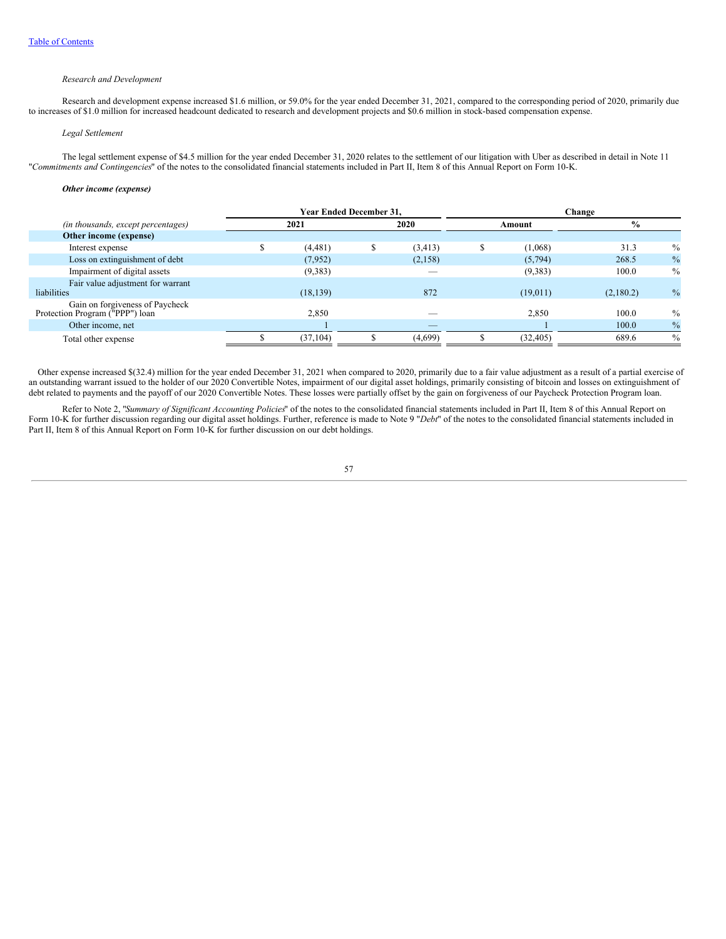### *Research and Development*

Research and development expense increased \$1.6 million, or 59.0% for the year ended December 31, 2021, compared to the corresponding period of 2020, primarily due to increases of \$1.0 million for increased headcount dedicated to research and development projects and \$0.6 million in stock-based compensation expense.

# *Legal Settlement*

The legal settlement expense of \$4.5 million for the year ended December 31, 2020 relates to the settlement of our litigation with Uber as described in detail in Note 11 "*Commitments and Contingencies*" of the notes to the consolidated financial statements included in Part II, Item 8 of this Annual Report on Form 10-K.

#### *Other income (expense)*

|                                                                    |      |           | Year Ended December 31, |          |  |           | Change        |               |
|--------------------------------------------------------------------|------|-----------|-------------------------|----------|--|-----------|---------------|---------------|
| (in thousands, except percentages)                                 | 2021 |           |                         | 2020     |  | Amount    | $\frac{0}{0}$ |               |
| Other income (expense)                                             |      |           |                         |          |  |           |               |               |
| Interest expense                                                   |      | (4,481)   |                         | (3, 413) |  | (1,068)   | 31.3          | $\frac{0}{0}$ |
| Loss on extinguishment of debt                                     |      | (7, 952)  |                         | (2,158)  |  | (5,794)   | 268.5         | $\frac{0}{0}$ |
| Impairment of digital assets                                       |      | (9,383)   |                         |          |  | (9,383)   | 100.0         | $\frac{0}{0}$ |
| Fair value adjustment for warrant<br>liabilities                   |      | (18, 139) |                         | 872      |  | (19,011)  | (2,180.2)     | $\frac{0}{0}$ |
| Gain on forgiveness of Paycheck<br>Protection Program ("PPP") loan |      | 2,850     |                         |          |  | 2.850     | 100.0         | $\frac{0}{0}$ |
| Other income, net                                                  |      |           |                         |          |  |           | 100.0         | $\frac{0}{6}$ |
| Total other expense                                                |      | (37, 104) |                         | (4,699)  |  | (32, 405) | 689.6         | $\frac{0}{0}$ |

Other expense increased \$(32.4) million for the year ended December 31, 2021 when compared to 2020, primarily due to a fair value adjustment as a result of a partial exercise of an outstanding warrant issued to the holder of our 2020 Convertible Notes, impairment of our digital asset holdings, primarily consisting of bitcoin and losses on extinguishment of debt related to payments and the payoff of our 2020 Convertible Notes. These losses were partially offset by the gain on forgiveness of our Paycheck Protection Program loan.

Refer to Note 2, "*Summary of Significant Accounting Policies*" of the notes to the consolidated financial statements included in Part II, Item 8 of this Annual Report on Form 10-K for further discussion regarding our digital asset holdings. Further, reference is made to Note 9 "*Debt*" of the notes to the consolidated financial statements included in Part II, Item 8 of this Annual Report on Form 10-K for further discussion on our debt holdings.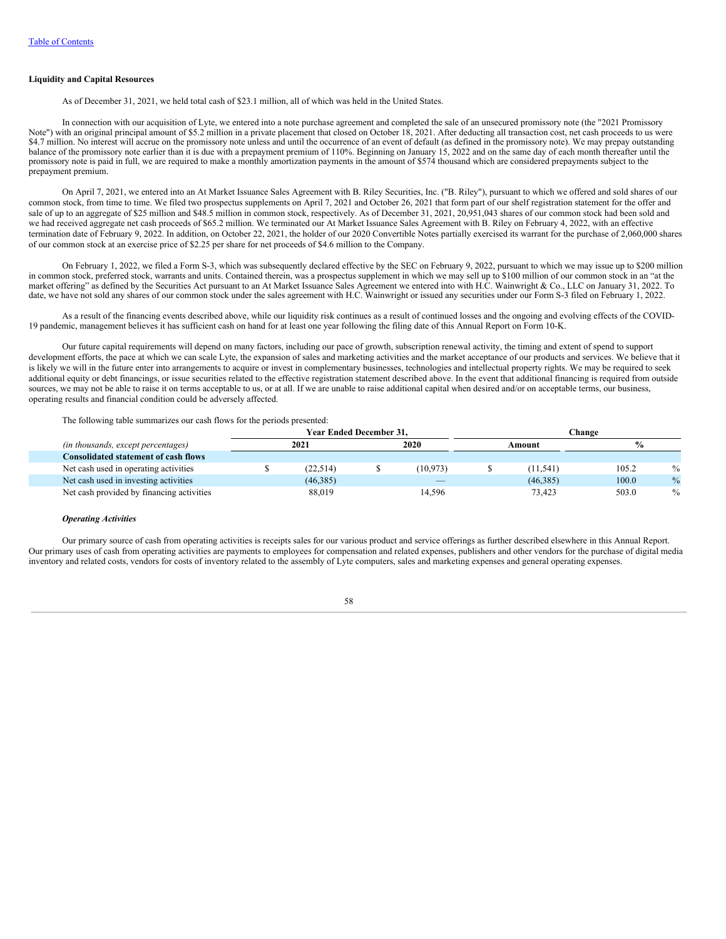# **Liquidity and Capital Resources**

As of December 31, 2021, we held total cash of \$23.1 million, all of which was held in the United States.

In connection with our acquisition of Lyte, we entered into a note purchase agreement and completed the sale of an unsecured promissory note (the "2021 Promissory Note") with an original principal amount of \$5.2 million in a private placement that closed on October 18, 2021. After deducting all transaction cost, net cash proceeds to us were \$4.7 million. No interest will accrue on the promissory note unless and until the occurrence of an event of default (as defined in the promissory note). We may prepay outstanding balance of the promissory note earlier than it is due with a prepayment premium of 110%. Beginning on January 15, 2022 and on the same day of each month thereafter until the promissory note is paid in full, we are required to make a monthly amortization payments in the amount of \$574 thousand which are considered prepayments subject to the prepayment premium.

On April 7, 2021, we entered into an At Market Issuance Sales Agreement with B. Riley Securities, Inc. ("B. Riley"), pursuant to which we offered and sold shares of our common stock, from time to time. We filed two prospectus supplements on April 7, 2021 and October 26, 2021 that form part of our shelf registration statement for the offer and sale of up to an aggregate of \$25 million and \$48.5 million in common stock, respectively. As of December 31, 2021, 20,951,043 shares of our common stock had been sold and we had received aggregate net cash proceeds of \$65.2 million. We terminated our At Market Issuance Sales Agreement with B. Riley on February 4, 2022, with an effective termination date of February 9, 2022. In addition, on October 22, 2021, the holder of our 2020 Convertible Notes partially exercised its warrant for the purchase of 2,060,000 shares of our common stock at an exercise price of \$2.25 per share for net proceeds of \$4.6 million to the Company.

On February 1, 2022, we filed a Form S-3, which was subsequently declared effective by the SEC on February 9, 2022, pursuant to which we may issue up to \$200 million in common stock, preferred stock, warrants and units. Contained therein, was a prospectus supplement in which we may sell up to \$100 million of our common stock in an "at the market offering" as defined by the Securities Act pursuant to an At Market Issuance Sales Agreement we entered into with H.C. Wainwright & Co., LLC on January 31, 2022. To date, we have not sold any shares of our common stock under the sales agreement with H.C. Wainwright or issued any securities under our Form S-3 filed on February 1, 2022.

As a result of the financing events described above, while our liquidity risk continues as a result of continued losses and the ongoing and evolving effects of the COVID-19 pandemic, management believes it has sufficient cash on hand for at least one year following the filing date of this Annual Report on Form 10-K.

Our future capital requirements will depend on many factors, including our pace of growth, subscription renewal activity, the timing and extent of spend to support development efforts, the pace at which we can scale Lyte, the expansion of sales and marketing activities and the market acceptance of our products and services. We believe that it is likely we will in the future enter into arrangements to acquire or invest in complementary businesses, technologies and intellectual property rights. We may be required to seek additional equity or debt financings, or issue securities related to the effective registration statement described above. In the event that additional financing is required from outside sources, we may not be able to raise it on terms acceptable to us, or at all. If we are unable to raise additional capital when desired and/or on acceptable terms, our business, operating results and financial condition could be adversely affected.

The following table summarizes our cash flows for the periods presented:

|                                             |      | <b>Year Ended December 31.</b> |                          | Change |           |               |               |  |  |
|---------------------------------------------|------|--------------------------------|--------------------------|--------|-----------|---------------|---------------|--|--|
| (in thousands, except percentages)          | 2021 |                                | 2020                     | Amount |           | $\frac{0}{0}$ |               |  |  |
| <b>Consolidated statement of cash flows</b> |      |                                |                          |        |           |               |               |  |  |
| Net cash used in operating activities       |      | (22, 514)                      | (10, 973)                |        | (11, 541) | 105.2         | $\%$          |  |  |
| Net cash used in investing activities       |      | (46,385)                       | $\overline{\phantom{m}}$ |        | (46, 385) | 100.0         | $\frac{0}{0}$ |  |  |
| Net cash provided by financing activities   |      | 88,019                         | 14.596                   |        | 73.423    | 503.0         | $\frac{0}{0}$ |  |  |

#### *Operating Activities*

Our primary source of cash from operating activities is receipts sales for our various product and service offerings as further described elsewhere in this Annual Report. Our primary uses of cash from operating activities are payments to employees for compensation and related expenses, publishers and other vendors for the purchase of digital media inventory and related costs, vendors for costs of inventory related to the assembly of Lyte computers, sales and marketing expenses and general operating expenses.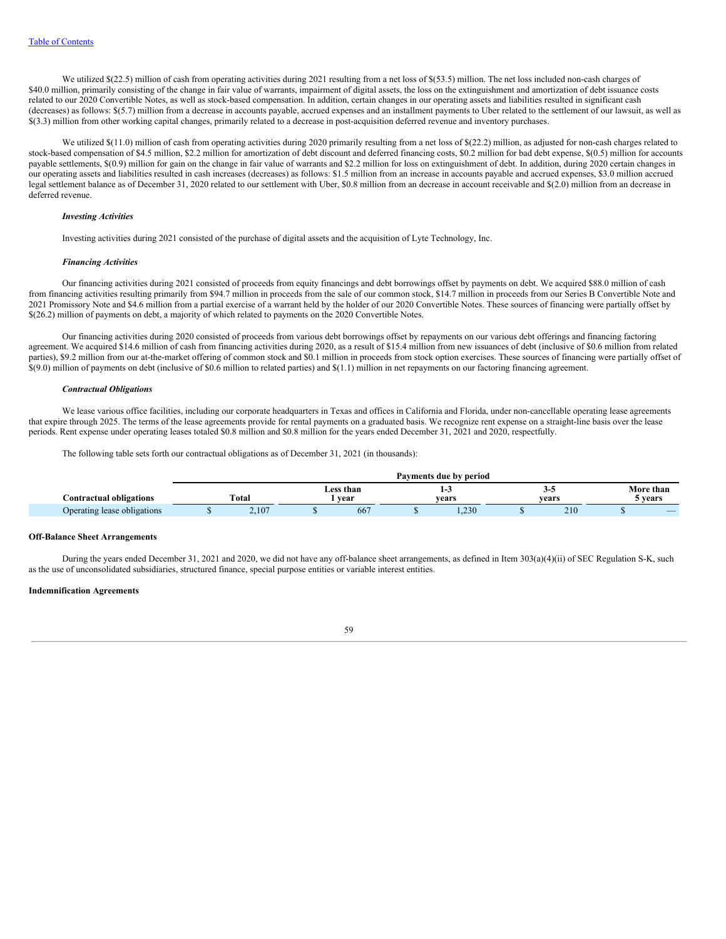We utilized \$(22.5) million of cash from operating activities during 2021 resulting from a net loss of \$(53.5) million. The net loss included non-cash charges of \$40.0 million, primarily consisting of the change in fair value of warrants, impairment of digital assets, the loss on the extinguishment and amortization of debt issuance costs related to our 2020 Convertible Notes, as well as stock-based compensation. In addition, certain changes in our operating assets and liabilities resulted in significant cash (decreases) as follows: \$(5.7) million from a decrease in accounts payable, accrued expenses and an installment payments to Uber related to the settlement of our lawsuit, as well as \$(3.3) million from other working capital changes, primarily related to a decrease in post-acquisition deferred revenue and inventory purchases.

We utilized \$(11.0) million of cash from operating activities during 2020 primarily resulting from a net loss of \$(22.2) million, as adjusted for non-cash charges related to stock-based compensation of \$4.5 million, \$2.2 million for amortization of debt discount and deferred financing costs, \$0.2 million for bad debt expense, \$(0.5) million for accounts payable settlements, \$(0.9) million for gain on the change in fair value of warrants and \$2.2 million for loss on extinguishment of debt. In addition, during 2020 certain changes in our operating assets and liabilities resulted in cash increases (decreases) as follows: \$1.5 million from an increase in accounts payable and accrued expenses, \$3.0 million accrued legal settlement balance as of December 31, 2020 related to our settlement with Uber, \$0.8 million from an decrease in account receivable and \$(2.0) million from an decrease in deferred revenue.

# *Investing Activities*

Investing activities during 2021 consisted of the purchase of digital assets and the acquisition of Lyte Technology, Inc.

### *Financing Activities*

Our financing activities during 2021 consisted of proceeds from equity financings and debt borrowings offset by payments on debt. We acquired \$88.0 million of cash from financing activities resulting primarily from \$94.7 million in proceeds from the sale of our common stock, \$14.7 million in proceeds from our Series B Convertible Note and 2021 Promissory Note and \$4.6 million from a partial exercise of a warrant held by the holder of our 2020 Convertible Notes. These sources of financing were partially offset by \$(26.2) million of payments on debt, a majority of which related to payments on the 2020 Convertible Notes.

Our financing activities during 2020 consisted of proceeds from various debt borrowings offset by repayments on our various debt offerings and financing factoring agreement. We acquired \$14.6 million of cash from financing activities during 2020, as a result of \$15.4 million from new issuances of debt (inclusive of \$0.6 million from related parties), \$9.2 million from our at-the-market offering of common stock and \$0.1 million in proceeds from stock option exercises. These sources of financing were partially offset of \$(9.0) million of payments on debt (inclusive of \$0.6 million to related parties) and \$(1.1) million in net repayments on our factoring financing agreement.

# *Contractual Obligations*

We lease various office facilities, including our corporate headquarters in Texas and offices in California and Florida, under non-cancellable operating lease agreements that expire through 2025. The terms of the lease agreements provide for rental payments on a graduated basis. We recognize rent expense on a straight-line basis over the lease periods. Rent expense under operating leases totaled \$0.8 million and \$0.8 million for the years ended December 31, 2021 and 2020, respectfully.

The following table sets forth our contractual obligations as of December 31, 2021 (in thousands):

|                             | Payments due by period |                            |  |     |  |              |  |              |                    |                 |
|-----------------------------|------------------------|----------------------------|--|-----|--|--------------|--|--------------|--------------------|-----------------|
| Contractual obligations     |                        | Less than<br>Total<br>vear |  |     |  | 153<br>vears |  | J-2<br>vears | More than<br>vears |                 |
| Operating lease obligations |                        | 2.107                      |  | 667 |  | 4.230        |  | 210          |                    | $\qquad \qquad$ |

#### **Off-Balance Sheet Arrangements**

During the years ended December 31, 2021 and 2020, we did not have any off-balance sheet arrangements, as defined in Item 303(a)(4)(ii) of SEC Regulation S-K, such as the use of unconsolidated subsidiaries, structured finance, special purpose entities or variable interest entities.

#### **Indemnification Agreements**

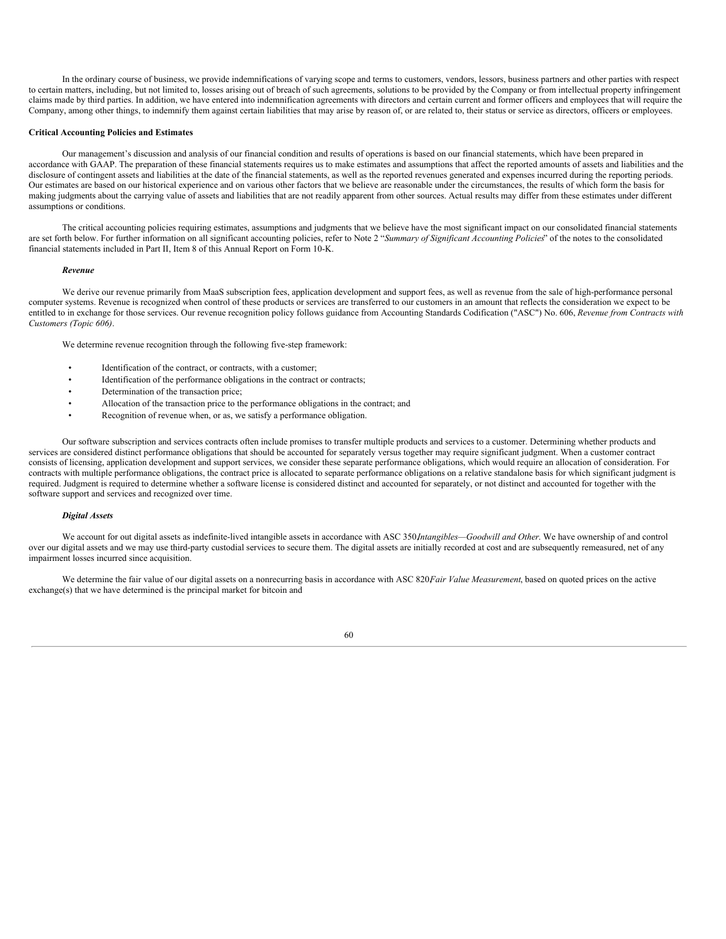In the ordinary course of business, we provide indemnifications of varying scope and terms to customers, vendors, lessors, business partners and other parties with respect to certain matters, including, but not limited to, losses arising out of breach of such agreements, solutions to be provided by the Company or from intellectual property infringement claims made by third parties. In addition, we have entered into indemnification agreements with directors and certain current and former officers and employees that will require the Company, among other things, to indemnify them against certain liabilities that may arise by reason of, or are related to, their status or service as directors, officers or employees.

### **Critical Accounting Policies and Estimates**

Our management's discussion and analysis of our financial condition and results of operations is based on our financial statements, which have been prepared in accordance with GAAP. The preparation of these financial statements requires us to make estimates and assumptions that affect the reported amounts of assets and liabilities and the disclosure of contingent assets and liabilities at the date of the financial statements, as well as the reported revenues generated and expenses incurred during the reporting periods. Our estimates are based on our historical experience and on various other factors that we believe are reasonable under the circumstances, the results of which form the basis for making judgments about the carrying value of assets and liabilities that are not readily apparent from other sources. Actual results may differ from these estimates under different assumptions or conditions.

The critical accounting policies requiring estimates, assumptions and judgments that we believe have the most significant impact on our consolidated financial statements are set forth below. For further information on all significant accounting policies, refer to Note 2 "*Summary of Significant Accounting Policies*" of the notes to the consolidated financial statements included in Part II, Item 8 of this Annual Report on Form 10-K.

#### *Revenue*

We derive our revenue primarily from MaaS subscription fees, application development and support fees, as well as revenue from the sale of high-performance personal computer systems. Revenue is recognized when control of these products or services are transferred to our customers in an amount that reflects the consideration we expect to be entitled to in exchange for those services. Our revenue recognition policy follows guidance from Accounting Standards Codification ("ASC") No. 606, *Revenue from Contracts with Customers (Topic 606)*.

We determine revenue recognition through the following five-step framework:

- Identification of the contract, or contracts, with a customer;
- Identification of the performance obligations in the contract or contracts;
- Determination of the transaction price;
- Allocation of the transaction price to the performance obligations in the contract; and
- Recognition of revenue when, or as, we satisfy a performance obligation.

Our software subscription and services contracts often include promises to transfer multiple products and services to a customer. Determining whether products and services are considered distinct performance obligations that should be accounted for separately versus together may require significant judgment. When a customer contract consists of licensing, application development and support services, we consider these separate performance obligations, which would require an allocation of consideration. For contracts with multiple performance obligations, the contract price is allocated to separate performance obligations on a relative standalone basis for which significant judgment is required. Judgment is required to determine whether a software license is considered distinct and accounted for separately, or not distinct and accounted for together with the software support and services and recognized over time.

# *Digital Assets*

We account for out digital assets as indefinite-lived intangible assets in accordance with ASC 350*Intangibles—Goodwill and Other*. We have ownership of and control over our digital assets and we may use third-party custodial services to secure them. The digital assets are initially recorded at cost and are subsequently remeasured, net of any impairment losses incurred since acquisition.

We determine the fair value of our digital assets on a nonrecurring basis in accordance with ASC 820*Fair Value Measurement*, based on quoted prices on the active exchange(s) that we have determined is the principal market for bitcoin and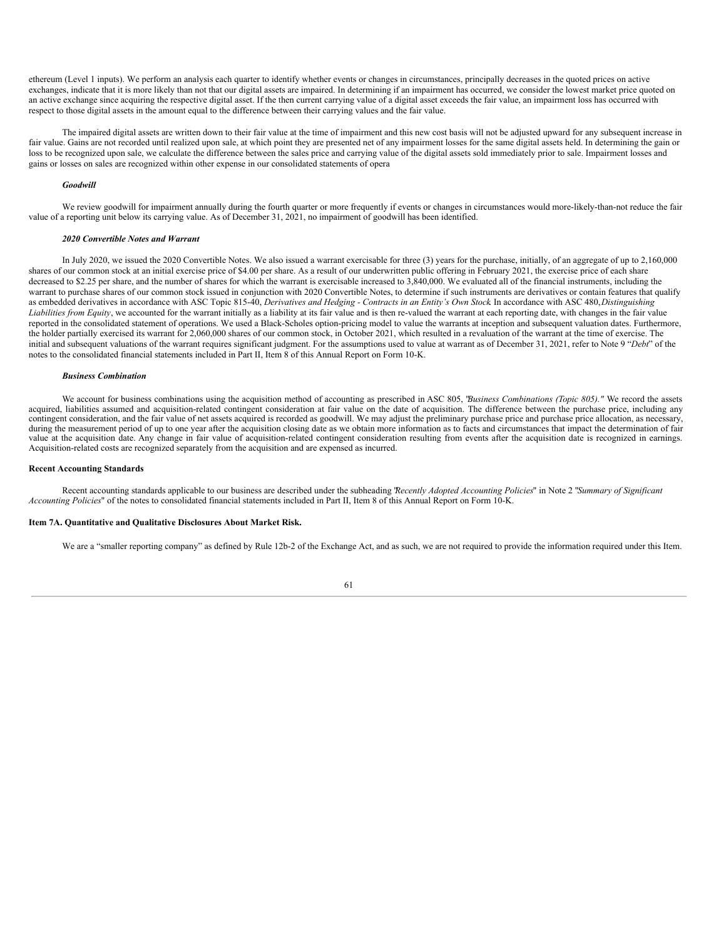ethereum (Level 1 inputs). We perform an analysis each quarter to identify whether events or changes in circumstances, principally decreases in the quoted prices on active exchanges, indicate that it is more likely than not that our digital assets are impaired. In determining if an impairment has occurred, we consider the lowest market price quoted on an active exchange since acquiring the respective digital asset. If the then current carrying value of a digital asset exceeds the fair value, an impairment loss has occurred with respect to those digital assets in the amount equal to the difference between their carrying values and the fair value.

The impaired digital assets are written down to their fair value at the time of impairment and this new cost basis will not be adjusted upward for any subsequent increase in fair value. Gains are not recorded until realized upon sale, at which point they are presented net of any impairment losses for the same digital assets held. In determining the gain or loss to be recognized upon sale, we calculate the difference between the sales price and carrying value of the digital assets sold immediately prior to sale. Impairment losses and gains or losses on sales are recognized within other expense in our consolidated statements of opera

#### *Goodwill*

We review goodwill for impairment annually during the fourth quarter or more frequently if events or changes in circumstances would more-likely-than-not reduce the fair value of a reporting unit below its carrying value. As of December 31, 2021, no impairment of goodwill has been identified.

#### *2020 Convertible Notes and Warrant*

In July 2020, we issued the 2020 Convertible Notes. We also issued a warrant exercisable for three (3) years for the purchase, initially, of an aggregate of up to 2,160,000 shares of our common stock at an initial exercise price of \$4.00 per share. As a result of our underwritten public offering in February 2021, the exercise price of each share decreased to \$2.25 per share, and the number of shares for which the warrant is exercisable increased to 3,840,000. We evaluated all of the financial instruments, including the warrant to purchase shares of our common stock issued in conjunction with 2020 Convertible Notes, to determine if such instruments are derivatives or contain features that qualify as embedded derivatives in accordance with ASC Topic 815-40, Derivatives and Hedging - Contracts in an Entity's Own Stock In accordance with ASC 480, Distinguishing *Liabilities from Equity*, we accounted for the warrant initially as a liability at its fair value and is then re-valued the warrant at each reporting date, with changes in the fair value reported in the consolidated statement of operations. We used a Black-Scholes option-pricing model to value the warrants at inception and subsequent valuation dates. Furthermore, the holder partially exercised its warrant for 2,060,000 shares of our common stock, in October 2021, which resulted in a revaluation of the warrant at the time of exercise. The initial and subsequent valuations of the warrant requires significant judgment. For the assumptions used to value at warrant as of December 31, 2021, refer to Note 9 "*Debt*" of the notes to the consolidated financial statements included in Part II, Item 8 of this Annual Report on Form 10-K.

#### *Business Combination*

We account for business combinations using the acquisition method of accounting as prescribed in ASC 805, *"Business Combinations (Topic 805)*." We record the assets acquired, liabilities assumed and acquisition-related contingent consideration at fair value on the date of acquisition. The difference between the purchase price, including any contingent consideration, and the fair value of net assets acquired is recorded as goodwill. We may adjust the preliminary purchase price and purchase price allocation, as necessary, during the measurement period of up to one year after the acquisition closing date as we obtain more information as to facts and circumstances that impact the determination of fair value at the acquisition date. Any change in fair value of acquisition-related contingent consideration resulting from events after the acquisition date is recognized in earnings. Acquisition-related costs are recognized separately from the acquisition and are expensed as incurred.

### **Recent Accounting Standards**

Recent accounting standards applicable to our business are described under the subheading "*Recently Adopted Accounting Policies*" in Note 2 "*Summary of Significant Accounting Policies*" of the notes to consolidated financial statements included in Part II, Item 8 of this Annual Report on Form 10-K.

### **Item 7A. Quantitative and Qualitative Disclosures About Market Risk.**

We are a "smaller reporting company" as defined by Rule 12b-2 of the Exchange Act, and as such, we are not required to provide the information required under this Item.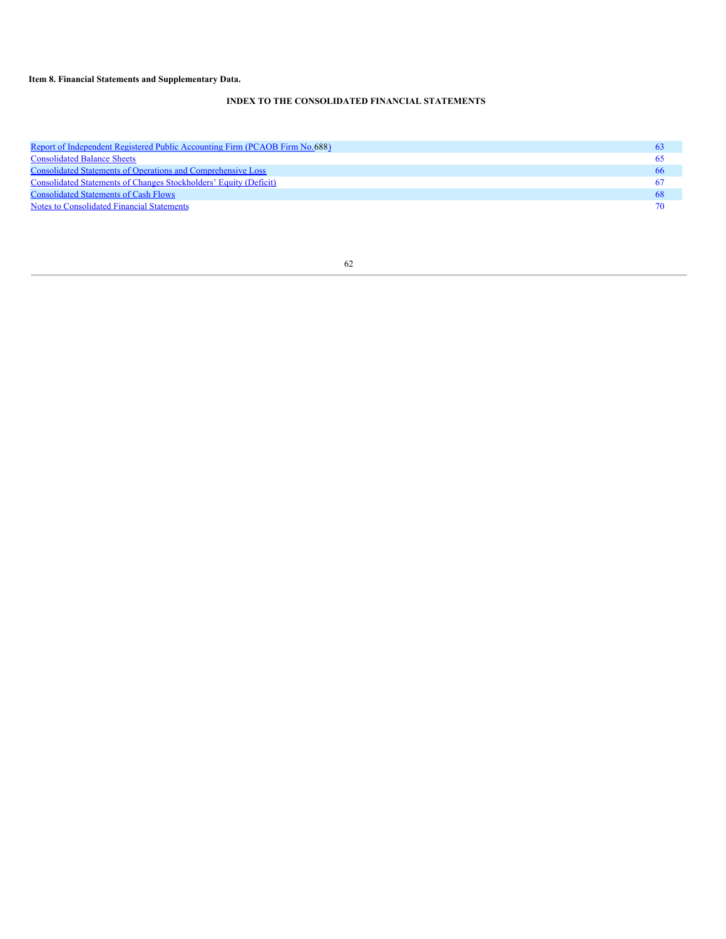# **Item 8. Financial Statements and Supplementary Data.**

# **INDEX TO THE CONSOLIDATED FINANCIAL STATEMENTS**

<span id="page-63-0"></span>

| Report of Independent Registered Public Accounting Firm (PCAOB Firm No.688) |     |
|-----------------------------------------------------------------------------|-----|
| <b>Consolidated Balance Sheets</b>                                          |     |
| <b>Consolidated Statements of Operations and Comprehensive Loss</b>         | -66 |
| Consolidated Statements of Changes Stockholders' Equity (Deficit)           | 67  |
| <b>Consolidated Statements of Cash Flows</b>                                | -68 |
| Notes to Consolidated Financial Statements                                  | 70  |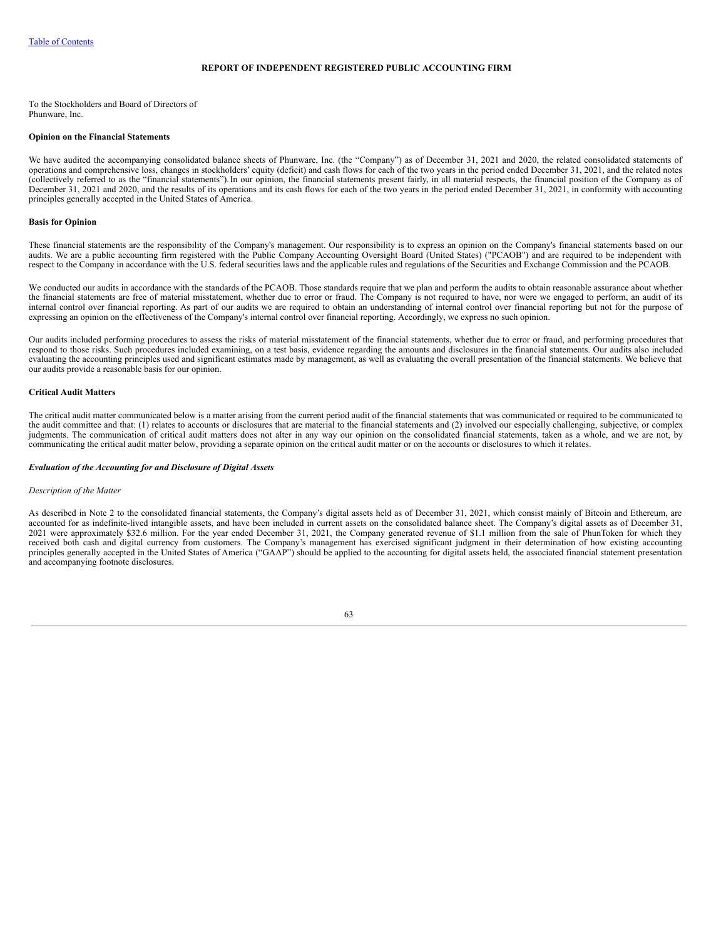#### **REPORT OF INDEPENDENT REGISTERED PUBLIC ACCOUNTING FIRM**

To the Stockholders and Board of Directors of Phunware, Inc.

# **Opinion on the Financial Statements**

We have audited the accompanying consolidated balance sheets of Phunware, Inc. (the "Company") as of December 31, 2021 and 2020, the related consolidated statements of operations and comprehensive loss, changes in stockholders' equity (deficit) and cash flows for each of the two years in the period ended December 31, 2021, and the related notes (collectively referred to as the "financial statements").In our opinion, the financial statements present fairly, in all material respects, the financial position of the Company as of December 31, 2021 and 2020, and the results of its operations and its cash flows for each of the two years in the period ended December 31, 2021, in conformity with accounting principles generally accepted in the United States of America.

### **Basis for Opinion**

These financial statements are the responsibility of the Company's management. Our responsibility is to express an opinion on the Company's financial statements based on our audits. We are a public accounting firm registered with the Public Company Accounting Oversight Board (United States) ("PCAOB") and are required to be independent with respect to the Company in accordance with the U.S. federal securities laws and the applicable rules and regulations of the Securities and Exchange Commission and the PCAOB.

We conducted our audits in accordance with the standards of the PCAOB. Those standards require that we plan and perform the audits to obtain reasonable assurance about whether the financial statements are free of material misstatement, whether due to error or fraud. The Company is not required to have, nor were we engaged to perform, an audit of its internal control over financial reporting. As part of our audits we are required to obtain an understanding of internal control over financial reporting but not for the purpose of expressing an opinion on the effectiveness of the Company's internal control over financial reporting. Accordingly, we express no such opinion.

Our audits included performing procedures to assess the risks of material misstatement of the financial statements, whether due to error or fraud, and performing procedures that respond to those risks. Such procedures included examining, on a test basis, evidence regarding the amounts and disclosures in the financial statements. Our audits also included evaluating the accounting principles used and significant estimates made by management, as well as evaluating the overall presentation of the financial statements. We believe that our audits provide a reasonable basis for our opinion.

# **Critical Audit Matters**

The critical audit matter communicated below is a matter arising from the current period audit of the financial statements that was communicated or required to be communicated to the audit committee and that: (1) relates to accounts or disclosures that are material to the financial statements and (2) involved our especially challenging, subjective, or complex judgments. The communication of critical audit matters does not alter in any way our opinion on the consolidated financial statements, taken as a whole, and we are not, by communicating the critical audit matter below, providing a separate opinion on the critical audit matter or on the accounts or disclosures to which it relates.

# *Evaluation of the Accounting for and Disclosure of Digital Assets*

#### *Description of the Matter*

As described in Note 2 to the consolidated financial statements, the Company's digital assets held as of December 31, 2021, which consist mainly of Bitcoin and Ethereum, are accounted for as indefinite-lived intangible assets, and have been included in current assets on the consolidated balance sheet. The Company's digital assets as of December 31, 2021 were approximately \$32.6 million. For the year ended December 31, 2021, the Company generated revenue of \$1.1 million from the sale of PhunToken for which they received both cash and digital currency from customers. The Company's management has exercised significant judgment in their determination of how existing accounting principles generally accepted in the United States of America ("GAAP") should be applied to the accounting for digital assets held, the associated financial statement presentation and accompanying footnote disclosures.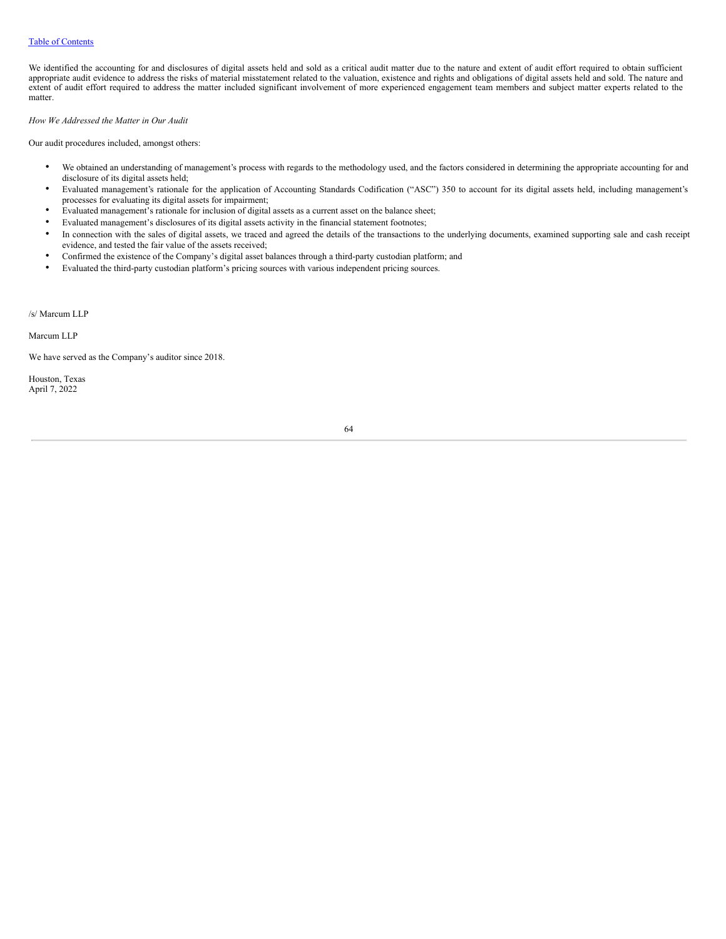We identified the accounting for and disclosures of digital assets held and sold as a critical audit matter due to the nature and extent of audit effort required to obtain sufficient appropriate audit evidence to address the risks of material misstatement related to the valuation, existence and rights and obligations of digital assets held and sold. The nature and extent of audit effort required to address the matter included significant involvement of more experienced engagement team members and subject matter experts related to the matter.

*How We Addressed the Matter in Our Audit*

Our audit procedures included, amongst others:

- We obtained an understanding of management's process with regards to the methodology used, and the factors considered in determining the appropriate accounting for and disclosure of its digital assets held;
- Evaluated management's rationale for the application of Accounting Standards Codification ("ASC") 350 to account for its digital assets held, including management's processes for evaluating its digital assets for impairment;
- Evaluated management's rationale for inclusion of digital assets as a current asset on the balance sheet;
- Evaluated management's disclosures of its digital assets activity in the financial statement footnotes;
- In connection with the sales of digital assets, we traced and agreed the details of the transactions to the underlying documents, examined supporting sale and cash receipt evidence, and tested the fair value of the assets received;
- Confirmed the existence of the Company's digital asset balances through a third-party custodian platform; and
- Evaluated the third-party custodian platform's pricing sources with various independent pricing sources.

/s/ Marcum LLP

Marcum LLP

We have served as the Company's auditor since 2018.

<span id="page-65-0"></span>Houston, Texas April 7, 2022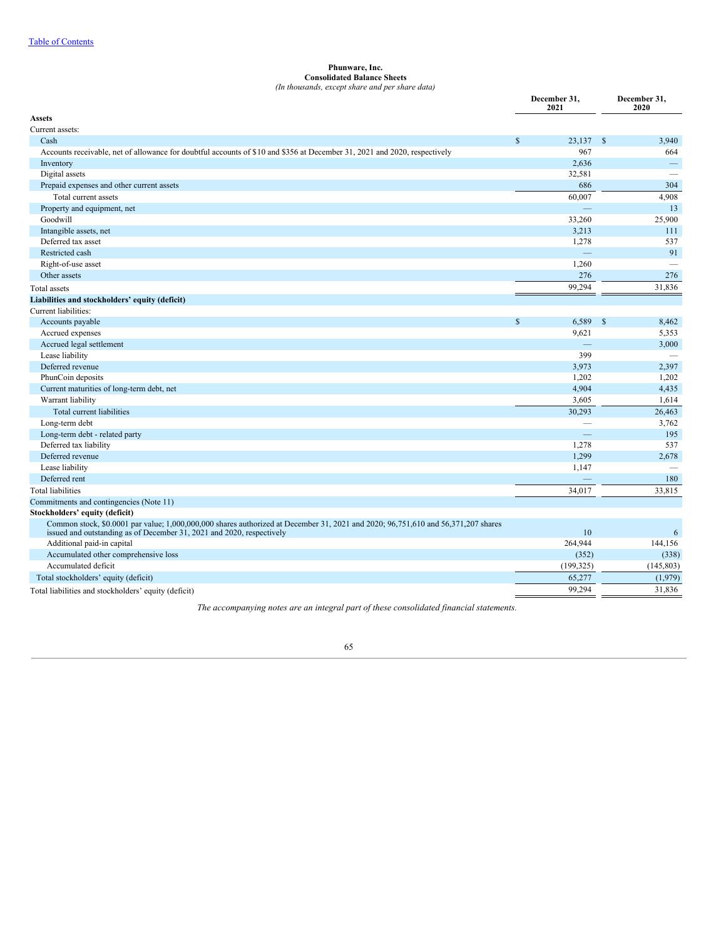## **Phunware, Inc. Consolidated Balance Sheets**

*(In thousands, except share and per share data)*

|                                                                                                                                                                                                            |              | December 31,<br>2021 |                    | December 31,<br>2020     |
|------------------------------------------------------------------------------------------------------------------------------------------------------------------------------------------------------------|--------------|----------------------|--------------------|--------------------------|
| Assets                                                                                                                                                                                                     |              |                      |                    |                          |
| Current assets:                                                                                                                                                                                            |              |                      |                    |                          |
| Cash                                                                                                                                                                                                       | $\mathbb{S}$ | $23,137$ \$          |                    | 3,940                    |
| Accounts receivable, net of allowance for doubtful accounts of \$10 and \$356 at December 31, 2021 and 2020, respectively                                                                                  |              | 967                  |                    | 664                      |
| Inventory                                                                                                                                                                                                  |              | 2,636                |                    | $\overline{\phantom{0}}$ |
| Digital assets                                                                                                                                                                                             |              | 32,581               |                    |                          |
| Prepaid expenses and other current assets                                                                                                                                                                  |              | 686                  |                    | 304                      |
| Total current assets                                                                                                                                                                                       |              | 60,007               |                    | 4,908                    |
| Property and equipment, net                                                                                                                                                                                |              |                      |                    | 13                       |
| Goodwill                                                                                                                                                                                                   |              | 33,260               |                    | 25,900                   |
| Intangible assets, net                                                                                                                                                                                     |              | 3,213                |                    | 111                      |
| Deferred tax asset                                                                                                                                                                                         |              | 1,278                |                    | 537                      |
| Restricted cash                                                                                                                                                                                            |              | $\equiv$             |                    | 91                       |
| Right-of-use asset                                                                                                                                                                                         |              | 1,260                |                    |                          |
| Other assets                                                                                                                                                                                               |              | 276                  |                    | 276                      |
| Total assets                                                                                                                                                                                               |              | 99,294               |                    | 31,836                   |
| Liabilities and stockholders' equity (deficit)                                                                                                                                                             |              |                      |                    |                          |
| Current liabilities:                                                                                                                                                                                       |              |                      |                    |                          |
| Accounts payable                                                                                                                                                                                           | $\mathbb{S}$ | 6,589                | $\mathbf{\hat{s}}$ | 8,462                    |
| Accrued expenses                                                                                                                                                                                           |              | 9,621                |                    | 5,353                    |
| Accrued legal settlement                                                                                                                                                                                   |              |                      |                    | 3,000                    |
| Lease liability                                                                                                                                                                                            |              | 399                  |                    |                          |
| Deferred revenue                                                                                                                                                                                           |              | 3,973                |                    | 2,397                    |
| PhunCoin deposits                                                                                                                                                                                          |              | 1,202                |                    | 1,202                    |
| Current maturities of long-term debt, net                                                                                                                                                                  |              | 4,904                |                    | 4,435                    |
| Warrant liability                                                                                                                                                                                          |              | 3,605                |                    | 1,614                    |
| Total current liabilities                                                                                                                                                                                  |              | 30,293               |                    | 26,463                   |
| Long-term debt                                                                                                                                                                                             |              |                      |                    | 3,762                    |
| Long-term debt - related party                                                                                                                                                                             |              |                      |                    | 195                      |
| Deferred tax liability                                                                                                                                                                                     |              | 1,278                |                    | 537                      |
| Deferred revenue                                                                                                                                                                                           |              | 1,299                |                    | 2,678                    |
| Lease liability                                                                                                                                                                                            |              | 1,147                |                    |                          |
| Deferred rent                                                                                                                                                                                              |              |                      |                    | 180                      |
| Total liabilities                                                                                                                                                                                          |              | 34,017               |                    | 33,815                   |
| Commitments and contingencies (Note 11)                                                                                                                                                                    |              |                      |                    |                          |
| Stockholders' equity (deficit)                                                                                                                                                                             |              |                      |                    |                          |
| Common stock, \$0.0001 par value; 1,000,000,000 shares authorized at December 31, 2021 and 2020; 96,751,610 and 56,371,207 shares<br>issued and outstanding as of December 31, 2021 and 2020, respectively |              | 10                   |                    | 6                        |
| Additional paid-in capital                                                                                                                                                                                 |              | 264,944              |                    | 144,156                  |
| Accumulated other comprehensive loss                                                                                                                                                                       |              | (352)                |                    | (338)                    |
| Accumulated deficit                                                                                                                                                                                        |              | (199, 325)           |                    | (145, 803)               |
| Total stockholders' equity (deficit)                                                                                                                                                                       |              | 65,277               |                    | (1,979)                  |
| Total liabilities and stockholders' equity (deficit)                                                                                                                                                       |              | 99.294               |                    | 31,836                   |

<span id="page-66-0"></span>*The accompanying notes are an integral part of these consolidated financial statements.*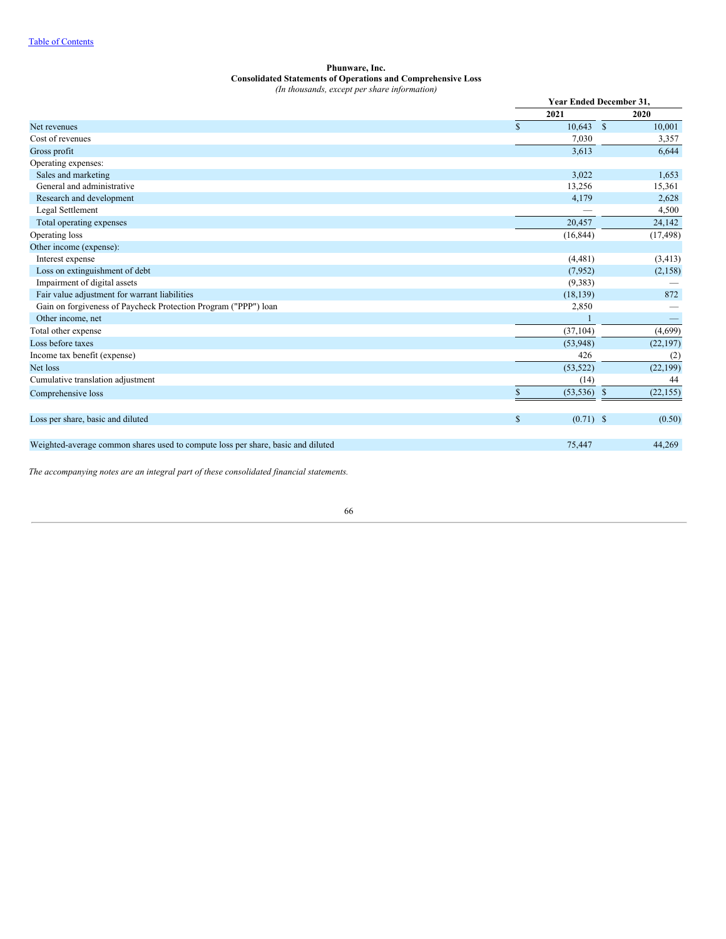# **Phunware, Inc. Consolidated Statements of Operations and Comprehensive Loss**

*(In thousands, except per share information)*

|                                                                                  |                             | <b>Year Ended December 31,</b> |  |  |
|----------------------------------------------------------------------------------|-----------------------------|--------------------------------|--|--|
|                                                                                  | 2021                        | 2020                           |  |  |
| Net revenues                                                                     | $10,643$ \$<br>$\mathbb{S}$ | 10,001                         |  |  |
| Cost of revenues                                                                 | 7,030                       | 3,357                          |  |  |
| Gross profit                                                                     | 3,613                       | 6.644                          |  |  |
| Operating expenses:                                                              |                             |                                |  |  |
| Sales and marketing                                                              | 3,022                       | 1,653                          |  |  |
| General and administrative                                                       | 13,256                      | 15,361                         |  |  |
| Research and development                                                         | 4,179                       | 2,628                          |  |  |
| Legal Settlement                                                                 |                             | 4,500                          |  |  |
| Total operating expenses                                                         | 20,457                      | 24,142                         |  |  |
| Operating loss                                                                   | (16, 844)                   | (17, 498)                      |  |  |
| Other income (expense):                                                          |                             |                                |  |  |
| Interest expense                                                                 | (4, 481)                    | (3, 413)                       |  |  |
| Loss on extinguishment of debt                                                   | (7,952)                     | (2,158)                        |  |  |
| Impairment of digital assets                                                     | (9,383)                     |                                |  |  |
| Fair value adjustment for warrant liabilities                                    | (18, 139)                   | 872                            |  |  |
| Gain on forgiveness of Paycheck Protection Program ("PPP") loan                  | 2,850                       |                                |  |  |
| Other income, net                                                                |                             |                                |  |  |
| Total other expense                                                              | (37, 104)                   | (4,699)                        |  |  |
| Loss before taxes                                                                | (53,948)                    | (22, 197)                      |  |  |
| Income tax benefit (expense)                                                     | 426                         | (2)                            |  |  |
| Net loss                                                                         | (53, 522)                   | (22, 199)                      |  |  |
| Cumulative translation adjustment                                                | (14)                        | 44                             |  |  |
| Comprehensive loss                                                               | $(53,536)$ \$<br>\$.        | (22, 155)                      |  |  |
| Loss per share, basic and diluted                                                | $\mathbf{s}$<br>$(0.71)$ \$ | (0.50)                         |  |  |
| Weighted-average common shares used to compute loss per share, basic and diluted | 75,447                      | 44,269                         |  |  |

<span id="page-67-0"></span>*The accompanying notes are an integral part of these consolidated financial statements.*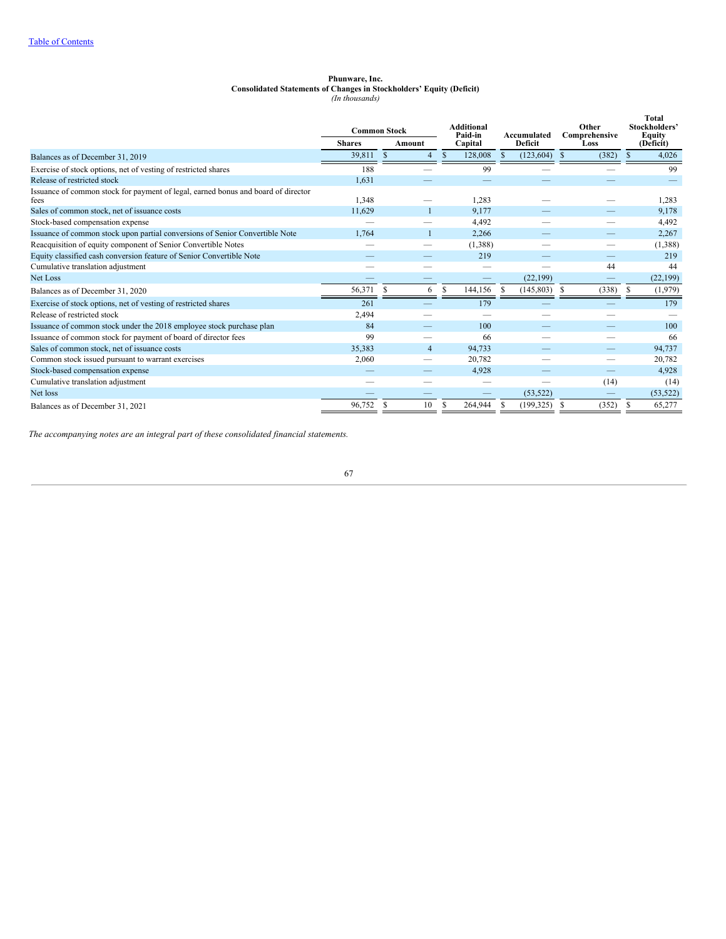#### **Phunware, Inc. Consolidated Statements of Changes in Stockholders' Equity (Deficit)** *(In thousands)*

|                                                                                           | <b>Common Stock</b> |    | <b>Additional</b><br>Paid-in |   | <b>Accumulated</b> |              | Other<br>Comprehensive |               | <b>Total</b><br>Stockholders'<br><b>Equity</b> |               |           |
|-------------------------------------------------------------------------------------------|---------------------|----|------------------------------|---|--------------------|--------------|------------------------|---------------|------------------------------------------------|---------------|-----------|
|                                                                                           | <b>Shares</b>       |    | Amount                       |   | Capital            |              | Deficit                |               | Loss                                           |               | (Deficit) |
| Balances as of December 31, 2019                                                          | 39,811              | -S |                              | S | 128,008            | <sup>S</sup> | (123, 604)             | -S            | (382)                                          | -S            | 4,026     |
| Exercise of stock options, net of vesting of restricted shares                            | 188                 |    |                              |   | 99                 |              |                        |               |                                                |               | 99        |
| Release of restricted stock                                                               | 1,631               |    |                              |   |                    |              |                        |               |                                                |               |           |
| Issuance of common stock for payment of legal, earned bonus and board of director<br>fees | 1,348               |    |                              |   | 1,283              |              |                        |               |                                                |               | 1,283     |
| Sales of common stock, net of issuance costs                                              | 11,629              |    |                              |   | 9,177              |              |                        |               |                                                |               | 9,178     |
| Stock-based compensation expense                                                          |                     |    |                              |   | 4,492              |              |                        |               |                                                |               | 4,492     |
| Issuance of common stock upon partial conversions of Senior Convertible Note              | 1,764               |    |                              |   | 2,266              |              |                        |               |                                                |               | 2,267     |
| Reacquisition of equity component of Senior Convertible Notes                             |                     |    |                              |   | (1,388)            |              |                        |               |                                                |               | (1,388)   |
| Equity classified cash conversion feature of Senior Convertible Note                      |                     |    |                              |   | 219                |              |                        |               |                                                |               | 219       |
| Cumulative translation adjustment                                                         |                     |    |                              |   |                    |              |                        |               | 44                                             |               | 44        |
| <b>Net Loss</b>                                                                           |                     |    |                              |   |                    |              | (22, 199)              |               |                                                |               | (22, 199) |
| Balances as of December 31, 2020                                                          | 56,371              | -S | 6                            | S | 144,156            | -S           | (145, 803)             | <sup>\$</sup> | (338)                                          | -S            | (1,979)   |
| Exercise of stock options, net of vesting of restricted shares                            | 261                 |    |                              |   | 179                |              |                        |               |                                                |               | 179       |
| Release of restricted stock                                                               | 2,494               |    |                              |   |                    |              |                        |               |                                                |               |           |
| Issuance of common stock under the 2018 employee stock purchase plan                      | 84                  |    |                              |   | 100                |              |                        |               |                                                |               | 100       |
| Issuance of common stock for payment of board of director fees                            | 99                  |    |                              |   | 66                 |              |                        |               |                                                |               | 66        |
| Sales of common stock, net of issuance costs                                              | 35,383              |    | $\overline{4}$               |   | 94,733             |              |                        |               |                                                |               | 94,737    |
| Common stock issued pursuant to warrant exercises                                         | 2,060               |    |                              |   | 20,782             |              |                        |               |                                                |               | 20,782    |
| Stock-based compensation expense                                                          |                     |    |                              |   | 4,928              |              |                        |               |                                                |               | 4,928     |
| Cumulative translation adjustment                                                         |                     |    |                              |   |                    |              |                        |               | (14)                                           |               | (14)      |
| Net loss                                                                                  |                     |    |                              |   |                    |              | (53, 522)              |               |                                                |               | (53, 522) |
| Balances as of December 31, 2021                                                          | 96,752              |    | 10                           | S | 264,944            | S            | (199, 325)             | S             | (352)                                          | <sup>\$</sup> | 65,277    |

<span id="page-68-0"></span>*The accompanying notes are an integral part of these consolidated financial statements.*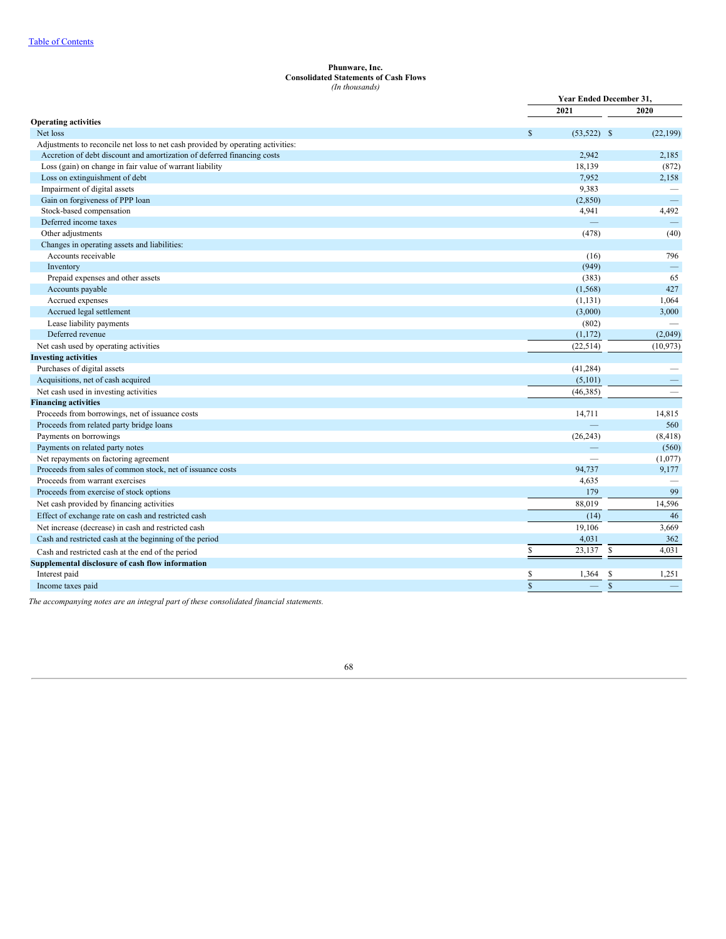#### **Phunware, Inc. Consolidated Statements of Cash Flows** *(In thousands)*

| 2021<br>2020<br><b>Operating activities</b><br>Net loss<br>$(53,522)$ \$<br>(22, 199)<br>\$<br>Adjustments to reconcile net loss to net cash provided by operating activities:<br>Accretion of debt discount and amortization of deferred financing costs<br>2,942<br>2,185<br>Loss (gain) on change in fair value of warrant liability<br>18,139<br>(872)<br>Loss on extinguishment of debt<br>7,952<br>2,158<br>Impairment of digital assets<br>9,383<br>Gain on forgiveness of PPP loan<br>(2,850)<br>Stock-based compensation<br>4,941<br>4,492<br>Deferred income taxes<br>Other adjustments<br>(478)<br>(40)<br>Changes in operating assets and liabilities:<br>Accounts receivable<br>796<br>(16)<br>$\equiv$<br>(949)<br>Inventory<br>65<br>Prepaid expenses and other assets<br>(383)<br>Accounts payable<br>427<br>(1, 568)<br>Accrued expenses<br>(1, 131)<br>1,064<br>Accrued legal settlement<br>(3,000)<br>3,000<br>Lease liability payments<br>(802)<br>Deferred revenue<br>(2,049)<br>(1,172)<br>(22, 514)<br>Net cash used by operating activities<br>(10, 973)<br><b>Investing activities</b><br>Purchases of digital assets<br>(41, 284)<br>(5,101)<br>Acquisitions, net of cash acquired<br>(46, 385)<br>Net cash used in investing activities<br><b>Financing activities</b><br>Proceeds from borrowings, net of issuance costs<br>14,711<br>14,815<br>560<br>Proceeds from related party bridge loans<br>Payments on borrowings<br>(26, 243)<br>(8, 418)<br>Payments on related party notes<br>(560)<br>Net repayments on factoring agreement<br>(1,077)<br>$\qquad \qquad -$<br>Proceeds from sales of common stock, net of issuance costs<br>94,737<br>9,177<br>Proceeds from warrant exercises<br>4,635<br>179<br>99<br>Proceeds from exercise of stock options<br>88,019<br>14,596<br>Net cash provided by financing activities<br>46<br>Effect of exchange rate on cash and restricted cash<br>(14)<br>19,106<br>3,669<br>Net increase (decrease) in cash and restricted cash<br>4,031<br>Cash and restricted cash at the beginning of the period<br>362<br>\$<br>\$<br>4,031<br>23,137<br>Cash and restricted cash at the end of the period<br>Supplemental disclosure of cash flow information<br>\$<br>1,251<br>Interest paid<br>1,364<br>\$ |                   |             | <b>Year Ended December 31.</b> |  |  |  |  |  |  |
|----------------------------------------------------------------------------------------------------------------------------------------------------------------------------------------------------------------------------------------------------------------------------------------------------------------------------------------------------------------------------------------------------------------------------------------------------------------------------------------------------------------------------------------------------------------------------------------------------------------------------------------------------------------------------------------------------------------------------------------------------------------------------------------------------------------------------------------------------------------------------------------------------------------------------------------------------------------------------------------------------------------------------------------------------------------------------------------------------------------------------------------------------------------------------------------------------------------------------------------------------------------------------------------------------------------------------------------------------------------------------------------------------------------------------------------------------------------------------------------------------------------------------------------------------------------------------------------------------------------------------------------------------------------------------------------------------------------------------------------------------------------------------------------------------------------------------------------------------------------------------------------------------------------------------------------------------------------------------------------------------------------------------------------------------------------------------------------------------------------------------------------------------------------------------------------------------------------------------------------------------------------------------|-------------------|-------------|--------------------------------|--|--|--|--|--|--|
|                                                                                                                                                                                                                                                                                                                                                                                                                                                                                                                                                                                                                                                                                                                                                                                                                                                                                                                                                                                                                                                                                                                                                                                                                                                                                                                                                                                                                                                                                                                                                                                                                                                                                                                                                                                                                                                                                                                                                                                                                                                                                                                                                                                                                                                                            |                   |             |                                |  |  |  |  |  |  |
|                                                                                                                                                                                                                                                                                                                                                                                                                                                                                                                                                                                                                                                                                                                                                                                                                                                                                                                                                                                                                                                                                                                                                                                                                                                                                                                                                                                                                                                                                                                                                                                                                                                                                                                                                                                                                                                                                                                                                                                                                                                                                                                                                                                                                                                                            |                   |             |                                |  |  |  |  |  |  |
|                                                                                                                                                                                                                                                                                                                                                                                                                                                                                                                                                                                                                                                                                                                                                                                                                                                                                                                                                                                                                                                                                                                                                                                                                                                                                                                                                                                                                                                                                                                                                                                                                                                                                                                                                                                                                                                                                                                                                                                                                                                                                                                                                                                                                                                                            |                   |             |                                |  |  |  |  |  |  |
|                                                                                                                                                                                                                                                                                                                                                                                                                                                                                                                                                                                                                                                                                                                                                                                                                                                                                                                                                                                                                                                                                                                                                                                                                                                                                                                                                                                                                                                                                                                                                                                                                                                                                                                                                                                                                                                                                                                                                                                                                                                                                                                                                                                                                                                                            |                   |             |                                |  |  |  |  |  |  |
|                                                                                                                                                                                                                                                                                                                                                                                                                                                                                                                                                                                                                                                                                                                                                                                                                                                                                                                                                                                                                                                                                                                                                                                                                                                                                                                                                                                                                                                                                                                                                                                                                                                                                                                                                                                                                                                                                                                                                                                                                                                                                                                                                                                                                                                                            |                   |             |                                |  |  |  |  |  |  |
|                                                                                                                                                                                                                                                                                                                                                                                                                                                                                                                                                                                                                                                                                                                                                                                                                                                                                                                                                                                                                                                                                                                                                                                                                                                                                                                                                                                                                                                                                                                                                                                                                                                                                                                                                                                                                                                                                                                                                                                                                                                                                                                                                                                                                                                                            |                   |             |                                |  |  |  |  |  |  |
|                                                                                                                                                                                                                                                                                                                                                                                                                                                                                                                                                                                                                                                                                                                                                                                                                                                                                                                                                                                                                                                                                                                                                                                                                                                                                                                                                                                                                                                                                                                                                                                                                                                                                                                                                                                                                                                                                                                                                                                                                                                                                                                                                                                                                                                                            |                   |             |                                |  |  |  |  |  |  |
|                                                                                                                                                                                                                                                                                                                                                                                                                                                                                                                                                                                                                                                                                                                                                                                                                                                                                                                                                                                                                                                                                                                                                                                                                                                                                                                                                                                                                                                                                                                                                                                                                                                                                                                                                                                                                                                                                                                                                                                                                                                                                                                                                                                                                                                                            |                   |             |                                |  |  |  |  |  |  |
|                                                                                                                                                                                                                                                                                                                                                                                                                                                                                                                                                                                                                                                                                                                                                                                                                                                                                                                                                                                                                                                                                                                                                                                                                                                                                                                                                                                                                                                                                                                                                                                                                                                                                                                                                                                                                                                                                                                                                                                                                                                                                                                                                                                                                                                                            |                   |             |                                |  |  |  |  |  |  |
|                                                                                                                                                                                                                                                                                                                                                                                                                                                                                                                                                                                                                                                                                                                                                                                                                                                                                                                                                                                                                                                                                                                                                                                                                                                                                                                                                                                                                                                                                                                                                                                                                                                                                                                                                                                                                                                                                                                                                                                                                                                                                                                                                                                                                                                                            |                   |             |                                |  |  |  |  |  |  |
|                                                                                                                                                                                                                                                                                                                                                                                                                                                                                                                                                                                                                                                                                                                                                                                                                                                                                                                                                                                                                                                                                                                                                                                                                                                                                                                                                                                                                                                                                                                                                                                                                                                                                                                                                                                                                                                                                                                                                                                                                                                                                                                                                                                                                                                                            |                   |             |                                |  |  |  |  |  |  |
|                                                                                                                                                                                                                                                                                                                                                                                                                                                                                                                                                                                                                                                                                                                                                                                                                                                                                                                                                                                                                                                                                                                                                                                                                                                                                                                                                                                                                                                                                                                                                                                                                                                                                                                                                                                                                                                                                                                                                                                                                                                                                                                                                                                                                                                                            |                   |             |                                |  |  |  |  |  |  |
|                                                                                                                                                                                                                                                                                                                                                                                                                                                                                                                                                                                                                                                                                                                                                                                                                                                                                                                                                                                                                                                                                                                                                                                                                                                                                                                                                                                                                                                                                                                                                                                                                                                                                                                                                                                                                                                                                                                                                                                                                                                                                                                                                                                                                                                                            |                   |             |                                |  |  |  |  |  |  |
|                                                                                                                                                                                                                                                                                                                                                                                                                                                                                                                                                                                                                                                                                                                                                                                                                                                                                                                                                                                                                                                                                                                                                                                                                                                                                                                                                                                                                                                                                                                                                                                                                                                                                                                                                                                                                                                                                                                                                                                                                                                                                                                                                                                                                                                                            |                   |             |                                |  |  |  |  |  |  |
|                                                                                                                                                                                                                                                                                                                                                                                                                                                                                                                                                                                                                                                                                                                                                                                                                                                                                                                                                                                                                                                                                                                                                                                                                                                                                                                                                                                                                                                                                                                                                                                                                                                                                                                                                                                                                                                                                                                                                                                                                                                                                                                                                                                                                                                                            |                   |             |                                |  |  |  |  |  |  |
|                                                                                                                                                                                                                                                                                                                                                                                                                                                                                                                                                                                                                                                                                                                                                                                                                                                                                                                                                                                                                                                                                                                                                                                                                                                                                                                                                                                                                                                                                                                                                                                                                                                                                                                                                                                                                                                                                                                                                                                                                                                                                                                                                                                                                                                                            |                   |             |                                |  |  |  |  |  |  |
|                                                                                                                                                                                                                                                                                                                                                                                                                                                                                                                                                                                                                                                                                                                                                                                                                                                                                                                                                                                                                                                                                                                                                                                                                                                                                                                                                                                                                                                                                                                                                                                                                                                                                                                                                                                                                                                                                                                                                                                                                                                                                                                                                                                                                                                                            |                   |             |                                |  |  |  |  |  |  |
|                                                                                                                                                                                                                                                                                                                                                                                                                                                                                                                                                                                                                                                                                                                                                                                                                                                                                                                                                                                                                                                                                                                                                                                                                                                                                                                                                                                                                                                                                                                                                                                                                                                                                                                                                                                                                                                                                                                                                                                                                                                                                                                                                                                                                                                                            |                   |             |                                |  |  |  |  |  |  |
|                                                                                                                                                                                                                                                                                                                                                                                                                                                                                                                                                                                                                                                                                                                                                                                                                                                                                                                                                                                                                                                                                                                                                                                                                                                                                                                                                                                                                                                                                                                                                                                                                                                                                                                                                                                                                                                                                                                                                                                                                                                                                                                                                                                                                                                                            |                   |             |                                |  |  |  |  |  |  |
|                                                                                                                                                                                                                                                                                                                                                                                                                                                                                                                                                                                                                                                                                                                                                                                                                                                                                                                                                                                                                                                                                                                                                                                                                                                                                                                                                                                                                                                                                                                                                                                                                                                                                                                                                                                                                                                                                                                                                                                                                                                                                                                                                                                                                                                                            |                   |             |                                |  |  |  |  |  |  |
|                                                                                                                                                                                                                                                                                                                                                                                                                                                                                                                                                                                                                                                                                                                                                                                                                                                                                                                                                                                                                                                                                                                                                                                                                                                                                                                                                                                                                                                                                                                                                                                                                                                                                                                                                                                                                                                                                                                                                                                                                                                                                                                                                                                                                                                                            |                   |             |                                |  |  |  |  |  |  |
|                                                                                                                                                                                                                                                                                                                                                                                                                                                                                                                                                                                                                                                                                                                                                                                                                                                                                                                                                                                                                                                                                                                                                                                                                                                                                                                                                                                                                                                                                                                                                                                                                                                                                                                                                                                                                                                                                                                                                                                                                                                                                                                                                                                                                                                                            |                   |             |                                |  |  |  |  |  |  |
|                                                                                                                                                                                                                                                                                                                                                                                                                                                                                                                                                                                                                                                                                                                                                                                                                                                                                                                                                                                                                                                                                                                                                                                                                                                                                                                                                                                                                                                                                                                                                                                                                                                                                                                                                                                                                                                                                                                                                                                                                                                                                                                                                                                                                                                                            |                   |             |                                |  |  |  |  |  |  |
|                                                                                                                                                                                                                                                                                                                                                                                                                                                                                                                                                                                                                                                                                                                                                                                                                                                                                                                                                                                                                                                                                                                                                                                                                                                                                                                                                                                                                                                                                                                                                                                                                                                                                                                                                                                                                                                                                                                                                                                                                                                                                                                                                                                                                                                                            |                   |             |                                |  |  |  |  |  |  |
|                                                                                                                                                                                                                                                                                                                                                                                                                                                                                                                                                                                                                                                                                                                                                                                                                                                                                                                                                                                                                                                                                                                                                                                                                                                                                                                                                                                                                                                                                                                                                                                                                                                                                                                                                                                                                                                                                                                                                                                                                                                                                                                                                                                                                                                                            |                   |             |                                |  |  |  |  |  |  |
|                                                                                                                                                                                                                                                                                                                                                                                                                                                                                                                                                                                                                                                                                                                                                                                                                                                                                                                                                                                                                                                                                                                                                                                                                                                                                                                                                                                                                                                                                                                                                                                                                                                                                                                                                                                                                                                                                                                                                                                                                                                                                                                                                                                                                                                                            |                   |             |                                |  |  |  |  |  |  |
|                                                                                                                                                                                                                                                                                                                                                                                                                                                                                                                                                                                                                                                                                                                                                                                                                                                                                                                                                                                                                                                                                                                                                                                                                                                                                                                                                                                                                                                                                                                                                                                                                                                                                                                                                                                                                                                                                                                                                                                                                                                                                                                                                                                                                                                                            |                   |             |                                |  |  |  |  |  |  |
|                                                                                                                                                                                                                                                                                                                                                                                                                                                                                                                                                                                                                                                                                                                                                                                                                                                                                                                                                                                                                                                                                                                                                                                                                                                                                                                                                                                                                                                                                                                                                                                                                                                                                                                                                                                                                                                                                                                                                                                                                                                                                                                                                                                                                                                                            |                   |             |                                |  |  |  |  |  |  |
|                                                                                                                                                                                                                                                                                                                                                                                                                                                                                                                                                                                                                                                                                                                                                                                                                                                                                                                                                                                                                                                                                                                                                                                                                                                                                                                                                                                                                                                                                                                                                                                                                                                                                                                                                                                                                                                                                                                                                                                                                                                                                                                                                                                                                                                                            |                   |             |                                |  |  |  |  |  |  |
|                                                                                                                                                                                                                                                                                                                                                                                                                                                                                                                                                                                                                                                                                                                                                                                                                                                                                                                                                                                                                                                                                                                                                                                                                                                                                                                                                                                                                                                                                                                                                                                                                                                                                                                                                                                                                                                                                                                                                                                                                                                                                                                                                                                                                                                                            |                   |             |                                |  |  |  |  |  |  |
|                                                                                                                                                                                                                                                                                                                                                                                                                                                                                                                                                                                                                                                                                                                                                                                                                                                                                                                                                                                                                                                                                                                                                                                                                                                                                                                                                                                                                                                                                                                                                                                                                                                                                                                                                                                                                                                                                                                                                                                                                                                                                                                                                                                                                                                                            |                   |             |                                |  |  |  |  |  |  |
|                                                                                                                                                                                                                                                                                                                                                                                                                                                                                                                                                                                                                                                                                                                                                                                                                                                                                                                                                                                                                                                                                                                                                                                                                                                                                                                                                                                                                                                                                                                                                                                                                                                                                                                                                                                                                                                                                                                                                                                                                                                                                                                                                                                                                                                                            |                   |             |                                |  |  |  |  |  |  |
|                                                                                                                                                                                                                                                                                                                                                                                                                                                                                                                                                                                                                                                                                                                                                                                                                                                                                                                                                                                                                                                                                                                                                                                                                                                                                                                                                                                                                                                                                                                                                                                                                                                                                                                                                                                                                                                                                                                                                                                                                                                                                                                                                                                                                                                                            |                   |             |                                |  |  |  |  |  |  |
|                                                                                                                                                                                                                                                                                                                                                                                                                                                                                                                                                                                                                                                                                                                                                                                                                                                                                                                                                                                                                                                                                                                                                                                                                                                                                                                                                                                                                                                                                                                                                                                                                                                                                                                                                                                                                                                                                                                                                                                                                                                                                                                                                                                                                                                                            |                   |             |                                |  |  |  |  |  |  |
|                                                                                                                                                                                                                                                                                                                                                                                                                                                                                                                                                                                                                                                                                                                                                                                                                                                                                                                                                                                                                                                                                                                                                                                                                                                                                                                                                                                                                                                                                                                                                                                                                                                                                                                                                                                                                                                                                                                                                                                                                                                                                                                                                                                                                                                                            |                   |             |                                |  |  |  |  |  |  |
|                                                                                                                                                                                                                                                                                                                                                                                                                                                                                                                                                                                                                                                                                                                                                                                                                                                                                                                                                                                                                                                                                                                                                                                                                                                                                                                                                                                                                                                                                                                                                                                                                                                                                                                                                                                                                                                                                                                                                                                                                                                                                                                                                                                                                                                                            |                   |             |                                |  |  |  |  |  |  |
|                                                                                                                                                                                                                                                                                                                                                                                                                                                                                                                                                                                                                                                                                                                                                                                                                                                                                                                                                                                                                                                                                                                                                                                                                                                                                                                                                                                                                                                                                                                                                                                                                                                                                                                                                                                                                                                                                                                                                                                                                                                                                                                                                                                                                                                                            |                   |             |                                |  |  |  |  |  |  |
|                                                                                                                                                                                                                                                                                                                                                                                                                                                                                                                                                                                                                                                                                                                                                                                                                                                                                                                                                                                                                                                                                                                                                                                                                                                                                                                                                                                                                                                                                                                                                                                                                                                                                                                                                                                                                                                                                                                                                                                                                                                                                                                                                                                                                                                                            |                   |             |                                |  |  |  |  |  |  |
|                                                                                                                                                                                                                                                                                                                                                                                                                                                                                                                                                                                                                                                                                                                                                                                                                                                                                                                                                                                                                                                                                                                                                                                                                                                                                                                                                                                                                                                                                                                                                                                                                                                                                                                                                                                                                                                                                                                                                                                                                                                                                                                                                                                                                                                                            |                   |             |                                |  |  |  |  |  |  |
|                                                                                                                                                                                                                                                                                                                                                                                                                                                                                                                                                                                                                                                                                                                                                                                                                                                                                                                                                                                                                                                                                                                                                                                                                                                                                                                                                                                                                                                                                                                                                                                                                                                                                                                                                                                                                                                                                                                                                                                                                                                                                                                                                                                                                                                                            |                   |             |                                |  |  |  |  |  |  |
|                                                                                                                                                                                                                                                                                                                                                                                                                                                                                                                                                                                                                                                                                                                                                                                                                                                                                                                                                                                                                                                                                                                                                                                                                                                                                                                                                                                                                                                                                                                                                                                                                                                                                                                                                                                                                                                                                                                                                                                                                                                                                                                                                                                                                                                                            |                   |             |                                |  |  |  |  |  |  |
|                                                                                                                                                                                                                                                                                                                                                                                                                                                                                                                                                                                                                                                                                                                                                                                                                                                                                                                                                                                                                                                                                                                                                                                                                                                                                                                                                                                                                                                                                                                                                                                                                                                                                                                                                                                                                                                                                                                                                                                                                                                                                                                                                                                                                                                                            |                   |             |                                |  |  |  |  |  |  |
|                                                                                                                                                                                                                                                                                                                                                                                                                                                                                                                                                                                                                                                                                                                                                                                                                                                                                                                                                                                                                                                                                                                                                                                                                                                                                                                                                                                                                                                                                                                                                                                                                                                                                                                                                                                                                                                                                                                                                                                                                                                                                                                                                                                                                                                                            | Income taxes paid | $\mathbf S$ | $\mathbf{\hat{S}}$             |  |  |  |  |  |  |

*The accompanying notes are an integral part of these consolidated financial statements.*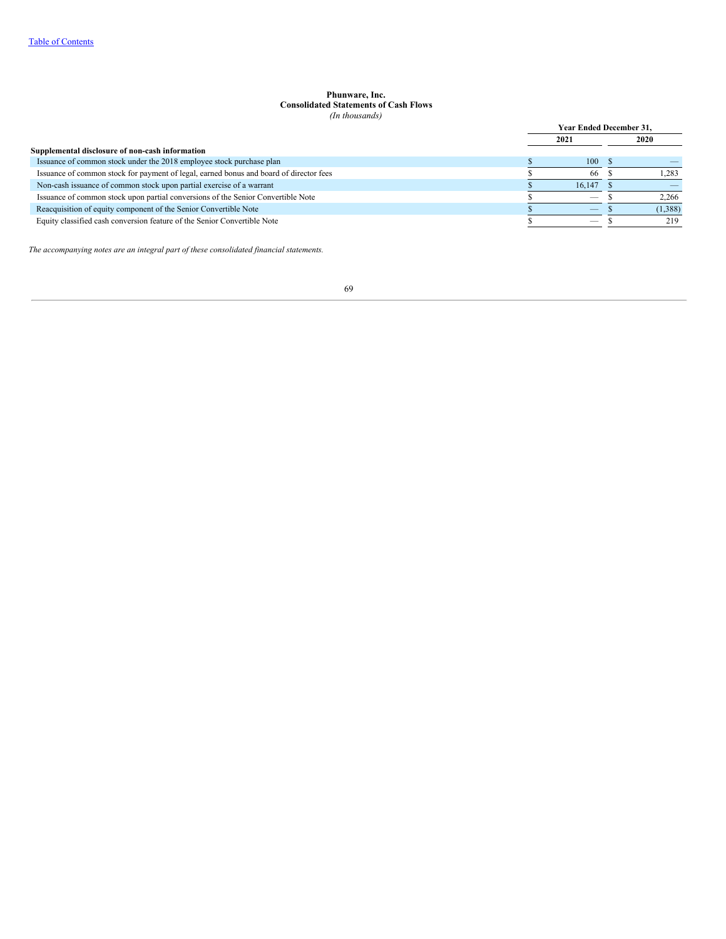# **Phunware, Inc.**

**Consolidated Statements of Cash Flows** *(In thousands)*

|                                                                                        |      | <b>Year Ended December 31.</b> |  |         |  |  |  |  |
|----------------------------------------------------------------------------------------|------|--------------------------------|--|---------|--|--|--|--|
|                                                                                        | 2021 |                                |  | 2020    |  |  |  |  |
| Supplemental disclosure of non-cash information                                        |      |                                |  |         |  |  |  |  |
| Issuance of common stock under the 2018 employee stock purchase plan                   |      | 100                            |  |         |  |  |  |  |
| Issuance of common stock for payment of legal, earned bonus and board of director fees |      | 66                             |  | .283    |  |  |  |  |
| Non-cash issuance of common stock upon partial exercise of a warrant                   |      | 16.147                         |  |         |  |  |  |  |
| Issuance of common stock upon partial conversions of the Senior Convertible Note       |      |                                |  | 2,266   |  |  |  |  |
| Reacquisition of equity component of the Senior Convertible Note                       |      | $-$                            |  | (1,388) |  |  |  |  |
| Equity classified cash conversion feature of the Senior Convertible Note               |      | $\overline{\phantom{a}}$       |  | 219     |  |  |  |  |

<span id="page-70-0"></span>*The accompanying notes are an integral part of these consolidated financial statements.*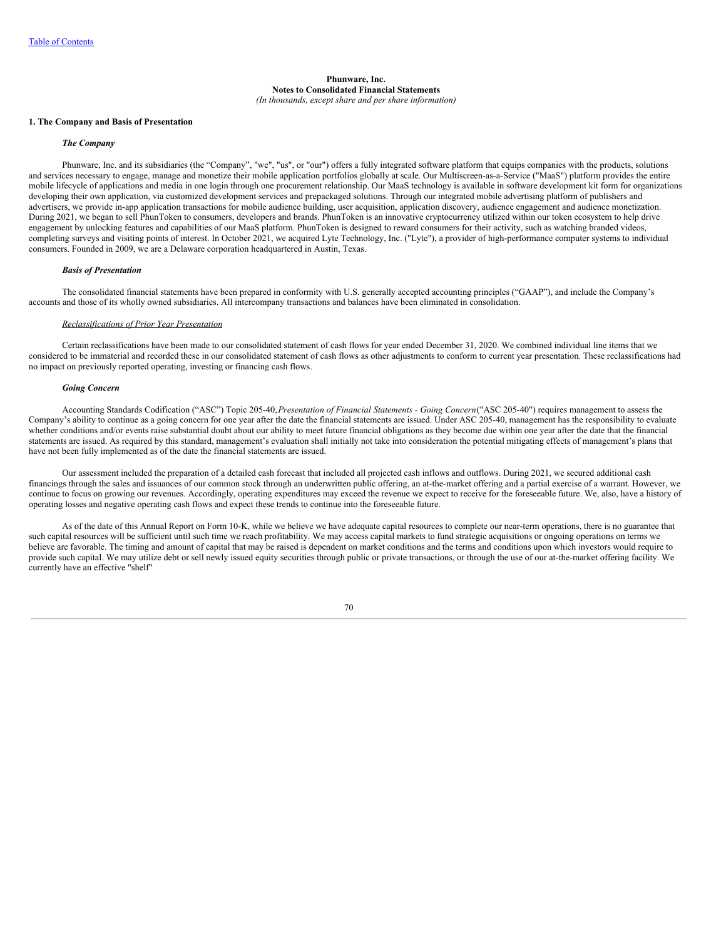#### **Phunware, Inc. Notes to Consolidated Financial Statements** *(In thousands, except share and per share information)*

#### **1. The Company and Basis of Presentation**

#### *The Company*

Phunware, Inc. and its subsidiaries (the "Company", "we", "us", or "our") offers a fully integrated software platform that equips companies with the products, solutions and services necessary to engage, manage and monetize their mobile application portfolios globally at scale. Our Multiscreen-as-a-Service ("MaaS") platform provides the entire mobile lifecycle of applications and media in one login through one procurement relationship. Our MaaS technology is available in software development kit form for organizations developing their own application, via customized development services and prepackaged solutions. Through our integrated mobile advertising platform of publishers and advertisers, we provide in-app application transactions for mobile audience building, user acquisition, application discovery, audience engagement and audience monetization. During 2021, we began to sell PhunToken to consumers, developers and brands. PhunToken is an innovative cryptocurrency utilized within our token ecosystem to help drive engagement by unlocking features and capabilities of our MaaS platform. PhunToken is designed to reward consumers for their activity, such as watching branded videos, completing surveys and visiting points of interest. In October 2021, we acquired Lyte Technology, Inc. ("Lyte"), a provider of high-performance computer systems to individual consumers. Founded in 2009, we are a Delaware corporation headquartered in Austin, Texas.

# *Basis of Presentation*

The consolidated financial statements have been prepared in conformity with U.S. generally accepted accounting principles ("GAAP"), and include the Company's accounts and those of its wholly owned subsidiaries. All intercompany transactions and balances have been eliminated in consolidation.

#### *Reclassifications of Prior Year Presentation*

Certain reclassifications have been made to our consolidated statement of cash flows for year ended December 31, 2020. We combined individual line items that we considered to be immaterial and recorded these in our consolidated statement of cash flows as other adjustments to conform to current year presentation. These reclassifications had no impact on previously reported operating, investing or financing cash flows.

#### *Going Concern*

Accounting Standards Codification ("ASC") Topic 205-40,*Presentation of Financial Statements - Going Concern*("ASC 205-40") requires management to assess the Company's ability to continue as a going concern for one year after the date the financial statements are issued. Under ASC 205-40, management has the responsibility to evaluate whether conditions and/or events raise substantial doubt about our ability to meet future financial obligations as they become due within one year after the date that the financial statements are issued. As required by this standard, management's evaluation shall initially not take into consideration the potential mitigating effects of management's plans that have not been fully implemented as of the date the financial statements are issued.

Our assessment included the preparation of a detailed cash forecast that included all projected cash inflows and outflows. During 2021, we secured additional cash financings through the sales and issuances of our common stock through an underwritten public offering, an at-the-market offering and a partial exercise of a warrant. However, we continue to focus on growing our revenues. Accordingly, operating expenditures may exceed the revenue we expect to receive for the foreseeable future. We, also, have a history of operating losses and negative operating cash flows and expect these trends to continue into the foreseeable future.

As of the date of this Annual Report on Form 10-K, while we believe we have adequate capital resources to complete our near-term operations, there is no guarantee that such capital resources will be sufficient until such time we reach profitability. We may access capital markets to fund strategic acquisitions or ongoing operations on terms we believe are favorable. The timing and amount of capital that may be raised is dependent on market conditions and the terms and conditions upon which investors would require to provide such capital. We may utilize debt or sell newly issued equity securities through public or private transactions, or through the use of our at-the-market offering facility. We currently have an effective "shelf"

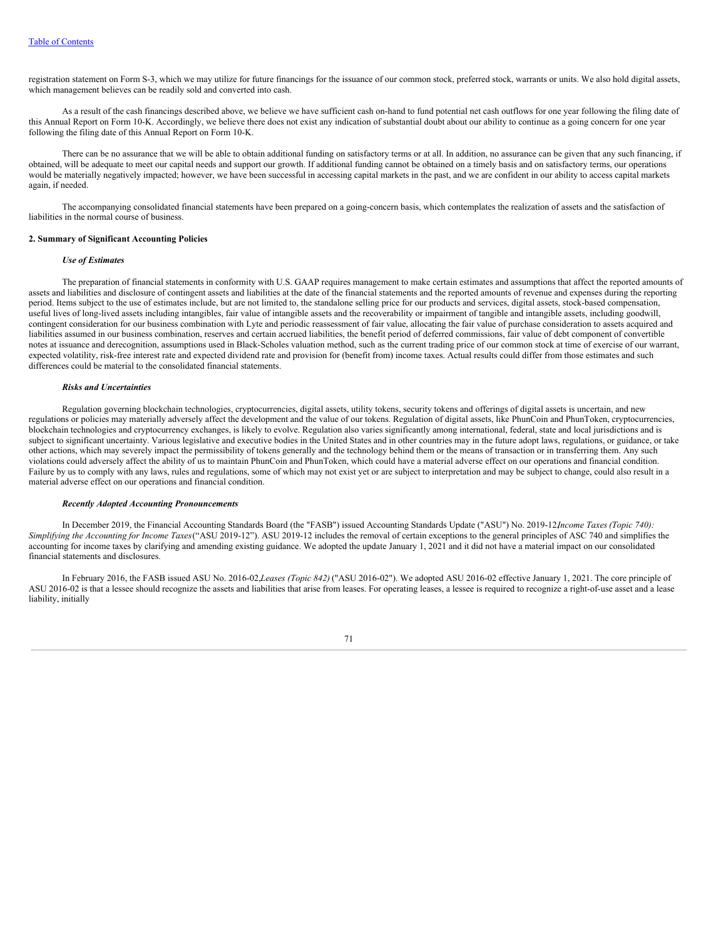registration statement on Form S-3, which we may utilize for future financings for the issuance of our common stock, preferred stock, warrants or units. We also hold digital assets, which management believes can be readily sold and converted into cash.

As a result of the cash financings described above, we believe we have sufficient cash on-hand to fund potential net cash outflows for one year following the filing date of this Annual Report on Form 10-K. Accordingly, we believe there does not exist any indication of substantial doubt about our ability to continue as a going concern for one year following the filing date of this Annual Report on Form 10-K.

There can be no assurance that we will be able to obtain additional funding on satisfactory terms or at all. In addition, no assurance can be given that any such financing, if obtained, will be adequate to meet our capital needs and support our growth. If additional funding cannot be obtained on a timely basis and on satisfactory terms, our operations would be materially negatively impacted; however, we have been successful in accessing capital markets in the past, and we are confident in our ability to access capital markets again, if needed.

The accompanying consolidated financial statements have been prepared on a going-concern basis, which contemplates the realization of assets and the satisfaction of liabilities in the normal course of business.

# **2. Summary of Significant Accounting Policies**

# *Use of Estimates*

The preparation of financial statements in conformity with U.S. GAAP requires management to make certain estimates and assumptions that affect the reported amounts of assets and liabilities and disclosure of contingent assets and liabilities at the date of the financial statements and the reported amounts of revenue and expenses during the reporting period. Items subject to the use of estimates include, but are not limited to, the standalone selling price for our products and services, digital assets, stock-based compensation, useful lives of long-lived assets including intangibles, fair value of intangible assets and the recoverability or impairment of tangible and intangible assets, including goodwill, contingent consideration for our business combination with Lyte and periodic reassessment of fair value, allocating the fair value of purchase consideration to assets acquired and liabilities assumed in our business combination, reserves and certain accrued liabilities, the benefit period of deferred commissions, fair value of debt component of convertible notes at issuance and derecognition, assumptions used in Black-Scholes valuation method, such as the current trading price of our common stock at time of exercise of our warrant, expected volatility, risk-free interest rate and expected dividend rate and provision for (benefit from) income taxes. Actual results could differ from those estimates and such differences could be material to the consolidated financial statements.

### *Risks and Uncertainties*

Regulation governing blockchain technologies, cryptocurrencies, digital assets, utility tokens, security tokens and offerings of digital assets is uncertain, and new regulations or policies may materially adversely affect the development and the value of our tokens. Regulation of digital assets, like PhunCoin and PhunToken, cryptocurrencies, blockchain technologies and cryptocurrency exchanges, is likely to evolve. Regulation also varies significantly among international, federal, state and local jurisdictions and is subject to significant uncertainty. Various legislative and executive bodies in the United States and in other countries may in the future adopt laws, regulations, or guidance, or take other actions, which may severely impact the permissibility of tokens generally and the technology behind them or the means of transaction or in transferring them. Any such violations could adversely affect the ability of us to maintain PhunCoin and PhunToken, which could have a material adverse effect on our operations and financial condition. Failure by us to comply with any laws, rules and regulations, some of which may not exist yet or are subject to interpretation and may be subject to change, could also result in a material adverse effect on our operations and financial condition.

# *Recently Adopted Accounting Pronouncements*

In December 2019, the Financial Accounting Standards Board (the "FASB") issued Accounting Standards Update ("ASU") No. 2019-12,*Income Taxes(Topic 740): Simplifying the Accounting for Income Taxes*("ASU 2019-12"). ASU 2019-12 includes the removal of certain exceptions to the general principles of ASC 740 and simplifies the accounting for income taxes by clarifying and amending existing guidance. We adopted the update January 1, 2021 and it did not have a material impact on our consolidated financial statements and disclosures.

In February 2016, the FASB issued ASU No. 2016-02,*Leases (Topic 842)* ("ASU 2016-02"). We adopted ASU 2016-02 effective January 1, 2021. The core principle of ASU 2016-02 is that a lessee should recognize the assets and liabilities that arise from leases. For operating leases, a lessee is required to recognize a right-of-use asset and a lease liability, initially

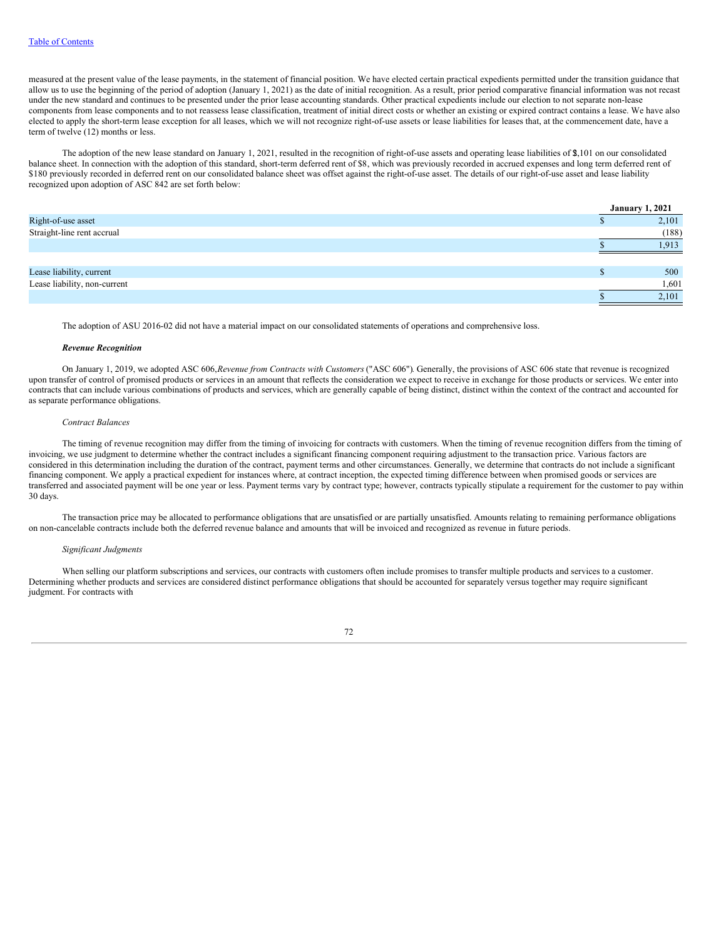measured at the present value of the lease payments, in the statement of financial position. We have elected certain practical expedients permitted under the transition guidance that allow us to use the beginning of the period of adoption (January 1, 2021) as the date of initial recognition. As a result, prior period comparative financial information was not recast under the new standard and continues to be presented under the prior lease accounting standards. Other practical expedients include our election to not separate non-lease components from lease components and to not reassess lease classification, treatment of initial direct costs or whether an existing or expired contract contains a lease. We have also elected to apply the short-term lease exception for all leases, which we will not recognize right-of-use assets or lease liabilities for leases that, at the commencement date, have a term of twelve (12) months or less.

The adoption of the new lease standard on January 1, 2021, resulted in the recognition of right-of-use assets and operating lease liabilities of \$2,101 on our consolidated balance sheet. In connection with the adoption of this standard, short-term deferred rent of \$8, which was previously recorded in accrued expenses and long term deferred rent of \$180 previously recorded in deferred rent on our consolidated balance sheet was offset against the right-of-use asset. The details of our right-of-use asset and lease liability recognized upon adoption of ASC 842 are set forth below:

| <b>January 1, 2021</b> |
|------------------------|
| 2,101                  |
| (188)                  |
| 1,913                  |
|                        |
| 500                    |
| 1,601                  |
| 2,101                  |
|                        |

The adoption of ASU 2016-02 did not have a material impact on our consolidated statements of operations and comprehensive loss.

#### *Revenue Recognition*

On January 1, 2019, we adopted ASC 606,*Revenue from Contracts with Customers* ("ASC 606")*.* Generally, the provisions of ASC 606 state that revenue is recognized upon transfer of control of promised products or services in an amount that reflects the consideration we expect to receive in exchange for those products or services. We enter into contracts that can include various combinations of products and services, which are generally capable of being distinct, distinct within the context of the contract and accounted for as separate performance obligations.

## *Contract Balances*

The timing of revenue recognition may differ from the timing of invoicing for contracts with customers. When the timing of revenue recognition differs from the timing of invoicing, we use judgment to determine whether the contract includes a significant financing component requiring adjustment to the transaction price. Various factors are considered in this determination including the duration of the contract, payment terms and other circumstances. Generally, we determine that contracts do not include a significant financing component. We apply a practical expedient for instances where, at contract inception, the expected timing difference between when promised goods or services are transferred and associated payment will be one year or less. Payment terms vary by contract type; however, contracts typically stipulate a requirement for the customer to pay within 30 days.

The transaction price may be allocated to performance obligations that are unsatisfied or are partially unsatisfied. Amounts relating to remaining performance obligations on non-cancelable contracts include both the deferred revenue balance and amounts that will be invoiced and recognized as revenue in future periods.

#### *Significant Judgments*

When selling our platform subscriptions and services, our contracts with customers often include promises to transfer multiple products and services to a customer. Determining whether products and services are considered distinct performance obligations that should be accounted for separately versus together may require significant judgment. For contracts with

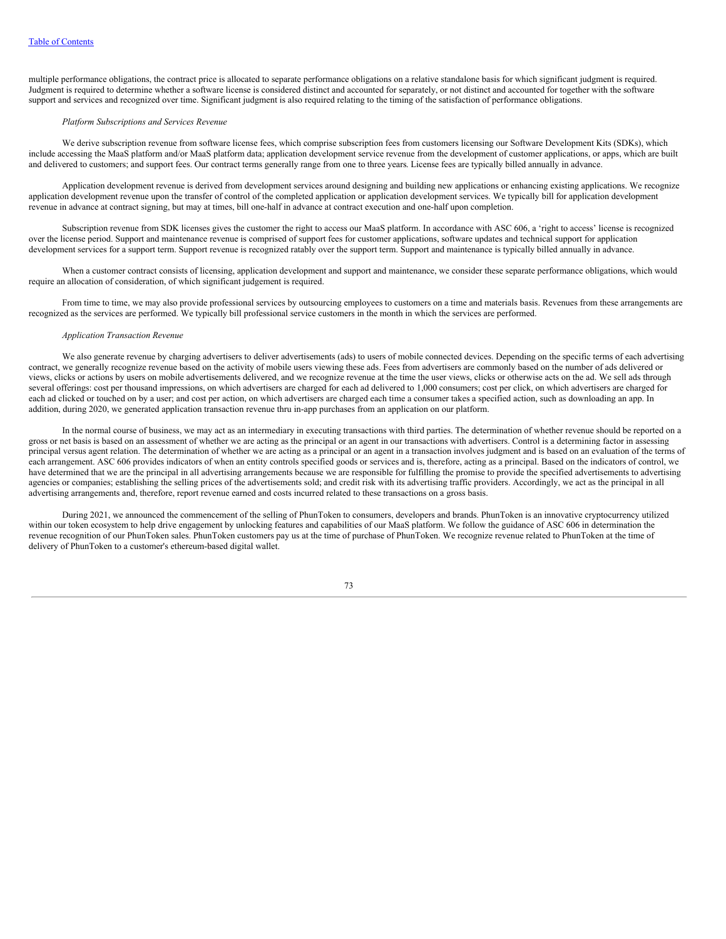multiple performance obligations, the contract price is allocated to separate performance obligations on a relative standalone basis for which significant judgment is required. Judgment is required to determine whether a software license is considered distinct and accounted for separately, or not distinct and accounted for together with the software support and services and recognized over time. Significant judgment is also required relating to the timing of the satisfaction of performance obligations.

# *Platform Subscriptions and Services Revenue*

We derive subscription revenue from software license fees, which comprise subscription fees from customers licensing our Software Development Kits (SDKs), which include accessing the MaaS platform and/or MaaS platform data; application development service revenue from the development of customer applications, or apps, which are built and delivered to customers; and support fees. Our contract terms generally range from one to three years. License fees are typically billed annually in advance.

Application development revenue is derived from development services around designing and building new applications or enhancing existing applications. We recognize application development revenue upon the transfer of control of the completed application or application development services. We typically bill for application development revenue in advance at contract signing, but may at times, bill one-half in advance at contract execution and one-half upon completion.

Subscription revenue from SDK licenses gives the customer the right to access our MaaS platform. In accordance with ASC 606, a 'right to access' license is recognized over the license period. Support and maintenance revenue is comprised of support fees for customer applications, software updates and technical support for application development services for a support term. Support revenue is recognized ratably over the support term. Support and maintenance is typically billed annually in advance.

When a customer contract consists of licensing, application development and support and maintenance, we consider these separate performance obligations, which would require an allocation of consideration, of which significant judgement is required.

From time to time, we may also provide professional services by outsourcing employees to customers on a time and materials basis. Revenues from these arrangements are recognized as the services are performed. We typically bill professional service customers in the month in which the services are performed.

# *Application Transaction Revenue*

We also generate revenue by charging advertisers to deliver advertisements (ads) to users of mobile connected devices. Depending on the specific terms of each advertising contract, we generally recognize revenue based on the activity of mobile users viewing these ads. Fees from advertisers are commonly based on the number of ads delivered or views, clicks or actions by users on mobile advertisements delivered, and we recognize revenue at the time the user views, clicks or otherwise acts on the ad. We sell ads through several offerings: cost per thousand impressions, on which advertisers are charged for each ad delivered to 1,000 consumers; cost per click, on which advertisers are charged for each ad clicked or touched on by a user; and cost per action, on which advertisers are charged each time a consumer takes a specified action, such as downloading an app. In addition, during 2020, we generated application transaction revenue thru in-app purchases from an application on our platform.

In the normal course of business, we may act as an intermediary in executing transactions with third parties. The determination of whether revenue should be reported on a gross or net basis is based on an assessment of whether we are acting as the principal or an agent in our transactions with advertisers. Control is a determining factor in assessing principal versus agent relation. The determination of whether we are acting as a principal or an agent in a transaction involves judgment and is based on an evaluation of the terms of each arrangement. ASC 606 provides indicators of when an entity controls specified goods or services and is, therefore, acting as a principal. Based on the indicators of control, we have determined that we are the principal in all advertising arrangements because we are responsible for fulfilling the promise to provide the specified advertisements to advertising agencies or companies; establishing the selling prices of the advertisements sold; and credit risk with its advertising traffic providers. Accordingly, we act as the principal in all advertising arrangements and, therefore, report revenue earned and costs incurred related to these transactions on a gross basis.

During 2021, we announced the commencement of the selling of PhunToken to consumers, developers and brands. PhunToken is an innovative cryptocurrency utilized within our token ecosystem to help drive engagement by unlocking features and capabilities of our MaaS platform. We follow the guidance of ASC 606 in determination the revenue recognition of our PhunToken sales. PhunToken customers pay us at the time of purchase of PhunToken. We recognize revenue related to PhunToken at the time of delivery of PhunToken to a customer's ethereum-based digital wallet.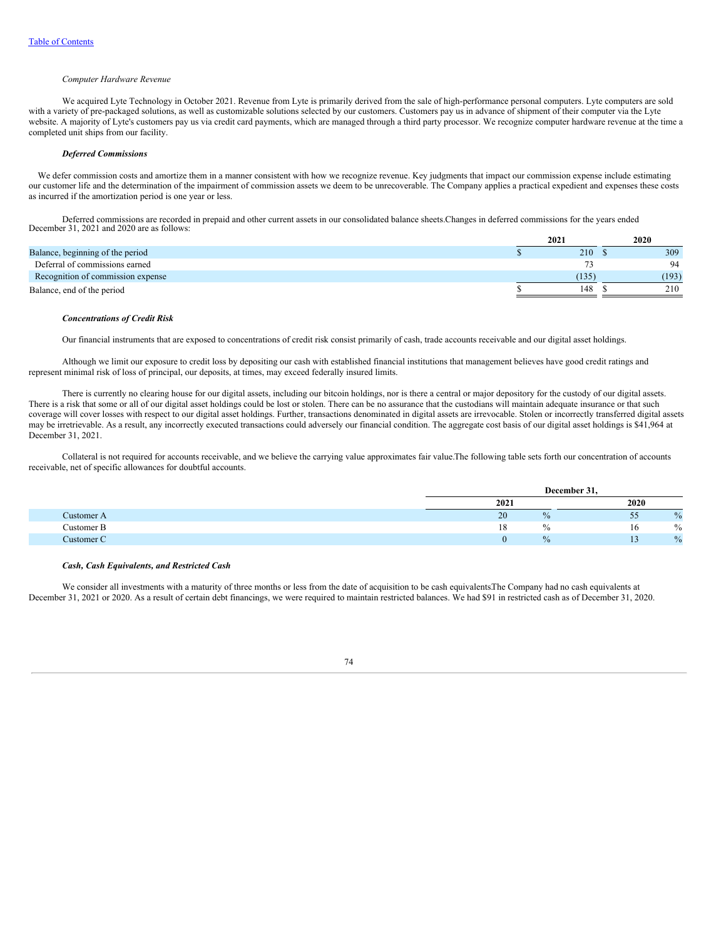#### *Computer Hardware Revenue*

We acquired Lyte Technology in October 2021. Revenue from Lyte is primarily derived from the sale of high-performance personal computers. Lyte computers are sold with a variety of pre-packaged solutions, as well as customizable solutions selected by our customers. Customers pay us in advance of shipment of their computer via the Lyte website. A majority of Lyte's customers pay us via credit card payments, which are managed through a third party processor. We recognize computer hardware revenue at the time a completed unit ships from our facility.

### *Deferred Commissions*

We defer commission costs and amortize them in a manner consistent with how we recognize revenue. Key judgments that impact our commission expense include estimating our customer life and the determination of the impairment of commission assets we deem to be unrecoverable. The Company applies a practical expedient and expenses these costs as incurred if the amortization period is one year or less.

Deferred commissions are recorded in prepaid and other current assets in our consolidated balance sheets.Changes in deferred commissions for the years ended December 31, 2021 and 2020 are as follows:

|                                   | 2021 |       | 2020  |
|-----------------------------------|------|-------|-------|
| Balance, beginning of the period  |      | 210   | 309   |
| Deferral of commissions earned    |      | 73    | 94    |
| Recognition of commission expense |      | (135) | (193) |
| Balance, end of the period        |      | 148   | 210   |

#### *Concentrations of Credit Risk*

Our financial instruments that are exposed to concentrations of credit risk consist primarily of cash, trade accounts receivable and our digital asset holdings.

Although we limit our exposure to credit loss by depositing our cash with established financial institutions that management believes have good credit ratings and represent minimal risk of loss of principal, our deposits, at times, may exceed federally insured limits.

There is currently no clearing house for our digital assets, including our bitcoin holdings, nor is there a central or major depository for the custody of our digital assets. There is a risk that some or all of our digital asset holdings could be lost or stolen. There can be no assurance that the custodians will maintain adequate insurance or that such coverage will cover losses with respect to our digital asset holdings. Further, transactions denominated in digital assets are irrevocable. Stolen or incorrectly transferred digital assets may be irretrievable. As a result, any incorrectly executed transactions could adversely our financial condition. The aggregate cost basis of our digital asset holdings is \$41,964 at December 31, 2021.

Collateral is not required for accounts receivable, and we believe the carrying value approximates fair value.The following table sets forth our concentration of accounts receivable, net of specific allowances for doubtful accounts.

|            |      | December 31,  |                             |  |  |
|------------|------|---------------|-----------------------------|--|--|
|            | 2021 |               | 2020                        |  |  |
| Customer A | 20   | $\frac{0}{0}$ | $ -$<br>$\frac{0}{0}$<br>-- |  |  |
| Customer B | 18   | $\%$          | $\%$<br>10                  |  |  |
| Customer C |      | $\frac{0}{0}$ | $\frac{0}{0}$<br>$\cdot$    |  |  |

## *Cash, Cash Equivalents, and Restricted Cash*

We consider all investments with a maturity of three months or less from the date of acquisition to be cash equivalents.The Company had no cash equivalents at December 31, 2021 or 2020. As a result of certain debt financings, we were required to maintain restricted balances. We had \$91 in restricted cash as of December 31, 2020.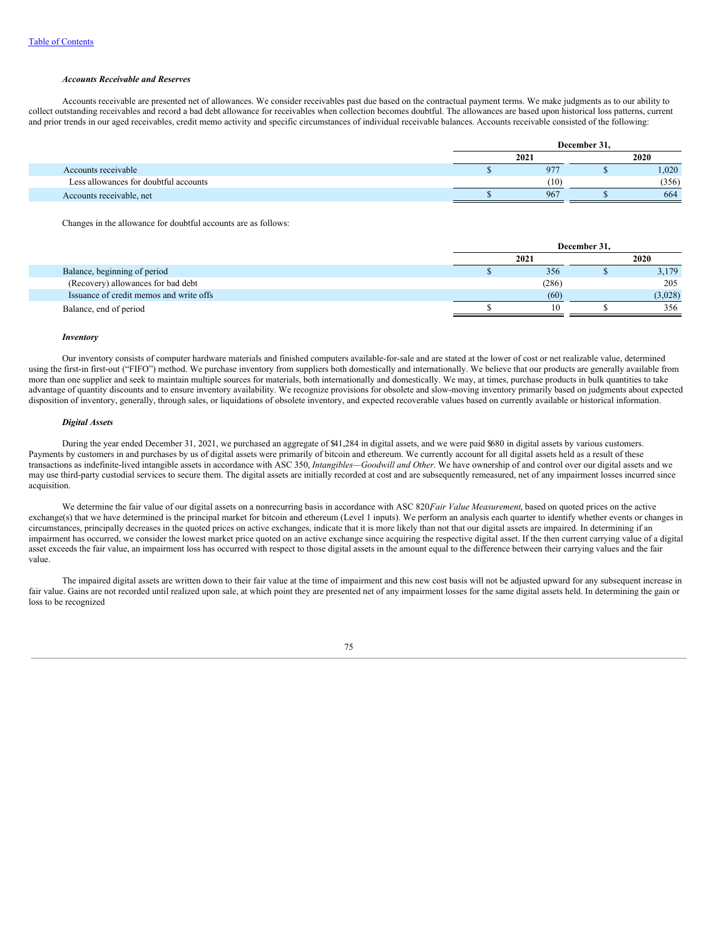#### *Accounts Receivable and Reserves*

Accounts receivable are presented net of allowances. We consider receivables past due based on the contractual payment terms. We make judgments as to our ability to collect outstanding receivables and record a bad debt allowance for receivables when collection becomes doubtful. The allowances are based upon historical loss patterns, current and prior trends in our aged receivables, credit memo activity and specific circumstances of individual receivable balances. Accounts receivable consisted of the following:

|                                       | December 31. |      |      |       |
|---------------------------------------|--------------|------|------|-------|
|                                       |              | 2021 | 2020 |       |
| Accounts receivable                   |              | 977  |      | 0.020 |
| Less allowances for doubtful accounts |              | (10) |      | (356) |
| Accounts receivable, net              |              | 967  |      | 664   |

Changes in the allowance for doubtful accounts are as follows:

|                                         | December 31. |       |      |         |
|-----------------------------------------|--------------|-------|------|---------|
|                                         |              | 2021  | 2020 |         |
| Balance, beginning of period            |              | 356   |      | 3,179   |
| (Recovery) allowances for bad debt      |              | (286) |      | 205     |
| Issuance of credit memos and write offs |              | (60)  |      | (3.028) |
| Balance, end of period                  |              | 10    |      | 356     |

## *Inventory*

Our inventory consists of computer hardware materials and finished computers available-for-sale and are stated at the lower of cost or net realizable value, determined using the first-in first-out ("FIFO") method. We purchase inventory from suppliers both domestically and internationally. We believe that our products are generally available from more than one supplier and seek to maintain multiple sources for materials, both internationally and domestically. We may, at times, purchase products in bulk quantities to take advantage of quantity discounts and to ensure inventory availability. We recognize provisions for obsolete and slow-moving inventory primarily based on judgments about expected disposition of inventory, generally, through sales, or liquidations of obsolete inventory, and expected recoverable values based on currently available or historical information.

# *Digital Assets*

During the year ended December 31, 2021, we purchased an aggregate of \$41,284 in digital assets, and we were paid \$680 in digital assets by various customers. Payments by customers in and purchases by us of digital assets were primarily of bitcoin and ethereum. We currently account for all digital assets held as a result of these transactions as indefinite-lived intangible assets in accordance with ASC 350, *Intangibles—Goodwill and Other*. We have ownership of and control over our digital assets and we may use third-party custodial services to secure them. The digital assets are initially recorded at cost and are subsequently remeasured, net of any impairment losses incurred since acquisition.

We determine the fair value of our digital assets on a nonrecurring basis in accordance with ASC 820*Fair Value Measurement*, based on quoted prices on the active exchange(s) that we have determined is the principal market for bitcoin and ethereum (Level 1 inputs). We perform an analysis each quarter to identify whether events or changes in circumstances, principally decreases in the quoted prices on active exchanges, indicate that it is more likely than not that our digital assets are impaired. In determining if an impairment has occurred, we consider the lowest market price quoted on an active exchange since acquiring the respective digital asset. If the then current carrying value of a digital asset exceeds the fair value, an impairment loss has occurred with respect to those digital assets in the amount equal to the difference between their carrying values and the fair value.

The impaired digital assets are written down to their fair value at the time of impairment and this new cost basis will not be adjusted upward for any subsequent increase in fair value. Gains are not recorded until realized upon sale, at which point they are presented net of any impairment losses for the same digital assets held. In determining the gain or loss to be recognized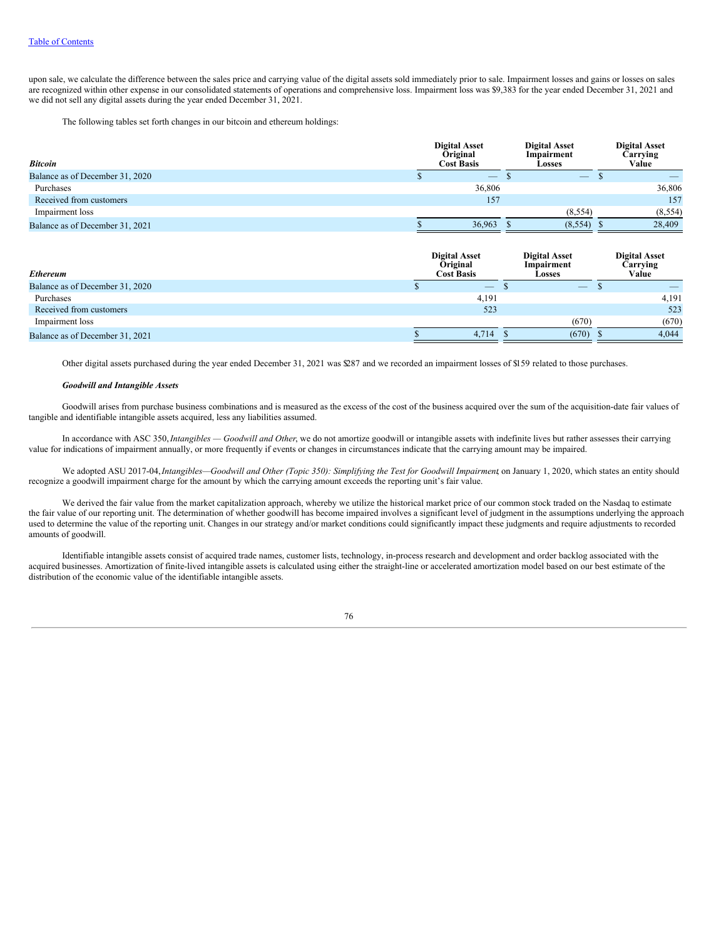upon sale, we calculate the difference between the sales price and carrying value of the digital assets sold immediately prior to sale. Impairment losses and gains or losses on sales are recognized within other expense in our consolidated statements of operations and comprehensive loss. Impairment loss was \$9,383 for the year ended December 31, 2021 and we did not sell any digital assets during the year ended December 31, 2021.

The following tables set forth changes in our bitcoin and ethereum holdings:

| <b>Bitcoin</b>                  | <b>Digital Asset</b><br>Original<br><b>Cost Basis</b> | <b>Digital Asset</b><br>Impairment<br>Losses | <b>Digital Asset</b><br>Carrving<br>Value |
|---------------------------------|-------------------------------------------------------|----------------------------------------------|-------------------------------------------|
| Balance as of December 31, 2020 | $\overline{\phantom{a}}$                              | $\qquad \qquad - \qquad$                     |                                           |
| Purchases                       | 36,806                                                |                                              | 36,806                                    |
| Received from customers         | 157                                                   |                                              | 157                                       |
| Impairment loss                 |                                                       | (8,554)                                      | (8, 554)                                  |
| Balance as of December 31, 2021 | 36,963                                                | (8, 554)                                     | 28,409<br>Ъ.                              |

| <b>Ethereum</b>                 | <b>Digital Asset</b><br>Original<br><b>Cost Basis</b> |                   | <b>Digital Asset</b><br>Impairment<br>Losses | <b>Digital Asset</b><br>Carrying<br>Value |     |
|---------------------------------|-------------------------------------------------------|-------------------|----------------------------------------------|-------------------------------------------|-----|
| Balance as of December 31, 2020 |                                                       | $\qquad \qquad -$ | $\overline{\phantom{a}}$                     |                                           |     |
| Purchases                       | 4,191                                                 |                   |                                              | 4,191                                     |     |
| Received from customers         |                                                       | 523               |                                              |                                           | 523 |
| Impairment loss                 |                                                       |                   | (670)                                        | (670)                                     |     |
| Balance as of December 31, 2021 | 4,714                                                 |                   | (670)                                        | 4,044                                     |     |

Other digital assets purchased during the year ended December 31, 2021 was \$287 and we recorded an impairment losses of \$159 related to those purchases.

## *Goodwill and Intangible Assets*

Goodwill arises from purchase business combinations and is measured as the excess of the cost of the business acquired over the sum of the acquisition-date fair values of tangible and identifiable intangible assets acquired, less any liabilities assumed.

In accordance with ASC 350,*Intangibles — Goodwill and Other*, we do not amortize goodwill or intangible assets with indefinite lives but rather assesses their carrying value for indications of impairment annually, or more frequently if events or changes in circumstances indicate that the carrying amount may be impaired.

We adopted ASU 2017-04, Intangibles-Goodwill and Other (Topic 350): Simplifying the Test for Goodwill Impairment, on January 1, 2020, which states an entity should recognize a goodwill impairment charge for the amount by which the carrying amount exceeds the reporting unit's fair value.

We derived the fair value from the market capitalization approach, whereby we utilize the historical market price of our common stock traded on the Nasdaq to estimate the fair value of our reporting unit. The determination of whether goodwill has become impaired involves a significant level of judgment in the assumptions underlying the approach used to determine the value of the reporting unit. Changes in our strategy and/or market conditions could significantly impact these judgments and require adjustments to recorded amounts of goodwill.

Identifiable intangible assets consist of acquired trade names, customer lists, technology, in-process research and development and order backlog associated with the acquired businesses. Amortization of finite-lived intangible assets is calculated using either the straight-line or accelerated amortization model based on our best estimate of the distribution of the economic value of the identifiable intangible assets.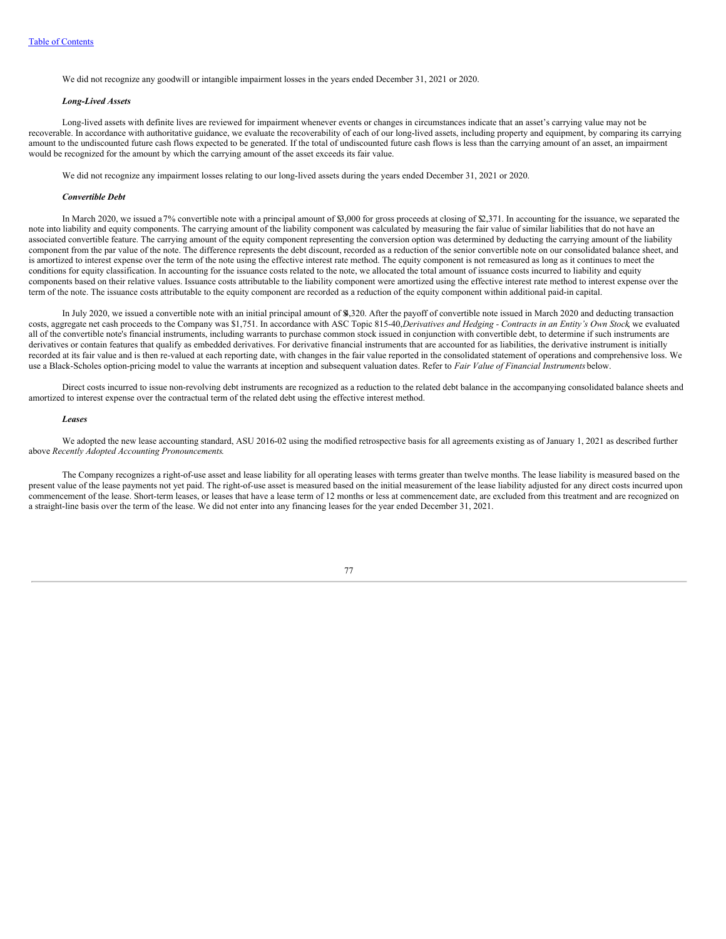We did not recognize any goodwill or intangible impairment losses in the years ended December 31, 2021 or 2020.

### *Long-Lived Assets*

Long-lived assets with definite lives are reviewed for impairment whenever events or changes in circumstances indicate that an asset's carrying value may not be recoverable. In accordance with authoritative guidance, we evaluate the recoverability of each of our long-lived assets, including property and equipment, by comparing its carrying amount to the undiscounted future cash flows expected to be generated. If the total of undiscounted future cash flows is less than the carrying amount of an asset, an impairment would be recognized for the amount by which the carrying amount of the asset exceeds its fair value.

We did not recognize any impairment losses relating to our long-lived assets during the years ended December 31, 2021 or 2020.

#### *Convertible Debt*

In March 2020, we issued a 7% convertible note with a principal amount of \$3,000 for gross proceeds at closing of \$2,371. In accounting for the issuance, we separated the note into liability and equity components. The carrying amount of the liability component was calculated by measuring the fair value of similar liabilities that do not have an associated convertible feature. The carrying amount of the equity component representing the conversion option was determined by deducting the carrying amount of the liability component from the par value of the note. The difference represents the debt discount, recorded as a reduction of the senior convertible note on our consolidated balance sheet, and is amortized to interest expense over the term of the note using the effective interest rate method. The equity component is not remeasured as long as it continues to meet the conditions for equity classification. In accounting for the issuance costs related to the note, we allocated the total amount of issuance costs incurred to liability and equity components based on their relative values. Issuance costs attributable to the liability component were amortized using the effective interest rate method to interest expense over the term of the note. The issuance costs attributable to the equity component are recorded as a reduction of the equity component within additional paid-in capital.

In July 2020, we issued a convertible note with an initial principal amount of \$4,320. After the payoff of convertible note issued in March 2020 and deducting transaction costs, aggregate net cash proceeds to the Company was \$1,751. In accordance with ASC Topic 815-40, Derivatives and Hedging - Contracts in an Entity's Own Stock, we evaluated all of the convertible note's financial instruments, including warrants to purchase common stock issued in conjunction with convertible debt, to determine if such instruments are derivatives or contain features that qualify as embedded derivatives. For derivative financial instruments that are accounted for as liabilities, the derivative instrument is initially recorded at its fair value and is then re-valued at each reporting date, with changes in the fair value reported in the consolidated statement of operations and comprehensive loss. We use a Black-Scholes option-pricing model to value the warrants at inception and subsequent valuation dates. Refer to *Fair Value of Financial Instruments* below.

Direct costs incurred to issue non-revolving debt instruments are recognized as a reduction to the related debt balance in the accompanying consolidated balance sheets and amortized to interest expense over the contractual term of the related debt using the effective interest method.

#### *Leases*

We adopted the new lease accounting standard, ASU 2016-02 using the modified retrospective basis for all agreements existing as of January 1, 2021 as described further above *Recently Adopted Accounting Pronouncements*.

The Company recognizes a right-of-use asset and lease liability for all operating leases with terms greater than twelve months. The lease liability is measured based on the present value of the lease payments not yet paid. The right-of-use asset is measured based on the initial measurement of the lease liability adjusted for any direct costs incurred upon commencement of the lease. Short-term leases, or leases that have a lease term of 12 months or less at commencement date, are excluded from this treatment and are recognized on a straight-line basis over the term of the lease. We did not enter into any financing leases for the year ended December 31, 2021.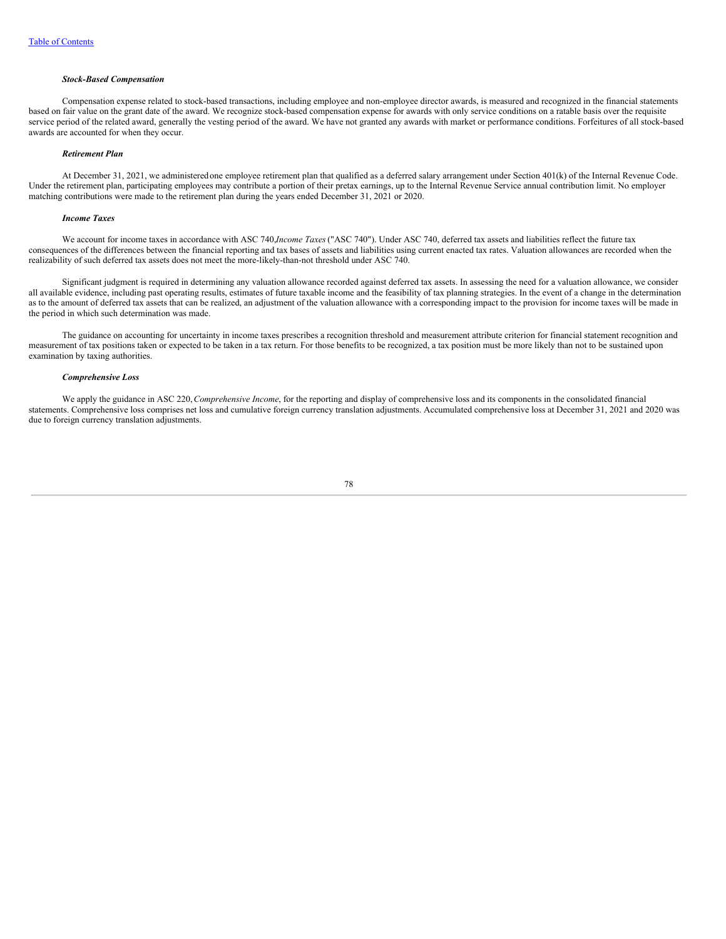#### *Stock-Based Compensation*

Compensation expense related to stock-based transactions, including employee and non-employee director awards, is measured and recognized in the financial statements based on fair value on the grant date of the award. We recognize stock-based compensation expense for awards with only service conditions on a ratable basis over the requisite service period of the related award, generally the vesting period of the award. We have not granted any awards with market or performance conditions. Forfeitures of all stock-based awards are accounted for when they occur.

#### *Retirement Plan*

At December 31, 2021, we administered one employee retirement plan that qualified as a deferred salary arrangement under Section 401(k) of the Internal Revenue Code. Under the retirement plan, participating employees may contribute a portion of their pretax earnings, up to the Internal Revenue Service annual contribution limit. No employer matching contributions were made to the retirement plan during the years ended December 31, 2021 or 2020.

#### *Income Taxes*

We account for income taxes in accordance with ASC 740,*Income Taxes* ("ASC 740"). Under ASC 740, deferred tax assets and liabilities reflect the future tax consequences of the differences between the financial reporting and tax bases of assets and liabilities using current enacted tax rates. Valuation allowances are recorded when the realizability of such deferred tax assets does not meet the more-likely-than-not threshold under ASC 740.

Significant judgment is required in determining any valuation allowance recorded against deferred tax assets. In assessing the need for a valuation allowance, we consider all available evidence, including past operating results, estimates of future taxable income and the feasibility of tax planning strategies. In the event of a change in the determination as to the amount of deferred tax assets that can be realized, an adjustment of the valuation allowance with a corresponding impact to the provision for income taxes will be made in the period in which such determination was made.

The guidance on accounting for uncertainty in income taxes prescribes a recognition threshold and measurement attribute criterion for financial statement recognition and measurement of tax positions taken or expected to be taken in a tax return. For those benefits to be recognized, a tax position must be more likely than not to be sustained upon examination by taxing authorities.

#### *Comprehensive Loss*

We apply the guidance in ASC 220,*Comprehensive Income*, for the reporting and display of comprehensive loss and its components in the consolidated financial statements. Comprehensive loss comprises net loss and cumulative foreign currency translation adjustments. Accumulated comprehensive loss at December 31, 2021 and 2020 was due to foreign currency translation adjustments.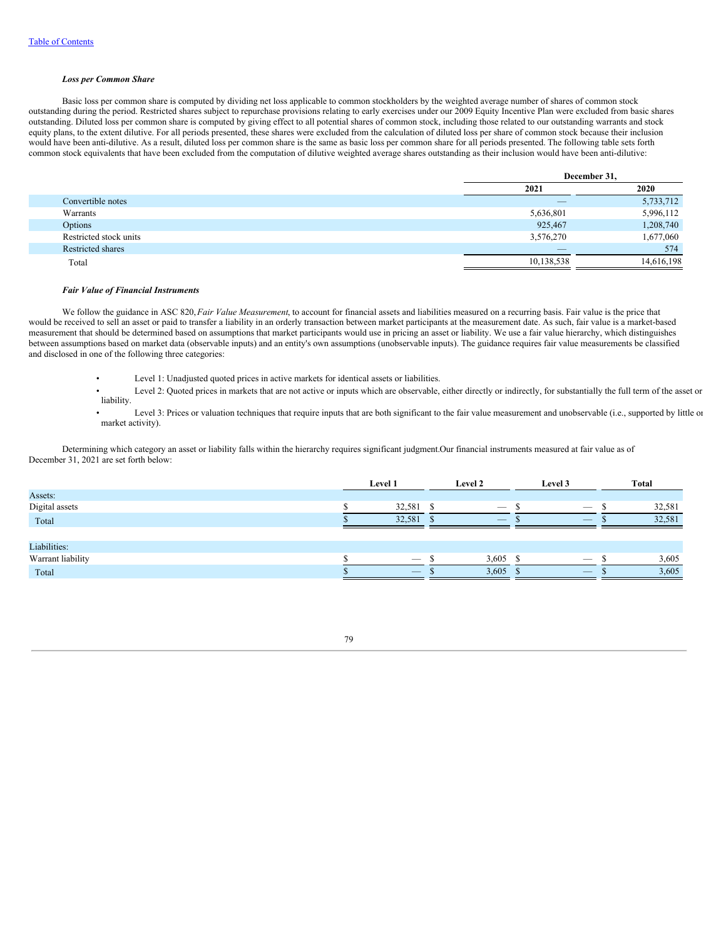## *Loss per Common Share*

Basic loss per common share is computed by dividing net loss applicable to common stockholders by the weighted average number of shares of common stock outstanding during the period. Restricted shares subject to repurchase provisions relating to early exercises under our 2009 Equity Incentive Plan were excluded from basic shares outstanding. Diluted loss per common share is computed by giving effect to all potential shares of common stock, including those related to our outstanding warrants and stock equity plans, to the extent dilutive. For all periods presented, these shares were excluded from the calculation of diluted loss per share of common stock because their inclusion would have been anti-dilutive. As a result, diluted loss per common share is the same as basic loss per common share for all periods presented. The following table sets forth common stock equivalents that have been excluded from the computation of dilutive weighted average shares outstanding as their inclusion would have been anti-dilutive:

|                        | December 31,             |            |  |
|------------------------|--------------------------|------------|--|
|                        | 2021                     | 2020       |  |
| Convertible notes      |                          | 5,733,712  |  |
| Warrants               | 5,636,801                | 5,996,112  |  |
| Options                | 925,467                  | 1,208,740  |  |
| Restricted stock units | 3,576,270                | 1,677,060  |  |
| Restricted shares      | $\overline{\phantom{a}}$ | 574        |  |
| Total                  | 10,138,538               | 14,616,198 |  |

### *Fair Value of Financial Instruments*

We follow the guidance in ASC 820, Fair Value Measurement, to account for financial assets and liabilities measured on a recurring basis. Fair value is the price that would be received to sell an asset or paid to transfer a liability in an orderly transaction between market participants at the measurement date. As such, fair value is a market-based measurement that should be determined based on assumptions that market participants would use in pricing an asset or liability. We use a fair value hierarchy, which distinguishes between assumptions based on market data (observable inputs) and an entity's own assumptions (unobservable inputs). The guidance requires fair value measurements be classified and disclosed in one of the following three categories:

- Level 1: Unadjusted quoted prices in active markets for identical assets or liabilities.
- Level 2: Quoted prices in markets that are not active or inputs which are observable, either directly or indirectly, for substantially the full term of the asset or liability.
- Level 3: Prices or valuation techniques that require inputs that are both significant to the fair value measurement and unobservable (i.e., supported by little or market activity).

Determining which category an asset or liability falls within the hierarchy requires significant judgment.Our financial instruments measured at fair value as of December 31, 2021 are set forth below:

|                   | Level 1                         |   | Level 2                  | Level 3                  | <b>Total</b> |
|-------------------|---------------------------------|---|--------------------------|--------------------------|--------------|
| Assets:           |                                 |   |                          |                          |              |
| Digital assets    | 32,581                          | S | $\overline{\phantom{a}}$ | $\overline{\phantom{a}}$ | 32,581       |
| Total             | 32,581                          |   | $\overline{\phantom{a}}$ | $\overline{\phantom{a}}$ | 32,581       |
|                   |                                 |   |                          |                          |              |
| Liabilities:      |                                 |   |                          |                          |              |
| Warrant liability | $\hspace{0.1mm}-\hspace{0.1mm}$ |   | 3,605                    | $\overline{\phantom{a}}$ | 3,605        |
| Total             | $\overline{\phantom{m}}$        |   | 3,605                    | $\overline{\phantom{a}}$ | 3,605        |
|                   |                                 |   |                          |                          |              |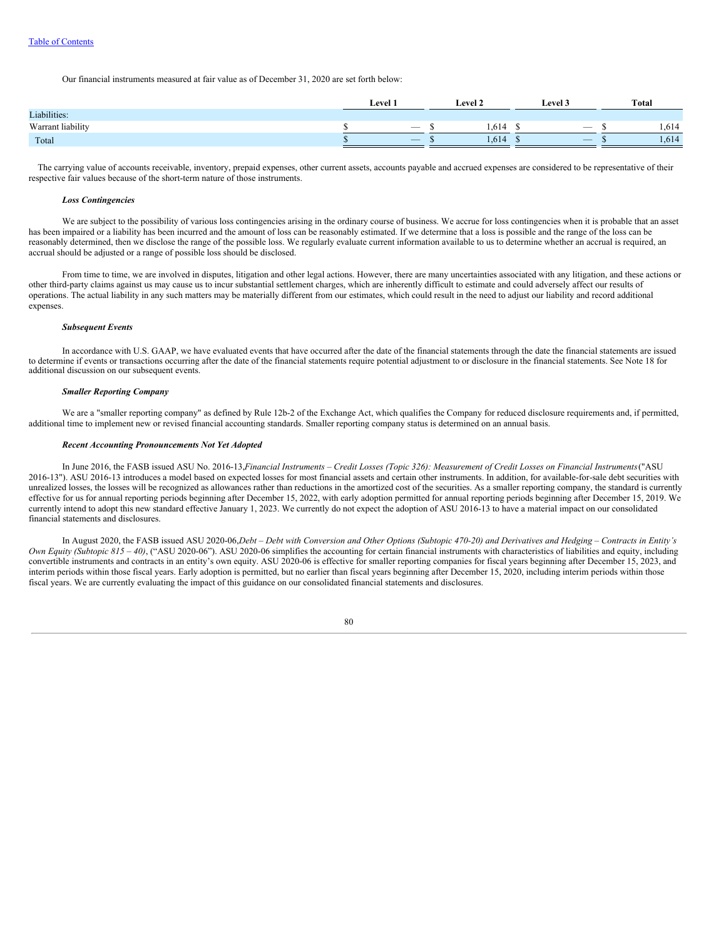Our financial instruments measured at fair value as of December 31, 2020 are set forth below:

|                   | <b>Level</b> 1                                                                                                                             | Level 2     | Level 3                         | Total |
|-------------------|--------------------------------------------------------------------------------------------------------------------------------------------|-------------|---------------------------------|-------|
| Liabilities:      |                                                                                                                                            |             |                                 |       |
| Warrant liability | $\hspace{0.1mm}-\hspace{0.1mm}$                                                                                                            | 14<br>1.614 | $\hspace{0.1mm}-\hspace{0.1mm}$ | 1.614 |
| Total             | $\overline{\phantom{a}}$<br>and the state of the state of the state of the state of the state of the state of the state of the state of th | .614        | $\hspace{0.1mm}-\hspace{0.1mm}$ | 1,614 |

The carrying value of accounts receivable, inventory, prepaid expenses, other current assets, accounts payable and accrued expenses are considered to be representative of their respective fair values because of the short-term nature of those instruments.

### *Loss Contingencies*

We are subject to the possibility of various loss contingencies arising in the ordinary course of business. We accrue for loss contingencies when it is probable that an asset has been impaired or a liability has been incurred and the amount of loss can be reasonably estimated. If we determine that a loss is possible and the range of the loss can be reasonably determined, then we disclose the range of the possible loss. We regularly evaluate current information available to us to determine whether an accrual is required, an accrual should be adjusted or a range of possible loss should be disclosed.

From time to time, we are involved in disputes, litigation and other legal actions. However, there are many uncertainties associated with any litigation, and these actions or other third-party claims against us may cause us to incur substantial settlement charges, which are inherently difficult to estimate and could adversely affect our results of operations. The actual liability in any such matters may be materially different from our estimates, which could result in the need to adjust our liability and record additional expenses.

### *Subsequent Events*

In accordance with U.S. GAAP, we have evaluated events that have occurred after the date of the financial statements through the date the financial statements are issued to determine if events or transactions occurring after the date of the financial statements require potential adjustment to or disclosure in the financial statements. See Note 18 for additional discussion on our subsequent events.

# *Smaller Reporting Company*

We are a "smaller reporting company" as defined by Rule 12b-2 of the Exchange Act, which qualifies the Company for reduced disclosure requirements and, if permitted, additional time to implement new or revised financial accounting standards. Smaller reporting company status is determined on an annual basis.

## *Recent Accounting Pronouncements Not Yet Adopted*

In June 2016, the FASB issued ASU No. 2016-13 Financial Instruments - Credit Losses (Topic 326): Measurement of Credit Losses on Financial Instruments ("ASU 2016-13"). ASU 2016-13 introduces a model based on expected losses for most financial assets and certain other instruments. In addition, for available-for-sale debt securities with unrealized losses, the losses will be recognized as allowances rather than reductions in the amortized cost of the securities. As a smaller reporting company, the standard is currently effective for us for annual reporting periods beginning after December 15, 2022, with early adoption permitted for annual reporting periods beginning after December 15, 2019. We currently intend to adopt this new standard effective January 1, 2023. We currently do not expect the adoption of ASU 2016-13 to have a material impact on our consolidated financial statements and disclosures.

In August 2020, the FASB issued ASU 2020-06, Debt - Debt with Conversion and Other Options (Subtopic 470-20) and Derivatives and Hedging - Contracts in Entity's *Own Equity* (Subtopic 815 – 40), ("ASU 2020-06"). ASU 2020-06 simplifies the accounting for certain financial instruments with characteristics of liabilities and equity, including convertible instruments and contracts in an entity's own equity. ASU 2020-06 is effective for smaller reporting companies for fiscal years beginning after December 15, 2023, and interim periods within those fiscal years. Early adoption is permitted, but no earlier than fiscal years beginning after December 15, 2020, including interim periods within those fiscal years. We are currently evaluating the impact of this guidance on our consolidated financial statements and disclosures.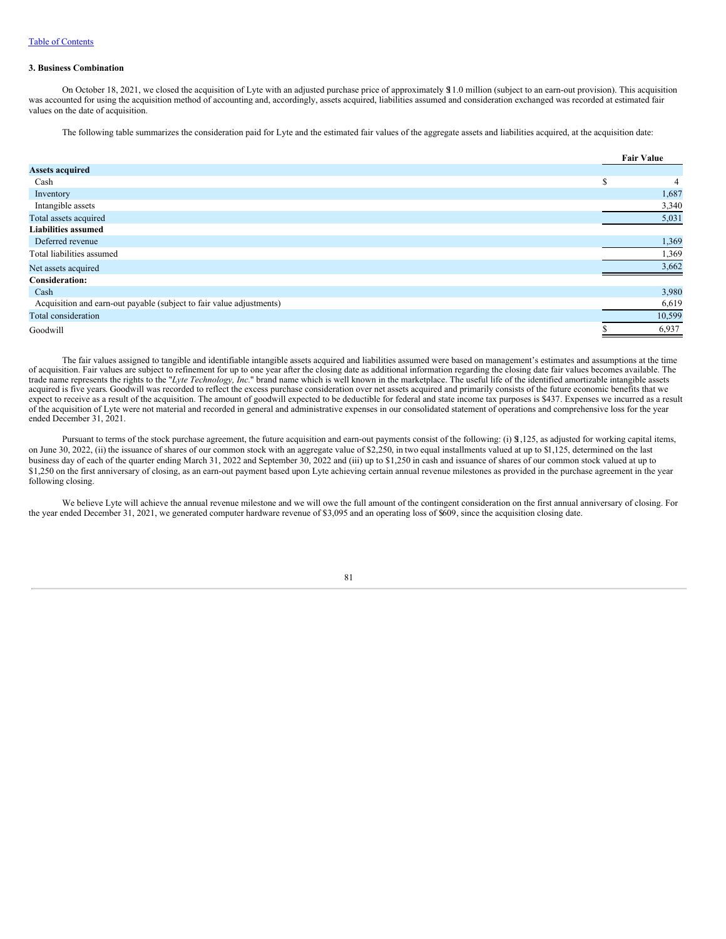#### **3. Business Combination**

On October 18, 2021, we closed the acquisition of Lyte with an adjusted purchase price of approximately \$11.0 million (subject to an earn-out provision). This acquisition was accounted for using the acquisition method of accounting and, accordingly, assets acquired, liabilities assumed and consideration exchanged was recorded at estimated fair values on the date of acquisition.

The following table summarizes the consideration paid for Lyte and the estimated fair values of the aggregate assets and liabilities acquired, at the acquisition date:

|                                                                      |   | <b>Fair Value</b> |
|----------------------------------------------------------------------|---|-------------------|
| <b>Assets acquired</b>                                               |   |                   |
| Cash                                                                 | S | 4                 |
| Inventory                                                            |   | 1,687             |
| Intangible assets                                                    |   | 3,340             |
| Total assets acquired                                                |   | 5,031             |
| <b>Liabilities assumed</b>                                           |   |                   |
| Deferred revenue                                                     |   | 1,369             |
| Total liabilities assumed                                            |   | 1,369             |
| Net assets acquired                                                  |   | 3,662             |
| <b>Consideration:</b>                                                |   |                   |
| Cash                                                                 |   | 3,980             |
| Acquisition and earn-out payable (subject to fair value adjustments) |   | 6,619             |
| Total consideration                                                  |   | 10,599            |
| Goodwill                                                             |   | 6,937             |

The fair values assigned to tangible and identifiable intangible assets acquired and liabilities assumed were based on management's estimates and assumptions at the time of acquisition. Fair values are subject to refinement for up to one year after the closing date as additional information regarding the closing date fair values becomes available. The trade name represents the rights to the "*Lyte Technology, Inc.*" brand name which is well known in the marketplace. The useful life of the identified amortizable intangible assets acquired is five years. Goodwill was recorded to reflect the excess purchase consideration over net assets acquired and primarily consists of the future economic benefits that we expect to receive as a result of the acquisition. The amount of goodwill expected to be deductible for federal and state income tax purposes is \$437. Expenses we incurred as a result of the acquisition of Lyte were not material and recorded in general and administrative expenses in our consolidated statement of operations and comprehensive loss for the year ended December 31, 2021.

Pursuant to terms of the stock purchase agreement, the future acquisition and earn-out payments consist of the following: (i) \$,125, as adjusted for working capital items, on June 30, 2022, (ii) the issuance of shares of our common stock with an aggregate value of \$2,250, in two equal installments valued at up to \$1,125, determined on the last business day of each of the quarter ending March 31, 2022 and September 30, 2022 and (iii) up to \$1,250 in cash and issuance of shares of our common stock valued at up to \$1,250 on the first anniversary of closing, as an earn-out payment based upon Lyte achieving certain annual revenue milestones as provided in the purchase agreement in the year following closing.

We believe Lyte will achieve the annual revenue milestone and we will owe the full amount of the contingent consideration on the first annual anniversary of closing. For the year ended December 31, 2021, we generated computer hardware revenue of \$3,095 and an operating loss of \$609, since the acquisition closing date.

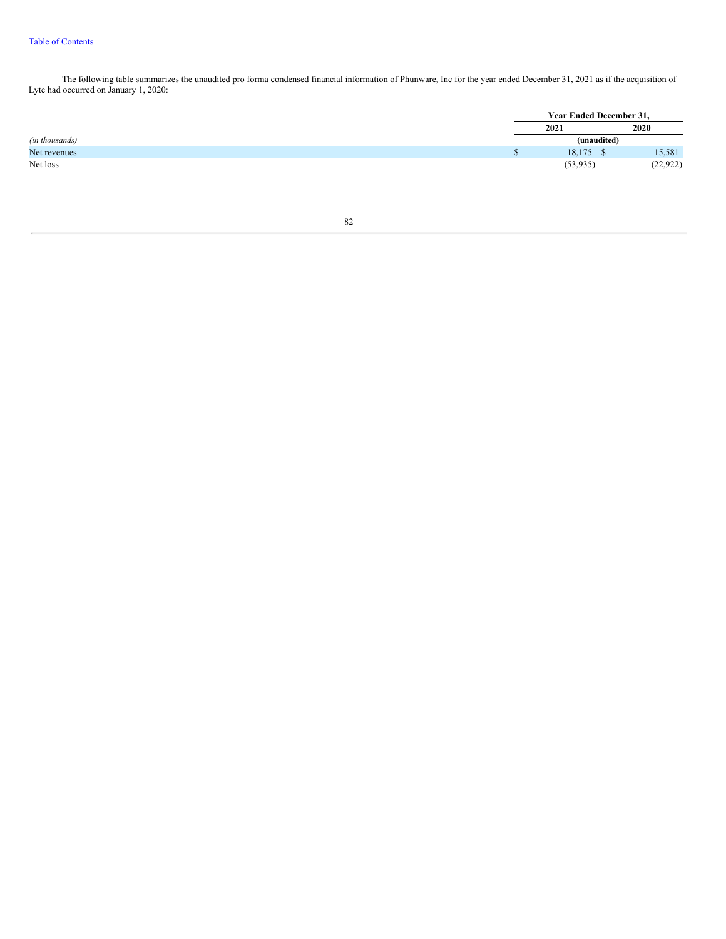The following table summarizes the unaudited pro forma condensed financial information of Phunware, Inc for the year ended December 31, 2021 as if the acquisition of Lyte had occurred on January 1, 2020:

|                |      | <b>Year Ended December 31,</b> |           |
|----------------|------|--------------------------------|-----------|
|                |      | 2021                           | 2020      |
| (in thousands) |      | (unaudited)                    |           |
| Net revenues   | - 12 | 18,175                         | 15,581    |
| Net loss       |      | (53, 935)                      | (22, 922) |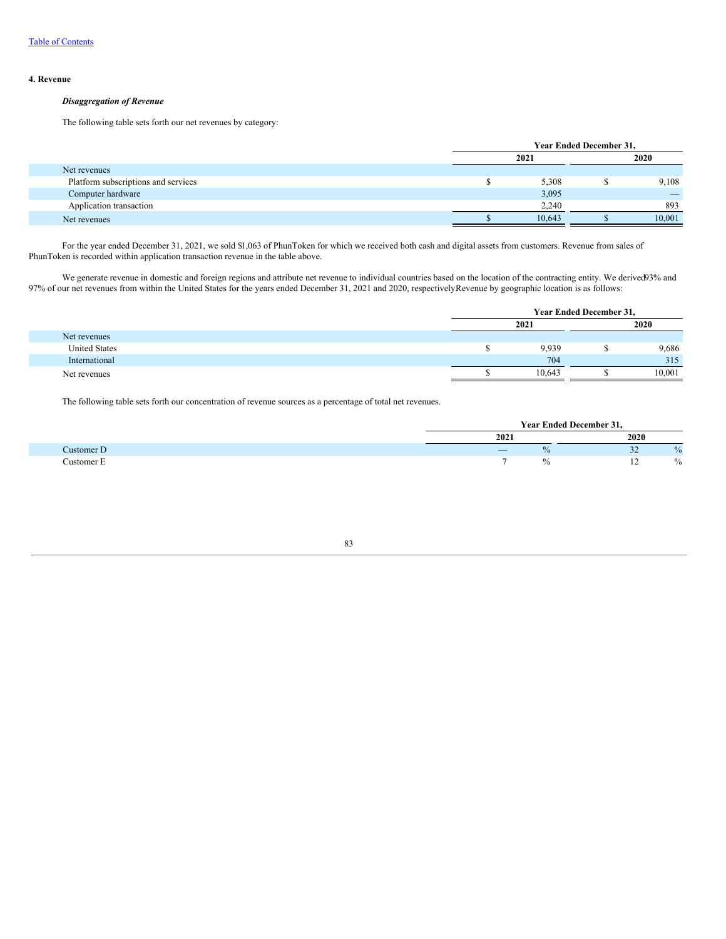# **4. Revenue**

# *Disaggregation of Revenue*

The following table sets forth our net revenues by category:

|                                     | <b>Year Ended December 31,</b> |        |      |        |  |
|-------------------------------------|--------------------------------|--------|------|--------|--|
|                                     |                                | 2021   | 2020 |        |  |
| Net revenues                        |                                |        |      |        |  |
| Platform subscriptions and services |                                | 5,308  |      | 9,108  |  |
| Computer hardware                   |                                | 3,095  |      |        |  |
| Application transaction             |                                | 2,240  |      | 893    |  |
| Net revenues                        |                                | 10.643 |      | 10,001 |  |

For the year ended December 31, 2021, we sold \$1,063 of PhunToken for which we received both cash and digital assets from customers. Revenue from sales of PhunToken is recorded within application transaction revenue in the table above.

We generate revenue in domestic and foreign regions and attribute net revenue to individual countries based on the location of the contracting entity. We derived93% and 97% of our net revenues from within the United States for the years ended December 31, 2021 and 2020, respectively.Revenue by geographic location is as follows:

|                      | Year Ended December 31, |  |        |  |  |
|----------------------|-------------------------|--|--------|--|--|
|                      | 2021                    |  | 2020   |  |  |
| Net revenues         |                         |  |        |  |  |
| <b>United States</b> | 9,939                   |  | 9,686  |  |  |
| International        | 704                     |  | 315    |  |  |
| Net revenues         | 10.643                  |  | 10.001 |  |  |

The following table sets forth our concentration of revenue sources as a percentage of total net revenues.

|          |                                        | Year Ended December 31,       |
|----------|----------------------------------------|-------------------------------|
|          | 2021                                   | 2020                          |
| `ustomer | $\%$<br>$\overbrace{\hspace{25mm}}^{}$ | $\sim$<br>$\frac{0}{0}$<br>32 |
| `ustomer | $\%$                                   | $\%$<br>$\overline{ }$        |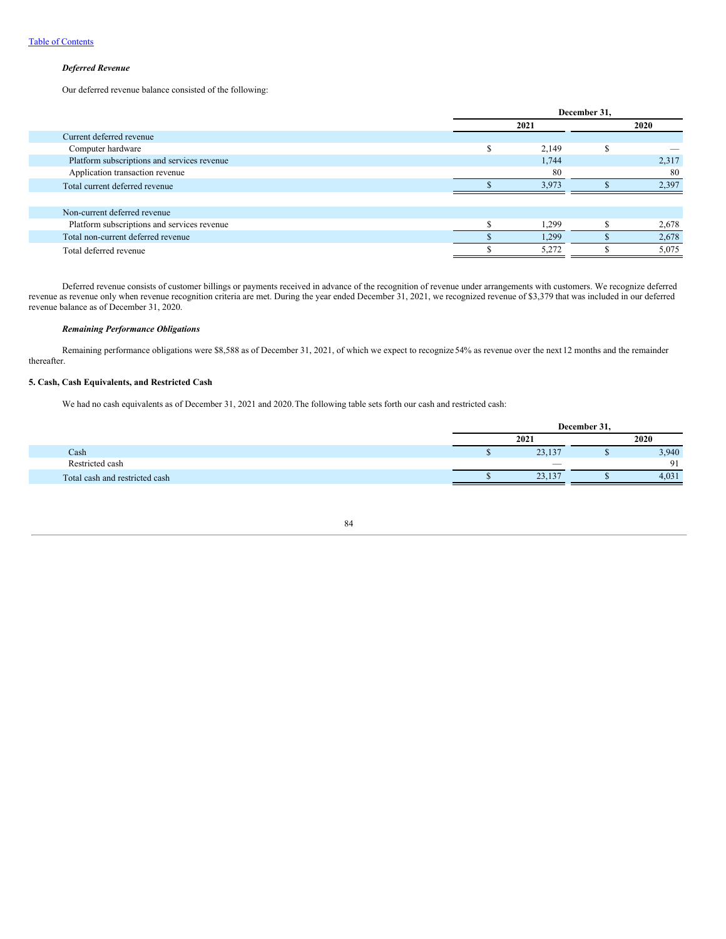# *Deferred Revenue*

Our deferred revenue balance consisted of the following:

|                                             | December 31, |       |  |       |
|---------------------------------------------|--------------|-------|--|-------|
|                                             |              | 2021  |  | 2020  |
| Current deferred revenue                    |              |       |  |       |
| Computer hardware                           |              | 2,149 |  |       |
| Platform subscriptions and services revenue |              | 1,744 |  | 2,317 |
| Application transaction revenue             |              | 80    |  | 80    |
| Total current deferred revenue              |              | 3.973 |  | 2.397 |
|                                             |              |       |  |       |
| Non-current deferred revenue                |              |       |  |       |
| Platform subscriptions and services revenue |              | 1,299 |  | 2,678 |
| Total non-current deferred revenue          |              | 1,299 |  | 2,678 |
| Total deferred revenue                      |              | 5,272 |  | 5,075 |

Deferred revenue consists of customer billings or payments received in advance of the recognition of revenue under arrangements with customers. We recognize deferred revenue as revenue only when revenue recognition criteria are met. During the year ended December 31, 2021, we recognized revenue of \$3,379 that was included in our deferred revenue balance as of December 31, 2020.

# *Remaining Performance Obligations*

Remaining performance obligations were \$8,588 as of December 31, 2021, of which we expect to recognize 54% as revenue over the next 12 months and the remainder thereafter.

# **5. Cash, Cash Equivalents, and Restricted Cash**

We had no cash equivalents as of December 31, 2021 and 2020.The following table sets forth our cash and restricted cash:

|                                | December 31.  |  |       |  |  |
|--------------------------------|---------------|--|-------|--|--|
|                                | 2021          |  | 2020  |  |  |
| Cash                           | 23,137        |  | 3,940 |  |  |
| Restricted cash                | _             |  | 91    |  |  |
| Total cash and restricted cash | 23,13'<br>127 |  | 4.031 |  |  |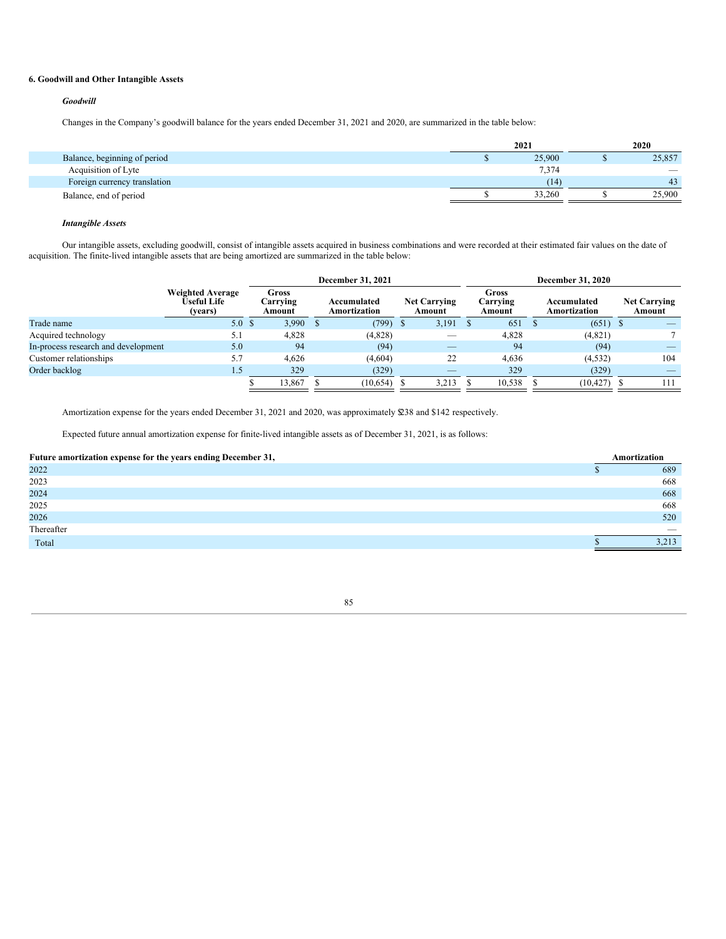# **6. Goodwill and Other Intangible Assets**

# *Goodwill*

Changes in the Company's goodwill balance for the years ended December 31, 2021 and 2020, are summarized in the table below:

|                              | 2021   | 2020 |                          |  |
|------------------------------|--------|------|--------------------------|--|
| Balance, beginning of period | 25,900 |      | 25,857                   |  |
| Acquisition of Lyte          | 7,374  |      | $\overline{\phantom{a}}$ |  |
| Foreign currency translation | (14)   |      | 43                       |  |
| Balance, end of period       | 33.260 |      | 25,900                   |  |

# *Intangible Assets*

Our intangible assets, excluding goodwill, consist of intangible assets acquired in business combinations and were recorded at their estimated fair values on the date of acquisition. The finite-lived intangible assets that are being amortized are summarized in the table below:

|                                     |                                                   |                                    |          | <b>December 31, 2020</b><br>December 31, 2021 |  |                               |                                    |        |            |  |     |  |  |  |                             |  |                               |
|-------------------------------------|---------------------------------------------------|------------------------------------|----------|-----------------------------------------------|--|-------------------------------|------------------------------------|--------|------------|--|-----|--|--|--|-----------------------------|--|-------------------------------|
|                                     | <b>Weighted Average</b><br>Úseful Life<br>(vears) | <b>Gross</b><br>Carrying<br>Amount |          | Accumulated<br>Amortization                   |  | <b>Net Carrying</b><br>Amount | <b>Gross</b><br>Carrving<br>Amount |        |            |  |     |  |  |  | Accumulated<br>Amortization |  | <b>Net Carrying</b><br>Amount |
| Trade name                          | 5.0 \$                                            | 3,990                              | <b>S</b> | (799)                                         |  | 3,191                         |                                    | 651    | $(651)$ \$ |  |     |  |  |  |                             |  |                               |
| Acquired technology                 | 5.1                                               | 4.828                              |          | (4,828)                                       |  | _                             |                                    | 4.828  | (4,821)    |  |     |  |  |  |                             |  |                               |
| In-process research and development | 5.0                                               | 94                                 |          | (94)                                          |  | _                             |                                    | 94     | (94)       |  |     |  |  |  |                             |  |                               |
| Customer relationships              | 5.7                                               | 4.626                              |          | (4,604)                                       |  | 22                            |                                    | 4.636  | (4, 532)   |  | 104 |  |  |  |                             |  |                               |
| Order backlog                       | 1.5                                               | 329                                |          | (329)                                         |  |                               |                                    | 329    | (329)      |  |     |  |  |  |                             |  |                               |
|                                     |                                                   | 13,867                             |          | (10, 654)                                     |  | 3,213                         |                                    | 10.538 | (10, 427)  |  | 111 |  |  |  |                             |  |                               |

Amortization expense for the years ended December 31, 2021 and 2020, was approximately \$238 and \$142 respectively.

Expected future annual amortization expense for finite-lived intangible assets as of December 31, 2021, is as follows:

| Future amortization expense for the years ending December 31, | Amortization |
|---------------------------------------------------------------|--------------|
| 2022                                                          | 689          |
| 2023                                                          | 668          |
| 2024                                                          | 668          |
| 2025                                                          | 668          |
| 2026                                                          | 520          |
| Thereafter                                                    |              |
| Total                                                         | 3.213        |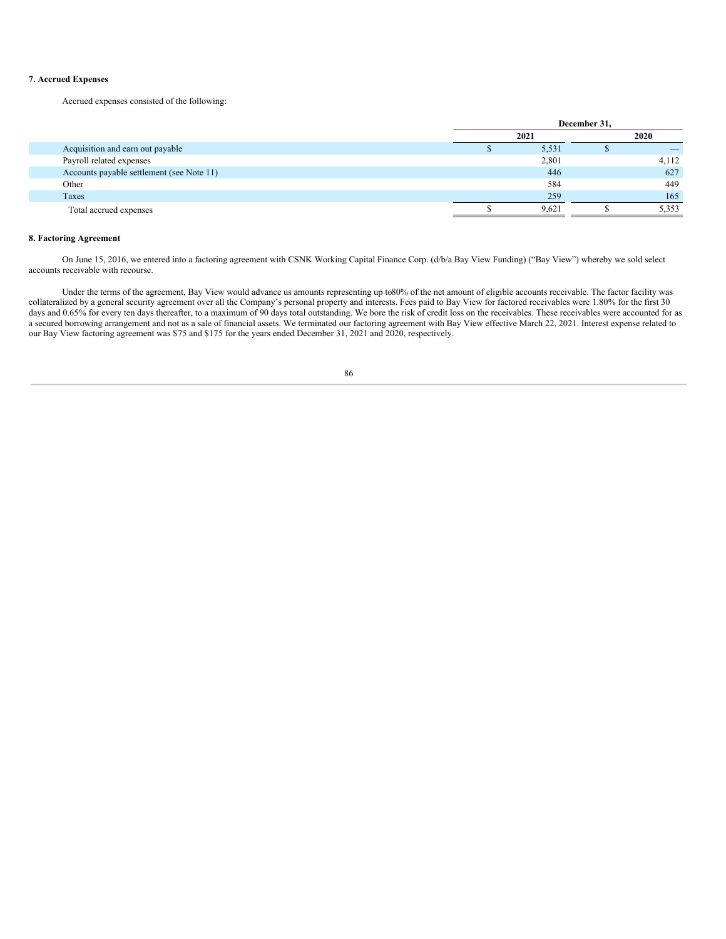# **7. Accrued Expenses**

Accrued expenses consisted of the following:

|                                           | December 31. |       |      |       |  |
|-------------------------------------------|--------------|-------|------|-------|--|
|                                           |              | 2021  | 2020 |       |  |
| Acquisition and earn out payable          |              | 5,531 |      |       |  |
| Payroll related expenses                  |              | 2,801 |      | 4,112 |  |
| Accounts payable settlement (see Note 11) |              | 446   |      | 627   |  |
| Other                                     |              | 584   |      | 449   |  |
| Taxes                                     |              | 259   |      | 165   |  |
| Total accrued expenses                    |              | 9.621 |      | 5.353 |  |

# **8. Factoring Agreement**

On June 15, 2016, we entered into a factoring agreement with CSNK Working Capital Finance Corp. (d/b/a Bay View Funding) ("Bay View") whereby we sold select accounts receivable with recourse.

Under the terms of the agreement, Bay View would advance us amounts representing up to80% of the net amount of eligible accounts receivable. The factor facility was collateralized by a general security agreement over all the Company's personal property and interests. Fees paid to Bay View for factored receivables were 1.80% for the first 30 days and 0.65% for every ten days thereafter, to a maximum of 90 days total outstanding. We bore the risk of credit loss on the receivables. These receivables were accounted for as a secured borrowing arrangement and not as a sale of financial assets. We terminated our factoring agreement with Bay View effective March 22, 2021. Interest expense related to our Bay View factoring agreement was \$75 and \$175 for the years ended December 31, 2021 and 2020, respectively.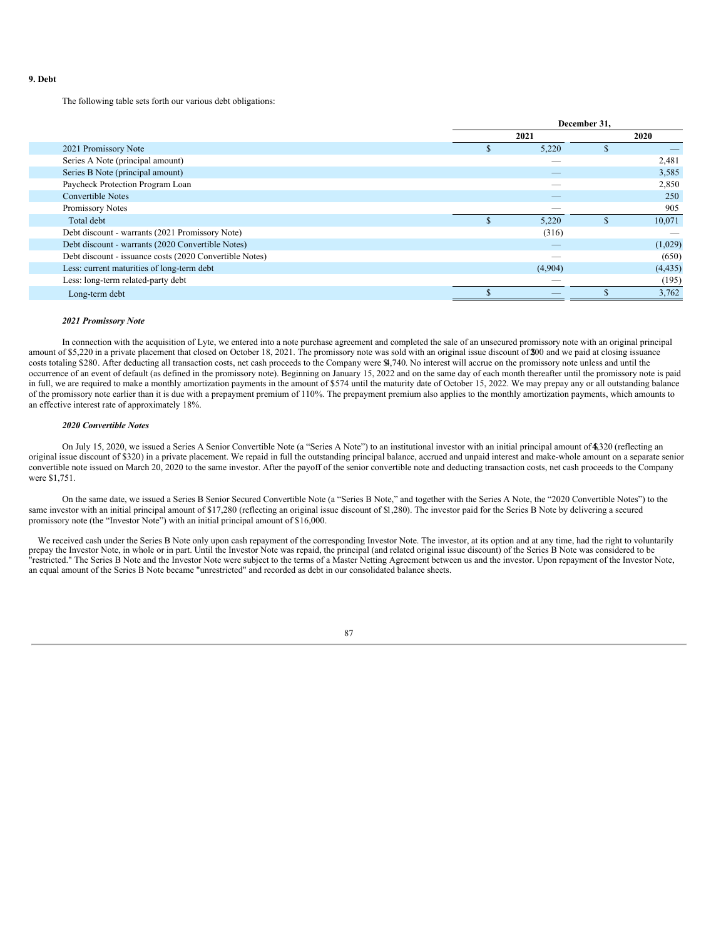# **9. Debt**

The following table sets forth our various debt obligations:

|                                                         | December 31, |                          |      |          |
|---------------------------------------------------------|--------------|--------------------------|------|----------|
|                                                         |              | 2021                     | 2020 |          |
| 2021 Promissory Note                                    |              | 5,220                    |      |          |
| Series A Note (principal amount)                        |              |                          |      | 2,481    |
| Series B Note (principal amount)                        |              |                          |      | 3,585    |
| Paycheck Protection Program Loan                        |              |                          |      | 2,850    |
| <b>Convertible Notes</b>                                |              |                          |      | 250      |
| Promissory Notes                                        |              | $\overline{\phantom{a}}$ |      | 905      |
| Total debt                                              |              | 5,220                    |      | 10,071   |
| Debt discount - warrants (2021 Promissory Note)         |              | (316)                    |      |          |
| Debt discount - warrants (2020 Convertible Notes)       |              |                          |      | (1,029)  |
| Debt discount - issuance costs (2020 Convertible Notes) |              |                          |      | (650)    |
| Less: current maturities of long-term debt              |              | (4,904)                  |      | (4, 435) |
| Less: long-term related-party debt                      |              |                          |      | (195)    |
| Long-term debt                                          |              |                          |      | 3,762    |

### *2021 Promissory Note*

In connection with the acquisition of Lyte, we entered into a note purchase agreement and completed the sale of an unsecured promissory note with an original principal amount of \$5,220 in a private placement that closed on October 18, 2021. The promissory note was sold with an original issue discount of 2\$00 and we paid at closing issuance costs totaling \$280. After deducting all transaction costs, net cash proceeds to the Company were \$4,740. No interest will accrue on the promissory note unless and until the occurrence of an event of default (as defined in the promissory note). Beginning on January 15, 2022 and on the same day of each month thereafter until the promissory note is paid in full, we are required to make a monthly amortization payments in the amount of \$574 until the maturity date of October 15, 2022. We may prepay any or all outstanding balance of the promissory note earlier than it is due with a prepayment premium of 110%. The prepayment premium also applies to the monthly amortization payments, which amounts to an effective interest rate of approximately 18%.

# *2020 Convertible Notes*

On July 15, 2020, we issued a Series A Senior Convertible Note (a "Series A Note") to an institutional investor with an initial principal amount of4\$,320 (reflecting an original issue discount of \$320) in a private placement. We repaid in full the outstanding principal balance, accrued and unpaid interest and make-whole amount on a separate senior convertible note issued on March 20, 2020 to the same investor. After the payoff of the senior convertible note and deducting transaction costs, net cash proceeds to the Company were \$1,751.

On the same date, we issued a Series B Senior Secured Convertible Note (a "Series B Note," and together with the Series A Note, the "2020 Convertible Notes") to the same investor with an initial principal amount of \$17,280 (reflecting an original issue discount of \$1,280). The investor paid for the Series B Note by delivering a secured promissory note (the "Investor Note") with an initial principal amount of \$16,000.

We received cash under the Series B Note only upon cash repayment of the corresponding Investor Note. The investor, at its option and at any time, had the right to voluntarily prepay the Investor Note, in whole or in part. Until the Investor Note was repaid, the principal (and related original issue discount) of the Series B Note was considered to be "restricted." The Series B Note and the Investor Note were subject to the terms of a Master Netting Agreement between us and the investor. Upon repayment of the Investor Note, an equal amount of the Series B Note became "unrestricted" and recorded as debt in our consolidated balance sheets.

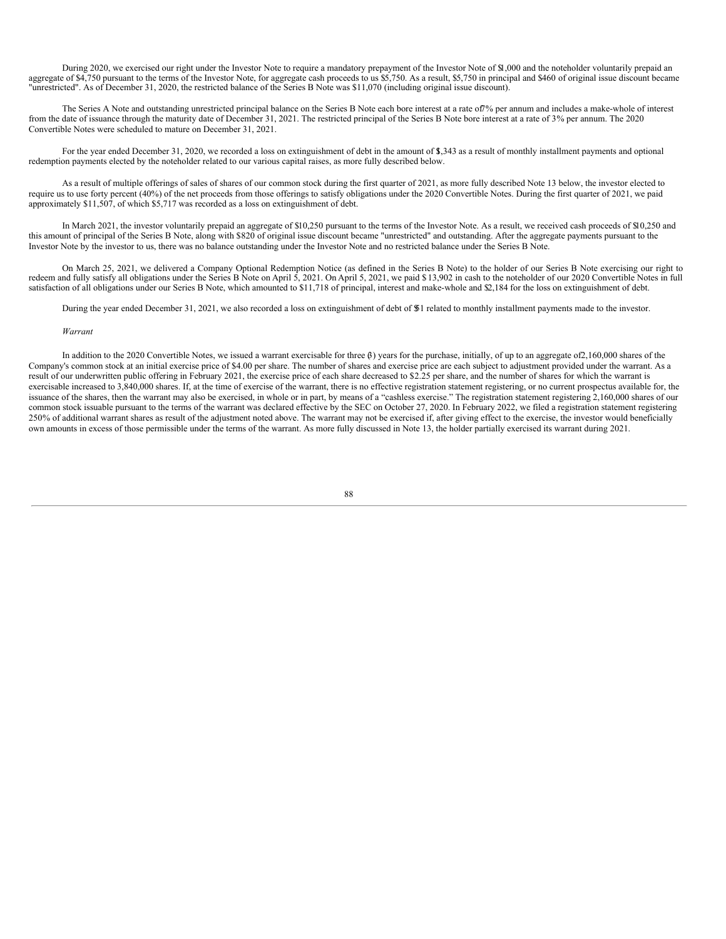During 2020, we exercised our right under the Investor Note to require a mandatory prepayment of the Investor Note of \$1,000 and the noteholder voluntarily prepaid an aggregate of \$4,750 pursuant to the terms of the Investor Note, for aggregate cash proceeds to us \$5,750. As a result, \$5,750 in principal and \$460 of original issue discount became "unrestricted". As of December 31, 2020, the restricted balance of the Series B Note was \$11,070 (including original issue discount).

The Series A Note and outstanding unrestricted principal balance on the Series B Note each bore interest at a rate of7% per annum and includes a make-whole of interest from the date of issuance through the maturity date of December 31, 2021. The restricted principal of the Series B Note bore interest at a rate of 3% per annum. The 2020 Convertible Notes were scheduled to mature on December 31, 2021.

For the year ended December 31, 2020, we recorded a loss on extinguishment of debt in the amount of \$,343 as a result of monthly installment payments and optional redemption payments elected by the noteholder related to our various capital raises, as more fully described below.

As a result of multiple offerings of sales of shares of our common stock during the first quarter of 2021, as more fully described Note 13 below, the investor elected to require us to use forty percent (40%) of the net proceeds from those offerings to satisfy obligations under the 2020 Convertible Notes. During the first quarter of 2021, we paid approximately \$11,507, of which \$5,717 was recorded as a loss on extinguishment of debt.

In March 2021, the investor voluntarily prepaid an aggregate of \$10,250 pursuant to the terms of the Investor Note. As a result, we received cash proceeds of \$10,250 and this amount of principal of the Series B Note, along with \$820 of original issue discount became "unrestricted" and outstanding. After the aggregate payments pursuant to the Investor Note by the investor to us, there was no balance outstanding under the Investor Note and no restricted balance under the Series B Note.

On March 25, 2021, we delivered a Company Optional Redemption Notice (as defined in the Series B Note) to the holder of our Series B Note exercising our right to redeem and fully satisfy all obligations under the Series B Note on April 5, 2021. On April 5, 2021, we paid \$ 13,902 in cash to the noteholder of our 2020 Convertible Notes in full satisfaction of all obligations under our Series B Note, which amounted to \$11,718 of principal, interest and make-whole and \$2,184 for the loss on extinguishment of debt.

During the year ended December 31, 2021, we also recorded a loss on extinguishment of debt of \$51 related to monthly installment payments made to the investor.

## *Warrant*

In addition to the 2020 Convertible Notes, we issued a warrant exercisable for three (3) years for the purchase, initially, of up to an aggregate of2,160,000 shares of the Company's common stock at an initial exercise price of \$4.00 per share. The number of shares and exercise price are each subject to adjustment provided under the warrant. As a result of our underwritten public offering in February 2021, the exercise price of each share decreased to \$2.25 per share, and the number of shares for which the warrant is exercisable increased to 3,840,000 shares. If, at the time of exercise of the warrant, there is no effective registration statement registering, or no current prospectus available for, the issuance of the shares, then the warrant may also be exercised, in whole or in part, by means of a "cashless exercise." The registration statement registering 2,160,000 shares of our common stock issuable pursuant to the terms of the warrant was declared effective by the SEC on October 27, 2020. In February 2022, we filed a registration statement registering 250% of additional warrant shares as result of the adjustment noted above. The warrant may not be exercised if, after giving effect to the exercise, the investor would beneficially own amounts in excess of those permissible under the terms of the warrant. As more fully discussed in Note 13, the holder partially exercised its warrant during 2021.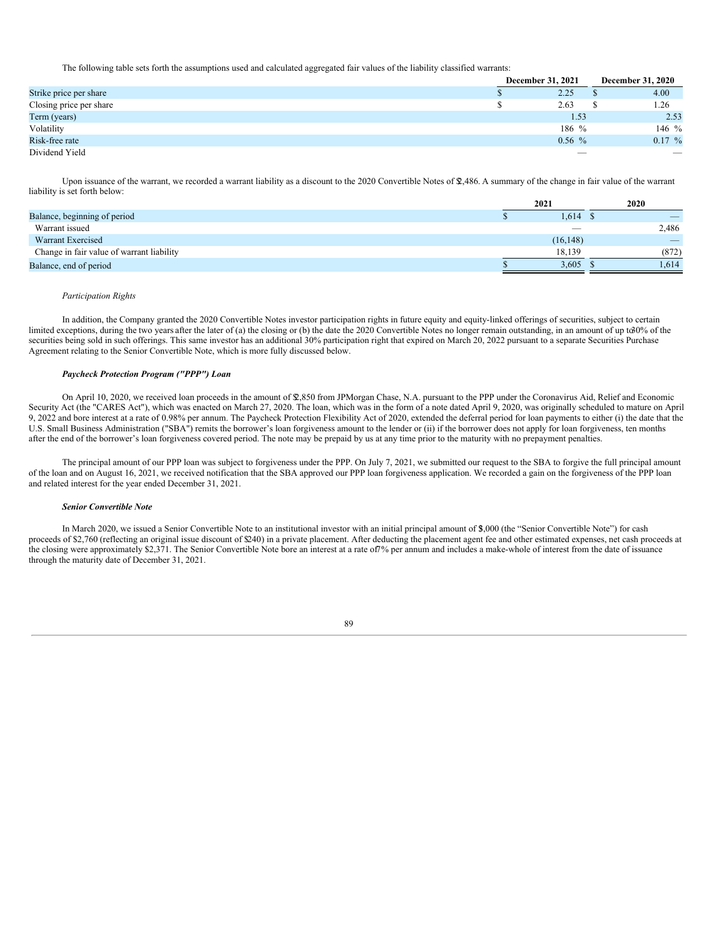The following table sets forth the assumptions used and calculated aggregated fair values of the liability classified warrants:

|                         | December 31, 2021              | <b>December 31, 2020</b> |
|-------------------------|--------------------------------|--------------------------|
| Strike price per share  | 2.25                           | 4.00                     |
| Closing price per share | 2.63                           | 1.26                     |
| Term (years)            | 1.53                           | 2.53                     |
| Volatility              | 186 %                          | 146 $\%$                 |
| Risk-free rate          | $0.56\%$                       | $0.17\%$                 |
| Dividend Yield          | $\overbrace{\hspace{25mm}}^{}$ |                          |

Upon issuance of the warrant, we recorded a warrant liability as a discount to the 2020 Convertible Notes of \$,486. A summary of the change in fair value of the warrant liability is set forth below:

|                                           | 2021                     | 2020                     |
|-------------------------------------------|--------------------------|--------------------------|
| Balance, beginning of period              | 1,614                    |                          |
| Warrant issued                            | $\overline{\phantom{a}}$ | 2,486                    |
| Warrant Exercised                         | (16, 148)                | $\overline{\phantom{a}}$ |
| Change in fair value of warrant liability | 18.139                   | (872)                    |
| Balance, end of period                    | 3,605                    | .614                     |

### *Participation Rights*

In addition, the Company granted the 2020 Convertible Notes investor participation rights in future equity and equity-linked offerings of securities, subject to certain limited exceptions, during the two years after the later of (a) the closing or (b) the date the 2020 Convertible Notes no longer remain outstanding, in an amount of up to 0% of the securities being sold in such offerings. This same investor has an additional 30% participation right that expired on March 20, 2022 pursuant to a separate Securities Purchase Agreement relating to the Senior Convertible Note, which is more fully discussed below.

## *Paycheck Protection Program ("PPP") Loan*

On April 10, 2020, we received loan proceeds in the amount of \$2,850 from JPMorgan Chase, N.A. pursuant to the PPP under the Coronavirus Aid, Relief and Economic Security Act (the "CARES Act"), which was enacted on March 27, 2020. The loan, which was in the form of a note dated April 9, 2020, was originally scheduled to mature on April 9, 2022 and bore interest at a rate of 0.98% per annum. The Paycheck Protection Flexibility Act of 2020, extended the deferral period for loan payments to either (i) the date that the U.S. Small Business Administration ("SBA") remits the borrower's loan forgiveness amount to the lender or (ii) if the borrower does not apply for loan forgiveness, ten months after the end of the borrower's loan forgiveness covered period. The note may be prepaid by us at any time prior to the maturity with no prepayment penalties.

The principal amount of our PPP loan was subject to forgiveness under the PPP. On July 7, 2021, we submitted our request to the SBA to forgive the full principal amount of the loan and on August 16, 2021, we received notification that the SBA approved our PPP loan forgiveness application. We recorded a gain on the forgiveness of the PPP loan and related interest for the year ended December 31, 2021.

## *Senior Convertible Note*

In March 2020, we issued a Senior Convertible Note to an institutional investor with an initial principal amount of \$3,000 (the "Senior Convertible Note") for cash proceeds of \$2,760 (reflecting an original issue discount of \$240) in a private placement. After deducting the placement agent fee and other estimated expenses, net cash proceeds at the closing were approximately \$2,371. The Senior Convertible Note bore an interest at a rate of7% per annum and includes a make-whole of interest from the date of issuance through the maturity date of December 31, 2021.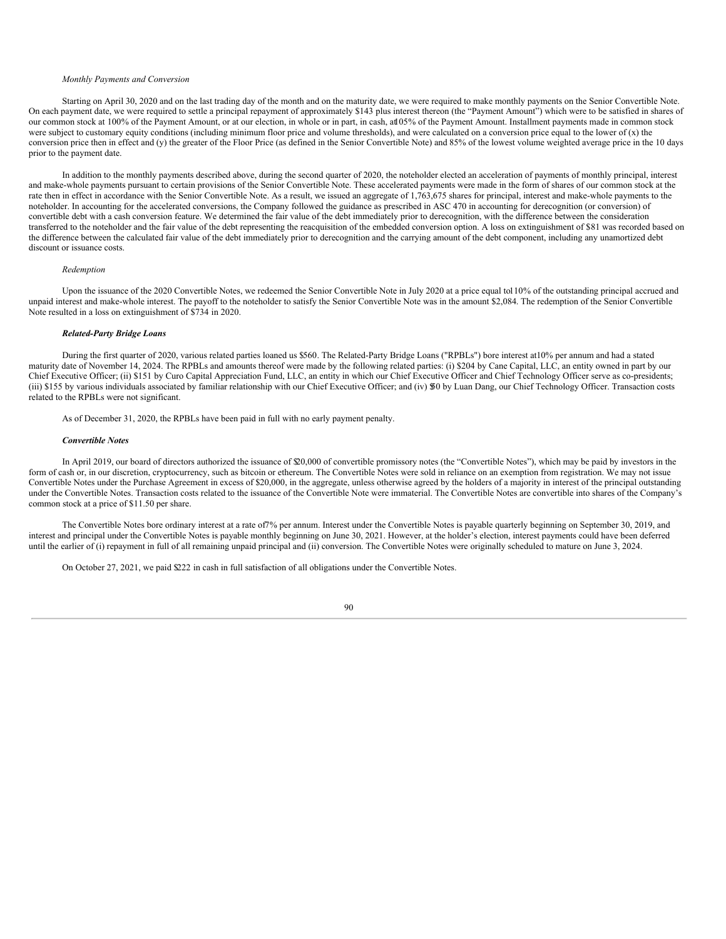### *Monthly Payments and Conversion*

Starting on April 30, 2020 and on the last trading day of the month and on the maturity date, we were required to make monthly payments on the Senior Convertible Note. On each payment date, we were required to settle a principal repayment of approximately \$143 plus interest thereon (the "Payment Amount") which were to be satisfied in shares of our common stock at 100% of the Payment Amount, or at our election, in whole or in part, in cash, at 05% of the Payment Amount. Installment payments made in common stock were subject to customary equity conditions (including minimum floor price and volume thresholds), and were calculated on a conversion price equal to the lower of  $(x)$  the conversion price then in effect and (y) the greater of the Floor Price (as defined in the Senior Convertible Note) and 85% of the lowest volume weighted average price in the 10 days prior to the payment date.

In addition to the monthly payments described above, during the second quarter of 2020, the noteholder elected an acceleration of payments of monthly principal, interest and make-whole payments pursuant to certain provisions of the Senior Convertible Note. These accelerated payments were made in the form of shares of our common stock at the rate then in effect in accordance with the Senior Convertible Note. As a result, we issued an aggregate of 1,763,675 shares for principal, interest and make-whole payments to the noteholder. In accounting for the accelerated conversions, the Company followed the guidance as prescribed in ASC 470 in accounting for derecognition (or conversion) of convertible debt with a cash conversion feature. We determined the fair value of the debt immediately prior to derecognition, with the difference between the consideration transferred to the noteholder and the fair value of the debt representing the reacquisition of the embedded conversion option. A loss on extinguishment of \$81 was recorded based on the difference between the calculated fair value of the debt immediately prior to derecognition and the carrying amount of the debt component, including any unamortized debt discount or issuance costs.

# *Redemption*

Upon the issuance of the 2020 Convertible Notes, we redeemed the Senior Convertible Note in July 2020 at a price equal to110% of the outstanding principal accrued and unpaid interest and make-whole interest. The payoff to the noteholder to satisfy the Senior Convertible Note was in the amount \$2,084. The redemption of the Senior Convertible Note resulted in a loss on extinguishment of \$734 in 2020.

#### *Related-Party Bridge Loans*

During the first quarter of 2020, various related parties loaned us \$560. The Related-Party Bridge Loans ("RPBLs") bore interest at10% per annum and had a stated maturity date of November 14, 2024. The RPBLs and amounts thereof were made by the following related parties: (i) \$204 by Cane Capital, LLC, an entity owned in part by our Chief Executive Officer; (ii) \$151 by Curo Capital Appreciation Fund, LLC, an entity in which our Chief Executive Officer and Chief Technology Officer serve as co-presidents; (iii) \$155 by various individuals associated by familiar relationship with our Chief Executive Officer; and (iv) \$50 by Luan Dang, our Chief Technology Officer. Transaction costs related to the RPBLs were not significant.

As of December 31, 2020, the RPBLs have been paid in full with no early payment penalty.

#### *Convertible Notes*

In April 2019, our board of directors authorized the issuance of \$20,000 of convertible promissory notes (the "Convertible Notes"), which may be paid by investors in the form of cash or, in our discretion, cryptocurrency, such as bitcoin or ethereum. The Convertible Notes were sold in reliance on an exemption from registration. We may not issue Convertible Notes under the Purchase Agreement in excess of \$20,000, in the aggregate, unless otherwise agreed by the holders of a majority in interest of the principal outstanding under the Convertible Notes. Transaction costs related to the issuance of the Convertible Note were immaterial. The Convertible Notes are convertible into shares of the Company's common stock at a price of \$11.50 per share.

The Convertible Notes bore ordinary interest at a rate of7% per annum. Interest under the Convertible Notes is payable quarterly beginning on September 30, 2019, and interest and principal under the Convertible Notes is payable monthly beginning on June 30, 2021. However, at the holder's election, interest payments could have been deferred until the earlier of (i) repayment in full of all remaining unpaid principal and (ii) conversion. The Convertible Notes were originally scheduled to mature on June 3, 2024.

On October 27, 2021, we paid \$222 in cash in full satisfaction of all obligations under the Convertible Notes.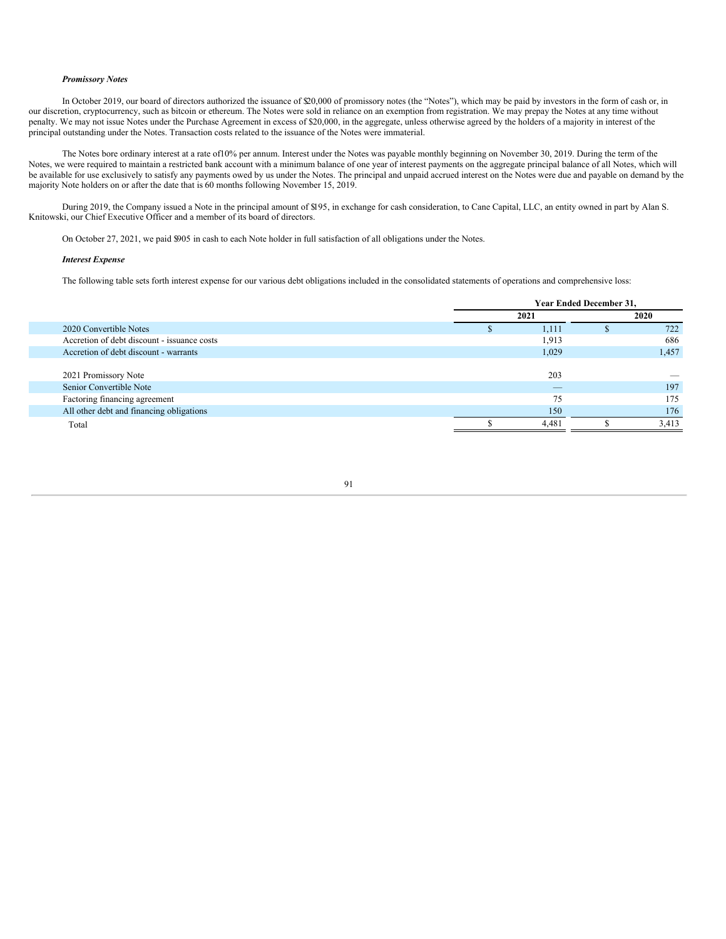### *Promissory Notes*

In October 2019, our board of directors authorized the issuance of \$20,000 of promissory notes (the "Notes"), which may be paid by investors in the form of cash or, in our discretion, cryptocurrency, such as bitcoin or ethereum. The Notes were sold in reliance on an exemption from registration. We may prepay the Notes at any time without penalty. We may not issue Notes under the Purchase Agreement in excess of \$20,000, in the aggregate, unless otherwise agreed by the holders of a majority in interest of the principal outstanding under the Notes. Transaction costs related to the issuance of the Notes were immaterial.

The Notes bore ordinary interest at a rate of10% per annum. Interest under the Notes was payable monthly beginning on November 30, 2019. During the term of the Notes, we were required to maintain a restricted bank account with a minimum balance of one year of interest payments on the aggregate principal balance of all Notes, which will be available for use exclusively to satisfy any payments owed by us under the Notes. The principal and unpaid accrued interest on the Notes were due and payable on demand by the majority Note holders on or after the date that is 60 months following November 15, 2019.

During 2019, the Company issued a Note in the principal amount of \$195, in exchange for cash consideration, to Cane Capital, LLC, an entity owned in part by Alan S. Knitowski, our Chief Executive Officer and a member of its board of directors.

On October 27, 2021, we paid \$905 in cash to each Note holder in full satisfaction of all obligations under the Notes.

## *Interest Expense*

The following table sets forth interest expense for our various debt obligations included in the consolidated statements of operations and comprehensive loss:

|                                             | <b>Year Ended December 31,</b> |       |  |       |
|---------------------------------------------|--------------------------------|-------|--|-------|
|                                             |                                | 2021  |  | 2020  |
| 2020 Convertible Notes                      |                                | 1,111 |  | 722   |
| Accretion of debt discount - issuance costs |                                | 1,913 |  | 686   |
| Accretion of debt discount - warrants       |                                | 1,029 |  | 1,457 |
|                                             |                                |       |  |       |
| 2021 Promissory Note                        |                                | 203   |  |       |
| Senior Convertible Note                     |                                | __    |  | 197   |
| Factoring financing agreement               |                                | 75    |  | 175   |
| All other debt and financing obligations    |                                | 150   |  | 176   |
| Total                                       |                                | 4.481 |  | 3.413 |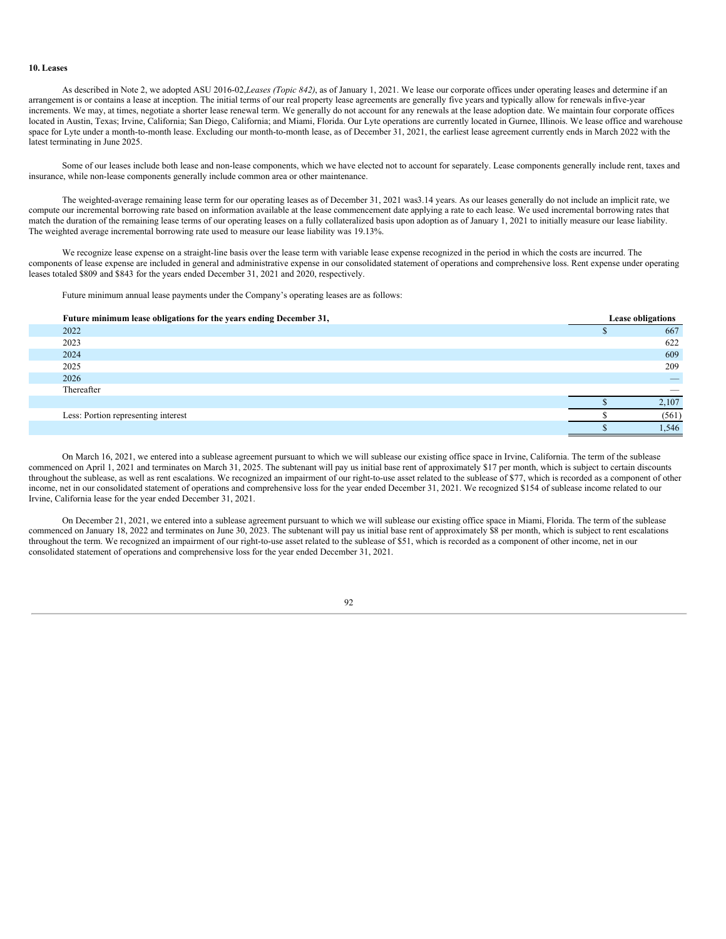#### **10. Leases**

As described in Note 2, we adopted ASU 2016-02,*Leases (Topic 842)*, as of January 1, 2021. We lease our corporate offices under operating leases and determine if an arrangement is or contains a lease at inception. The initial terms of our real property lease agreements are generally five years and typically allow for renewals infive-year increments. We may, at times, negotiate a shorter lease renewal term. We generally do not account for any renewals at the lease adoption date. We maintain four corporate offices located in Austin, Texas; Irvine, California; San Diego, California; and Miami, Florida. Our Lyte operations are currently located in Gurnee, Illinois. We lease office and warehouse space for Lyte under a month-to-month lease. Excluding our month-to-month lease, as of December 31, 2021, the earliest lease agreement currently ends in March 2022 with the latest terminating in June 2025.

Some of our leases include both lease and non-lease components, which we have elected not to account for separately. Lease components generally include rent, taxes and insurance, while non-lease components generally include common area or other maintenance.

The weighted-average remaining lease term for our operating leases as of December 31, 2021 was3.14 years. As our leases generally do not include an implicit rate, we compute our incremental borrowing rate based on information available at the lease commencement date applying a rate to each lease. We used incremental borrowing rates that match the duration of the remaining lease terms of our operating leases on a fully collateralized basis upon adoption as of January 1, 2021 to initially measure our lease liability. The weighted average incremental borrowing rate used to measure our lease liability was 19.13%.

We recognize lease expense on a straight-line basis over the lease term with variable lease expense recognized in the period in which the costs are incurred. The components of lease expense are included in general and administrative expense in our consolidated statement of operations and comprehensive loss. Rent expense under operating leases totaled \$809 and \$843 for the years ended December 31, 2021 and 2020, respectively.

Future minimum annual lease payments under the Company's operating leases are as follows:

| Future minimum lease obligations for the years ending December 31, | <b>Lease obligations</b> |
|--------------------------------------------------------------------|--------------------------|
| 2022                                                               | 667                      |
| 2023                                                               | 622                      |
| 2024                                                               | 609                      |
| 2025                                                               | 209                      |
| 2026                                                               |                          |
| Thereafter                                                         |                          |
|                                                                    | 2.107                    |
| Less: Portion representing interest                                | (561)                    |
|                                                                    | .546                     |

On March 16, 2021, we entered into a sublease agreement pursuant to which we will sublease our existing office space in Irvine, California. The term of the sublease commenced on April 1, 2021 and terminates on March 31, 2025. The subtenant will pay us initial base rent of approximately \$17 per month, which is subject to certain discounts throughout the sublease, as well as rent escalations. We recognized an impairment of our right-to-use asset related to the sublease of \$77, which is recorded as a component of other income, net in our consolidated statement of operations and comprehensive loss for the year ended December 31, 2021. We recognized \$154 of sublease income related to our Irvine, California lease for the year ended December 31, 2021.

On December 21, 2021, we entered into a sublease agreement pursuant to which we will sublease our existing office space in Miami, Florida. The term of the sublease commenced on January 18, 2022 and terminates on June 30, 2023. The subtenant will pay us initial base rent of approximately \$8 per month, which is subject to rent escalations throughout the term. We recognized an impairment of our right-to-use asset related to the sublease of \$51, which is recorded as a component of other income, net in our consolidated statement of operations and comprehensive loss for the year ended December 31, 2021.

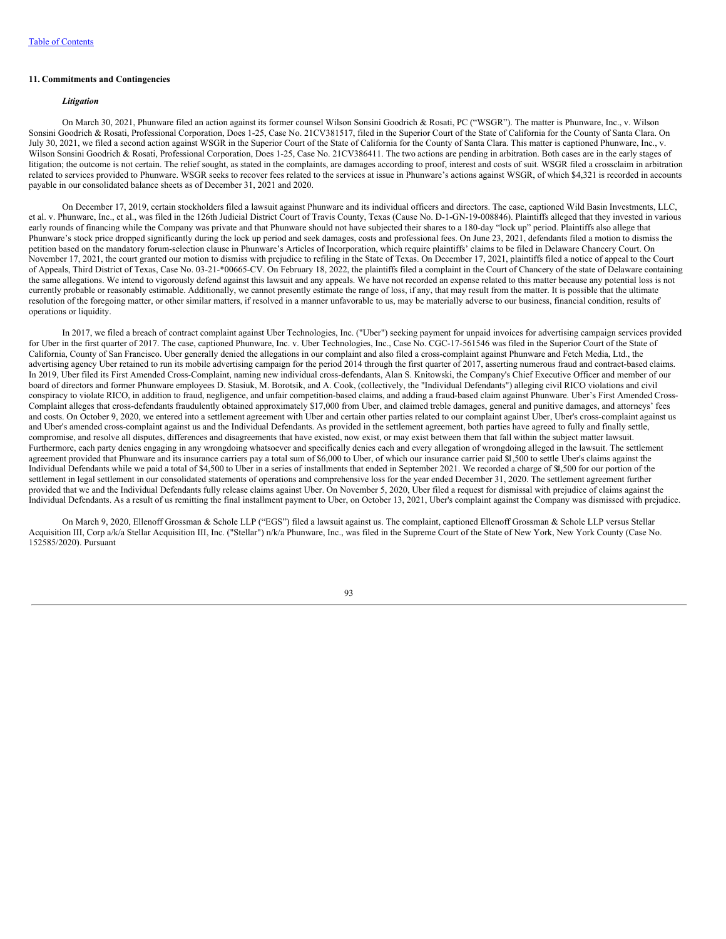### **11. Commitments and Contingencies**

## *Litigation*

On March 30, 2021, Phunware filed an action against its former counsel Wilson Sonsini Goodrich & Rosati, PC ("WSGR"). The matter is Phunware, Inc., v. Wilson Sonsini Goodrich & Rosati, Professional Corporation, Does 1-25, Case No. 21CV381517, filed in the Superior Court of the State of California for the County of Santa Clara. On July 30, 2021, we filed a second action against WSGR in the Superior Court of the State of California for the County of Santa Clara. This matter is captioned Phunware, Inc., v. Wilson Sonsini Goodrich & Rosati, Professional Corporation, Does 1-25, Case No. 21CV386411. The two actions are pending in arbitration. Both cases are in the early stages of litigation; the outcome is not certain. The relief sought, as stated in the complaints, are damages according to proof, interest and costs of suit. WSGR filed a crossclaim in arbitration related to services provided to Phunware. WSGR seeks to recover fees related to the services at issue in Phunware's actions against WSGR, of which \$4,321 is recorded in accounts payable in our consolidated balance sheets as of December 31, 2021 and 2020.

On December 17, 2019, certain stockholders filed a lawsuit against Phunware and its individual officers and directors. The case, captioned Wild Basin Investments, LLC, et al. v. Phunware, Inc., et al., was filed in the 126th Judicial District Court of Travis County, Texas (Cause No. D-1-GN-19-008846). Plaintiffs alleged that they invested in various early rounds of financing while the Company was private and that Phunware should not have subjected their shares to a 180-day "lock up" period. Plaintiffs also allege that Phunware's stock price dropped significantly during the lock up period and seek damages, costs and professional fees. On June 23, 2021, defendants filed a motion to dismiss the petition based on the mandatory forum-selection clause in Phunware's Articles of Incorporation, which require plaintiffs' claims to be filed in Delaware Chancery Court. On November 17, 2021, the court granted our motion to dismiss with prejudice to refiling in the State of Texas. On December 17, 2021, plaintiffs filed a notice of appeal to the Court of Appeals, Third District of Texas, Case No. 03-21-\*00665-CV. On February 18, 2022, the plaintiffs filed a complaint in the Court of Chancery of the state of Delaware containing the same allegations. We intend to vigorously defend against this lawsuit and any appeals. We have not recorded an expense related to this matter because any potential loss is not currently probable or reasonably estimable. Additionally, we cannot presently estimate the range of loss, if any, that may result from the matter. It is possible that the ultimate resolution of the foregoing matter, or other similar matters, if resolved in a manner unfavorable to us, may be materially adverse to our business, financial condition, results of operations or liquidity.

In 2017, we filed a breach of contract complaint against Uber Technologies, Inc. ("Uber") seeking payment for unpaid invoices for advertising campaign services provided for Uber in the first quarter of 2017. The case, captioned Phunware, Inc. v. Uber Technologies, Inc., Case No. CGC-17-561546 was filed in the Superior Court of the State of California, County of San Francisco. Uber generally denied the allegations in our complaint and also filed a cross-complaint against Phunware and Fetch Media, Ltd., the advertising agency Uber retained to run its mobile advertising campaign for the period 2014 through the first quarter of 2017, asserting numerous fraud and contract-based claims. In 2019, Uber filed its First Amended Cross-Complaint, naming new individual cross-defendants, Alan S. Knitowski, the Company's Chief Executive Officer and member of our board of directors and former Phunware employees D. Stasiuk, M. Borotsik, and A. Cook, (collectively, the "Individual Defendants") alleging civil RICO violations and civil conspiracy to violate RICO, in addition to fraud, negligence, and unfair competition-based claims, and adding a fraud-based claim against Phunware. Uber's First Amended Cross-Complaint alleges that cross-defendants fraudulently obtained approximately \$17,000 from Uber, and claimed treble damages, general and punitive damages, and attorneys' fees and costs. On October 9, 2020, we entered into a settlement agreement with Uber and certain other parties related to our complaint against Uber, Uber's cross-complaint against us and Uber's amended cross-complaint against us and the Individual Defendants. As provided in the settlement agreement, both parties have agreed to fully and finally settle, compromise, and resolve all disputes, differences and disagreements that have existed, now exist, or may exist between them that fall within the subject matter lawsuit. Furthermore, each party denies engaging in any wrongdoing whatsoever and specifically denies each and every allegation of wrongdoing alleged in the lawsuit. The settlement agreement provided that Phunware and its insurance carriers pay a total sum of \$6,000 to Uber, of which our insurance carrier paid \$1,500 to settle Uber's claims against the Individual Defendants while we paid a total of \$4,500 to Uber in a series of installments that ended in September 2021. We recorded a charge of \$4,500 for our portion of the settlement in legal settlement in our consolidated statements of operations and comprehensive loss for the year ended December 31, 2020. The settlement agreement further provided that we and the Individual Defendants fully release claims against Uber. On November 5, 2020, Uber filed a request for dismissal with prejudice of claims against the Individual Defendants. As a result of us remitting the final installment payment to Uber, on October 13, 2021, Uber's complaint against the Company was dismissed with prejudice.

On March 9, 2020, Ellenoff Grossman & Schole LLP ("EGS") filed a lawsuit against us. The complaint, captioned Ellenoff Grossman & Schole LLP versus Stellar Acquisition III, Corp a/k/a Stellar Acquisition III, Inc. ("Stellar") n/k/a Phunware, Inc., was filed in the Supreme Court of the State of New York, New York County (Case No. 152585/2020). Pursuant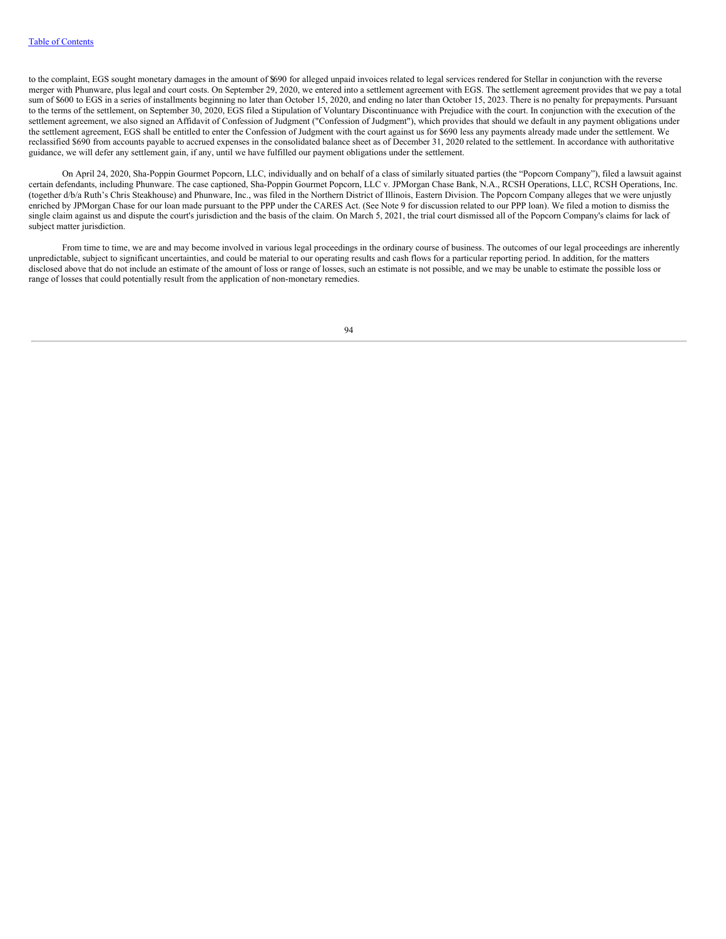to the complaint, EGS sought monetary damages in the amount of \$690 for alleged unpaid invoices related to legal services rendered for Stellar in conjunction with the reverse merger with Phunware, plus legal and court costs. On September 29, 2020, we entered into a settlement agreement with EGS. The settlement agreement provides that we pay a total sum of \$600 to EGS in a series of installments beginning no later than October 15, 2020, and ending no later than October 15, 2023. There is no penalty for prepayments. Pursuant to the terms of the settlement, on September 30, 2020, EGS filed a Stipulation of Voluntary Discontinuance with Prejudice with the court. In conjunction with the execution of the settlement agreement, we also signed an Affidavit of Confession of Judgment ("Confession of Judgment"), which provides that should we default in any payment obligations under the settlement agreement, EGS shall be entitled to enter the Confession of Judgment with the court against us for \$690 less any payments already made under the settlement. We reclassified \$690 from accounts payable to accrued expenses in the consolidated balance sheet as of December 31, 2020 related to the settlement. In accordance with authoritative guidance, we will defer any settlement gain, if any, until we have fulfilled our payment obligations under the settlement.

On April 24, 2020, Sha-Poppin Gourmet Popcorn, LLC, individually and on behalf of a class of similarly situated parties (the "Popcorn Company"), filed a lawsuit against certain defendants, including Phunware. The case captioned, Sha-Poppin Gourmet Popcorn, LLC v. JPMorgan Chase Bank, N.A., RCSH Operations, LLC, RCSH Operations, Inc. (together d/b/a Ruth's Chris Steakhouse) and Phunware, Inc., was filed in the Northern District of Illinois, Eastern Division. The Popcorn Company alleges that we were unjustly enriched by JPMorgan Chase for our loan made pursuant to the PPP under the CARES Act. (See Note 9 for discussion related to our PPP loan). We filed a motion to dismiss the single claim against us and dispute the court's jurisdiction and the basis of the claim. On March 5, 2021, the trial court dismissed all of the Popcorn Company's claims for lack of subject matter jurisdiction.

From time to time, we are and may become involved in various legal proceedings in the ordinary course of business. The outcomes of our legal proceedings are inherently unpredictable, subject to significant uncertainties, and could be material to our operating results and cash flows for a particular reporting period. In addition, for the matters disclosed above that do not include an estimate of the amount of loss or range of losses, such an estimate is not possible, and we may be unable to estimate the possible loss or range of losses that could potentially result from the application of non-monetary remedies.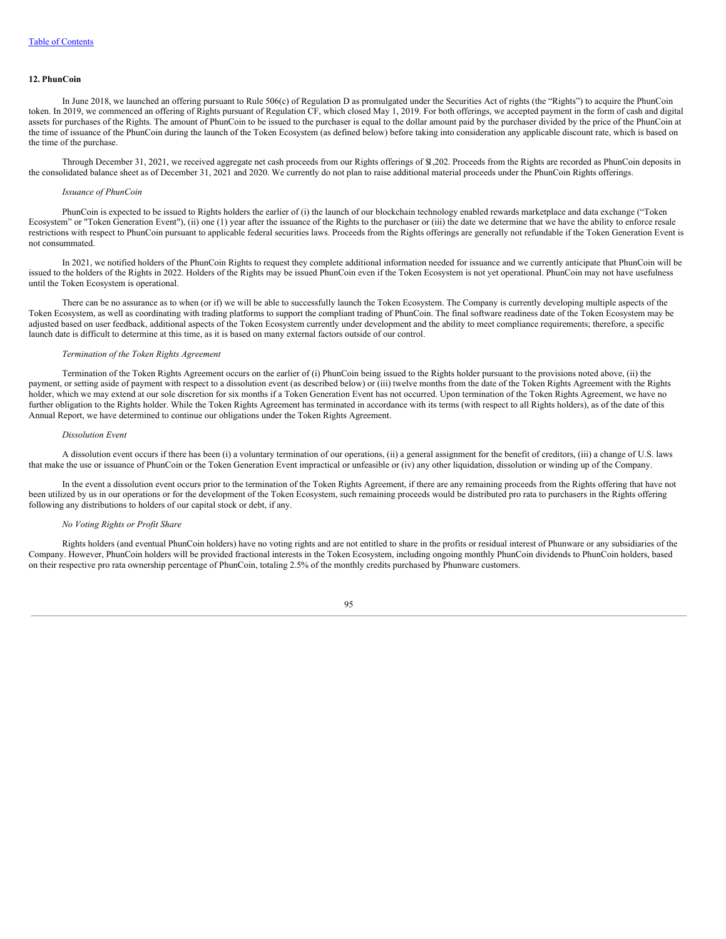# **12. PhunCoin**

In June 2018, we launched an offering pursuant to Rule 506(c) of Regulation D as promulgated under the Securities Act of rights (the "Rights") to acquire the PhunCoin token. In 2019, we commenced an offering of Rights pursuant of Regulation CF, which closed May 1, 2019. For both offerings, we accepted payment in the form of cash and digital assets for purchases of the Rights. The amount of PhunCoin to be issued to the purchaser is equal to the dollar amount paid by the purchaser divided by the price of the PhunCoin at the time of issuance of the PhunCoin during the launch of the Token Ecosystem (as defined below) before taking into consideration any applicable discount rate, which is based on the time of the purchase.

Through December 31, 2021, we received aggregate net cash proceeds from our Rights offerings of \$1,202. Proceeds from the Rights are recorded as PhunCoin deposits in the consolidated balance sheet as of December 31, 2021 and 2020. We currently do not plan to raise additional material proceeds under the PhunCoin Rights offerings.

#### *Issuance of PhunCoin*

PhunCoin is expected to be issued to Rights holders the earlier of (i) the launch of our blockchain technology enabled rewards marketplace and data exchange ("Token Ecosystem" or "Token Generation Event"), (ii) one (1) year after the issuance of the Rights to the purchaser or (iii) the date we determine that we have the ability to enforce resale restrictions with respect to PhunCoin pursuant to applicable federal securities laws. Proceeds from the Rights offerings are generally not refundable if the Token Generation Event is not consummated.

In 2021, we notified holders of the PhunCoin Rights to request they complete additional information needed for issuance and we currently anticipate that PhunCoin will be issued to the holders of the Rights in 2022. Holders of the Rights may be issued PhunCoin even if the Token Ecosystem is not yet operational. PhunCoin may not have usefulness until the Token Ecosystem is operational.

There can be no assurance as to when (or if) we will be able to successfully launch the Token Ecosystem. The Company is currently developing multiple aspects of the Token Ecosystem, as well as coordinating with trading platforms to support the compliant trading of PhunCoin. The final software readiness date of the Token Ecosystem may be adjusted based on user feedback, additional aspects of the Token Ecosystem currently under development and the ability to meet compliance requirements; therefore, a specific launch date is difficult to determine at this time, as it is based on many external factors outside of our control.

## *Termination of the Token Rights Agreement*

Termination of the Token Rights Agreement occurs on the earlier of (i) PhunCoin being issued to the Rights holder pursuant to the provisions noted above, (ii) the payment, or setting aside of payment with respect to a dissolution event (as described below) or (iii) twelve months from the date of the Token Rights Agreement with the Rights holder, which we may extend at our sole discretion for six months if a Token Generation Event has not occurred. Upon termination of the Token Rights Agreement, we have no further obligation to the Rights holder. While the Token Rights Agreement has terminated in accordance with its terms (with respect to all Rights holders), as of the date of this Annual Report, we have determined to continue our obligations under the Token Rights Agreement.

#### *Dissolution Event*

A dissolution event occurs if there has been (i) a voluntary termination of our operations, (ii) a general assignment for the benefit of creditors, (iii) a change of U.S. laws that make the use or issuance of PhunCoin or the Token Generation Event impractical or unfeasible or (iv) any other liquidation, dissolution or winding up of the Company.

In the event a dissolution event occurs prior to the termination of the Token Rights Agreement, if there are any remaining proceeds from the Rights offering that have not been utilized by us in our operations or for the development of the Token Ecosystem, such remaining proceeds would be distributed pro rata to purchasers in the Rights offering following any distributions to holders of our capital stock or debt, if any.

#### *No Voting Rights or Profit Share*

Rights holders (and eventual PhunCoin holders) have no voting rights and are not entitled to share in the profits or residual interest of Phunware or any subsidiaries of the Company. However, PhunCoin holders will be provided fractional interests in the Token Ecosystem, including ongoing monthly PhunCoin dividends to PhunCoin holders, based on their respective pro rata ownership percentage of PhunCoin, totaling 2.5% of the monthly credits purchased by Phunware customers.

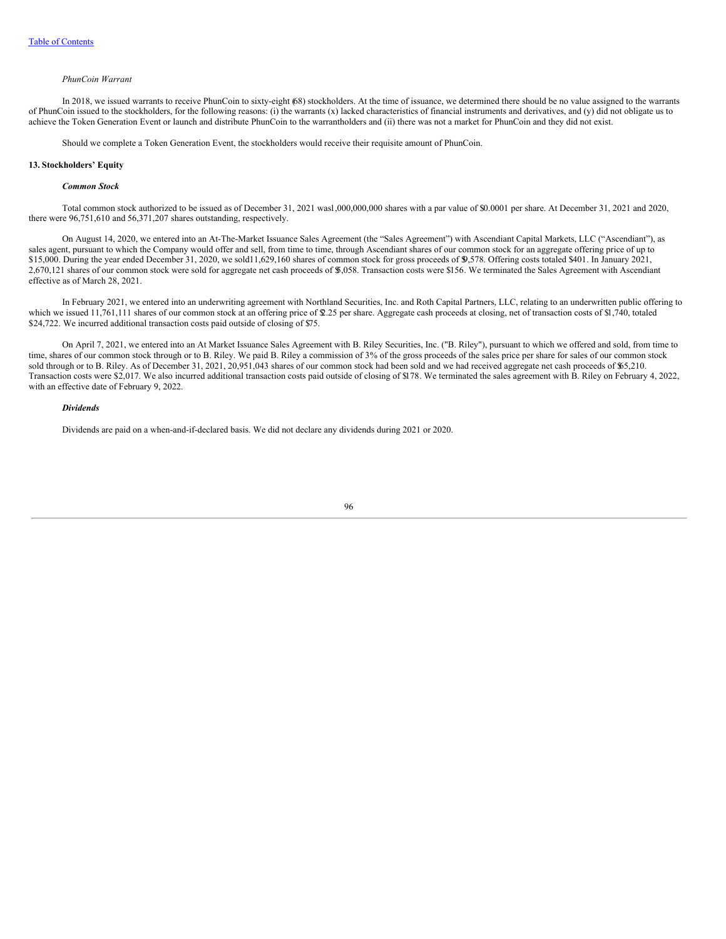#### *PhunCoin Warrant*

In 2018, we issued warrants to receive PhunCoin to sixty-eight (68) stockholders. At the time of issuance, we determined there should be no value assigned to the warrants of PhunCoin issued to the stockholders, for the following reasons: (i) the warrants (x) lacked characteristics of financial instruments and derivatives, and (y) did not obligate us to achieve the Token Generation Event or launch and distribute PhunCoin to the warrantholders and (ii) there was not a market for PhunCoin and they did not exist.

Should we complete a Token Generation Event, the stockholders would receive their requisite amount of PhunCoin.

### **13. Stockholders' Equity**

### *Common Stock*

Total common stock authorized to be issued as of December 31, 2021 was1,000,000,000 shares with a par value of \$0.0001 per share. At December 31, 2021 and 2020, there were 96,751,610 and 56,371,207 shares outstanding, respectively.

On August 14, 2020, we entered into an At-The-Market Issuance Sales Agreement (the "Sales Agreement") with Ascendiant Capital Markets, LLC ("Ascendiant"), as sales agent, pursuant to which the Company would offer and sell, from time to time, through Ascendiant shares of our common stock for an aggregate offering price of up to \$15,000. During the year ended December 31, 2020, we sold11,629,160 shares of common stock for gross proceeds of \$9,578. Offering costs totaled \$401. In January 2021, 2,670,121 shares of our common stock were sold for aggregate net cash proceeds of \$5,058. Transaction costs were \$156. We terminated the Sales Agreement with Ascendiant effective as of March 28, 2021.

In February 2021, we entered into an underwriting agreement with Northland Securities, Inc. and Roth Capital Partners, LLC, relating to an underwritten public offering to which we issued 11,761,111 shares of our common stock at an offering price of \$2.25 per share. Aggregate cash proceeds at closing, net of transaction costs of \$1,740, totaled \$24,722. We incurred additional transaction costs paid outside of closing of \$75.

On April 7, 2021, we entered into an At Market Issuance Sales Agreement with B. Riley Securities, Inc. ("B. Riley"), pursuant to which we offered and sold, from time to time, shares of our common stock through or to B. Riley. We paid B. Riley a commission of 3% of the gross proceeds of the sales price per share for sales of our common stock sold through or to B. Riley. As of December 31, 2021, 20,951,043 shares of our common stock had been sold and we had received aggregate net cash proceeds of \$65,210. Transaction costs were \$2,017. We also incurred additional transaction costs paid outside of closing of \$178. We terminated the sales agreement with B. Riley on February 4, 2022, with an effective date of February 9, 2022.

## *Dividends*

Dividends are paid on a when-and-if-declared basis. We did not declare any dividends during 2021 or 2020.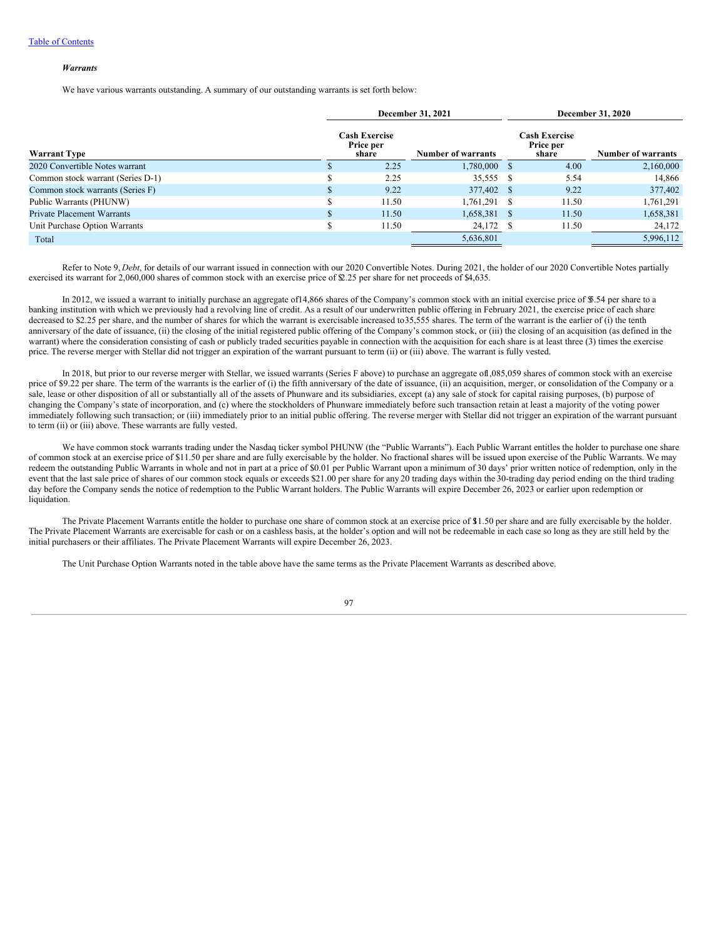## *Warrants*

We have various warrants outstanding. A summary of our outstanding warrants is set forth below:

|                                   |   |                                            | December 31, 2021  |    | <b>December 31, 2020</b>                   |                    |  |  |
|-----------------------------------|---|--------------------------------------------|--------------------|----|--------------------------------------------|--------------------|--|--|
| <b>Warrant Type</b>               |   | <b>Cash Exercise</b><br>Price per<br>share | Number of warrants |    | <b>Cash Exercise</b><br>Price per<br>share | Number of warrants |  |  |
| 2020 Convertible Notes warrant    |   | 2.25                                       | 1,780,000          | Ж. | 4.00                                       | 2,160,000          |  |  |
| Common stock warrant (Series D-1) |   | 2.25                                       | 35,555 \$          |    | 5.54                                       | 14,866             |  |  |
| Common stock warrants (Series F)  |   | 9.22                                       | 377,402 \$         |    | 9.22                                       | 377,402            |  |  |
| Public Warrants (PHUNW)           |   | 11.50                                      | 1,761,291 \$       |    | 11.50                                      | 1,761,291          |  |  |
| <b>Private Placement Warrants</b> | ж | 11.50                                      | 1,658,381 \$       |    | 11.50                                      | 1,658,381          |  |  |
| Unit Purchase Option Warrants     | S | 11.50                                      | 24,172 \$          |    | 11.50                                      | 24,172             |  |  |
| Total                             |   |                                            | 5,636,801          |    |                                            | 5,996,112          |  |  |

Refer to Note 9, *Debt*, for details of our warrant issued in connection with our 2020 Convertible Notes. During 2021, the holder of our 2020 Convertible Notes partially exercised its warrant for 2,060,000 shares of common stock with an exercise price of \$2.25 per share for net proceeds of \$4,635.

In 2012, we issued a warrant to initially purchase an aggregate of14,866 shares of the Company's common stock with an initial exercise price of \$5.54 per share to a banking institution with which we previously had a revolving line of credit. As a result of our underwritten public offering in February 2021, the exercise price of each share decreased to \$2.25 per share, and the number of shares for which the warrant is exercisable increased to 35,555 shares. The term of the warrant is the earlier of (i) the tenth anniversary of the date of issuance, (ii) the closing of the initial registered public offering of the Company's common stock, or (iii) the closing of an acquisition (as defined in the warrant) where the consideration consisting of cash or publicly traded securities payable in connection with the acquisition for each share is at least three (3) times the exercise price. The reverse merger with Stellar did not trigger an expiration of the warrant pursuant to term (ii) or (iii) above. The warrant is fully vested.

In 2018, but prior to our reverse merger with Stellar, we issued warrants (Series F above) to purchase an aggregate of 0.085,059 shares of common stock with an exercise price of \$9.22 per share. The term of the warrants is the earlier of (i) the fifth anniversary of the date of issuance, (ii) an acquisition, merger, or consolidation of the Company or a sale, lease or other disposition of all or substantially all of the assets of Phunware and its subsidiaries, except (a) any sale of stock for capital raising purposes, (b) purpose of changing the Company's state of incorporation, and (c) where the stockholders of Phunware immediately before such transaction retain at least a majority of the voting power immediately following such transaction; or (iii) immediately prior to an initial public offering. The reverse merger with Stellar did not trigger an expiration of the warrant pursuant to term (ii) or (iii) above. These warrants are fully vested.

We have common stock warrants trading under the Nasdaq ticker symbol PHUNW (the "Public Warrants"). Each Public Warrant entitles the holder to purchase one share of common stock at an exercise price of \$11.50 per share and are fully exercisable by the holder. No fractional shares will be issued upon exercise of the Public Warrants. We may redeem the outstanding Public Warrants in whole and not in part at a price of \$0.01 per Public Warrant upon a minimum of 30 days' prior written notice of redemption, only in the event that the last sale price of shares of our common stock equals or exceeds \$21.00 per share for any 20 trading days within the 30-trading day period ending on the third trading day before the Company sends the notice of redemption to the Public Warrant holders. The Public Warrants will expire December 26, 2023 or earlier upon redemption or liquidation.

The Private Placement Warrants entitle the holder to purchase one share of common stock at an exercise price of \$1.50 per share and are fully exercisable by the holder. The Private Placement Warrants are exercisable for cash or on a cashless basis, at the holder's option and will not be redeemable in each case so long as they are still held by the initial purchasers or their affiliates. The Private Placement Warrants will expire December 26, 2023.

The Unit Purchase Option Warrants noted in the table above have the same terms as the Private Placement Warrants as described above.

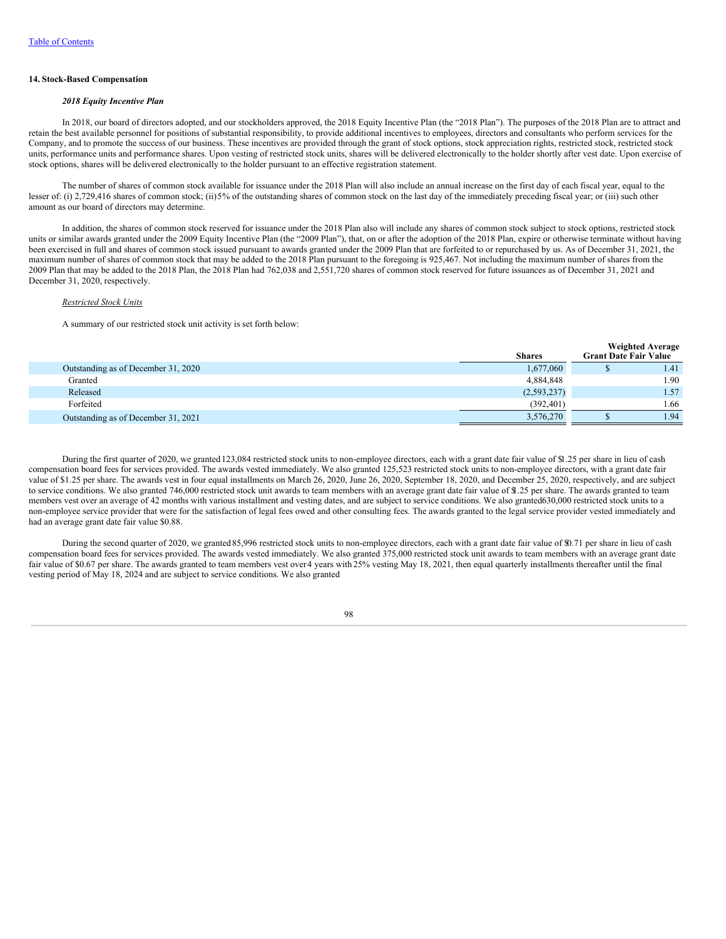### **14. Stock-Based Compensation**

#### *2018 Equity Incentive Plan*

In 2018, our board of directors adopted, and our stockholders approved, the 2018 Equity Incentive Plan (the "2018 Plan"). The purposes of the 2018 Plan are to attract and retain the best available personnel for positions of substantial responsibility, to provide additional incentives to employees, directors and consultants who perform services for the Company, and to promote the success of our business. These incentives are provided through the grant of stock options, stock appreciation rights, restricted stock, restricted stock units, performance units and performance shares. Upon vesting of restricted stock units, shares will be delivered electronically to the holder shortly after vest date. Upon exercise of stock options, shares will be delivered electronically to the holder pursuant to an effective registration statement.

The number of shares of common stock available for issuance under the 2018 Plan will also include an annual increase on the first day of each fiscal year, equal to the lesser of: (i) 2,729,416 shares of common stock; (ii)5% of the outstanding shares of common stock on the last day of the immediately preceding fiscal year; or (iii) such other amount as our board of directors may determine.

In addition, the shares of common stock reserved for issuance under the 2018 Plan also will include any shares of common stock subject to stock options, restricted stock units or similar awards granted under the 2009 Equity Incentive Plan (the "2009 Plan"), that, on or after the adoption of the 2018 Plan, expire or otherwise terminate without having been exercised in full and shares of common stock issued pursuant to awards granted under the 2009 Plan that are forfeited to or repurchased by us. As of December 31, 2021, the maximum number of shares of common stock that may be added to the 2018 Plan pursuant to the foregoing is 925,467. Not including the maximum number of shares from the 2009 Plan that may be added to the 2018 Plan, the 2018 Plan had 762,038 and 2,551,720 shares of common stock reserved for future issuances as of December 31, 2021 and December 31, 2020, respectively.

#### *Restricted Stock Units*

A summary of our restricted stock unit activity is set forth below:

|                                     | <b>Shares</b> | <b>Grant Date Fair Value</b> | <b>Weighted Average</b> |
|-------------------------------------|---------------|------------------------------|-------------------------|
| Outstanding as of December 31, 2020 | 1,677,060     |                              | 1.41                    |
| Granted                             | 4,884,848     |                              | 1.90                    |
| Released                            | (2,593,237)   |                              | 1.57                    |
| Forfeited                           | (392.401)     |                              | l.66                    |
| Outstanding as of December 31, 2021 | 3,576,270     |                              | 1.94                    |

During the first quarter of 2020, we granted 123,084 restricted stock units to non-employee directors, each with a grant date fair value of \$1.25 per share in lieu of cash compensation board fees for services provided. The awards vested immediately. We also granted 125,523 restricted stock units to non-employee directors, with a grant date fair value of \$1.25 per share. The awards vest in four equal installments on March 26, 2020, June 26, 2020, September 18, 2020, and December 25, 2020, respectively, and are subject to service conditions. We also granted 746,000 restricted stock unit awards to team members with an average grant date fair value of \$1.25 per share. The awards granted to team members vest over an average of 42 months with various installment and vesting dates, and are subject to service conditions. We also granted630,000 restricted stock units to a non-employee service provider that were for the satisfaction of legal fees owed and other consulting fees. The awards granted to the legal service provider vested immediately and had an average grant date fair value \$0.88.

During the second quarter of 2020, we granted 85,996 restricted stock units to non-employee directors, each with a grant date fair value of \$0.71 per share in lieu of cash compensation board fees for services provided. The awards vested immediately. We also granted 375,000 restricted stock unit awards to team members with an average grant date fair value of \$0.67 per share. The awards granted to team members vest over 4 years with 25% vesting May 18, 2021, then equal quarterly installments thereafter until the final vesting period of May 18, 2024 and are subject to service conditions. We also granted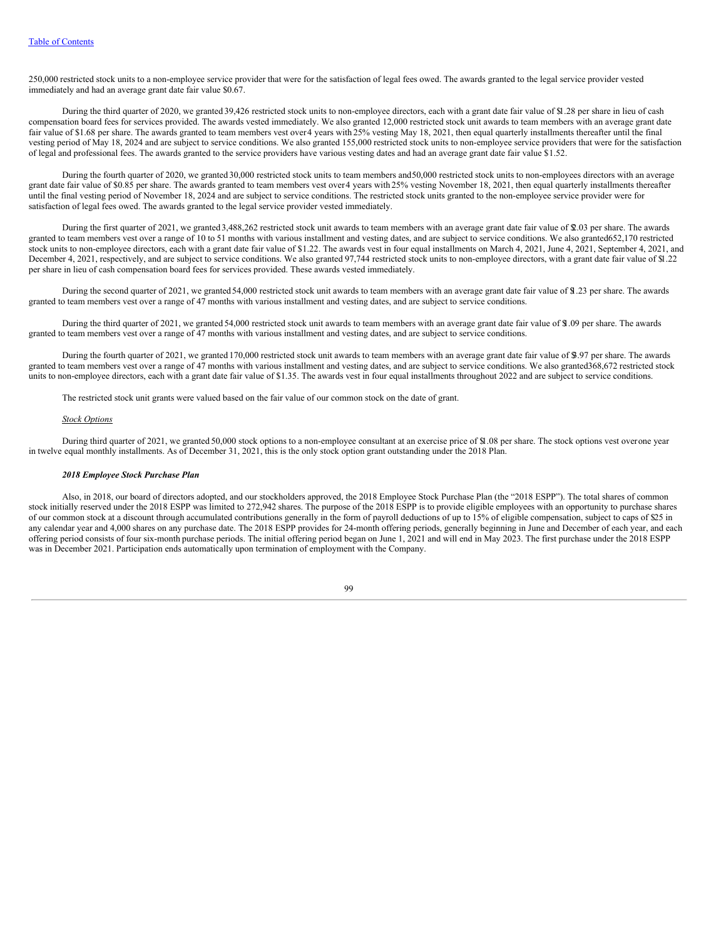250,000 restricted stock units to a non-employee service provider that were for the satisfaction of legal fees owed. The awards granted to the legal service provider vested immediately and had an average grant date fair value \$0.67.

During the third quarter of 2020, we granted 39,426 restricted stock units to non-employee directors, each with a grant date fair value of \$1.28 per share in lieu of cash compensation board fees for services provided. The awards vested immediately. We also granted 12,000 restricted stock unit awards to team members with an average grant date fair value of \$1.68 per share. The awards granted to team members vest over4 years with 25% vesting May 18, 2021, then equal quarterly installments thereafter until the final vesting period of May 18, 2024 and are subject to service conditions. We also granted 155,000 restricted stock units to non-employee service providers that were for the satisfaction of legal and professional fees. The awards granted to the service providers have various vesting dates and had an average grant date fair value \$1.52.

During the fourth quarter of 2020, we granted 30,000 restricted stock units to team members and50,000 restricted stock units to non-employees directors with an average grant date fair value of \$0.85 per share. The awards granted to team members vest over4 years with 25% vesting November 18, 2021, then equal quarterly installments thereafter until the final vesting period of November 18, 2024 and are subject to service conditions. The restricted stock units granted to the non-employee service provider were for satisfaction of legal fees owed. The awards granted to the legal service provider vested immediately.

During the first quarter of 2021, we granted 3,488,262 restricted stock unit awards to team members with an average grant date fair value of \$2.03 per share. The awards granted to team members vest over a range of 10 to 51 months with various installment and vesting dates, and are subject to service conditions. We also granted652,170 restricted stock units to non-employee directors, each with a grant date fair value of \$1.22. The awards vest in four equal installments on March 4, 2021, June 4, 2021, September 4, 2021, and December 4, 2021, respectively, and are subject to service conditions. We also granted 97,744 restricted stock units to non-employee directors, with a grant date fair value of \$1.22 per share in lieu of cash compensation board fees for services provided. These awards vested immediately.

During the second quarter of 2021, we granted 54,000 restricted stock unit awards to team members with an average grant date fair value of \$1.23 per share. The awards granted to team members vest over a range of 47 months with various installment and vesting dates, and are subject to service conditions.

During the third quarter of 2021, we granted 54,000 restricted stock unit awards to team members with an average grant date fair value of \$1.09 per share. The awards granted to team members vest over a range of 47 months with various installment and vesting dates, and are subject to service conditions.

During the fourth quarter of 2021, we granted 170,000 restricted stock unit awards to team members with an average grant date fair value of \$.97 per share. The awards granted to team members vest over a range of 47 months with various installment and vesting dates, and are subject to service conditions. We also granted368,672 restricted stock units to non-employee directors, each with a grant date fair value of \$1.35. The awards vest in four equal installments throughout 2022 and are subject to service conditions.

The restricted stock unit grants were valued based on the fair value of our common stock on the date of grant.

## *Stock Options*

During third quarter of 2021, we granted 50,000 stock options to a non-employee consultant at an exercise price of \$1.08 per share. The stock options vest overone year in twelve equal monthly installments. As of December 31, 2021, this is the only stock option grant outstanding under the 2018 Plan.

# *2018 Employee Stock Purchase Plan*

Also, in 2018, our board of directors adopted, and our stockholders approved, the 2018 Employee Stock Purchase Plan (the "2018 ESPP"). The total shares of common stock initially reserved under the 2018 ESPP was limited to 272,942 shares. The purpose of the 2018 ESPP is to provide eligible employees with an opportunity to purchase shares of our common stock at a discount through accumulated contributions generally in the form of payroll deductions of up to 15% of eligible compensation, subject to caps of \$25 in any calendar year and 4,000 shares on any purchase date. The 2018 ESPP provides for 24-month offering periods, generally beginning in June and December of each year, and each offering period consists of four six-month purchase periods. The initial offering period began on June 1, 2021 and will end in May 2023. The first purchase under the 2018 ESPP was in December 2021. Participation ends automatically upon termination of employment with the Company.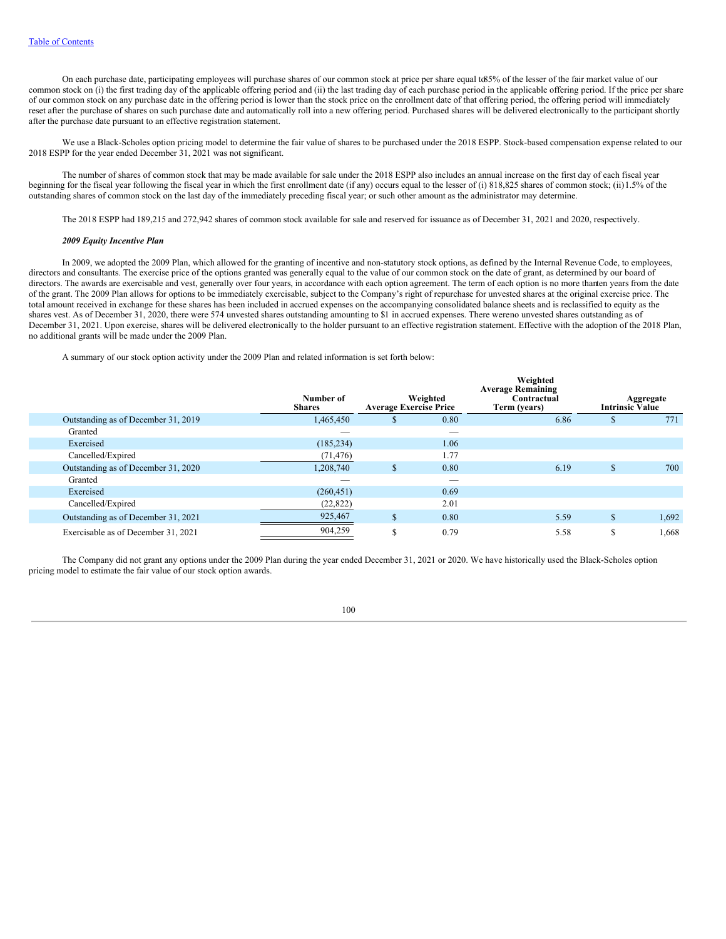On each purchase date, participating employees will purchase shares of our common stock at price per share equal to85% of the lesser of the fair market value of our common stock on (i) the first trading day of the applicable offering period and (ii) the last trading day of each purchase period in the applicable offering period. If the price per share of our common stock on any purchase date in the offering period is lower than the stock price on the enrollment date of that offering period, the offering period will immediately reset after the purchase of shares on such purchase date and automatically roll into a new offering period. Purchased shares will be delivered electronically to the participant shortly after the purchase date pursuant to an effective registration statement.

We use a Black-Scholes option pricing model to determine the fair value of shares to be purchased under the 2018 ESPP. Stock-based compensation expense related to our 2018 ESPP for the year ended December 31, 2021 was not significant.

The number of shares of common stock that may be made available for sale under the 2018 ESPP also includes an annual increase on the first day of each fiscal year beginning for the fiscal year following the fiscal year in which the first enrollment date (if any) occurs equal to the lesser of (i) 818,825 shares of common stock; (ii)1.5% of the outstanding shares of common stock on the last day of the immediately preceding fiscal year; or such other amount as the administrator may determine.

The 2018 ESPP had 189,215 and 272,942 shares of common stock available for sale and reserved for issuance as of December 31, 2021 and 2020, respectively.

# *2009 Equity Incentive Plan*

In 2009, we adopted the 2009 Plan, which allowed for the granting of incentive and non-statutory stock options, as defined by the Internal Revenue Code, to employees, directors and consultants. The exercise price of the options granted was generally equal to the value of our common stock on the date of grant, as determined by our board of directors. The awards are exercisable and vest, generally over four years, in accordance with each option agreement. The term of each option is no more thanten years from the date of the grant. The 2009 Plan allows for options to be immediately exercisable, subject to the Company's right of repurchase for unvested shares at the original exercise price. The total amount received in exchange for these shares has been included in accrued expenses on the accompanying consolidated balance sheets and is reclassified to equity as the shares vest. As of December 31, 2020, there were 574 unvested shares outstanding amounting to \$1 in accrued expenses. There wereno unvested shares outstanding as of December 31, 2021. Upon exercise, shares will be delivered electronically to the holder pursuant to an effective registration statement. Effective with the adoption of the 2018 Plan, no additional grants will be made under the 2009 Plan.

A summary of our stock option activity under the 2009 Plan and related information is set forth below:

|                                     | Number of<br><b>Shares</b> | <b>Average Exercise Price</b> | Weighted                 | Weighted<br><b>Average Remaining</b><br>Contractual<br>Term (years) |                  | Aggregate<br><b>Intrinsic Value</b> |
|-------------------------------------|----------------------------|-------------------------------|--------------------------|---------------------------------------------------------------------|------------------|-------------------------------------|
| Outstanding as of December 31, 2019 | 1,465,450                  | ъ                             | 0.80                     | 6.86                                                                | Э                | 771                                 |
| Granted                             | _                          |                               | $\overline{\phantom{a}}$ |                                                                     |                  |                                     |
| Exercised                           | (185, 234)                 |                               | 1.06                     |                                                                     |                  |                                     |
| Cancelled/Expired                   | (71, 476)                  |                               | 1.77                     |                                                                     |                  |                                     |
| Outstanding as of December 31, 2020 | 1,208,740                  | <b>S</b>                      | 0.80                     | 6.19                                                                | \$               | 700                                 |
| Granted                             | _                          |                               |                          |                                                                     |                  |                                     |
| Exercised                           | (260, 451)                 |                               | 0.69                     |                                                                     |                  |                                     |
| Cancelled/Expired                   | (22, 822)                  |                               | 2.01                     |                                                                     |                  |                                     |
| Outstanding as of December 31, 2021 | 925,467                    | $\mathcal{S}$                 | 0.80                     | 5.59                                                                | $\mathbf{s}$     | 1,692                               |
| Exercisable as of December 31, 2021 | 904,259                    | \$                            | 0.79                     | 5.58                                                                | $\triangle$<br>Э | 1,668                               |

The Company did not grant any options under the 2009 Plan during the year ended December 31, 2021 or 2020. We have historically used the Black-Scholes option pricing model to estimate the fair value of our stock option awards.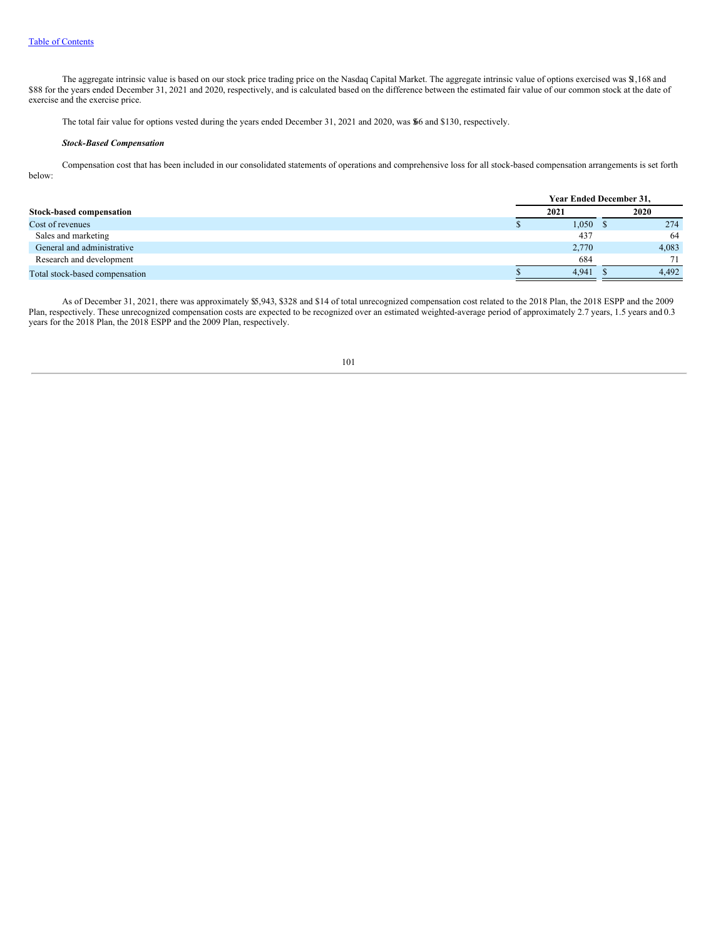The aggregate intrinsic value is based on our stock price trading price on the Nasdaq Capital Market. The aggregate intrinsic value of options exercised was \$1,168 and \$88 for the years ended December 31, 2021 and 2020, respectively, and is calculated based on the difference between the estimated fair value of our common stock at the date of exercise and the exercise price.

The total fair value for options vested during the years ended December 31, 2021 and 2020, was \$6 and \$130, respectively.

## *Stock-Based Compensation*

Compensation cost that has been included in our consolidated statements of operations and comprehensive loss for all stock-based compensation arrangements is set forth below:

|                                 | Year Ended December 31, |            |  |       |
|---------------------------------|-------------------------|------------|--|-------|
| <b>Stock-based compensation</b> |                         | 2021       |  | 2020  |
| Cost of revenues                |                         | $1,050$ \$ |  | 274   |
| Sales and marketing             |                         | 437        |  | 64    |
| General and administrative      |                         | 2,770      |  | 4,083 |
| Research and development        |                         | 684        |  | 71    |
| Total stock-based compensation  |                         | 4.941      |  | 4.492 |

As of December 31, 2021, there was approximately \$5,943, \$328 and \$14 of total unrecognized compensation cost related to the 2018 Plan, the 2018 ESPP and the 2009 Plan, respectively. These unrecognized compensation costs are expected to be recognized over an estimated weighted-average period of approximately 2.7 years, 1.5 years and 0.3 years for the 2018 Plan, the 2018 ESPP and the 2009 Plan, respectively.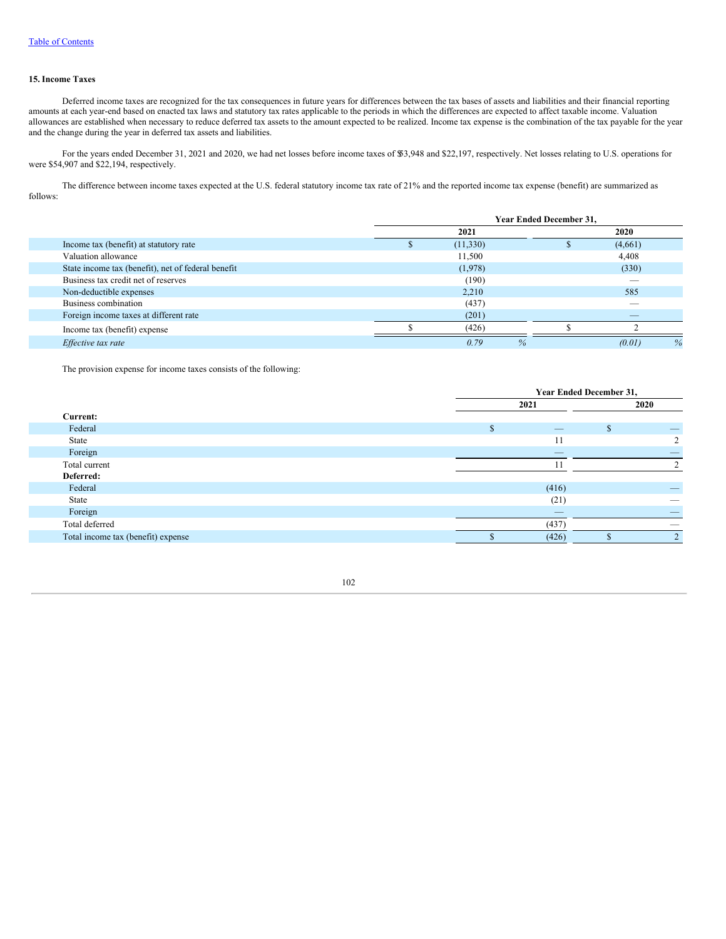# **15. Income Taxes**

Deferred income taxes are recognized for the tax consequences in future years for differences between the tax bases of assets and liabilities and their financial reporting amounts at each year-end based on enacted tax laws and statutory tax rates applicable to the periods in which the differences are expected to affect taxable income. Valuation allowances are established when necessary to reduce deferred tax assets to the amount expected to be realized. Income tax expense is the combination of the tax payable for the year and the change during the year in deferred tax assets and liabilities.

For the years ended December 31, 2021 and 2020, we had net losses before income taxes of \$53,948 and \$22,197, respectively. Net losses relating to U.S. operations for were \$54,907 and \$22,194, respectively.

The difference between income taxes expected at the U.S. federal statutory income tax rate of 21% and the reported income tax expense (benefit) are summarized as follows:

|                                                    | <b>Year Ended December 31,</b> |              |  |                |  |  |  |
|----------------------------------------------------|--------------------------------|--------------|--|----------------|--|--|--|
|                                                    |                                | 2021         |  | 2020           |  |  |  |
| Income tax (benefit) at statutory rate             |                                | (11,330)     |  | (4,661)        |  |  |  |
| Valuation allowance                                |                                | 11,500       |  | 4,408          |  |  |  |
| State income tax (benefit), net of federal benefit |                                | (1,978)      |  | (330)          |  |  |  |
| Business tax credit net of reserves                |                                | (190)        |  | __             |  |  |  |
| Non-deductible expenses                            |                                | 2,210        |  | 585            |  |  |  |
| Business combination                               |                                | (437)        |  | _              |  |  |  |
| Foreign income taxes at different rate             |                                | (201)        |  |                |  |  |  |
| Income tax (benefit) expense                       |                                | (426)        |  |                |  |  |  |
| Effective tax rate                                 |                                | 0.79<br>$\%$ |  | $\%$<br>(0.01) |  |  |  |

The provision expense for income taxes consists of the following:

|                                    |      | <b>Year Ended December 31,</b> |                          |  |  |
|------------------------------------|------|--------------------------------|--------------------------|--|--|
|                                    | 2021 |                                | 2020                     |  |  |
| Current:                           |      |                                |                          |  |  |
| Federal                            | \$   | $\qquad \qquad - \qquad$<br>æ  | $\overline{\phantom{a}}$ |  |  |
| State                              |      | 11                             | $\bigcirc$               |  |  |
| Foreign                            |      | $\qquad \qquad$                | $\qquad \qquad - \qquad$ |  |  |
| Total current                      |      | 11                             |                          |  |  |
| Deferred:                          |      |                                |                          |  |  |
| Federal                            |      | (416)                          | $\overline{\phantom{a}}$ |  |  |
| State                              |      | (21)                           |                          |  |  |
| Foreign                            |      |                                | $\qquad \qquad - \qquad$ |  |  |
| Total deferred                     |      | (437)                          |                          |  |  |
| Total income tax (benefit) expense |      | (426)                          |                          |  |  |
|                                    |      |                                |                          |  |  |

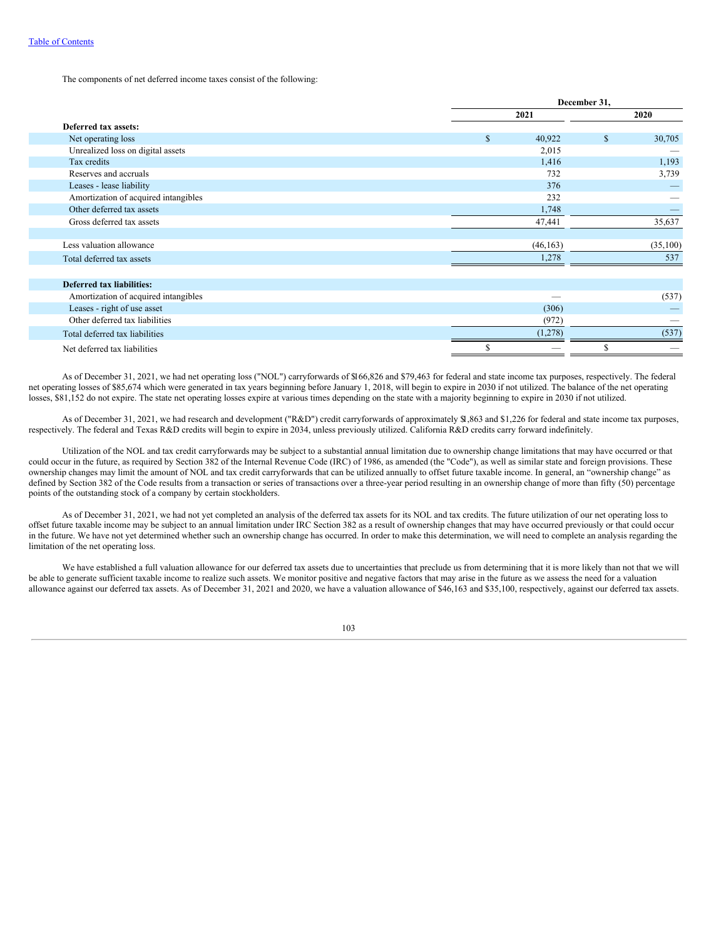The components of net deferred income taxes consist of the following:

|                                      |              | December 31,                     |  |  |  |
|--------------------------------------|--------------|----------------------------------|--|--|--|
|                                      | 2021         | 2020                             |  |  |  |
| Deferred tax assets:                 |              |                                  |  |  |  |
| Net operating loss                   | $\mathbb{S}$ | 40,922<br>$\mathbb{S}$<br>30,705 |  |  |  |
| Unrealized loss on digital assets    |              | 2,015                            |  |  |  |
| Tax credits                          |              | 1,416<br>1,193                   |  |  |  |
| Reserves and accruals                |              | 732<br>3,739                     |  |  |  |
| Leases - lease liability             |              | 376                              |  |  |  |
| Amortization of acquired intangibles |              | 232                              |  |  |  |
| Other deferred tax assets            |              | 1,748                            |  |  |  |
| Gross deferred tax assets            |              | 35,637<br>47,441                 |  |  |  |
| Less valuation allowance             |              | (46, 163)<br>(35,100)            |  |  |  |
| Total deferred tax assets            |              | 537<br>1,278                     |  |  |  |
|                                      |              |                                  |  |  |  |
| <b>Deferred tax liabilities:</b>     |              |                                  |  |  |  |
| Amortization of acquired intangibles |              | (537)<br>_                       |  |  |  |

| Amortization of acquired intangibles |                          | (JJ) /                   |
|--------------------------------------|--------------------------|--------------------------|
| Leases - right of use asset          | (306)                    | $\overline{\phantom{a}}$ |
| Other deferred tax liabilities       | (972)                    | $\overline{\phantom{a}}$ |
| Total deferred tax liabilities       | (1.278)                  | (537                     |
| Net deferred tax liabilities         | $\overline{\phantom{a}}$ | $\overline{\phantom{a}}$ |

As of December 31, 2021, we had net operating loss ("NOL") carryforwards of \$166,826 and \$79,463 for federal and state income tax purposes, respectively. The federal net operating losses of \$85,674 which were generated in tax years beginning before January 1, 2018, will begin to expire in 2030 if not utilized. The balance of the net operating losses, \$81,152 do not expire. The state net operating losses expire at various times depending on the state with a majority beginning to expire in 2030 if not utilized.

As of December 31, 2021, we had research and development ("R&D") credit carryforwards of approximately \$1,863 and \$1,226 for federal and state income tax purposes, respectively. The federal and Texas R&D credits will begin to expire in 2034, unless previously utilized. California R&D credits carry forward indefinitely.

Utilization of the NOL and tax credit carryforwards may be subject to a substantial annual limitation due to ownership change limitations that may have occurred or that could occur in the future, as required by Section 382 of the Internal Revenue Code (IRC) of 1986, as amended (the "Code"), as well as similar state and foreign provisions. These ownership changes may limit the amount of NOL and tax credit carryforwards that can be utilized annually to offset future taxable income. In general, an "ownership change" as defined by Section 382 of the Code results from a transaction or series of transactions over a three-year period resulting in an ownership change of more than fifty (50) percentage points of the outstanding stock of a company by certain stockholders.

As of December 31, 2021, we had not yet completed an analysis of the deferred tax assets for its NOL and tax credits. The future utilization of our net operating loss to offset future taxable income may be subject to an annual limitation under IRC Section 382 as a result of ownership changes that may have occurred previously or that could occur in the future. We have not yet determined whether such an ownership change has occurred. In order to make this determination, we will need to complete an analysis regarding the limitation of the net operating loss.

We have established a full valuation allowance for our deferred tax assets due to uncertainties that preclude us from determining that it is more likely than not that we will be able to generate sufficient taxable income to realize such assets. We monitor positive and negative factors that may arise in the future as we assess the need for a valuation allowance against our deferred tax assets. As of December 31, 2021 and 2020, we have a valuation allowance of \$46,163 and \$35,100, respectively, against our deferred tax assets.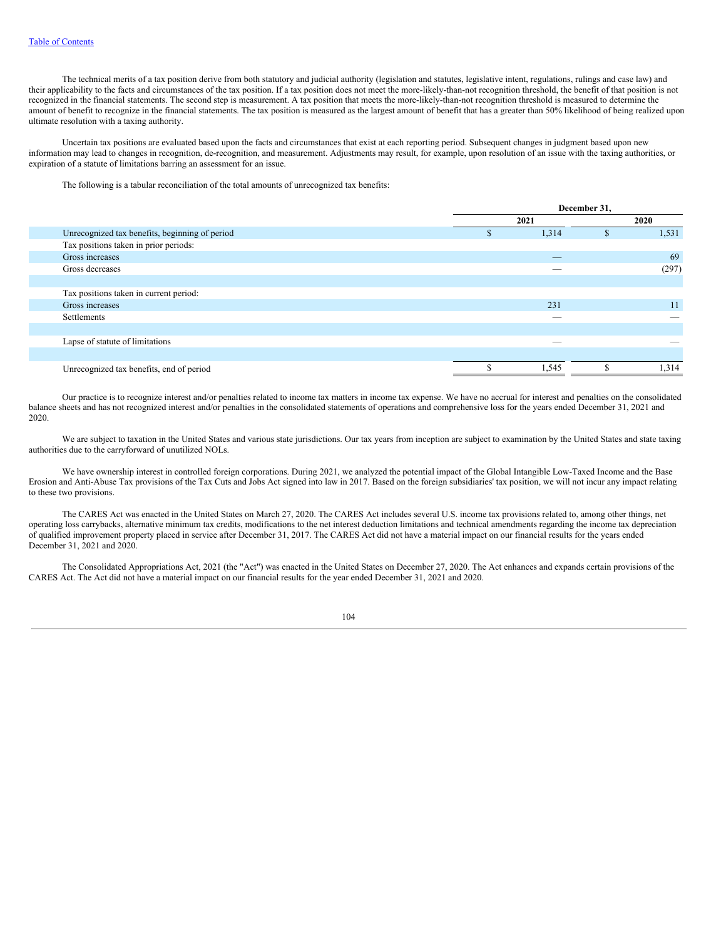The technical merits of a tax position derive from both statutory and judicial authority (legislation and statutes, legislative intent, regulations, rulings and case law) and their applicability to the facts and circumstances of the tax position. If a tax position does not meet the more-likely-than-not recognition threshold, the benefit of that position is not recognized in the financial statements. The second step is measurement. A tax position that meets the more-likely-than-not recognition threshold is measured to determine the amount of benefit to recognize in the financial statements. The tax position is measured as the largest amount of benefit that has a greater than 50% likelihood of being realized upon ultimate resolution with a taxing authority.

Uncertain tax positions are evaluated based upon the facts and circumstances that exist at each reporting period. Subsequent changes in judgment based upon new information may lead to changes in recognition, de-recognition, and measurement. Adjustments may result, for example, upon resolution of an issue with the taxing authorities, or expiration of a statute of limitations barring an assessment for an issue.

The following is a tabular reconciliation of the total amounts of unrecognized tax benefits:

|                                                |   | December 31, |  |       |  |
|------------------------------------------------|---|--------------|--|-------|--|
|                                                |   | 2021         |  | 2020  |  |
| Unrecognized tax benefits, beginning of period | æ | 1,314        |  | 1,531 |  |
| Tax positions taken in prior periods:          |   |              |  |       |  |
| Gross increases                                |   | __           |  | 69    |  |
| Gross decreases                                |   |              |  | (297) |  |
|                                                |   |              |  |       |  |
| Tax positions taken in current period:         |   |              |  |       |  |
| Gross increases                                |   | 231          |  | 11    |  |
| Settlements                                    |   |              |  |       |  |
|                                                |   |              |  |       |  |
| Lapse of statute of limitations                |   |              |  |       |  |
|                                                |   |              |  |       |  |
| Unrecognized tax benefits, end of period       | ъ | 1,545        |  | 1.314 |  |

Our practice is to recognize interest and/or penalties related to income tax matters in income tax expense. We have no accrual for interest and penalties on the consolidated balance sheets and has not recognized interest and/or penalties in the consolidated statements of operations and comprehensive loss for the years ended December 31, 2021 and 2020.

We are subject to taxation in the United States and various state jurisdictions. Our tax years from inception are subject to examination by the United States and state taxing authorities due to the carryforward of unutilized NOLs.

We have ownership interest in controlled foreign corporations. During 2021, we analyzed the potential impact of the Global Intangible Low-Taxed Income and the Base Erosion and Anti-Abuse Tax provisions of the Tax Cuts and Jobs Act signed into law in 2017. Based on the foreign subsidiaries' tax position, we will not incur any impact relating to these two provisions.

The CARES Act was enacted in the United States on March 27, 2020. The CARES Act includes several U.S. income tax provisions related to, among other things, net operating loss carrybacks, alternative minimum tax credits, modifications to the net interest deduction limitations and technical amendments regarding the income tax depreciation of qualified improvement property placed in service after December 31, 2017. The CARES Act did not have a material impact on our financial results for the years ended December 31, 2021 and 2020.

The Consolidated Appropriations Act, 2021 (the "Act") was enacted in the United States on December 27, 2020. The Act enhances and expands certain provisions of the CARES Act. The Act did not have a material impact on our financial results for the year ended December 31, 2021 and 2020.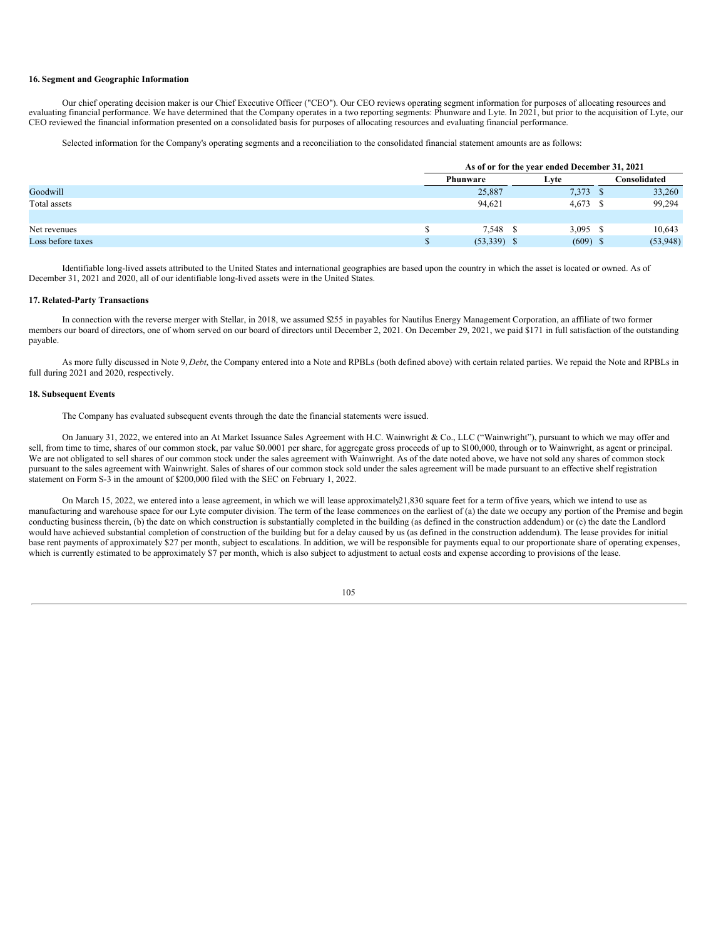## **16. Segment and Geographic Information**

Our chief operating decision maker is our Chief Executive Officer ("CEO"). Our CEO reviews operating segment information for purposes of allocating resources and evaluating financial performance. We have determined that the Company operates in a two reporting segments: Phunware and Lyte. In 2021, but prior to the acquisition of Lyte, our CEO reviewed the financial information presented on a consolidated basis for purposes of allocating resources and evaluating financial performance.

Selected information for the Company's operating segments and a reconciliation to the consolidated financial statement amounts are as follows:

|                   |    | As of or for the year ended December 31, 2021 |      |            |      |              |
|-------------------|----|-----------------------------------------------|------|------------|------|--------------|
|                   |    | <b>Phunware</b>                               | Lyte |            |      | Consolidated |
| Goodwill          |    | 25,887                                        |      | 7,373      |      | 33,260       |
| Total assets      |    | 94.621                                        |      | $4,673$ \$ |      | 99,294       |
|                   |    |                                               |      |            |      |              |
| Net revenues      |    | 7.548                                         |      | 3,095      | - 55 | 10,643       |
| Loss before taxes | ٠D | $(53,339)$ \$                                 |      | $(609)$ \$ |      | (53,948)     |

Identifiable long-lived assets attributed to the United States and international geographies are based upon the country in which the asset is located or owned. As of December 31, 2021 and 2020, all of our identifiable long-lived assets were in the United States.

## **17. Related-Party Transactions**

In connection with the reverse merger with Stellar, in 2018, we assumed \$255 in payables for Nautilus Energy Management Corporation, an affiliate of two former members our board of directors, one of whom served on our board of directors until December 2, 2021. On December 29, 2021, we paid \$171 in full satisfaction of the outstanding payable.

As more fully discussed in Note 9, *Debt*, the Company entered into a Note and RPBLs (both defined above) with certain related parties. We repaid the Note and RPBLs in full during 2021 and 2020, respectively.

#### **18. Subsequent Events**

The Company has evaluated subsequent events through the date the financial statements were issued.

On January 31, 2022, we entered into an At Market Issuance Sales Agreement with H.C. Wainwright & Co., LLC ("Wainwright"), pursuant to which we may offer and sell, from time to time, shares of our common stock, par value \$0.0001 per share, for aggregate gross proceeds of up to \$100,000, through or to Wainwright, as agent or principal. We are not obligated to sell shares of our common stock under the sales agreement with Wainwright. As of the date noted above, we have not sold any shares of common stock pursuant to the sales agreement with Wainwright. Sales of shares of our common stock sold under the sales agreement will be made pursuant to an effective shelf registration statement on Form S-3 in the amount of \$200,000 filed with the SEC on February 1, 2022.

On March 15, 2022, we entered into a lease agreement, in which we will lease approximately21,830 square feet for a term of five years, which we intend to use as manufacturing and warehouse space for our Lyte computer division. The term of the lease commences on the earliest of (a) the date we occupy any portion of the Premise and begin conducting business therein, (b) the date on which construction is substantially completed in the building (as defined in the construction addendum) or (c) the date the Landlord would have achieved substantial completion of construction of the building but for a delay caused by us (as defined in the construction addendum). The lease provides for initial base rent payments of approximately \$27 per month, subject to escalations. In addition, we will be responsible for payments equal to our proportionate share of operating expenses, which is currently estimated to be approximately \$7 per month, which is also subject to adjustment to actual costs and expense according to provisions of the lease.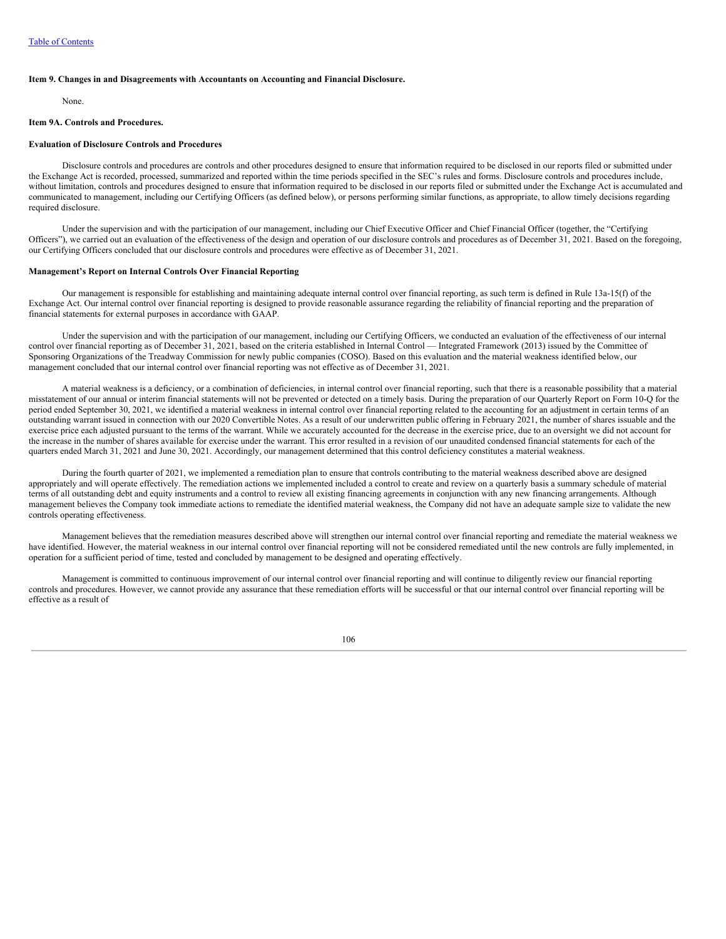#### **Item 9. Changes in and Disagreements with Accountants on Accounting and Financial Disclosure.**

None.

# **Item 9A. Controls and Procedures.**

# **Evaluation of Disclosure Controls and Procedures**

Disclosure controls and procedures are controls and other procedures designed to ensure that information required to be disclosed in our reports filed or submitted under the Exchange Act is recorded, processed, summarized and reported within the time periods specified in the SEC's rules and forms. Disclosure controls and procedures include, without limitation, controls and procedures designed to ensure that information required to be disclosed in our reports filed or submitted under the Exchange Act is accumulated and communicated to management, including our Certifying Officers (as defined below), or persons performing similar functions, as appropriate, to allow timely decisions regarding required disclosure.

Under the supervision and with the participation of our management, including our Chief Executive Officer and Chief Financial Officer (together, the "Certifying Officers"), we carried out an evaluation of the effectiveness of the design and operation of our disclosure controls and procedures as of December 31, 2021. Based on the foregoing, our Certifying Officers concluded that our disclosure controls and procedures were effective as of December 31, 2021.

## **Management's Report on Internal Controls Over Financial Reporting**

Our management is responsible for establishing and maintaining adequate internal control over financial reporting, as such term is defined in Rule 13a-15(f) of the Exchange Act. Our internal control over financial reporting is designed to provide reasonable assurance regarding the reliability of financial reporting and the preparation of financial statements for external purposes in accordance with GAAP.

Under the supervision and with the participation of our management, including our Certifying Officers, we conducted an evaluation of the effectiveness of our internal control over financial reporting as of December 31, 2021, based on the criteria established in Internal Control — Integrated Framework (2013) issued by the Committee of Sponsoring Organizations of the Treadway Commission for newly public companies (COSO). Based on this evaluation and the material weakness identified below, our management concluded that our internal control over financial reporting was not effective as of December 31, 2021.

A material weakness is a deficiency, or a combination of deficiencies, in internal control over financial reporting, such that there is a reasonable possibility that a material misstatement of our annual or interim financial statements will not be prevented or detected on a timely basis. During the preparation of our Quarterly Report on Form 10-Q for the period ended September 30, 2021, we identified a material weakness in internal control over financial reporting related to the accounting for an adjustment in certain terms of an outstanding warrant issued in connection with our 2020 Convertible Notes. As a result of our underwritten public offering in February 2021, the number of shares issuable and the exercise price each adjusted pursuant to the terms of the warrant. While we accurately accounted for the decrease in the exercise price, due to an oversight we did not account for the increase in the number of shares available for exercise under the warrant. This error resulted in a revision of our unaudited condensed financial statements for each of the quarters ended March 31, 2021 and June 30, 2021. Accordingly, our management determined that this control deficiency constitutes a material weakness.

During the fourth quarter of 2021, we implemented a remediation plan to ensure that controls contributing to the material weakness described above are designed appropriately and will operate effectively. The remediation actions we implemented included a control to create and review on a quarterly basis a summary schedule of material terms of all outstanding debt and equity instruments and a control to review all existing financing agreements in conjunction with any new financing arrangements. Although management believes the Company took immediate actions to remediate the identified material weakness, the Company did not have an adequate sample size to validate the new controls operating effectiveness.

Management believes that the remediation measures described above will strengthen our internal control over financial reporting and remediate the material weakness we have identified. However, the material weakness in our internal control over financial reporting will not be considered remediated until the new controls are fully implemented, in operation for a sufficient period of time, tested and concluded by management to be designed and operating effectively.

Management is committed to continuous improvement of our internal control over financial reporting and will continue to diligently review our financial reporting controls and procedures. However, we cannot provide any assurance that these remediation efforts will be successful or that our internal control over financial reporting will be effective as a result of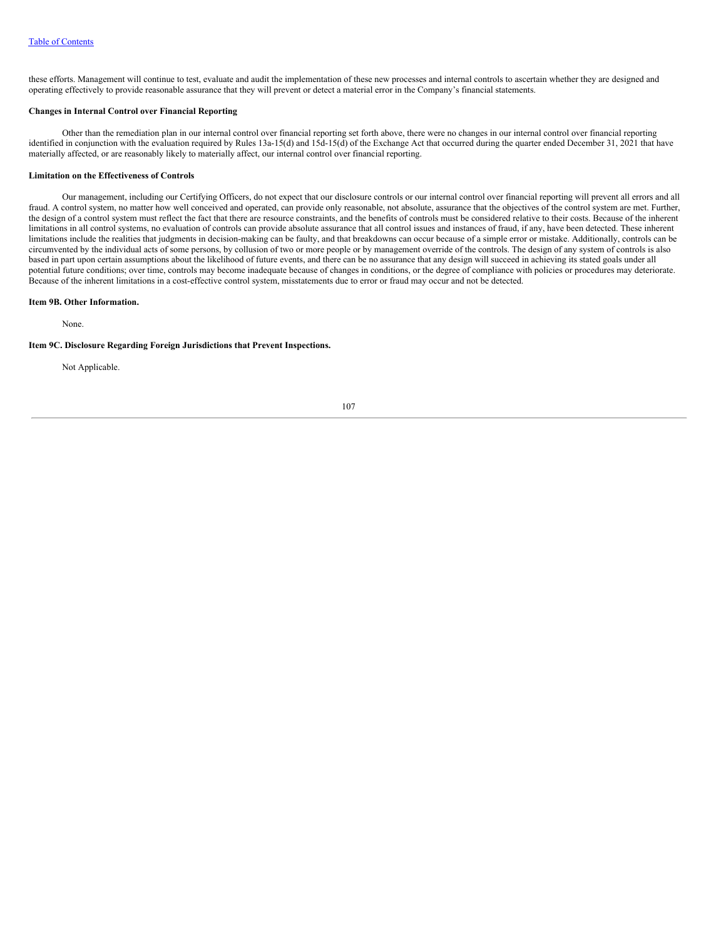these efforts. Management will continue to test, evaluate and audit the implementation of these new processes and internal controls to ascertain whether they are designed and operating effectively to provide reasonable assurance that they will prevent or detect a material error in the Company's financial statements.

#### **Changes in Internal Control over Financial Reporting**

Other than the remediation plan in our internal control over financial reporting set forth above, there were no changes in our internal control over financial reporting identified in conjunction with the evaluation required by Rules 13a-15(d) and 15d-15(d) of the Exchange Act that occurred during the quarter ended December 31, 2021 that have materially affected, or are reasonably likely to materially affect, our internal control over financial reporting.

## **Limitation on the Effectiveness of Controls**

Our management, including our Certifying Officers, do not expect that our disclosure controls or our internal control over financial reporting will prevent all errors and all fraud. A control system, no matter how well conceived and operated, can provide only reasonable, not absolute, assurance that the objectives of the control system are met. Further, the design of a control system must reflect the fact that there are resource constraints, and the benefits of controls must be considered relative to their costs. Because of the inherent limitations in all control systems, no evaluation of controls can provide absolute assurance that all control issues and instances of fraud, if any, have been detected. These inherent limitations include the realities that judgments in decision-making can be faulty, and that breakdowns can occur because of a simple error or mistake. Additionally, controls can be circumvented by the individual acts of some persons, by collusion of two or more people or by management override of the controls. The design of any system of controls is also based in part upon certain assumptions about the likelihood of future events, and there can be no assurance that any design will succeed in achieving its stated goals under all potential future conditions; over time, controls may become inadequate because of changes in conditions, or the degree of compliance with policies or procedures may deteriorate. Because of the inherent limitations in a cost-effective control system, misstatements due to error or fraud may occur and not be detected.

## **Item 9B. Other Information.**

None.

## **Item 9C. Disclosure Regarding Foreign Jurisdictions that Prevent Inspections.**

Not Applicable.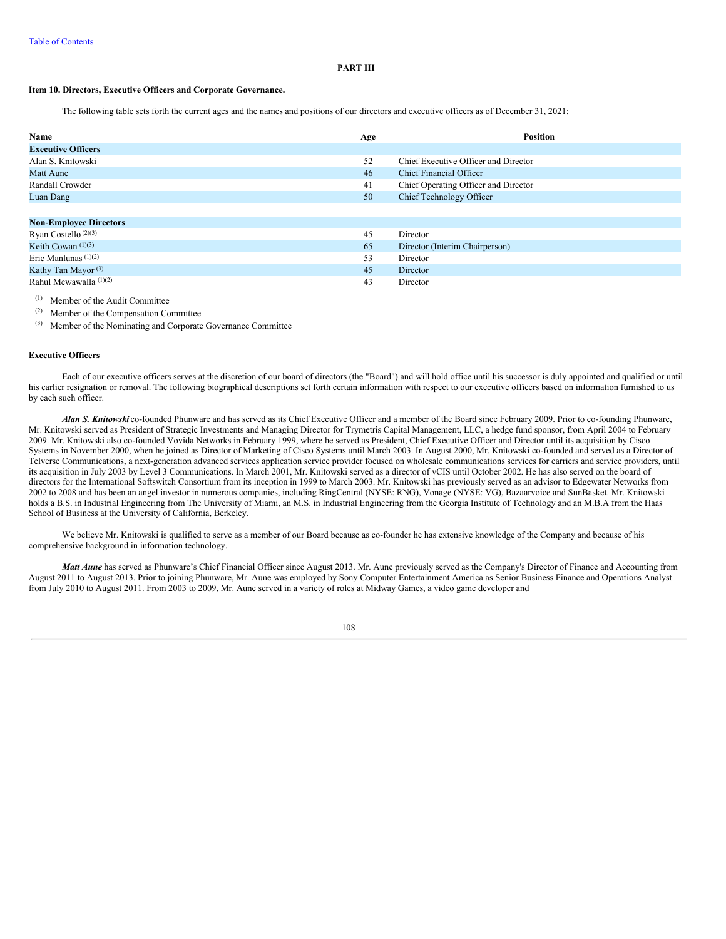#### **PART III**

# **Item 10. Directors, Executive Officers and Corporate Governance.**

The following table sets forth the current ages and the names and positions of our directors and executive officers as of December 31, 2021:

| Name                              | Age | <b>Position</b>                      |
|-----------------------------------|-----|--------------------------------------|
| <b>Executive Officers</b>         |     |                                      |
| Alan S. Knitowski                 | 52  | Chief Executive Officer and Director |
| Matt Aune                         | 46  | Chief Financial Officer              |
| Randall Crowder                   | 41  | Chief Operating Officer and Director |
| Luan Dang                         | 50  | Chief Technology Officer             |
|                                   |     |                                      |
| <b>Non-Employee Directors</b>     |     |                                      |
| Ryan Costello <sup>(2)(3)</sup>   | 45  | Director                             |
| Keith Cowan $(1)(3)$              | 65  | Director (Interim Chairperson)       |
| Eric Manlunas $(1)(2)$            | 53  | Director                             |
| Kathy Tan Mayor <sup>(3)</sup>    | 45  | Director                             |
| Rahul Mewawalla <sup>(1)(2)</sup> | 43  | Director                             |

Member of the Audit Committee (1)

Member of the Compensation Committee (2)

Member of the Nominating and Corporate Governance Committee (3)

#### **Executive Officers**

Each of our executive officers serves at the discretion of our board of directors (the "Board") and will hold office until his successor is duly appointed and qualified or until his earlier resignation or removal. The following biographical descriptions set forth certain information with respect to our executive officers based on information furnished to us by each such officer.

*Alan S. Knitowski* co-founded Phunware and has served as its Chief Executive Officer and a member of the Board since February 2009. Prior to co-founding Phunware, Mr. Knitowski served as President of Strategic Investments and Managing Director for Trymetris Capital Management, LLC, a hedge fund sponsor, from April 2004 to February 2009. Mr. Knitowski also co-founded Vovida Networks in February 1999, where he served as President, Chief Executive Officer and Director until its acquisition by Cisco Systems in November 2000, when he joined as Director of Marketing of Cisco Systems until March 2003. In August 2000, Mr. Knitowski co-founded and served as a Director of Telverse Communications, a next-generation advanced services application service provider focused on wholesale communications services for carriers and service providers, until its acquisition in July 2003 by Level 3 Communications. In March 2001, Mr. Knitowski served as a director of vCIS until October 2002. He has also served on the board of directors for the International Softswitch Consortium from its inception in 1999 to March 2003. Mr. Knitowski has previously served as an advisor to Edgewater Networks from 2002 to 2008 and has been an angel investor in numerous companies, including RingCentral (NYSE: RNG), Vonage (NYSE: VG), Bazaarvoice and SunBasket. Mr. Knitowski holds a B.S. in Industrial Engineering from The University of Miami, an M.S. in Industrial Engineering from the Georgia Institute of Technology and an M.B.A from the Haas School of Business at the University of California, Berkeley.

We believe Mr. Knitowski is qualified to serve as a member of our Board because as co-founder he has extensive knowledge of the Company and because of his comprehensive background in information technology.

*Matt Aune* has served as Phunware's Chief Financial Officer since August 2013. Mr. Aune previously served as the Company's Director of Finance and Accounting from August 2011 to August 2013. Prior to joining Phunware, Mr. Aune was employed by Sony Computer Entertainment America as Senior Business Finance and Operations Analyst from July 2010 to August 2011. From 2003 to 2009, Mr. Aune served in a variety of roles at Midway Games, a video game developer and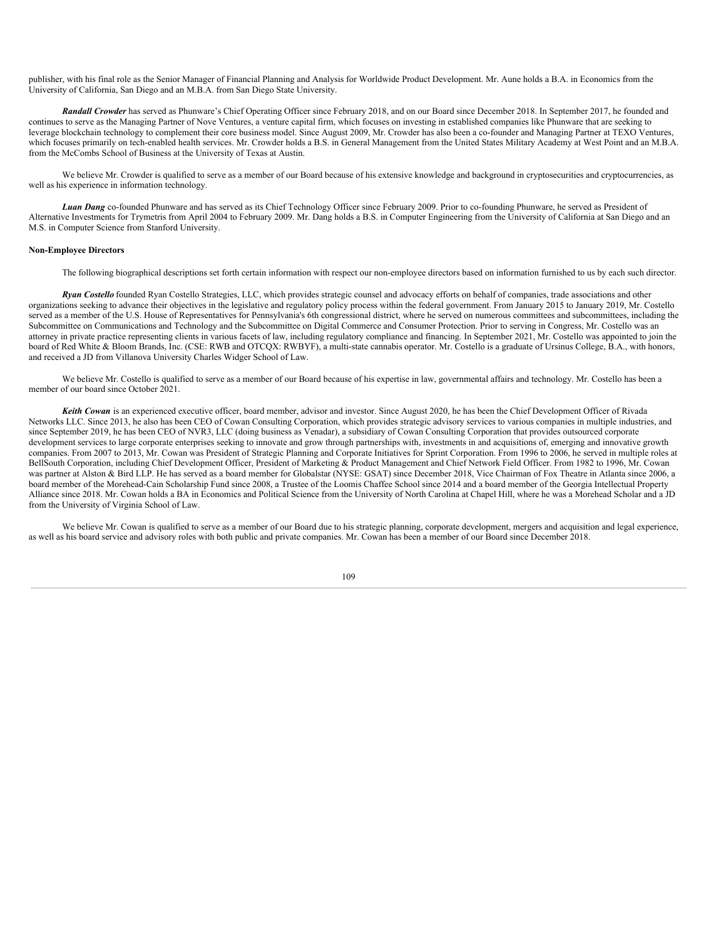publisher, with his final role as the Senior Manager of Financial Planning and Analysis for Worldwide Product Development. Mr. Aune holds a B.A. in Economics from the University of California, San Diego and an M.B.A. from San Diego State University.

*Randall Crowder* has served as Phunware's Chief Operating Officer since February 2018, and on our Board since December 2018. In September 2017, he founded and continues to serve as the Managing Partner of Nove Ventures, a venture capital firm, which focuses on investing in established companies like Phunware that are seeking to leverage blockchain technology to complement their core business model. Since August 2009, Mr. Crowder has also been a co-founder and Managing Partner at TEXO Ventures, which focuses primarily on tech-enabled health services. Mr. Crowder holds a B.S. in General Management from the United States Military Academy at West Point and an M.B.A. from the McCombs School of Business at the University of Texas at Austin.

We believe Mr. Crowder is qualified to serve as a member of our Board because of his extensive knowledge and background in cryptosecurities and cryptocurrencies, as well as his experience in information technology.

*Luan Dang* co-founded Phunware and has served as its Chief Technology Officer since February 2009. Prior to co-founding Phunware, he served as President of Alternative Investments for Trymetris from April 2004 to February 2009. Mr. Dang holds a B.S. in Computer Engineering from the University of California at San Diego and an M.S. in Computer Science from Stanford University.

#### **Non-Employee Directors**

The following biographical descriptions set forth certain information with respect our non-employee directors based on information furnished to us by each such director.

*Ryan Costello* founded Ryan Costello Strategies, LLC, which provides strategic counsel and advocacy efforts on behalf of companies, trade associations and other organizations seeking to advance their objectives in the legislative and regulatory policy process within the federal government. From January 2015 to January 2019, Mr. Costello served as a member of the U.S. House of Representatives for Pennsylvania's 6th congressional district, where he served on numerous committees and subcommittees, including the Subcommittee on Communications and Technology and the Subcommittee on Digital Commerce and Consumer Protection. Prior to serving in Congress, Mr. Costello was an attorney in private practice representing clients in various facets of law, including regulatory compliance and financing. In September 2021, Mr. Costello was appointed to join the board of Red White & Bloom Brands, Inc. (CSE: RWB and OTCQX: RWBYF), a multi-state cannabis operator. Mr. Costello is a graduate of Ursinus College, B.A., with honors, and received a JD from Villanova University Charles Widger School of Law.

We believe Mr. Costello is qualified to serve as a member of our Board because of his expertise in law, governmental affairs and technology. Mr. Costello has been a member of our board since October 2021.

*Keith Cowan* is an experienced executive officer, board member, advisor and investor. Since August 2020, he has been the Chief Development Officer of Rivada Networks LLC. Since 2013, he also has been CEO of Cowan Consulting Corporation, which provides strategic advisory services to various companies in multiple industries, and since September 2019, he has been CEO of NVR3, LLC (doing business as Venadar), a subsidiary of Cowan Consulting Corporation that provides outsourced corporate development services to large corporate enterprises seeking to innovate and grow through partnerships with, investments in and acquisitions of, emerging and innovative growth companies. From 2007 to 2013, Mr. Cowan was President of Strategic Planning and Corporate Initiatives for Sprint Corporation. From 1996 to 2006, he served in multiple roles at BellSouth Corporation, including Chief Development Officer, President of Marketing & Product Management and Chief Network Field Officer. From 1982 to 1996, Mr. Cowan was partner at Alston & Bird LLP. He has served as a board member for Globalstar (NYSE: GSAT) since December 2018, Vice Chairman of Fox Theatre in Atlanta since 2006, a board member of the Morehead-Cain Scholarship Fund since 2008, a Trustee of the Loomis Chaffee School since 2014 and a board member of the Georgia Intellectual Property Alliance since 2018. Mr. Cowan holds a BA in Economics and Political Science from the University of North Carolina at Chapel Hill, where he was a Morehead Scholar and a JD from the University of Virginia School of Law.

We believe Mr. Cowan is qualified to serve as a member of our Board due to his strategic planning, corporate development, mergers and acquisition and legal experience, as well as his board service and advisory roles with both public and private companies. Mr. Cowan has been a member of our Board since December 2018.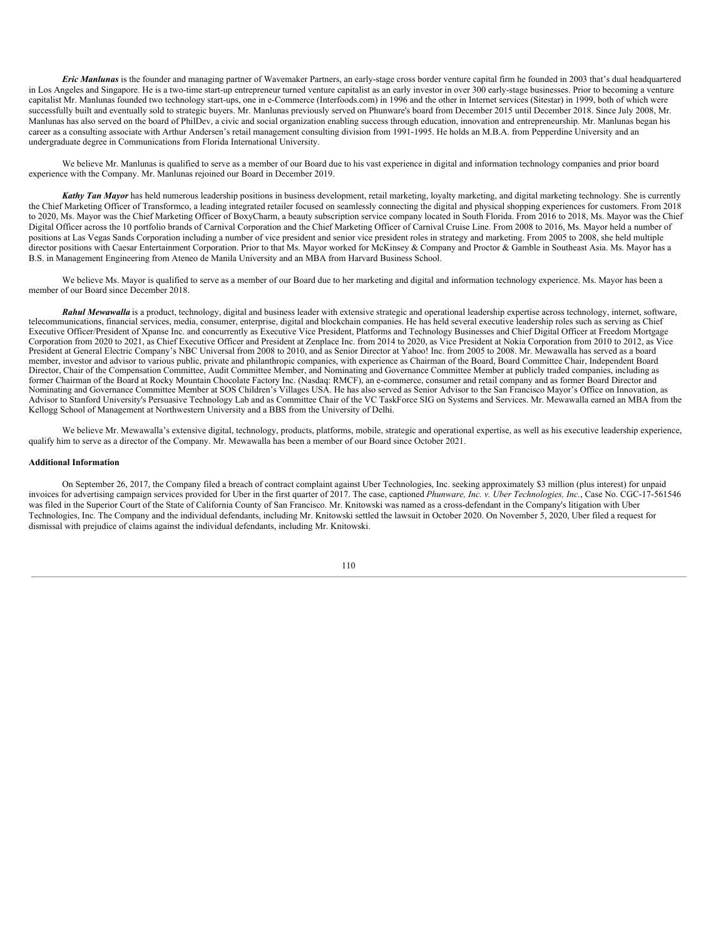*Eric Manlunas* is the founder and managing partner of Wavemaker Partners, an early-stage cross border venture capital firm he founded in 2003 that's dual headquartered in Los Angeles and Singapore. He is a two-time start-up entrepreneur turned venture capitalist as an early investor in over 300 early-stage businesses. Prior to becoming a venture capitalist Mr. Manlunas founded two technology start-ups, one in e-Commerce (Interfoods.com) in 1996 and the other in Internet services (Sitestar) in 1999, both of which were successfully built and eventually sold to strategic buyers. Mr. Manlunas previously served on Phunware's board from December 2015 until December 2018. Since July 2008, Mr. Manlunas has also served on the board of PhilDev, a civic and social organization enabling success through education, innovation and entrepreneurship. Mr. Manlunas began his career as a consulting associate with Arthur Andersen's retail management consulting division from 1991-1995. He holds an M.B.A. from Pepperdine University and an undergraduate degree in Communications from Florida International University.

We believe Mr. Manlunas is qualified to serve as a member of our Board due to his vast experience in digital and information technology companies and prior board experience with the Company. Mr. Manlunas rejoined our Board in December 2019.

*Kathy Tan Mayor* has held numerous leadership positions in business development, retail marketing, loyalty marketing, and digital marketing technology. She is currently the Chief Marketing Officer of Transformco, a leading integrated retailer focused on seamlessly connecting the digital and physical shopping experiences for customers. From 2018 to 2020, Ms. Mayor was the Chief Marketing Officer of BoxyCharm, a beauty subscription service company located in South Florida. From 2016 to 2018, Ms. Mayor was the Chief Digital Officer across the 10 portfolio brands of Carnival Corporation and the Chief Marketing Officer of Carnival Cruise Line. From 2008 to 2016, Ms. Mayor held a number of positions at Las Vegas Sands Corporation including a number of vice president and senior vice president roles in strategy and marketing. From 2005 to 2008, she held multiple director positions with Caesar Entertainment Corporation. Prior to that Ms. Mayor worked for McKinsey & Company and Proctor & Gamble in Southeast Asia. Ms. Mayor has a B.S. in Management Engineering from Ateneo de Manila University and an MBA from Harvard Business School.

We believe Ms. Mayor is qualified to serve as a member of our Board due to her marketing and digital and information technology experience. Ms. Mayor has been a member of our Board since December 2018.

*Rahul Mewawalla* is a product, technology, digital and business leader with extensive strategic and operational leadership expertise across technology, internet, software, telecommunications, financial services, media, consumer, enterprise, digital and blockchain companies. He has held several executive leadership roles such as serving as Chief Executive Officer/President of Xpanse Inc. and concurrently as Executive Vice President, Platforms and Technology Businesses and Chief Digital Officer at Freedom Mortgage Corporation from 2020 to 2021, as Chief Executive Officer and President at Zenplace Inc. from 2014 to 2020, as Vice President at Nokia Corporation from 2010 to 2012, as Vice President at General Electric Company's NBC Universal from 2008 to 2010, and as Senior Director at Yahoo! Inc. from 2005 to 2008. Mr. Mewawalla has served as a board member, investor and advisor to various public, private and philanthropic companies, with experience as Chairman of the Board, Board Committee Chair, Independent Board Director, Chair of the Compensation Committee, Audit Committee Member, and Nominating and Governance Committee Member at publicly traded companies, including as former Chairman of the Board at Rocky Mountain Chocolate Factory Inc. (Nasdaq: RMCF), an e-commerce, consumer and retail company and as former Board Director and Nominating and Governance Committee Member at SOS Children's Villages USA. He has also served as Senior Advisor to the San Francisco Mayor's Office on Innovation, as Advisor to Stanford University's Persuasive Technology Lab and as Committee Chair of the VC TaskForce SIG on Systems and Services. Mr. Mewawalla earned an MBA from the Kellogg School of Management at Northwestern University and a BBS from the University of Delhi.

We believe Mr. Mewawalla's extensive digital, technology, products, platforms, mobile, strategic and operational expertise, as well as his executive leadership experience, qualify him to serve as a director of the Company. Mr. Mewawalla has been a member of our Board since October 2021.

## **Additional Information**

On September 26, 2017, the Company filed a breach of contract complaint against Uber Technologies, Inc. seeking approximately \$3 million (plus interest) for unpaid invoices for advertising campaign services provided for Uber in the first quarter of 2017. The case, captioned *Phunware, Inc. v. Uber Technologies, Inc.*, Case No. CGC-17-561546 was filed in the Superior Court of the State of California County of San Francisco. Mr. Knitowski was named as a cross-defendant in the Company's litigation with Uber Technologies, Inc. The Company and the individual defendants, including Mr. Knitowski settled the lawsuit in October 2020. On November 5, 2020, Uber filed a request for dismissal with prejudice of claims against the individual defendants, including Mr. Knitowski.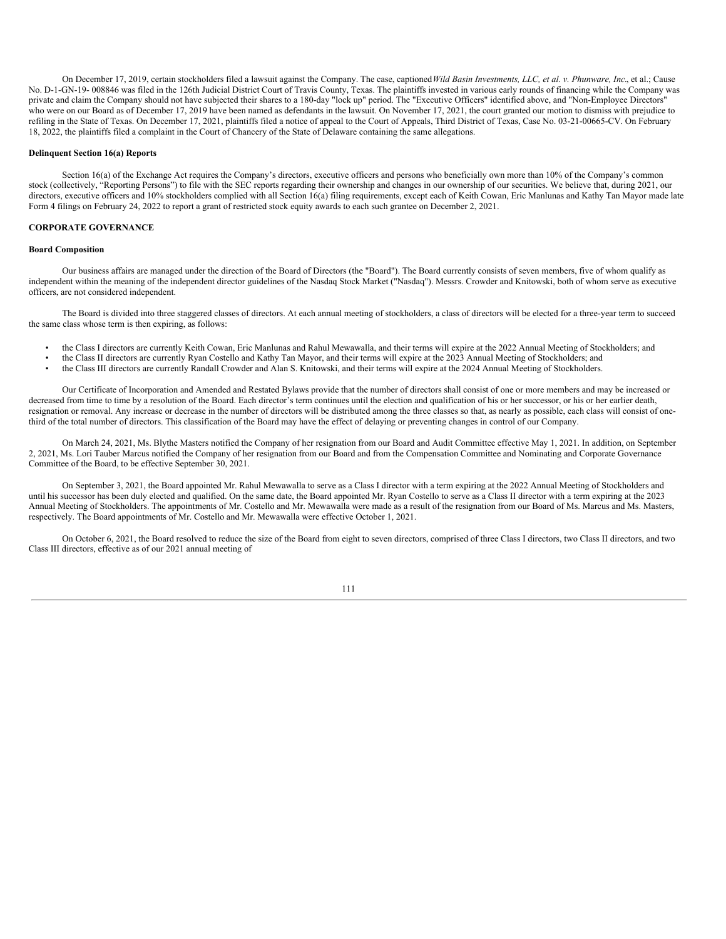On December 17, 2019, certain stockholders filed a lawsuit against the Company. The case, captioned Wild Basin Investments, LLC, et al. v. Phunware, Inc., et al.; Cause No. D-1-GN-19- 008846 was filed in the 126th Judicial District Court of Travis County, Texas. The plaintiffs invested in various early rounds of financing while the Company was private and claim the Company should not have subjected their shares to a 180-day "lock up" period. The "Executive Officers" identified above, and "Non-Employee Directors" who were on our Board as of December 17, 2019 have been named as defendants in the lawsuit. On November 17, 2021, the court granted our motion to dismiss with prejudice to refiling in the State of Texas. On December 17, 2021, plaintiffs filed a notice of appeal to the Court of Appeals, Third District of Texas, Case No. 03-21-00665-CV. On February 18, 2022, the plaintiffs filed a complaint in the Court of Chancery of the State of Delaware containing the same allegations.

#### **Delinquent Section 16(a) Reports**

Section 16(a) of the Exchange Act requires the Company's directors, executive officers and persons who beneficially own more than 10% of the Company's common stock (collectively, "Reporting Persons") to file with the SEC reports regarding their ownership and changes in our ownership of our securities. We believe that, during 2021, our directors, executive officers and 10% stockholders complied with all Section 16(a) filing requirements, except each of Keith Cowan, Eric Manlunas and Kathy Tan Mayor made late Form 4 filings on February 24, 2022 to report a grant of restricted stock equity awards to each such grantee on December 2, 2021.

## **CORPORATE GOVERNANCE**

#### **Board Composition**

Our business affairs are managed under the direction of the Board of Directors (the "Board"). The Board currently consists of seven members, five of whom qualify as independent within the meaning of the independent director guidelines of the Nasdaq Stock Market ("Nasdaq"). Messrs. Crowder and Knitowski, both of whom serve as executive officers, are not considered independent.

The Board is divided into three staggered classes of directors. At each annual meeting of stockholders, a class of directors will be elected for a three-year term to succeed the same class whose term is then expiring, as follows:

- the Class I directors are currently Keith Cowan, Eric Manlunas and Rahul Mewawalla, and their terms will expire at the 2022 Annual Meeting of Stockholders; and<br>• the Class II directors are currently Ryan Costello and Kat
- the Class II directors are currently Ryan Costello and Kathy Tan Mayor, and their terms will expire at the 2023 Annual Meeting of Stockholders; and
- the Class III directors are currently Randall Crowder and Alan S. Knitowski, and their terms will expire at the 2024 Annual Meeting of Stockholders.

Our Certificate of Incorporation and Amended and Restated Bylaws provide that the number of directors shall consist of one or more members and may be increased or decreased from time to time by a resolution of the Board. Each director's term continues until the election and qualification of his or her successor, or his or her earlier death, resignation or removal. Any increase or decrease in the number of directors will be distributed among the three classes so that, as nearly as possible, each class will consist of onethird of the total number of directors. This classification of the Board may have the effect of delaying or preventing changes in control of our Company.

On March 24, 2021, Ms. Blythe Masters notified the Company of her resignation from our Board and Audit Committee effective May 1, 2021. In addition, on September 2, 2021, Ms. Lori Tauber Marcus notified the Company of her resignation from our Board and from the Compensation Committee and Nominating and Corporate Governance Committee of the Board, to be effective September 30, 2021.

On September 3, 2021, the Board appointed Mr. Rahul Mewawalla to serve as a Class I director with a term expiring at the 2022 Annual Meeting of Stockholders and until his successor has been duly elected and qualified. On the same date, the Board appointed Mr. Ryan Costello to serve as a Class II director with a term expiring at the 2023 Annual Meeting of Stockholders. The appointments of Mr. Costello and Mr. Mewawalla were made as a result of the resignation from our Board of Ms. Marcus and Ms. Masters, respectively. The Board appointments of Mr. Costello and Mr. Mewawalla were effective October 1, 2021.

On October 6, 2021, the Board resolved to reduce the size of the Board from eight to seven directors, comprised of three Class I directors, two Class II directors, and two Class III directors, effective as of our 2021 annual meeting of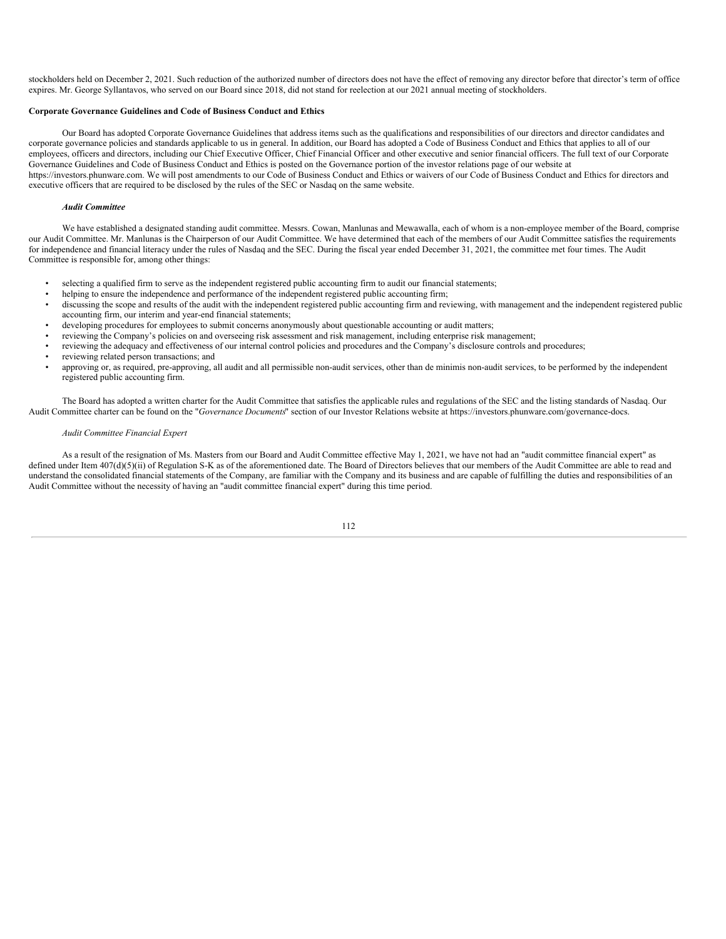stockholders held on December 2, 2021. Such reduction of the authorized number of directors does not have the effect of removing any director before that director's term of office expires. Mr. George Syllantavos, who served on our Board since 2018, did not stand for reelection at our 2021 annual meeting of stockholders.

#### **Corporate Governance Guidelines and Code of Business Conduct and Ethics**

Our Board has adopted Corporate Governance Guidelines that address items such as the qualifications and responsibilities of our directors and director candidates and corporate governance policies and standards applicable to us in general. In addition, our Board has adopted a Code of Business Conduct and Ethics that applies to all of our employees, officers and directors, including our Chief Executive Officer, Chief Financial Officer and other executive and senior financial officers. The full text of our Corporate Governance Guidelines and Code of Business Conduct and Ethics is posted on the Governance portion of the investor relations page of our website at https://investors.phunware.com. We will post amendments to our Code of Business Conduct and Ethics or waivers of our Code of Business Conduct and Ethics for directors and executive officers that are required to be disclosed by the rules of the SEC or Nasdaq on the same website.

#### *Audit Committee*

We have established a designated standing audit committee. Messrs. Cowan, Manlunas and Mewawalla, each of whom is a non-employee member of the Board, comprise our Audit Committee. Mr. Manlunas is the Chairperson of our Audit Committee. We have determined that each of the members of our Audit Committee satisfies the requirements for independence and financial literacy under the rules of Nasdaq and the SEC. During the fiscal year ended December 31, 2021, the committee met four times. The Audit Committee is responsible for, among other things:

- selecting a qualified firm to serve as the independent registered public accounting firm to audit our financial statements;
- helping to ensure the independence and performance of the independent registered public accounting firm;
- discussing the scope and results of the audit with the independent registered public accounting firm and reviewing, with management and the independent registered public accounting firm, our interim and year-end financial statements;
- developing procedures for employees to submit concerns anonymously about questionable accounting or audit matters;
- reviewing the Company's policies on and overseeing risk assessment and risk management, including enterprise risk management;
- reviewing the adequacy and effectiveness of our internal control policies and procedures and the Company's disclosure controls and procedures;
- reviewing related person transactions; and
- approving or, as required, pre-approving, all audit and all permissible non-audit services, other than de minimis non-audit services, to be performed by the independent registered public accounting firm.

The Board has adopted a written charter for the Audit Committee that satisfies the applicable rules and regulations of the SEC and the listing standards of Nasdaq. Our Audit Committee charter can be found on the "*Governance Documents*" section of our Investor Relations website at https://investors.phunware.com/governance-docs.

#### *Audit Committee Financial Expert*

As a result of the resignation of Ms. Masters from our Board and Audit Committee effective May 1, 2021, we have not had an "audit committee financial expert" as defined under Item 407(d)(5)(ii) of Regulation S-K as of the aforementioned date. The Board of Directors believes that our members of the Audit Committee are able to read and understand the consolidated financial statements of the Company, are familiar with the Company and its business and are capable of fulfilling the duties and responsibilities of an Audit Committee without the necessity of having an "audit committee financial expert" during this time period.

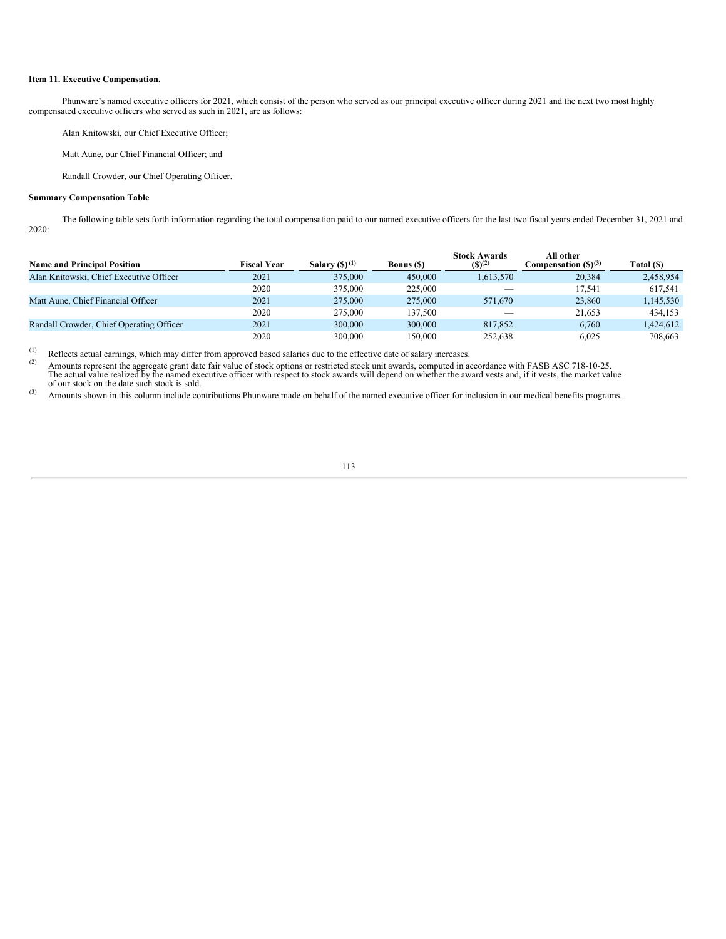# **Item 11. Executive Compensation.**

Phunware's named executive officers for 2021, which consist of the person who served as our principal executive officer during 2021 and the next two most highly compensated executive officers who served as such in 2021, are as follows:

Alan Knitowski, our Chief Executive Officer;

Matt Aune, our Chief Financial Officer; and

Randall Crowder, our Chief Operating Officer.

## **Summary Compensation Table**

The following table sets forth information regarding the total compensation paid to our named executive officers for the last two fiscal years ended December 31, 2021 and 2020:

| <b>Name and Principal Position</b>       | <b>Fiscal Year</b> | Salary $(S)^{(1)}$ | <b>Bonus</b> (\$) | <b>Stock Awards</b><br>$(S)^{(2)}$ | All other<br>Compensation (\$) <sup>(3)</sup> | Total (\$) |
|------------------------------------------|--------------------|--------------------|-------------------|------------------------------------|-----------------------------------------------|------------|
| Alan Knitowski, Chief Executive Officer  | 2021               | 375,000            | 450,000           | 1.613.570                          | 20,384                                        | 2,458,954  |
|                                          | 2020               | 375,000            | 225,000           |                                    | 17.541                                        | 617.541    |
| Matt Aune, Chief Financial Officer       | 2021               | 275,000            | 275,000           | 571,670                            | 23,860                                        | 1,145,530  |
|                                          | 2020               | 275,000            | 137.500           |                                    | 21.653                                        | 434,153    |
| Randall Crowder, Chief Operating Officer | 2021               | 300,000            | 300,000           | 817,852                            | 6.760                                         | 424,612    |
|                                          | 2020               | 300,000            | 150,000           | 252,638                            | 6.025                                         | 708,663    |

Reflects actual earnings, which may differ from approved based salaries due to the effective date of salary increases. (1)

Amounts represent the aggregate grant date fair value of stock options or restricted stock unit awards, computed in accordance with FASB ASC 718-10-25.<br>The actual value realized by the named executive officer with respect of our stock on the date such stock is sold. (2)

Amounts shown in this column include contributions Phunware made on behalf of the named executive officer for inclusion in our medical benefits programs. (3)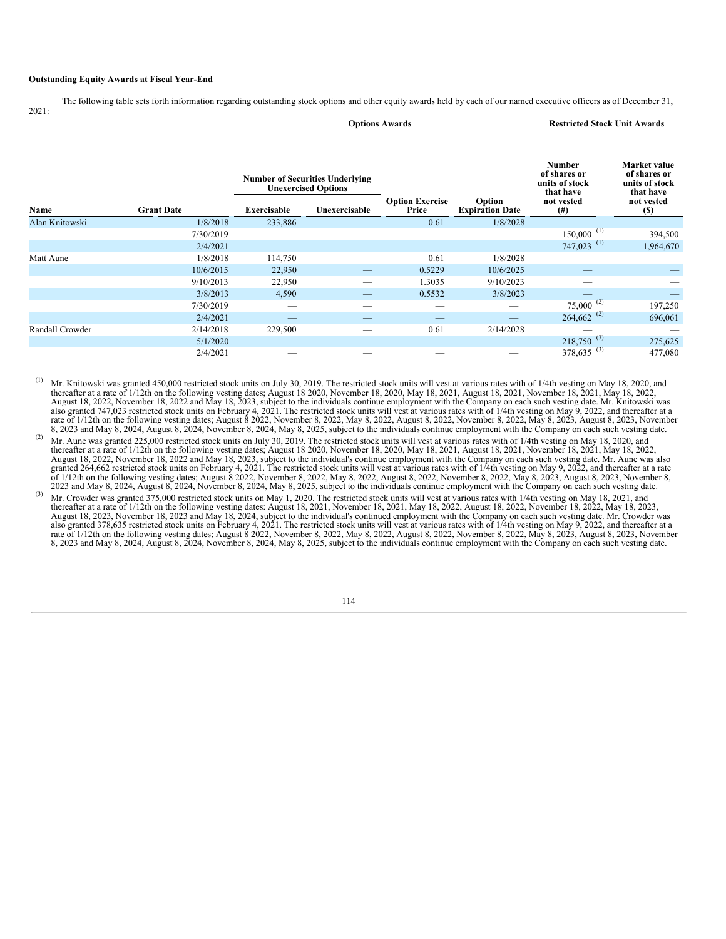#### **Outstanding Equity Awards at Fiscal Year-End**

The following table sets forth information regarding outstanding stock options and other equity awards held by each of our named executive officers as of December 31, 2021:

**Options Awards Restricted Stock Unit Awards**

|                 |                   |                    | <b>Number of Securities Underlying</b><br><b>Unexercised Options</b> |                                 |                                  | <b>Number</b><br>of shares or<br>units of stock<br>that have | Market value<br>of shares or<br>units of stock<br>that have |
|-----------------|-------------------|--------------------|----------------------------------------------------------------------|---------------------------------|----------------------------------|--------------------------------------------------------------|-------------------------------------------------------------|
| Name            | <b>Grant Date</b> | <b>Exercisable</b> | Unexercisable                                                        | <b>Option Exercise</b><br>Price | Option<br><b>Expiration Date</b> | not vested<br>(# )                                           | not vested<br>$(\$)$                                        |
| Alan Knitowski  | 1/8/2018          | 233,886            |                                                                      | 0.61                            | 1/8/2028                         |                                                              |                                                             |
|                 | 7/30/2019         |                    |                                                                      |                                 |                                  | $150,000^{-(1)}$                                             | 394,500                                                     |
|                 | 2/4/2021          |                    |                                                                      |                                 |                                  | $747,023$ <sup>(1)</sup>                                     | 1,964,670                                                   |
| Matt Aune       | 1/8/2018          | 114,750            | __                                                                   | 0.61                            | 1/8/2028                         |                                                              |                                                             |
|                 | 10/6/2015         | 22,950             |                                                                      | 0.5229                          | 10/6/2025                        |                                                              |                                                             |
|                 | 9/10/2013         | 22,950             |                                                                      | 1.3035                          | 9/10/2023                        |                                                              |                                                             |
|                 | 3/8/2013          | 4,590              |                                                                      | 0.5532                          | 3/8/2023                         |                                                              |                                                             |
|                 | 7/30/2019         | __                 | -                                                                    |                                 |                                  | $75,000^{(2)}$                                               | 197,250                                                     |
|                 | 2/4/2021          | _                  |                                                                      |                                 | _                                | $264,662^{(2)}$                                              | 696,061                                                     |
| Randall Crowder | 2/14/2018         | 229,500            |                                                                      | 0.61                            | 2/14/2028                        |                                                              |                                                             |
|                 | 5/1/2020          | __                 |                                                                      | $\overline{\phantom{a}}$        |                                  | $218,750^{(3)}$                                              | 275,625                                                     |
|                 | 2/4/2021          | _                  | $\overline{\phantom{a}}$                                             |                                 |                                  | (3)<br>378,635                                               | 477,080                                                     |

- Mr. Knitowski was granted 450,000 restricted stock units on July 30, 2019. The restricted stock units will vest at various rates with of 1/4th vesting on May 18, 2020, and thereafter at a rate of 1/12th on the following ve (1)
- Mr. Aune was granted 225,000 restricted stock units on July 30, 2019. The restricted stock units will vest at various rates with of 1/4th vesting on May 18, 2020, and thereafter at a rate of 1/12th on the following vesting dates; August 18 2020, November 18, 2020, May 18, 2021, August 18, 2021, November 18, 2021, May 18, 2022, August 18, 2022, November 18, 2022 and May 18, 2023, subject to the individual's continue employment with the Company on each such vesting date. Mr. Aune was also granted 264,662 restricted stock units on February 4, 2021. (2)
- Mr. Crowder was granted 375,000 restricted stock units on May 1, 2020. The restricted stock units will vest at various rates with 1/4th vesting on May 18, 2021, and thereafter at a rate of 1/12th on the following vesting dates: August 18, 2021, November 18, 2021, May 18, 2022, August 18, 2022, November 18, 2022, May 18, 2023, November 18, 2023, Nay 18, 2023, Nay 18, 2023, Nay 18, 2023 also granted 378,635 restricted stock units on February 4, 2021. The restricted stock units will vest at various rates with of 1/4th vesting on May 9, 2022, and thereafter at a<br>rate of 1/12th on the following vesting dates (3)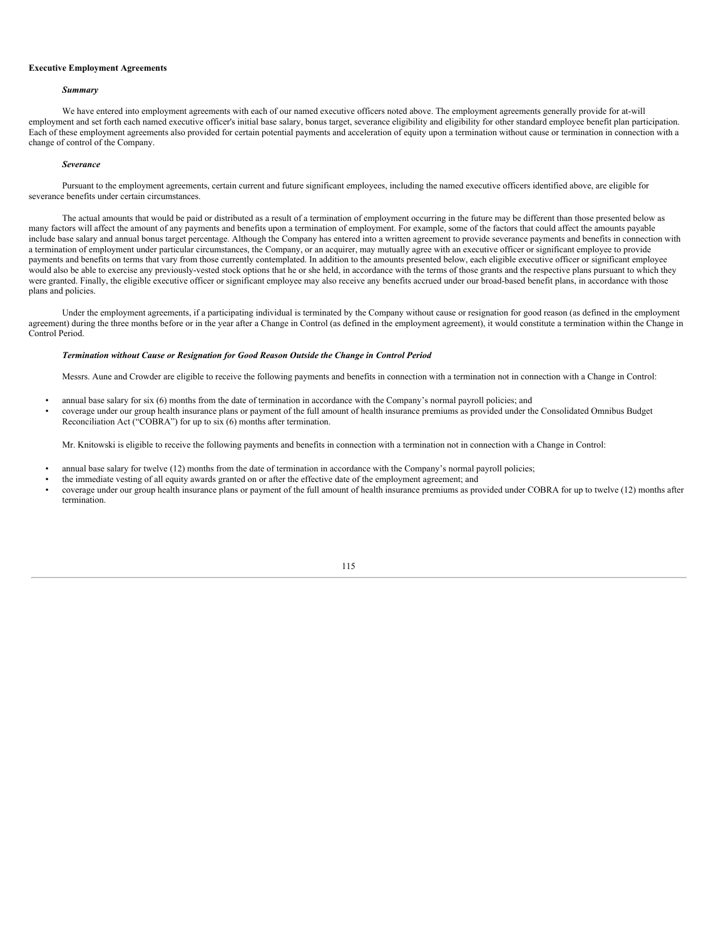#### **Executive Employment Agreements**

#### *Summary*

We have entered into employment agreements with each of our named executive officers noted above. The employment agreements generally provide for at-will employment and set forth each named executive officer's initial base salary, bonus target, severance eligibility and eligibility for other standard employee benefit plan participation. Each of these employment agreements also provided for certain potential payments and acceleration of equity upon a termination without cause or termination in connection with a change of control of the Company.

#### *Severance*

Pursuant to the employment agreements, certain current and future significant employees, including the named executive officers identified above, are eligible for severance benefits under certain circumstances.

The actual amounts that would be paid or distributed as a result of a termination of employment occurring in the future may be different than those presented below as many factors will affect the amount of any payments and benefits upon a termination of employment. For example, some of the factors that could affect the amounts payable include base salary and annual bonus target percentage. Although the Company has entered into a written agreement to provide severance payments and benefits in connection with a termination of employment under particular circumstances, the Company, or an acquirer, may mutually agree with an executive officer or significant employee to provide payments and benefits on terms that vary from those currently contemplated. In addition to the amounts presented below, each eligible executive officer or significant employee would also be able to exercise any previously-vested stock options that he or she held, in accordance with the terms of those grants and the respective plans pursuant to which they were granted. Finally, the eligible executive officer or significant employee may also receive any benefits accrued under our broad-based benefit plans, in accordance with those plans and policies.

Under the employment agreements, if a participating individual is terminated by the Company without cause or resignation for good reason (as defined in the employment agreement) during the three months before or in the year after a Change in Control (as defined in the employment agreement), it would constitute a termination within the Change in Control Period.

#### *Termination without Cause or Resignation for Good Reason Outside the Change in Control Period*

Messrs. Aune and Crowder are eligible to receive the following payments and benefits in connection with a termination not in connection with a Change in Control:

- annual base salary for six (6) months from the date of termination in accordance with the Company's normal payroll policies; and
- coverage under our group health insurance plans or payment of the full amount of health insurance premiums as provided under the Consolidated Omnibus Budget Reconciliation Act ("COBRA") for up to six (6) months after termination.

Mr. Knitowski is eligible to receive the following payments and benefits in connection with a termination not in connection with a Change in Control:

- annual base salary for twelve (12) months from the date of termination in accordance with the Company's normal payroll policies;
- the immediate vesting of all equity awards granted on or after the effective date of the employment agreement; and
- coverage under our group health insurance plans or payment of the full amount of health insurance premiums as provided under COBRA for up to twelve (12) months after termination.

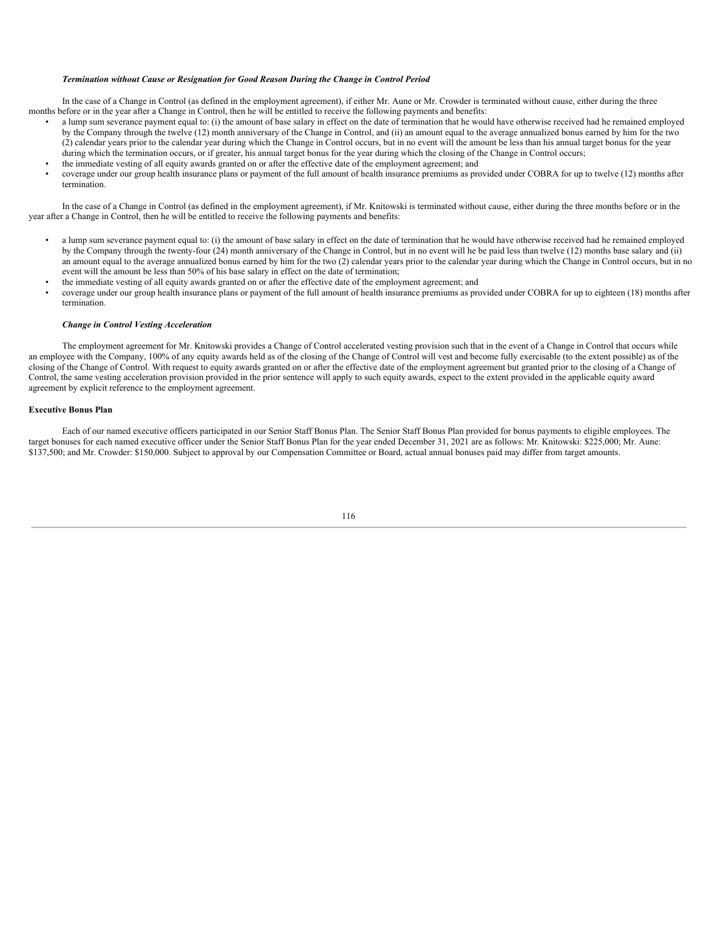#### *Termination without Cause or Resignation for Good Reason During the Change in Control Period*

In the case of a Change in Control (as defined in the employment agreement), if either Mr. Aune or Mr. Crowder is terminated without cause, either during the three months before or in the year after a Change in Control, then he will be entitled to receive the following payments and benefits:

- a lump sum severance payment equal to: (i) the amount of base salary in effect on the date of termination that he would have otherwise received had he remained employed by the Company through the twelve (12) month anniversary of the Change in Control, and (ii) an amount equal to the average annualized bonus earned by him for the two (2) calendar years prior to the calendar year during which the Change in Control occurs, but in no event will the amount be less than his annual target bonus for the year during which the termination occurs, or if greater, his annual target bonus for the year during which the closing of the Change in Control occurs;
- the immediate vesting of all equity awards granted on or after the effective date of the employment agreement; and
- coverage under our group health insurance plans or payment of the full amount of health insurance premiums as provided under COBRA for up to twelve (12) months after termination.

In the case of a Change in Control (as defined in the employment agreement), if Mr. Knitowski is terminated without cause, either during the three months before or in the year after a Change in Control, then he will be entitled to receive the following payments and benefits:

- a lump sum severance payment equal to: (i) the amount of base salary in effect on the date of termination that he would have otherwise received had he remained employed by the Company through the twenty-four (24) month anniversary of the Change in Control, but in no event will he be paid less than twelve (12) months base salary and (ii) an amount equal to the average annualized bonus earned by him for the two (2) calendar years prior to the calendar year during which the Change in Control occurs, but in no event will the amount be less than 50% of his base salary in effect on the date of termination;
- the immediate vesting of all equity awards granted on or after the effective date of the employment agreement; and
- coverage under our group health insurance plans or payment of the full amount of health insurance premiums as provided under COBRA for up to eighteen (18) months after termination.

#### *Change in Control Vesting Acceleration*

The employment agreement for Mr. Knitowski provides a Change of Control accelerated vesting provision such that in the event of a Change in Control that occurs while an employee with the Company, 100% of any equity awards held as of the closing of the Change of Control will vest and become fully exercisable (to the extent possible) as of the closing of the Change of Control. With request to equity awards granted on or after the effective date of the employment agreement but granted prior to the closing of a Change of Control, the same vesting acceleration provision provided in the prior sentence will apply to such equity awards, expect to the extent provided in the applicable equity award agreement by explicit reference to the employment agreement.

## **Executive Bonus Plan**

Each of our named executive officers participated in our Senior Staff Bonus Plan. The Senior Staff Bonus Plan provided for bonus payments to eligible employees. The target bonuses for each named executive officer under the Senior Staff Bonus Plan for the year ended December 31, 2021 are as follows: Mr. Knitowski: \$225,000; Mr. Aune: \$137,500; and Mr. Crowder: \$150,000. Subject to approval by our Compensation Committee or Board, actual annual bonuses paid may differ from target amounts.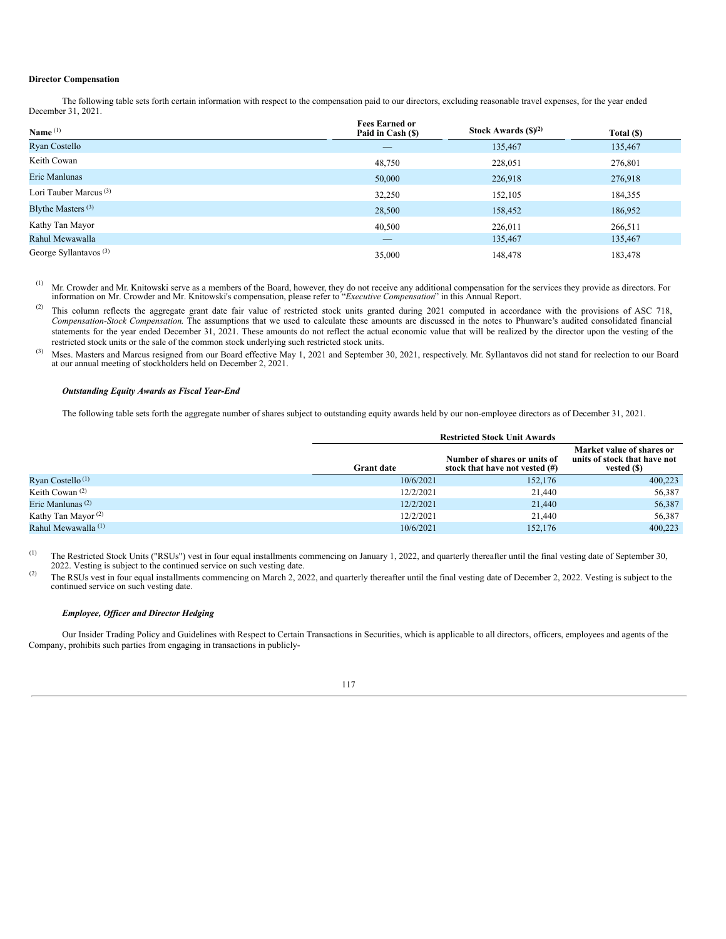## **Director Compensation**

The following table sets forth certain information with respect to the compensation paid to our directors, excluding reasonable travel expenses, for the year ended December 31, 2021.

| Name $(1)$                                     | <b>Fees Earned or</b><br>Paid in Cash (\$) | Stock Awards $(\frac{5}{2})$ | Total (\$) |
|------------------------------------------------|--------------------------------------------|------------------------------|------------|
| Ryan Costello                                  | __                                         | 135,467                      | 135,467    |
| Keith Cowan                                    | 48,750                                     | 228,051                      | 276,801    |
| Eric Manlunas                                  | 50,000                                     | 226,918                      | 276,918    |
| Lori Tauber Marcus <sup>(3)</sup>              | 32,250                                     | 152,105                      | 184,355    |
| Blythe Masters $(3)$                           | 28,500                                     | 158,452                      | 186,952    |
| Kathy Tan Mayor                                | 40,500                                     | 226.011                      | 266,511    |
| Rahul Mewawalla                                | __                                         | 135,467                      | 135,467    |
| George Syllantavos <sup><math>(3)</math></sup> | 35,000                                     | 148,478                      | 183,478    |

Mr. Crowder and Mr. Knitowski serve as a members of the Board, however, they do not receive any additional compensation for the services they provide as directors. For information on Mr. Crowder and Mr. Knitowski's compens (1)

This column reflects the aggregate grant date fair value of restricted stock units granted during 2021 computed in accordance with the provisions of ASC 718, *Compensation-Stock Compensation*. The assumptions that we used to calculate these amounts are discussed in the notes to Phunware's audited consolidated financial statements for the year ended December 31, 2021. These amounts do not reflect the actual economic value that will be realized by the director upon the vesting of the restricted stock units or the sale of the common stock underlying such restricted stock units. (2)

Mses. Masters and Marcus resigned from our Board effective May 1, 2021 and September 30, 2021, respectively. Mr. Syllantavos did not stand for reelection to our Board at our annual meeting of stockholders held on December 2, 2021.  $(3)$ 

# *Outstanding Equity Awards as Fiscal Year-End*

The following table sets forth the aggregate number of shares subject to outstanding equity awards held by our non-employee directors as of December 31, 2021.

|                                           |                   | <b>Restricted Stock Unit Awards</b>                               |                                                                          |
|-------------------------------------------|-------------------|-------------------------------------------------------------------|--------------------------------------------------------------------------|
|                                           | <b>Grant date</b> | Number of shares or units of<br>stock that have not vested $(\#)$ | Market value of shares or<br>units of stock that have not<br>vested (\$) |
| Ryan Costello <sup><math>(1)</math></sup> | 10/6/2021         | 152,176                                                           | 400,223                                                                  |
| Keith Cowan $(2)$                         | 12/2/2021         | 21,440                                                            | 56,387                                                                   |
| Eric Manlunas $(2)$                       | 12/2/2021         | 21,440                                                            | 56,387                                                                   |
| Kathy Tan Mayor <sup>(2)</sup>            | 12/2/2021         | 21.440                                                            | 56,387                                                                   |
| Rahul Mewawalla $(1)$                     | 10/6/2021         | 152,176                                                           | 400.223                                                                  |

The Restricted Stock Units ("RSUs") vest in four equal installments commencing on January 1, 2022, and quarterly thereafter until the final vesting date of September 30, 2022. Vesting is subject to the continued service on such vesting date. (1)  $(2)$ 

The RSUs vest in four equal installments commencing on March 2, 2022, and quarterly thereafter until the final vesting date of December 2, 2022. Vesting is subject to the continued service on such vesting date.

# *Employee, Of icer and Director Hedging*

Our Insider Trading Policy and Guidelines with Respect to Certain Transactions in Securities, which is applicable to all directors, officers, employees and agents of the Company, prohibits such parties from engaging in transactions in publicly-

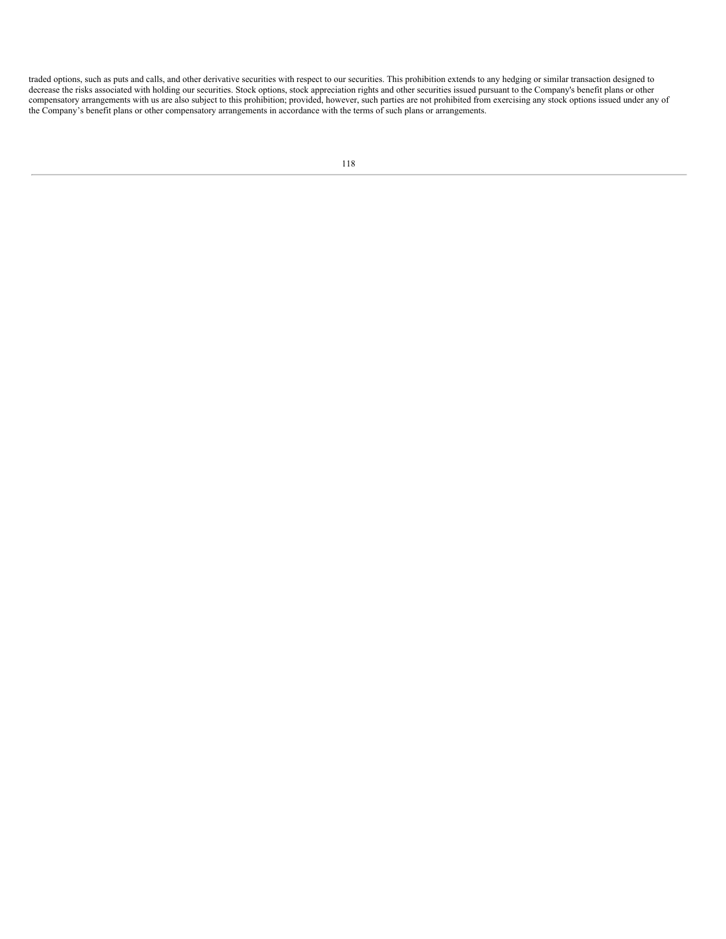traded options, such as puts and calls, and other derivative securities with respect to our securities. This prohibition extends to any hedging or similar transaction designed to decrease the risks associated with holding our securities. Stock options, stock appreciation rights and other securities issued pursuant to the Company's benefit plans or other compensatory arrangements with us are also subject to this prohibition; provided, however, such parties are not prohibited from exercising any stock options issued under any of the Company's benefit plans or other compensatory arrangements in accordance with the terms of such plans or arrangements.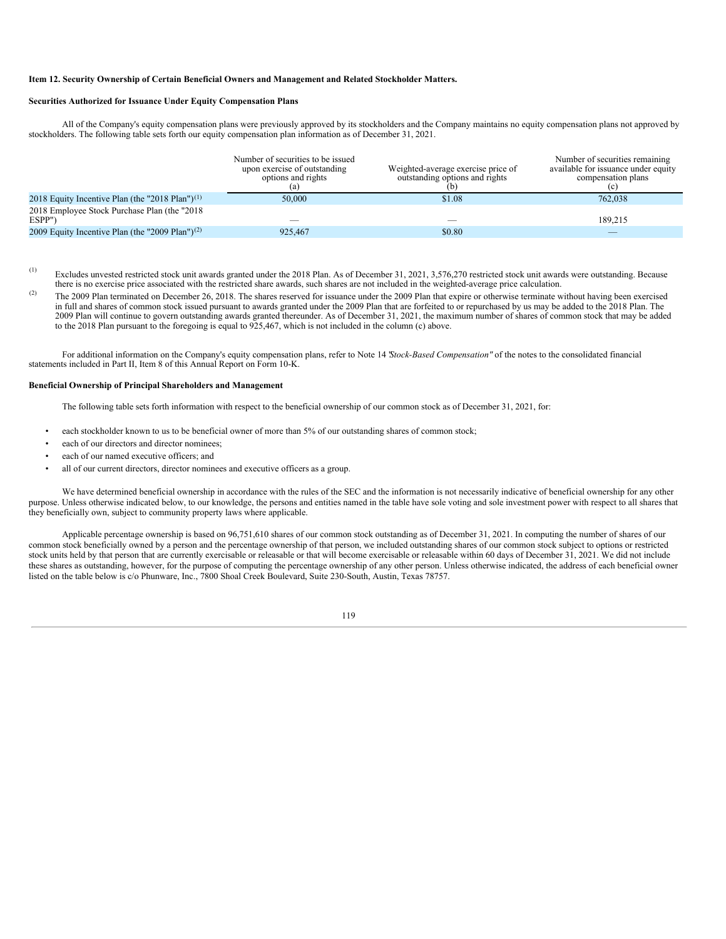#### **Item 12. Security Ownership of Certain Beneficial Owners and Management and Related Stockholder Matters.**

# **Securities Authorized for Issuance Under Equity Compensation Plans**

All of the Company's equity compensation plans were previously approved by its stockholders and the Company maintains no equity compensation plans not approved by stockholders. The following table sets forth our equity compensation plan information as of December 31, 2021.

|                                                             | Number of securities to be issued.<br>upon exercise of outstanding<br>options and rights<br>(a) | Weighted-average exercise price of<br>outstanding options and rights | Number of securities remaining<br>available for issuance under equity<br>compensation plans |
|-------------------------------------------------------------|-------------------------------------------------------------------------------------------------|----------------------------------------------------------------------|---------------------------------------------------------------------------------------------|
| 2018 Equity Incentive Plan (the "2018 Plan") <sup>(1)</sup> | 50,000                                                                                          | \$1.08                                                               | 762,038                                                                                     |
| 2018 Employee Stock Purchase Plan (the "2018"<br>ESPP"      |                                                                                                 | _                                                                    | 189.215                                                                                     |
| 2009 Equity Incentive Plan (the "2009 Plan") <sup>(2)</sup> | 925,467                                                                                         | \$0.80                                                               |                                                                                             |

<sup>(1)</sup>

Excludes unvested restricted stock unit awards granted under the 2018 Plan. As of December 31, 2021, 3,576,270 restricted stock unit awards were outstanding. Because there is no exercise price associated with the restricted share awards, such shares are not included in the weighted-average price calculation.

The 2009 Plan terminated on December 26, 2018. The shares reserved for issuance under the 2009 Plan that expire or otherwise terminate without having been exercised in full and shares of common stock issued pursuant to awards granted under the 2009 Plan that are forfeited to or repurchased by us may be added to the 2018 Plan. The 2009 Plan will continue to govern outstanding awards granted thereunder. As of December 31, 2021, the maximum number of shares of common stock that may be added to the 2018 Plan pursuant to the foregoing is equal to 925,467, which is not included in the column (c) above. (2)

For additional information on the Company's equity compensation plans, refer to Note 14 "*Stock-Based Compensation"* of the notes to the consolidated financial statements included in Part II, Item 8 of this Annual Report on Form 10-K.

## **Beneficial Ownership of Principal Shareholders and Management**

The following table sets forth information with respect to the beneficial ownership of our common stock as of December 31, 2021, for:

- each stockholder known to us to be beneficial owner of more than 5% of our outstanding shares of common stock;
- each of our directors and director nominees:
- each of our named executive officers; and
- all of our current directors, director nominees and executive officers as a group.

We have determined beneficial ownership in accordance with the rules of the SEC and the information is not necessarily indicative of beneficial ownership for any other purpose. Unless otherwise indicated below, to our knowledge, the persons and entities named in the table have sole voting and sole investment power with respect to all shares that they beneficially own, subject to community property laws where applicable.

Applicable percentage ownership is based on 96,751,610 shares of our common stock outstanding as of December 31, 2021. In computing the number of shares of our common stock beneficially owned by a person and the percentage ownership of that person, we included outstanding shares of our common stock subject to options or restricted stock units held by that person that are currently exercisable or releasable or that will become exercisable or releasable within 60 days of December 31, 2021. We did not include these shares as outstanding, however, for the purpose of computing the percentage ownership of any other person. Unless otherwise indicated, the address of each beneficial owner listed on the table below is c/o Phunware, Inc., 7800 Shoal Creek Boulevard, Suite 230-South, Austin, Texas 78757.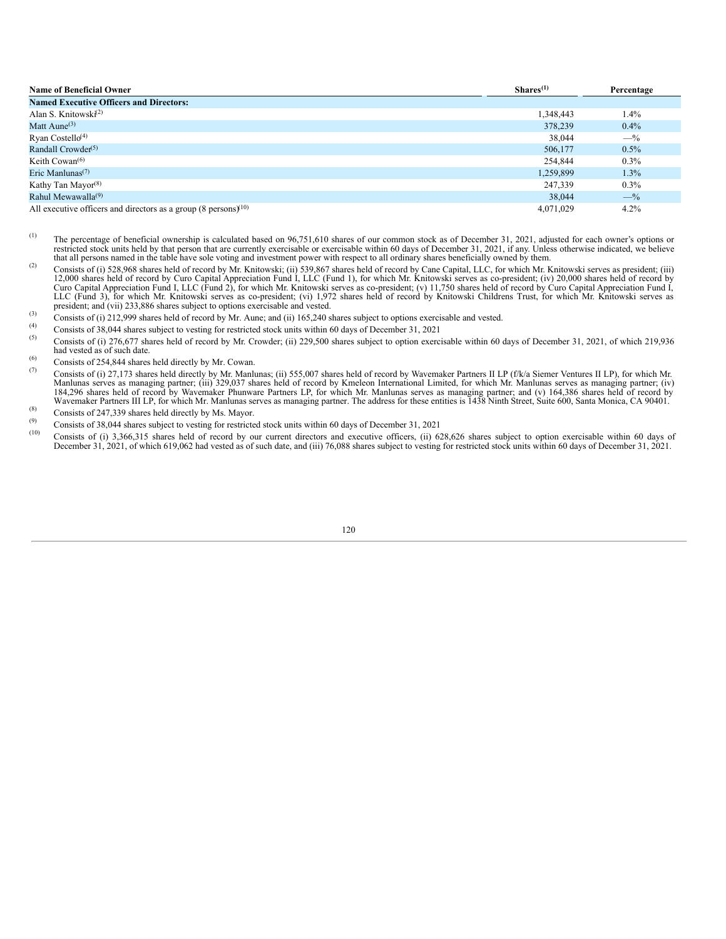| <b>Name of Beneficial Owner</b>                                              | Shares <sup>(1)</sup> | Percentage |
|------------------------------------------------------------------------------|-----------------------|------------|
| <b>Named Executive Officers and Directors:</b>                               |                       |            |
| Alan S. Knitowski <sup><math>(2)</math></sup>                                | 1,348,443             | $1.4\%$    |
| Matt Aune $(3)$                                                              | 378,239               | $0.4\%$    |
| Ryan Costello <sup><math>(4)</math></sup>                                    | 38,044                | $-$ %      |
| Randall Crowder <sup><math>(5)</math></sup>                                  | 506,177               | $0.5\%$    |
| Keith Cowan $(6)$                                                            | 254,844               | $0.3\%$    |
| Eric Manlunas <sup><math>(7)</math></sup>                                    | 1,259,899             | $1.3\%$    |
| Kathy Tan Mayor <sup>(8)</sup>                                               | 247,339               | $0.3\%$    |
| Rahul Mewawalla $(9)$                                                        | 38,044                | $-$ %      |
| All executive officers and directors as a group $(8 \text{ persons})^{(10)}$ | 4,071,029             | $4.2\%$    |

- The percentage of beneficial ownership is calculated based on 96,751,610 shares of our common stock as of December 31, 2021, adjusted for each owner's options or restricted stock units held by that person that are currentl (1)
- Consists of (i) 528,968 shares held of record by Mr. Knitowski; (ii) 539,867 shares held of record by Cane Capital, LLC, for which Mr. Knitowski serves as president; (iii) 12,000 shares held of record by Curo Capital Appreciation Fund I, LLC (Fund 1), for which Mr. Knitowski serves as co-president; (iv) 20,000 shares held of record by<br>Curo Capital Appreciation Fund I, LLC (Fund 2), for which president; and (vii) 233,886 shares subject to options exercisable and vested. (2)
- Consists of (i) 212,999 shares held of record by Mr. Aune; and (ii) 165,240 shares subject to options exercisable and vested. (3)
- Consists of 38,044 shares subject to vesting for restricted stock units within 60 days of December 31, 2021 (4)
- Consists of (i) 276,677 shares held of record by Mr. Crowder; (ii) 229,500 shares subject to option exercisable within 60 days of December 31, 2021, of which 219,936 had vested as of such date. (5)
- Consists of 254,844 shares held directly by Mr. Cowan. (6)
- Consists of (i) 27,173 shares held directly by Mr. Manlunas; (ii) 555,007 shares held of record by Wavemaker Partners II LP (f/k/a Siemer Ventures II LP), for which Mr.<br>Manlunas serves as managing partner; (iii) 329,037 sh Wavemaker Partners III LP, for which Mr. Manlunas serves as managing partner. The address for these entities is  $1438$  Ninth Street, Suite 600, Santa Monica, CA 90401. (7) (8)
- Consists of 247,339 shares held directly by Ms. Mayor. (9)
- Consists of 38,044 shares subject to vesting for restricted stock units within 60 days of December 31, 2021
- Consists of (i) 3,366,315 shares held of record by our current directors and executive officers, (ii) 628,626 shares subject to option exercisable within 60 days of December 31, 2021, of which 619,062 had vested as of such date, and (iii) 76,088 shares subject to vesting for restricted stock units within 60 days of December 31, 2021. (10)

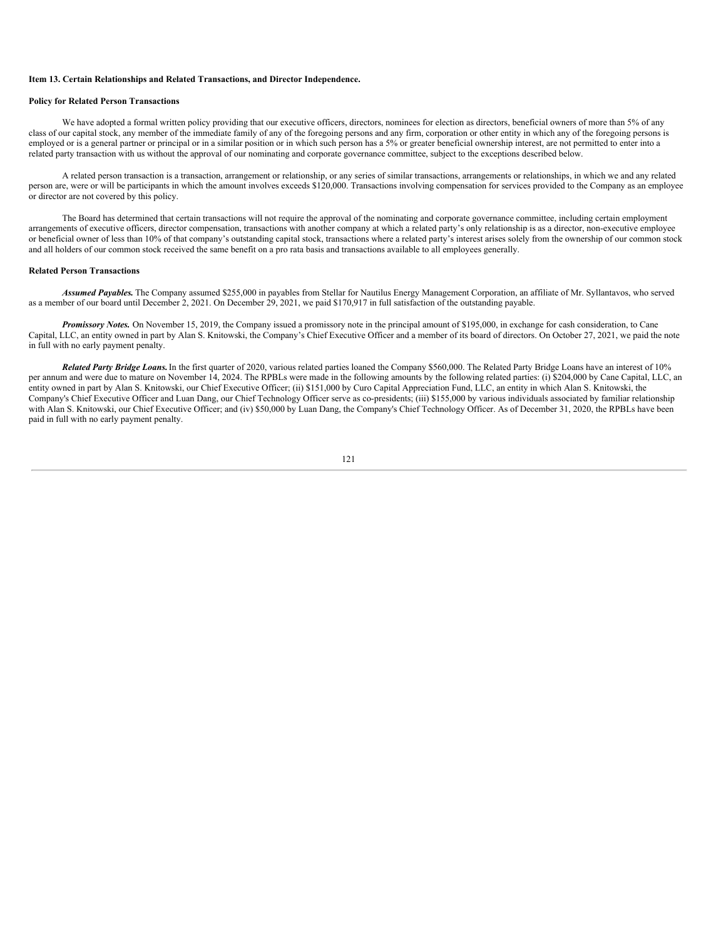#### **Item 13. Certain Relationships and Related Transactions, and Director Independence.**

## **Policy for Related Person Transactions**

We have adopted a formal written policy providing that our executive officers, directors, nominees for election as directors, beneficial owners of more than 5% of any class of our capital stock, any member of the immediate family of any of the foregoing persons and any firm, corporation or other entity in which any of the foregoing persons is employed or is a general partner or principal or in a similar position or in which such person has a 5% or greater beneficial ownership interest, are not permitted to enter into a related party transaction with us without the approval of our nominating and corporate governance committee, subject to the exceptions described below.

A related person transaction is a transaction, arrangement or relationship, or any series of similar transactions, arrangements or relationships, in which we and any related person are, were or will be participants in which the amount involves exceeds \$120,000. Transactions involving compensation for services provided to the Company as an employee or director are not covered by this policy.

The Board has determined that certain transactions will not require the approval of the nominating and corporate governance committee, including certain employment arrangements of executive officers, director compensation, transactions with another company at which a related party's only relationship is as a director, non-executive employee or beneficial owner of less than 10% of that company's outstanding capital stock, transactions where a related party's interest arises solely from the ownership of our common stock and all holders of our common stock received the same benefit on a pro rata basis and transactions available to all employees generally.

#### **Related Person Transactions**

*Assumed Payables.* The Company assumed \$255,000 in payables from Stellar for Nautilus Energy Management Corporation, an affiliate of Mr. Syllantavos, who served as a member of our board until December 2, 2021. On December 29, 2021, we paid \$170,917 in full satisfaction of the outstanding payable.

*Promissory Notes.* On November 15, 2019, the Company issued a promissory note in the principal amount of \$195,000, in exchange for cash consideration, to Cane Capital, LLC, an entity owned in part by Alan S. Knitowski, the Company's Chief Executive Officer and a member of its board of directors. On October 27, 2021, we paid the note in full with no early payment penalty.

*Related Party Bridge Loans.*In the first quarter of 2020, various related parties loaned the Company \$560,000. The Related Party Bridge Loans have an interest of 10% per annum and were due to mature on November 14, 2024. The RPBLs were made in the following amounts by the following related parties: (i) \$204,000 by Cane Capital, LLC, an entity owned in part by Alan S. Knitowski, our Chief Executive Officer; (ii) \$151,000 by Curo Capital Appreciation Fund, LLC, an entity in which Alan S. Knitowski, the Company's Chief Executive Officer and Luan Dang, our Chief Technology Officer serve as co-presidents; (iii) \$155,000 by various individuals associated by familiar relationship with Alan S. Knitowski, our Chief Executive Officer; and (iv) \$50,000 by Luan Dang, the Company's Chief Technology Officer. As of December 31, 2020, the RPBLs have been paid in full with no early payment penalty.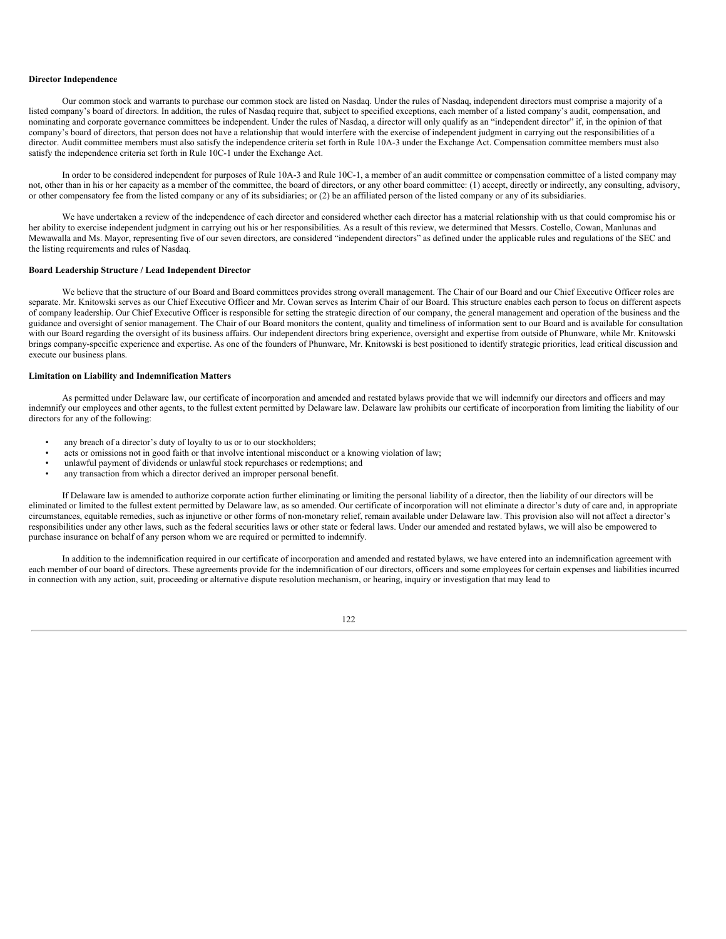## **Director Independence**

Our common stock and warrants to purchase our common stock are listed on Nasdaq. Under the rules of Nasdaq, independent directors must comprise a majority of a listed company's board of directors. In addition, the rules of Nasdaq require that, subject to specified exceptions, each member of a listed company's audit, compensation, and nominating and corporate governance committees be independent. Under the rules of Nasdaq, a director will only qualify as an "independent director" if, in the opinion of that company's board of directors, that person does not have a relationship that would interfere with the exercise of independent judgment in carrying out the responsibilities of a director. Audit committee members must also satisfy the independence criteria set forth in Rule 10A-3 under the Exchange Act. Compensation committee members must also satisfy the independence criteria set forth in Rule 10C-1 under the Exchange Act.

In order to be considered independent for purposes of Rule 10A-3 and Rule 10C-1, a member of an audit committee or compensation committee of a listed company may not, other than in his or her capacity as a member of the committee, the board of directors, or any other board committee: (1) accept, directly or indirectly, any consulting, advisory, or other compensatory fee from the listed company or any of its subsidiaries; or (2) be an affiliated person of the listed company or any of its subsidiaries.

We have undertaken a review of the independence of each director and considered whether each director has a material relationship with us that could compromise his or her ability to exercise independent judgment in carrying out his or her responsibilities. As a result of this review, we determined that Messrs. Costello, Cowan, Manlunas and Mewawalla and Ms. Mayor, representing five of our seven directors, are considered "independent directors" as defined under the applicable rules and regulations of the SEC and the listing requirements and rules of Nasdaq.

#### **Board Leadership Structure / Lead Independent Director**

We believe that the structure of our Board and Board committees provides strong overall management. The Chair of our Board and our Chief Executive Officer roles are separate. Mr. Knitowski serves as our Chief Executive Officer and Mr. Cowan serves as Interim Chair of our Board. This structure enables each person to focus on different aspects of company leadership. Our Chief Executive Officer is responsible for setting the strategic direction of our company, the general management and operation of the business and the guidance and oversight of senior management. The Chair of our Board monitors the content, quality and timeliness of information sent to our Board and is available for consultation with our Board regarding the oversight of its business affairs. Our independent directors bring experience, oversight and expertise from outside of Phunware, while Mr. Knitowski brings company-specific experience and expertise. As one of the founders of Phunware, Mr. Knitowski is best positioned to identify strategic priorities, lead critical discussion and execute our business plans.

## **Limitation on Liability and Indemnification Matters**

As permitted under Delaware law, our certificate of incorporation and amended and restated bylaws provide that we will indemnify our directors and officers and may indemnify our employees and other agents, to the fullest extent permitted by Delaware law. Delaware law prohibits our certificate of incorporation from limiting the liability of our directors for any of the following:

- any breach of a director's duty of loyalty to us or to our stockholders;
- acts or omissions not in good faith or that involve intentional misconduct or a knowing violation of law;
- unlawful payment of dividends or unlawful stock repurchases or redemptions; and
- any transaction from which a director derived an improper personal benefit.

If Delaware law is amended to authorize corporate action further eliminating or limiting the personal liability of a director, then the liability of our directors will be eliminated or limited to the fullest extent permitted by Delaware law, as so amended. Our certificate of incorporation will not eliminate a director's duty of care and, in appropriate circumstances, equitable remedies, such as injunctive or other forms of non-monetary relief, remain available under Delaware law. This provision also will not affect a director's responsibilities under any other laws, such as the federal securities laws or other state or federal laws. Under our amended and restated bylaws, we will also be empowered to purchase insurance on behalf of any person whom we are required or permitted to indemnify.

In addition to the indemnification required in our certificate of incorporation and amended and restated bylaws, we have entered into an indemnification agreement with each member of our board of directors. These agreements provide for the indemnification of our directors, officers and some employees for certain expenses and liabilities incurred in connection with any action, suit, proceeding or alternative dispute resolution mechanism, or hearing, inquiry or investigation that may lead to

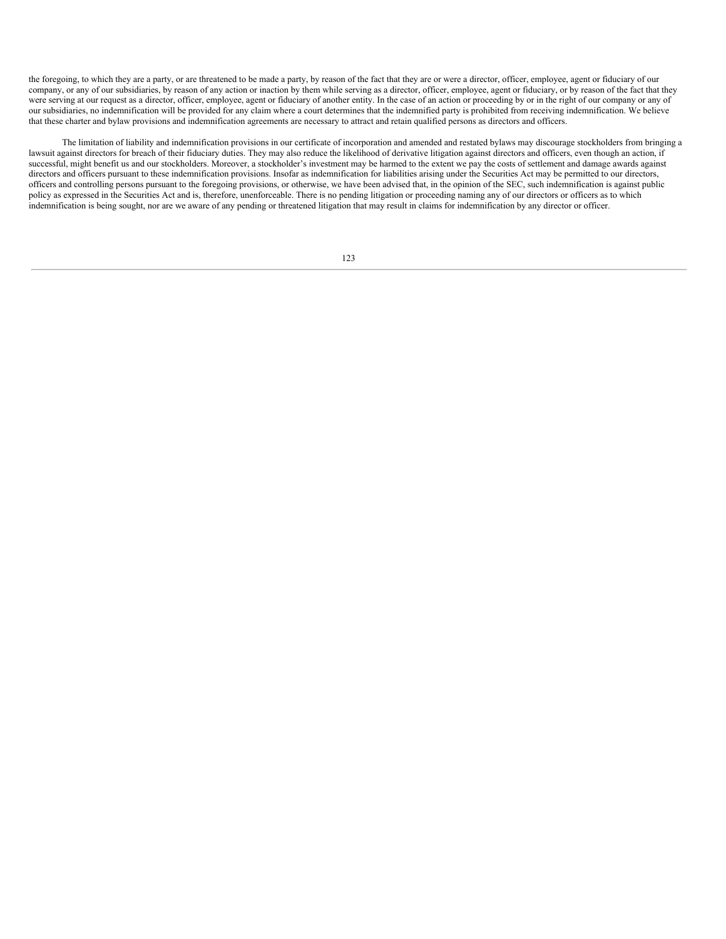the foregoing, to which they are a party, or are threatened to be made a party, by reason of the fact that they are or were a director, officer, employee, agent or fiduciary of our company, or any of our subsidiaries, by reason of any action or inaction by them while serving as a director, officer, employee, agent or fiduciary, or by reason of the fact that they were serving at our request as a director, officer, employee, agent or fiduciary of another entity. In the case of an action or proceeding by or in the right of our company or any of our subsidiaries, no indemnification will be provided for any claim where a court determines that the indemnified party is prohibited from receiving indemnification. We believe that these charter and bylaw provisions and indemnification agreements are necessary to attract and retain qualified persons as directors and officers.

The limitation of liability and indemnification provisions in our certificate of incorporation and amended and restated bylaws may discourage stockholders from bringing a lawsuit against directors for breach of their fiduciary duties. They may also reduce the likelihood of derivative litigation against directors and officers, even though an action, if successful, might benefit us and our stockholders. Moreover, a stockholder's investment may be harmed to the extent we pay the costs of settlement and damage awards against directors and officers pursuant to these indemnification provisions. Insofar as indemnification for liabilities arising under the Securities Act may be permitted to our directors, officers and controlling persons pursuant to the foregoing provisions, or otherwise, we have been advised that, in the opinion of the SEC, such indemnification is against public policy as expressed in the Securities Act and is, therefore, unenforceable. There is no pending litigation or proceeding naming any of our directors or officers as to which indemnification is being sought, nor are we aware of any pending or threatened litigation that may result in claims for indemnification by any director or officer.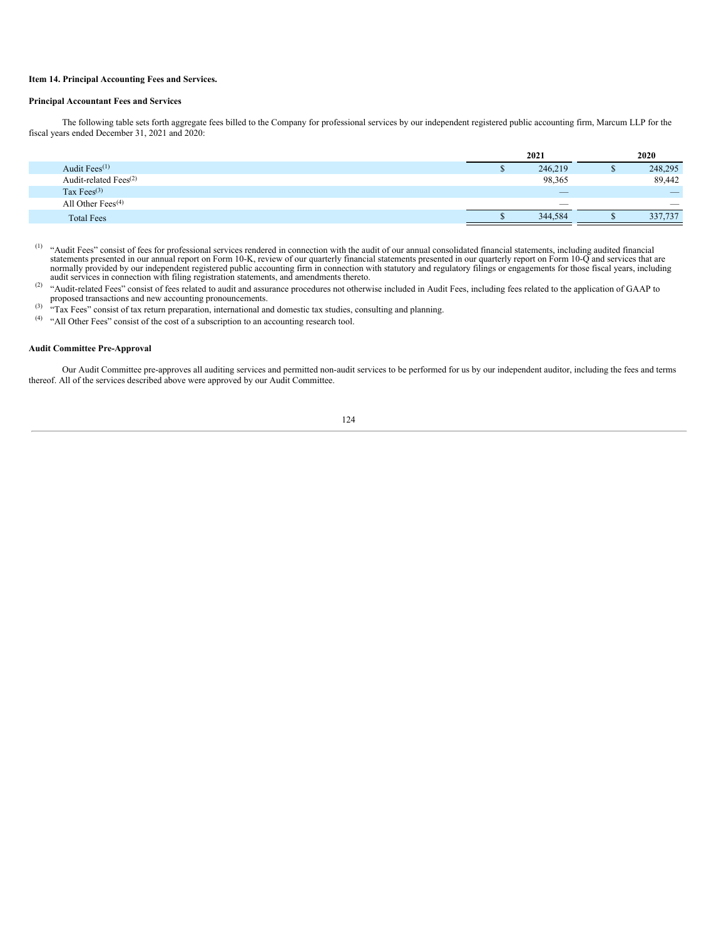# **Item 14. Principal Accounting Fees and Services.**

# **Principal Accountant Fees and Services**

The following table sets forth aggregate fees billed to the Company for professional services by our independent registered public accounting firm, Marcum LLP for the fiscal years ended December 31, 2021 and 2020:

|                            | 2021                           | 2020                            |
|----------------------------|--------------------------------|---------------------------------|
| Audit Fees $(1)$           | 246,219                        | 248,295                         |
| Audit-related $Fees^{(2)}$ | 98,365                         | 89,442                          |
| Tax Fees $(3)$             | $\overline{\phantom{a}}$       | $\hspace{0.1mm}-\hspace{0.1mm}$ |
| All Other Fees $(4)$       | $\overbrace{\hspace{25mm}}^{}$ | $\overbrace{\hspace{25mm}}^{}$  |
| <b>Total Fees</b>          | 344,584                        | 337,737                         |

"Audit Fees" consist of fees for professional services rendered in connection with the audit of our annual consolidated financial statements, including audited financial statements presented in our annual report on Form 10-K, review of our quarterly financial statements presented in our quarterly report on Form 10-Q and services that are normally provided by our independent registered public accounting firm in connection with statutory and regulatory filings or engagements for those fiscal years, including audit services in connection with filing registration statements, and amendments thereto. (1)

"Audit-related Fees" consist of fees related to audit and assurance procedures not otherwise included in Audit Fees, including fees related to the application of GAAP to proposed transactions and new accounting pronouncements. (2) (3)

"Tax Fees" consist of tax return preparation, international and domestic tax studies, consulting and planning.

"All Other Fees" consist of the cost of a subscription to an accounting research tool. (4)

# **Audit Committee Pre-Approval**

Our Audit Committee pre-approves all auditing services and permitted non-audit services to be performed for us by our independent auditor, including the fees and terms thereof. All of the services described above were approved by our Audit Committee.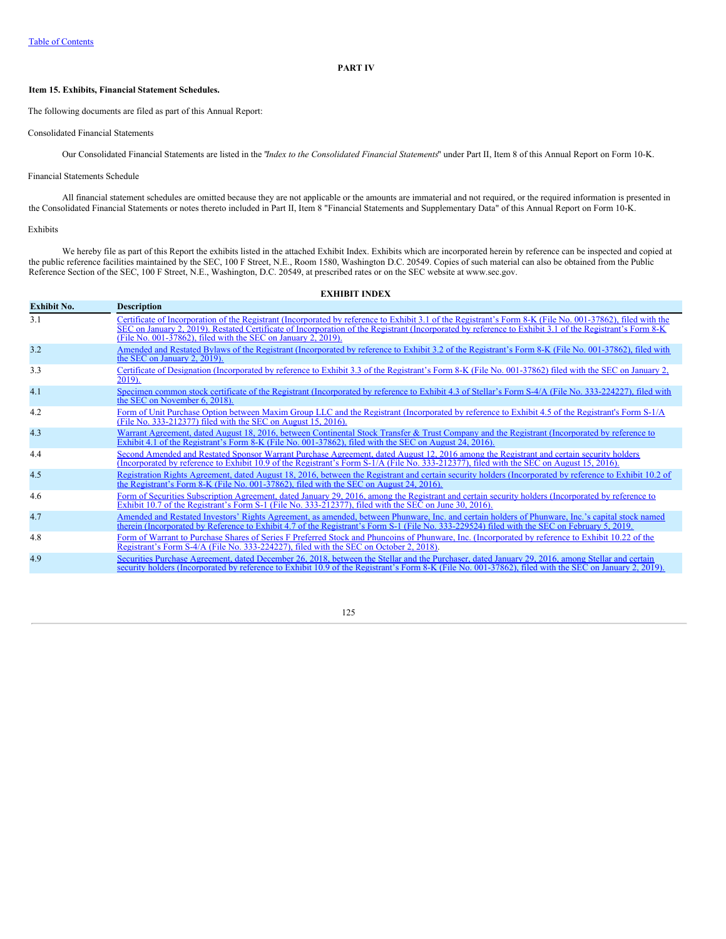## **PART IV**

# **Item 15. Exhibits, Financial Statement Schedules.**

The following documents are filed as part of this Annual Report:

## Consolidated Financial Statements

Our Consolidated Financial Statements are listed in the "*Index to the Consolidated Financial Statements*" under Part II, Item 8 of this Annual Report on Form 10-K.

# Financial Statements Schedule

All financial statement schedules are omitted because they are not applicable or the amounts are immaterial and not required, or the required information is presented in the Consolidated Financial Statements or notes thereto included in Part II, Item 8 "Financial Statements and Supplementary Data" of this Annual Report on Form 10-K.

# Exhibits

We hereby file as part of this Report the exhibits listed in the attached Exhibit Index. Exhibits which are incorporated herein by reference can be inspected and copied at the public reference facilities maintained by the SEC, 100 F Street, N.E., Room 1580, Washington D.C. 20549. Copies of such material can also be obtained from the Public Reference Section of the SEC, 100 F Street, N.E., Washington, D.C. 20549, at prescribed rates or on the SEC website at www.sec.gov.

|             | <b>EXHIBIT INDEX</b>                                                                                                                                                                                                                                                                                                                                                                      |
|-------------|-------------------------------------------------------------------------------------------------------------------------------------------------------------------------------------------------------------------------------------------------------------------------------------------------------------------------------------------------------------------------------------------|
| Exhibit No. | <b>Description</b>                                                                                                                                                                                                                                                                                                                                                                        |
| 3.1         | Certificate of Incorporation of the Registrant (Incorporated by reference to Exhibit 3.1 of the Registrant's Form 8-K (File No. 001-37862), filed with the<br>SEC on January 2, 2019). Restated Certificate of Incorporation of the Registrant (Incorporated by reference to Exhibit 3.1 of the Registrant's Form 8-K<br>(File No. 001-37862), filed with the SEC on January $2$ , 2019). |
| 3.2         | Amended and Restated Bylaws of the Registrant (Incorporated by reference to Exhibit 3.2 of the Registrant's Form 8-K (File No. 001-37862), filed with<br>the SEC on January 2, 2019).                                                                                                                                                                                                     |
| 3.3         | Certificate of Designation (Incorporated by reference to Exhibit 3.3 of the Registrant's Form 8-K (File No. 001-37862) filed with the SEC on January 2,<br>2019).                                                                                                                                                                                                                         |
| 4.1         | Specimen common stock certificate of the Registrant (Incorporated by reference to Exhibit 4.3 of Stellar's Form S-4/A (File No. 333-224227), filed with<br>the SEC on November 6, 2018).                                                                                                                                                                                                  |
| 4.2         | Form of Unit Purchase Option between Maxim Group LLC and the Registrant (Incorporated by reference to Exhibit 4.5 of the Registrant's Form S-1/A<br>(File No. 333-212377) filed with the SEC on August 15, 2016).                                                                                                                                                                         |
| 4.3         | Warrant Agreement, dated August 18, 2016, between Continental Stock Transfer & Trust Company and the Registrant (Incorporated by reference to<br>Exhibit 4.1 of the Registrant's Form 8-K (File No. 001-37862), filed with the SEC on August 24, 2016).                                                                                                                                   |
| 4.4         | Second Amended and Restated Sponsor Warrant Purchase Agreement, dated August 12, 2016 among the Registrant and certain security holders<br>(Incorporated by reference to Exhibit 10.9 of the Registrant's Form S-1/A (File No. 333-212377), filed with the SEC on August 15, 2016).                                                                                                       |
| 4.5         | Registration Rights Agreement, dated August 18, 2016, between the Registrant and certain security holders (Incorporated by reference to Exhibit 10.2 of<br>the Registrant's Form 8-K (File No. 001-37862), filed with the SEC on August 24, 2016).                                                                                                                                        |
| 4.6         | Form of Securities Subscription Agreement, dated January 29, 2016, among the Registrant and certain security holders (Incorporated by reference to<br>Exhibit 10.7 of the Registrant's Form S-1 (File No. 333-212377), filed with the SEC on June 30, 2016).                                                                                                                              |
| 4.7         | Amended and Restated Investors' Rights Agreement, as amended, between Phunware, Inc. and certain holders of Phunware, Inc.'s capital stock named<br>therein (Incorporated by Reference to Exhibit 4.7 of the Registrant's Form S-1 (File No. 333-229524) filed with the SEC on February 5, 2019.                                                                                          |
| 4.8         | Form of Warrant to Purchase Shares of Series F Preferred Stock and Phuncoins of Phunware, Inc. (Incorporated by reference to Exhibit 10.22 of the<br>Registrant's Form S-4/A (File No. 333-224227), filed with the SEC on October 2, 2018).                                                                                                                                               |
| 4.9         | Securities Purchase Agreement, dated December 26, 2018, between the Stellar and the Purchaser, dated January 29, 2016, among Stellar and certain<br>security holders (Incorporated by reference to Exhibit 10.9 of the Registrant's Form 8-K (File No. 001-37862), filed with the SEC on January 2, 2019).                                                                                |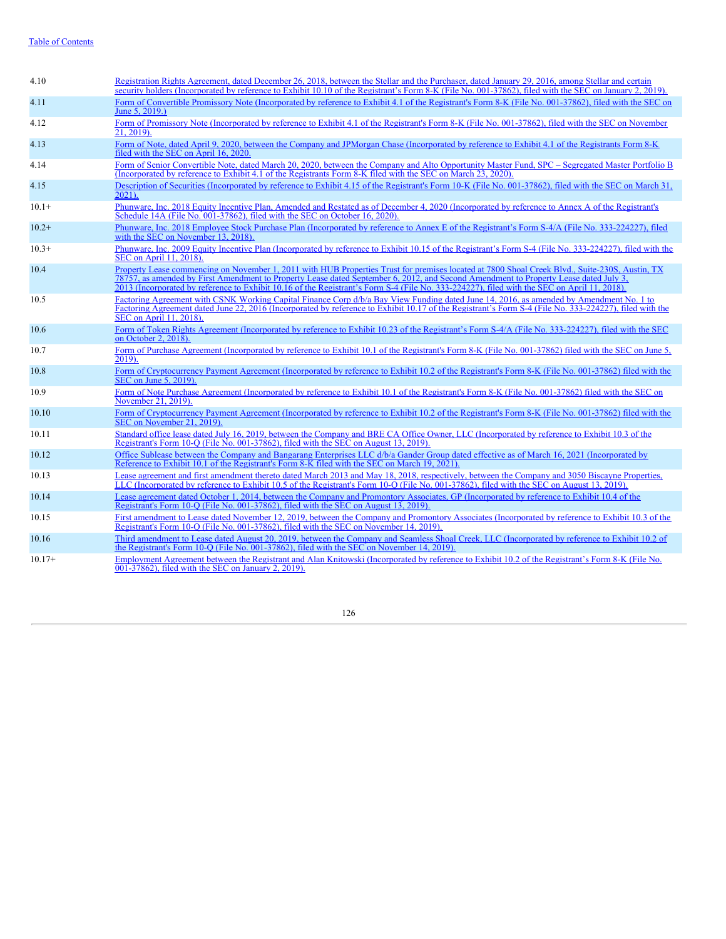| 4.10     | Registration Rights Agreement, dated December 26, 2018, between the Stellar and the Purchaser, dated January 29, 2016, among Stellar and certain<br>security holders (Incorporated by reference to Exhibit 10.10 of the Registrant's Form 8-K (File No. 001-37862), filed with the SEC on January 2, 2019).                                                                                                                           |
|----------|---------------------------------------------------------------------------------------------------------------------------------------------------------------------------------------------------------------------------------------------------------------------------------------------------------------------------------------------------------------------------------------------------------------------------------------|
| 4.11     | Form of Convertible Promissory Note (Incorporated by reference to Exhibit 4.1 of the Registrant's Form 8-K (File No. 001-37862), filed with the SEC on<br>June 5, 2019.)                                                                                                                                                                                                                                                              |
| 4.12     | Form of Promissory Note (Incorporated by reference to Exhibit 4.1 of the Registrant's Form 8-K (File No. 001-37862), filed with the SEC on November<br>21, 2019).                                                                                                                                                                                                                                                                     |
| 4.13     | Form of Note, dated April 9, 2020, between the Company and JPMorgan Chase (Incorporated by reference to Exhibit 4.1 of the Registrants Form 8-K<br>filed with the SEC on April 16, 2020.                                                                                                                                                                                                                                              |
| 4.14     | Form of Senior Convertible Note, dated March 20, 2020, between the Company and Alto Opportunity Master Fund, SPC – Segregated Master Portfolio B<br>(Incorporated by reference to Exhibit 4.1 of the Registrants Form 8-K filed with the SEC on March 23, 2020).                                                                                                                                                                      |
| 4.15     | Description of Securities (Incorporated by reference to Exhibit 4.15 of the Registrant's Form 10-K (File No. 001-37862), filed with the SEC on March 31.<br>$2021$ ).                                                                                                                                                                                                                                                                 |
| $10.1+$  | Phunware, Inc. 2018 Equity Incentive Plan, Amended and Restated as of December 4, 2020 (Incorporated by reference to Annex A of the Registrant's<br>Schedule 14A (File No. 001-37862), filed with the SEC on October 16, 2020).                                                                                                                                                                                                       |
| $10.2+$  | Phunware, Inc. 2018 Employee Stock Purchase Plan (Incorporated by reference to Annex E of the Registrant's Form S-4/A (File No. 333-224227), filed<br>with the SEC on November 13, 2018).                                                                                                                                                                                                                                             |
| $10.3+$  | Phunware, Inc. 2009 Equity Incentive Plan (Incorporated by reference to Exhibit 10.15 of the Registrant's Form S-4 (File No. 333-224227), filed with the<br>SEC on April 11, 2018).                                                                                                                                                                                                                                                   |
| 10.4     | Property Lease commencing on November 1, 2011 with HUB Properties Trust for premises located at 7800 Shoal Creek Blvd., Suite-230S, Austin, TX<br>78757, as amended by First Amendment to Property Lease dated September 6, 2012, and Second Amendment to Property Lease dated July 3,<br>2013 (Incorporated by reference to Exhibit 10.16 of the Registrant's Form S-4 (File No. 333-224227), filed with the SEC on April 11, 2018). |
| 10.5     | Factoring Agreement with CSNK Working Capital Finance Corp d/b/a Bay View Funding dated June 14, 2016, as amended by Amendment No. 1 to<br>Factoring Agreement dated June 22, 2016 (Incorporated by reference to Exhibit 10.17 of the Registrant's Form S-4 (File No. 333-224227), filed with the<br>SEC on April 11, 2018).                                                                                                          |
| 10.6     | Form of Token Rights Agreement (Incorporated by reference to Exhibit 10.23 of the Registrant's Form S-4/A (File No. 333-224227), filed with the SEC<br>on October 2, 2018).                                                                                                                                                                                                                                                           |
| 10.7     | Form of Purchase Agreement (Incorporated by reference to Exhibit 10.1 of the Registrant's Form 8-K (File No. 001-37862) filed with the SEC on June 5.<br>2019).                                                                                                                                                                                                                                                                       |
| 10.8     | Form of Cryptocurrency Payment Agreement (Incorporated by reference to Exhibit 10.2 of the Registrant's Form 8-K (File No. 001-37862) filed with the<br>SEC on June 5, 2019).                                                                                                                                                                                                                                                         |
| 10.9     | Form of Note Purchase Agreement (Incorporated by reference to Exhibit 10.1 of the Registrant's Form 8-K (File No. 001-37862) filed with the SEC on<br>November 21, 2019).                                                                                                                                                                                                                                                             |
| 10.10    | Form of Cryptocurrency Payment Agreement (Incorporated by reference to Exhibit 10.2 of the Registrant's Form 8-K (File No. 001-37862) filed with the<br>SEC on November 21, 2019).                                                                                                                                                                                                                                                    |
| 10.11    | Standard office lease dated July 16, 2019, between the Company and BRE CA Office Owner. LLC (Incorporated by reference to Exhibit 10.3 of the<br>Registrant's Form 10-Q (File No. 001-37862), filed with the SEC on August 13, 2019).                                                                                                                                                                                                 |
| 10.12    | Office Sublease between the Company and Bangarang Enterprises LLC d/b/a Gander Group dated effective as of March 16, 2021 (Incorporated by<br>Reference to Exhibit 10.1 of the Registrant's Form 8-K filed with the SEC on March 19, 2021).                                                                                                                                                                                           |
| 10.13    | Lease agreement and first amendment thereto dated March 2013 and May 18, 2018, respectively, between the Company and 3050 Biscayne Properties.<br>LLC (Incorporated by reference to Exhibit 10.5 of the Registrant's Form 10-O (File No. 001-37862), filed with the SEC on August 13, 2019).                                                                                                                                          |
| 10.14    | Lease agreement dated October 1, 2014, between the Company and Promontory Associates, GP (Incorporated by reference to Exhibit 10.4 of the<br>Registrant's Form $10-0$ (File No. 001-37862), filed with the SEC on August 13, 2019)                                                                                                                                                                                                   |
| 10.15    | First amendment to Lease dated November 12, 2019, between the Company and Promontory Associates (Incorporated by reference to Exhibit 10.3 of the<br>Registrant's Form 10-O (File No. 001-37862), filed with the SEC on November 14, 2019).                                                                                                                                                                                           |
| 10.16    | Third amendment to Lease dated August 20, 2019, between the Company and Seamless Shoal Creek, LLC (Incorporated by reference to Exhibit 10.2 of<br>the Registrant's Form 10-O (File No. 001-37862), filed with the SEC on November 14, 2019).                                                                                                                                                                                         |
| $10.17+$ | Employment Agreement between the Registrant and Alan Knitowski (Incorporated by reference to Exhibit 10.2 of the Registrant's Form 8-K (File No.<br>001-37862), filed with the SEC on January 2, 2019).                                                                                                                                                                                                                               |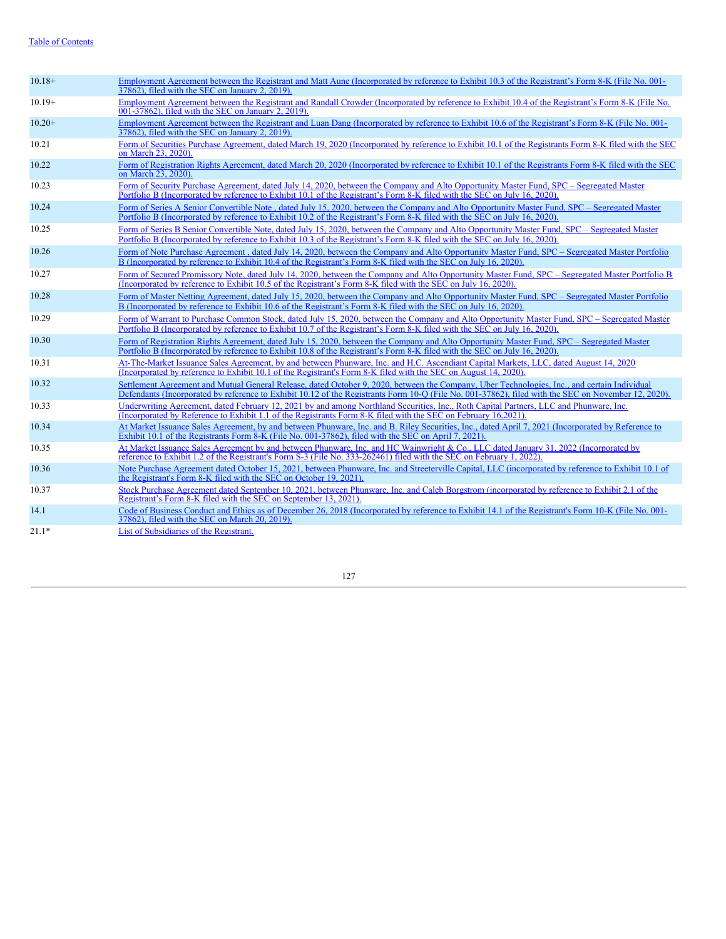| $10.18+$ | Employment Agreement between the Registrant and Matt Aune (Incorporated by reference to Exhibit 10.3 of the Registrant's Form 8-K (File No. 001-<br>37862), filed with the SEC on January 2, 2019).                                                                                                 |
|----------|-----------------------------------------------------------------------------------------------------------------------------------------------------------------------------------------------------------------------------------------------------------------------------------------------------|
| $10.19+$ | Employment Agreement between the Registrant and Randall Crowder (Incorporated by reference to Exhibit 10.4 of the Registrant's Form 8-K (File No.<br>001-37862), filed with the SEC on January 2, 2019).                                                                                            |
| $10.20+$ | Employment Agreement between the Registrant and Luan Dang (Incorporated by reference to Exhibit 10.6 of the Registrant's Form 8-K (File No. 001-<br>37862), filed with the SEC on January 2, 2019).                                                                                                 |
| 10.21    | Form of Securities Purchase Agreement, dated March 19, 2020 (Incorporated by reference to Exhibit 10.1 of the Registrants Form 8-K filed with the SEC<br>on March 23, 2020).                                                                                                                        |
| 10.22    | Form of Registration Rights Agreement, dated March 20, 2020 (Incorporated by reference to Exhibit 10.1 of the Registrants Form 8-K filed with the SEC<br>on March 23, 2020).                                                                                                                        |
| 10.23    | Form of Security Purchase Agreement, dated July 14, 2020, between the Company and Alto Opportunity Master Fund, SPC – Segregated Master<br>Portfolio B (Incorporated by reference to Exhibit 10.1 of the Registrant's Form 8-K filed with the SEC on July 16, 2020).                                |
| 10.24    | Form of Series A Senior Convertible Note, dated July 15, 2020, between the Company and Alto Opportunity Master Fund, SPC – Segregated Master<br>Portfolio B (Incorporated by reference to Exhibit 10.2 of the Registrant's Form 8-K filed with the SEC on July 16, 2020).                           |
| 10.25    | Form of Series B Senior Convertible Note, dated July 15, 2020, between the Company and Alto Opportunity Master Fund, SPC – Segregated Master<br>Portfolio B (Incorporated by reference to Exhibit 10.3 of the Registrant's Form 8-K filed with the SEC on July 16, 2020).                           |
| 10.26    | Form of Note Purchase Agreement, dated July 14, 2020, between the Company and Alto Opportunity Master Fund, SPC – Segregated Master Portfolio<br>B (Incorporated by reference to Exhibit 10.4 of the Registrant's Form 8-K filed with the SEC on July 16, 2020).                                    |
| 10.27    | Form of Secured Promissory Note, dated July 14, 2020, between the Company and Alto Opportunity Master Fund, SPC – Segregated Master Portfolio B<br>(Incorporated by reference to Exhibit 10.5 of the Registrant's Form 8-K filed with the SEC on July 16, 2020).                                    |
| 10.28    | Form of Master Netting Agreement, dated July 15, 2020, between the Company and Alto Opportunity Master Fund, SPC – Segregated Master Portfolio<br>B (Incorporated by reference to Exhibit 10.6 of the Registrant's Form 8-K filed with the SEC on July 16, 2020).                                   |
| 10.29    | Form of Warrant to Purchase Common Stock, dated July 15, 2020, between the Company and Alto Opportunity Master Fund, SPC – Segregated Master<br>Portfolio B (Incorporated by reference to Exhibit 10.7 of the Registrant's Form 8-K filed with the SEC on July 16, 2020).                           |
| 10.30    | Form of Registration Rights Agreement, dated July 15, 2020, between the Company and Alto Opportunity Master Fund, SPC – Segregated Master<br>Portfolio B (Incorporated by reference to Exhibit 10.8 of the Registrant's Form 8-K filed with the SEC on July 16, 2020).                              |
| 10.31    | At-The-Market Issuance Sales Agreement, by and between Phunware, Inc. and H.C. Ascendiant Capital Markets, LLC, dated August 14, 2020<br>(Incorporated by reference to Exhibit 10.1 of the Registrant's Form 8-K filed with the SEC on August 14, 2020).                                            |
| 10.32    | Settlement Agreement and Mutual General Release, dated October 9, 2020, between the Company, Uber Technologies, Inc., and certain Individual<br>Defendants (Incorporated by reference to Exhibit 10.12 of the Registrants Form 10-O (File No. 001-37862), filed with the SEC on November 12, 2020). |
| 10.33    | Underwriting Agreement, dated February 12, 2021 by and among Northland Securities, Inc., Roth Capital Partners, LLC and Phunware, Inc.<br>(Incorporated by Reference to Exhibit 1.1 of the Registrants Form 8-K filed with the SEC on February 16.2021).                                            |
| 10.34    | At Market Issuance Sales Agreement, by and between Phunware, Inc. and B. Riley Securities, Inc., dated April 7, 2021 (Incorporated by Reference to<br>Exhibit 10.1 of the Registrants Form 8-K (File No. 001-37862), filed with the SEC on April 7, 2021).                                          |
| 10.35    | At Market Issuance Sales Agreement by and between Phunware. Inc. and HC Wainwright & Co., LLC dated January 31, 2022 (Incorporated by<br>reference to Exhibit 1.2 of the Registrant's Form S-3 (File No. 333-262461) filed with the SEC on February 1, 2022).                                       |
| 10.36    | Note Purchase Agreement dated October 15, 2021, between Phunware, Inc. and Streeterville Capital, LLC (incorporated by reference to Exhibit 10.1 of<br>the Registrant's Form 8-K filed with the SEC on October 19, 2021).                                                                           |
| 10.37    | Stock Purchase Agreement dated September 10, 2021, between Phunware, Inc. and Caleb Borgstrom (incorporated by reference to Exhibit 2.1 of the<br>Registrant's Form 8-K filed with the SEC on September 13, 2021).                                                                                  |
| 14.1     | Code of Business Conduct and Ethics as of December 26, 2018 (Incorporated by reference to Exhibit 14.1 of the Registrant's Form 10-K (File No. 001-<br>37862), filed with the SEC on March 20, 2019).                                                                                               |
| $21.1*$  | List of Subsidiaries of the Registrant.                                                                                                                                                                                                                                                             |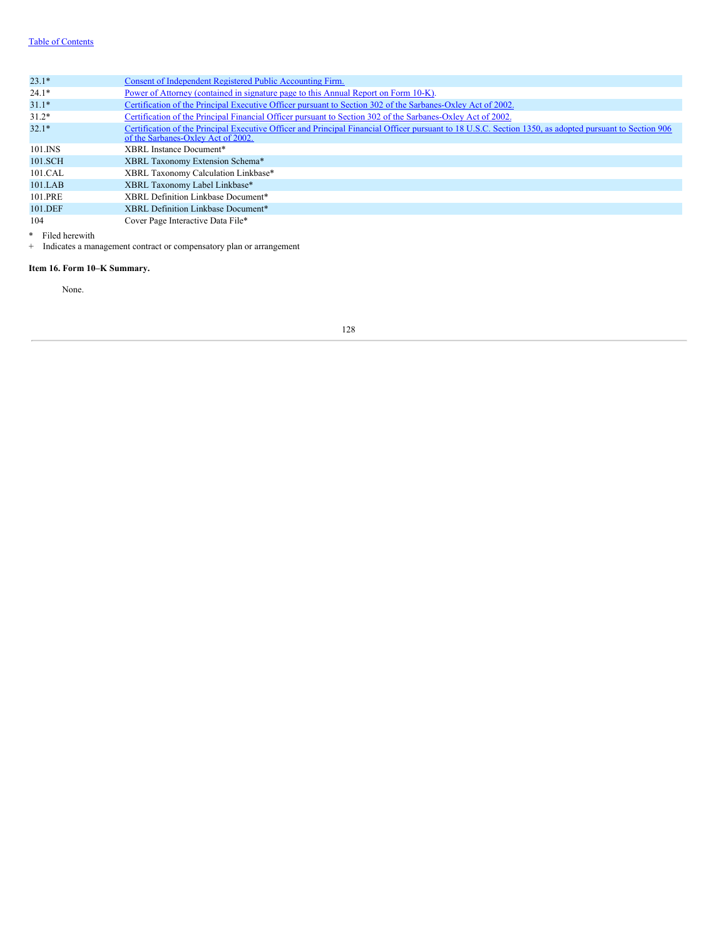| <b>Consent of Independent Registered Public Accounting Firm.</b>                                                                                                                              |
|-----------------------------------------------------------------------------------------------------------------------------------------------------------------------------------------------|
| Power of Attorney (contained in signature page to this Annual Report on Form 10-K).                                                                                                           |
| Certification of the Principal Executive Officer pursuant to Section 302 of the Sarbanes-Oxley Act of 2002.                                                                                   |
| Certification of the Principal Financial Officer pursuant to Section 302 of the Sarbanes-Oxley Act of 2002.                                                                                   |
| Certification of the Principal Executive Officer and Principal Financial Officer pursuant to 18 U.S.C. Section 1350, as adopted pursuant to Section 906<br>of the Sarbanes-Oxley Act of 2002. |
| XBRL Instance Document*                                                                                                                                                                       |
| XBRL Taxonomy Extension Schema*                                                                                                                                                               |
| XBRL Taxonomy Calculation Linkbase*                                                                                                                                                           |
| XBRL Taxonomy Label Linkbase*                                                                                                                                                                 |
| XBRL Definition Linkbase Document*                                                                                                                                                            |
| XBRL Definition Linkbase Document*                                                                                                                                                            |
| Cover Page Interactive Data File*                                                                                                                                                             |
|                                                                                                                                                                                               |

\* Filed herewith

+ Indicates a management contract or compensatory plan or arrangement

# **Item 16. Form 10–K Summary.**

<span id="page-129-0"></span>None.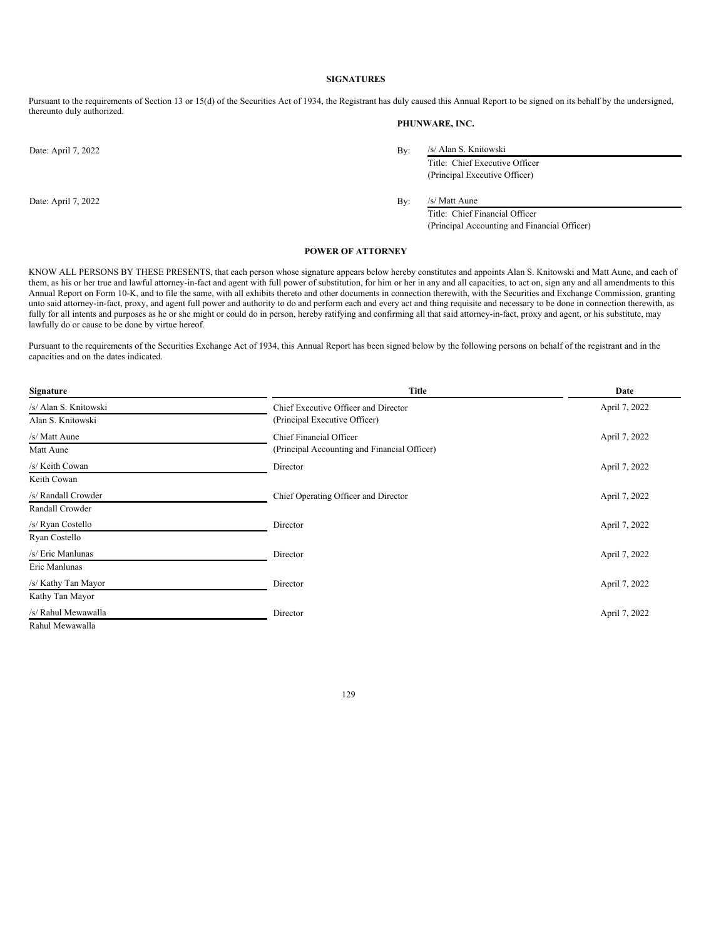# **SIGNATURES**

Pursuant to the requirements of Section 13 or 15(d) of the Securities Act of 1934, the Registrant has duly caused this Annual Report to be signed on its behalf by the undersigned, thereunto duly authorized.

# **PHUNWARE, INC.**

Date: April 7, 2022 By: /s/ Alan S. Knitowski

Title: Chief Executive Officer (Principal Executive Officer)

Date: April 7, 2022 By: /s/ Matt Aune

Title: Chief Financial Officer (Principal Accounting and Financial Officer)

# **POWER OF ATTORNEY**

KNOW ALL PERSONS BY THESE PRESENTS, that each person whose signature appears below hereby constitutes and appoints Alan S. Knitowski and Matt Aune, and each of them, as his or her true and lawful attorney-in-fact and agent with full power of substitution, for him or her in any and all capacities, to act on, sign any and all amendments to this Annual Report on Form 10-K, and to file the same, with all exhibits thereto and other documents in connection therewith, with the Securities and Exchange Commission, granting unto said attorney-in-fact, proxy, and agent full power and authority to do and perform each and every act and thing requisite and necessary to be done in connection therewith, as fully for all intents and purposes as he or she might or could do in person, hereby ratifying and confirming all that said attorney-in-fact, proxy and agent, or his substitute, may lawfully do or cause to be done by virtue hereof.

Pursuant to the requirements of the Securities Exchange Act of 1934, this Annual Report has been signed below by the following persons on behalf of the registrant and in the capacities and on the dates indicated.

| <b>Signature</b>      | Title                                        | Date          |
|-----------------------|----------------------------------------------|---------------|
| /s/ Alan S. Knitowski | Chief Executive Officer and Director         | April 7, 2022 |
| Alan S. Knitowski     | (Principal Executive Officer)                |               |
| /s/ Matt Aune         | Chief Financial Officer                      | April 7, 2022 |
| Matt Aune             | (Principal Accounting and Financial Officer) |               |
| /s/ Keith Cowan       | Director                                     | April 7, 2022 |
| Keith Cowan           |                                              |               |
| /s/ Randall Crowder   | Chief Operating Officer and Director         | April 7, 2022 |
| Randall Crowder       |                                              |               |
| /s/ Ryan Costello     | Director                                     | April 7, 2022 |
| Ryan Costello         |                                              |               |
| /s/ Eric Manlunas     | Director                                     | April 7, 2022 |
| Eric Manlunas         |                                              |               |
| /s/ Kathy Tan Mayor   | Director                                     | April 7, 2022 |
| Kathy Tan Mayor       |                                              |               |
| /s/ Rahul Mewawalla   | Director                                     | April 7, 2022 |
| Rahul Mewawalla       |                                              |               |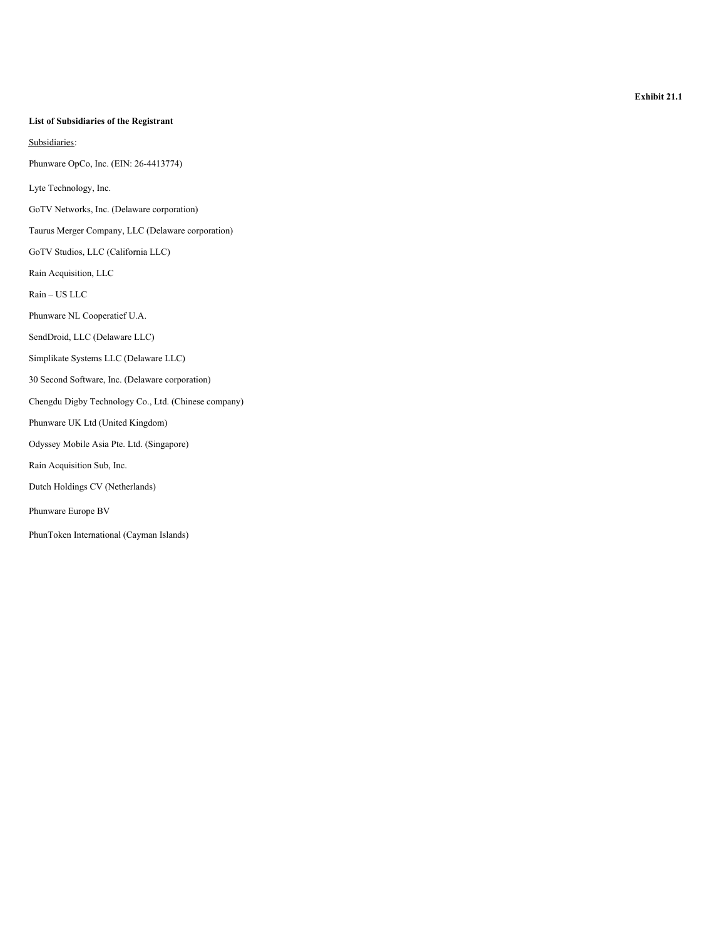## <span id="page-131-0"></span>**List of Subsidiaries of the Registrant**

Subsidiaries:

Phunware OpCo, Inc. (EIN: 26-4413774)

Lyte Technology, Inc.

GoTV Networks, Inc. (Delaware corporation)

Taurus Merger Company, LLC (Delaware corporation)

GoTV Studios, LLC (California LLC)

Rain Acquisition, LLC

Rain – US LLC

Phunware NL Cooperatief U.A.

SendDroid, LLC (Delaware LLC)

Simplikate Systems LLC (Delaware LLC)

30 Second Software, Inc. (Delaware corporation)

Chengdu Digby Technology Co., Ltd. (Chinese company)

Phunware UK Ltd (United Kingdom)

Odyssey Mobile Asia Pte. Ltd. (Singapore)

Rain Acquisition Sub, Inc.

Dutch Holdings CV (Netherlands)

Phunware Europe BV

PhunToken International (Cayman Islands)

**Exhibit 21.1**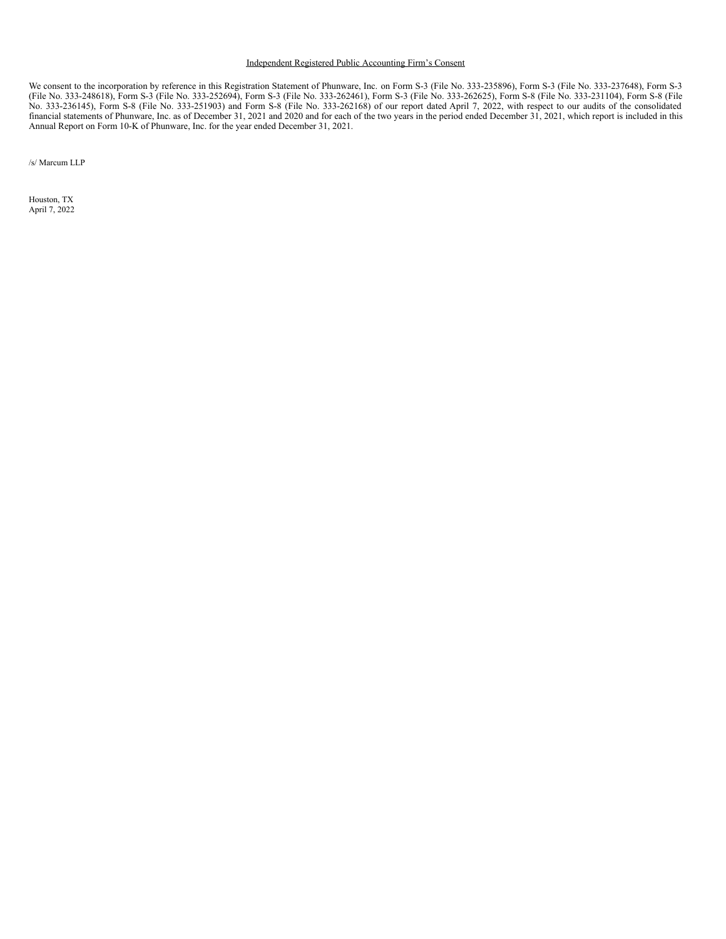## Independent Registered Public Accounting Firm's Consent

<span id="page-132-0"></span>We consent to the incorporation by reference in this Registration Statement of Phunware, Inc. on Form S-3 (File No. 333-235896), Form S-3 (File No. 333-237648), Form S-3 (File No. 333-248618), Form S-3 (File No. 333-252694), Form S-3 (File No. 333-262461), Form S-3 (File No. 333-262625), Form S-8 (File No. 333-231104), Form S-8 (File No. 333-236145), Form S-8 (File No. 333-251903) and Form S-8 (File No. 333-262168) of our report dated April 7, 2022, with respect to our audits of the consolidated financial statements of Phunware, Inc. as of December 31, 2021 and 2020 and for each of the two years in the period ended December 31, 2021, which report is included in this Annual Report on Form 10-K of Phunware, Inc. for the year ended December 31, 2021.

/s/ Marcum LLP

Houston, TX April 7, 2022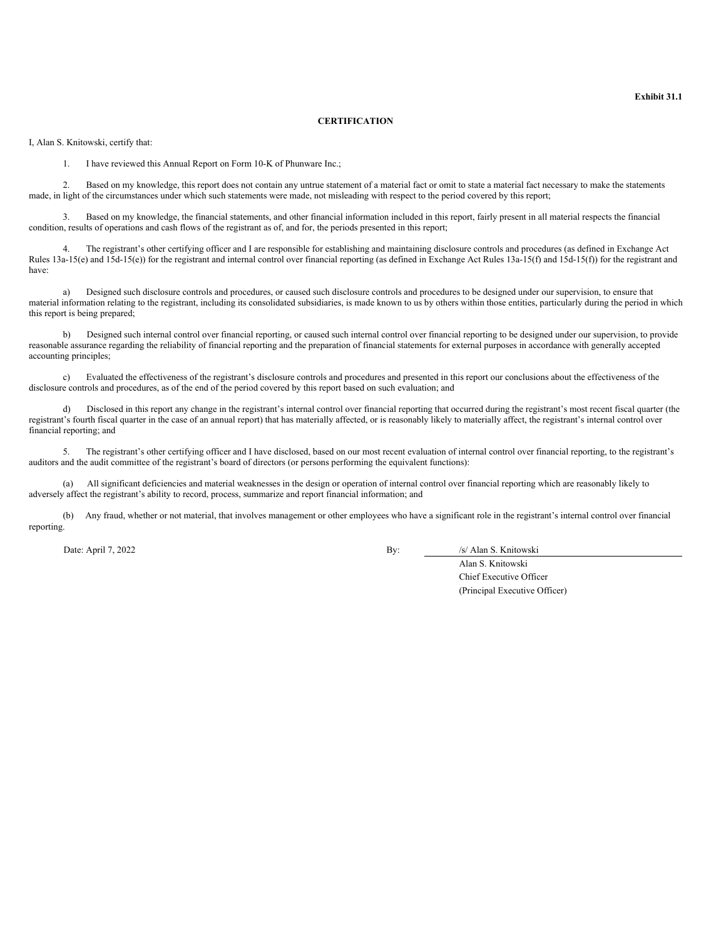#### **CERTIFICATION**

<span id="page-133-0"></span>I, Alan S. Knitowski, certify that:

1. I have reviewed this Annual Report on Form 10-K of Phunware Inc.;

2. Based on my knowledge, this report does not contain any untrue statement of a material fact or omit to state a material fact necessary to make the statements made, in light of the circumstances under which such statements were made, not misleading with respect to the period covered by this report;

3. Based on my knowledge, the financial statements, and other financial information included in this report, fairly present in all material respects the financial condition, results of operations and cash flows of the registrant as of, and for, the periods presented in this report;

4. The registrant's other certifying officer and I are responsible for establishing and maintaining disclosure controls and procedures (as defined in Exchange Act Rules 13a-15(e) and 15d-15(e)) for the registrant and internal control over financial reporting (as defined in Exchange Act Rules 13a-15(f) and 15d-15(f)) for the registrant and have:

a) Designed such disclosure controls and procedures, or caused such disclosure controls and procedures to be designed under our supervision, to ensure that material information relating to the registrant, including its consolidated subsidiaries, is made known to us by others within those entities, particularly during the period in which this report is being prepared;

b) Designed such internal control over financial reporting, or caused such internal control over financial reporting to be designed under our supervision, to provide reasonable assurance regarding the reliability of financial reporting and the preparation of financial statements for external purposes in accordance with generally accepted accounting principles;

c) Evaluated the effectiveness of the registrant's disclosure controls and procedures and presented in this report our conclusions about the effectiveness of the disclosure controls and procedures, as of the end of the period covered by this report based on such evaluation; and

Disclosed in this report any change in the registrant's internal control over financial reporting that occurred during the registrant's most recent fiscal quarter (the registrant's fourth fiscal quarter in the case of an annual report) that has materially affected, or is reasonably likely to materially affect, the registrant's internal control over financial reporting; and

5. The registrant's other certifying officer and I have disclosed, based on our most recent evaluation of internal control over financial reporting, to the registrant's auditors and the audit committee of the registrant's board of directors (or persons performing the equivalent functions):

(a) All significant deficiencies and material weaknesses in the design or operation of internal control over financial reporting which are reasonably likely to adversely affect the registrant's ability to record, process, summarize and report financial information; and

(b) Any fraud, whether or not material, that involves management or other employees who have a significant role in the registrant's internal control over financial reporting.

Date: April 7, 2022 <br>
By: /s/ Alan S. Knitowski

Alan S. Knitowski Chief Executive Officer (Principal Executive Officer)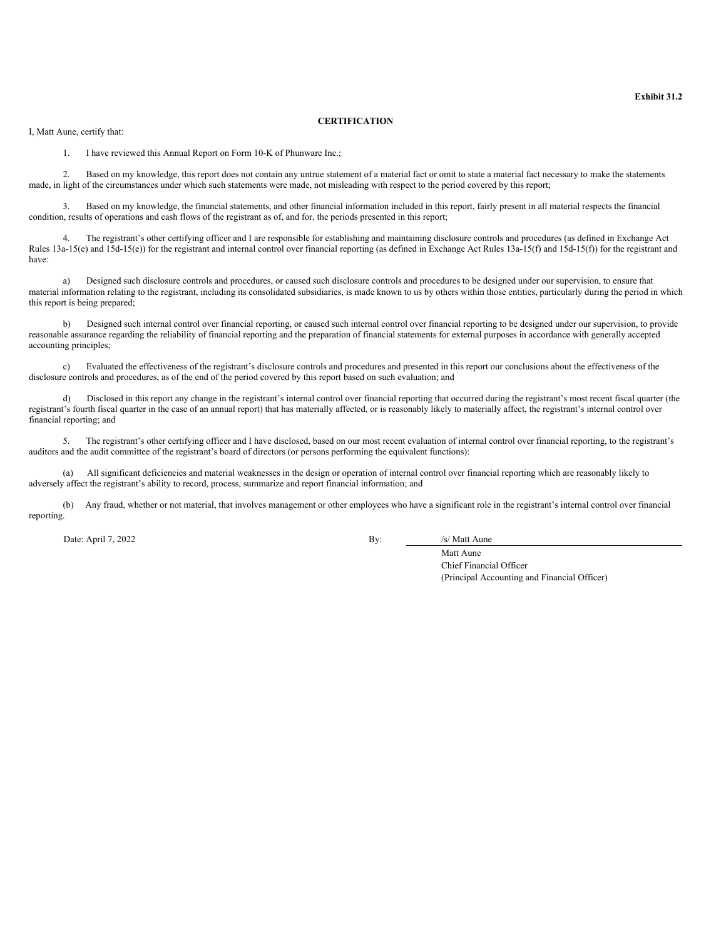#### **CERTIFICATION**

<span id="page-134-0"></span>I, Matt Aune, certify that:

1. I have reviewed this Annual Report on Form 10-K of Phunware Inc.;

2. Based on my knowledge, this report does not contain any untrue statement of a material fact or omit to state a material fact necessary to make the statements made, in light of the circumstances under which such statements were made, not misleading with respect to the period covered by this report;

3. Based on my knowledge, the financial statements, and other financial information included in this report, fairly present in all material respects the financial condition, results of operations and cash flows of the registrant as of, and for, the periods presented in this report;

4. The registrant's other certifying officer and I are responsible for establishing and maintaining disclosure controls and procedures (as defined in Exchange Act Rules 13a-15(e) and 15d-15(e)) for the registrant and internal control over financial reporting (as defined in Exchange Act Rules 13a-15(f) and 15d-15(f)) for the registrant and have:

a) Designed such disclosure controls and procedures, or caused such disclosure controls and procedures to be designed under our supervision, to ensure that material information relating to the registrant, including its consolidated subsidiaries, is made known to us by others within those entities, particularly during the period in which this report is being prepared;

b) Designed such internal control over financial reporting, or caused such internal control over financial reporting to be designed under our supervision, to provide reasonable assurance regarding the reliability of financial reporting and the preparation of financial statements for external purposes in accordance with generally accepted accounting principles;

c) Evaluated the effectiveness of the registrant's disclosure controls and procedures and presented in this report our conclusions about the effectiveness of the disclosure controls and procedures, as of the end of the period covered by this report based on such evaluation; and

Disclosed in this report any change in the registrant's internal control over financial reporting that occurred during the registrant's most recent fiscal quarter (the registrant's fourth fiscal quarter in the case of an annual report) that has materially affected, or is reasonably likely to materially affect, the registrant's internal control over financial reporting; and

5. The registrant's other certifying officer and I have disclosed, based on our most recent evaluation of internal control over financial reporting, to the registrant's auditors and the audit committee of the registrant's board of directors (or persons performing the equivalent functions):

(a) All significant deficiencies and material weaknesses in the design or operation of internal control over financial reporting which are reasonably likely to adversely affect the registrant's ability to record, process, summarize and report financial information; and

(b) Any fraud, whether or not material, that involves management or other employees who have a significant role in the registrant's internal control over financial reporting.

Date: April 7, 2022 By: /s/ Matt Aune

Matt Aune Chief Financial Officer (Principal Accounting and Financial Officer)